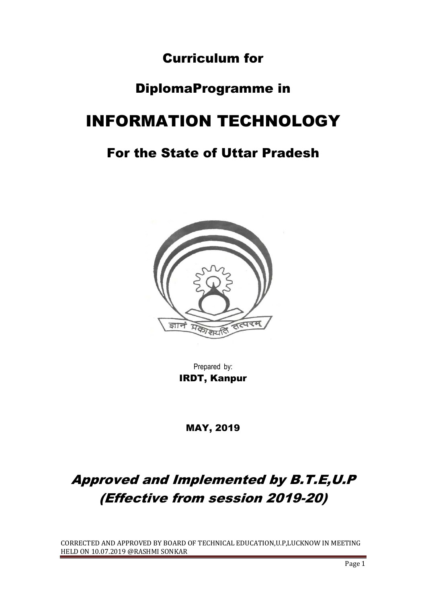# Curriculum for

# DiplomaProgramme in

# INFORMATION TECHNOLOGY

# For the State of Uttar Pradesh



Prepared by: IRDT, Kanpur

MAY, 2019

# Approved and Implemented by B.T.E,U.P (Effective from session 2019-20)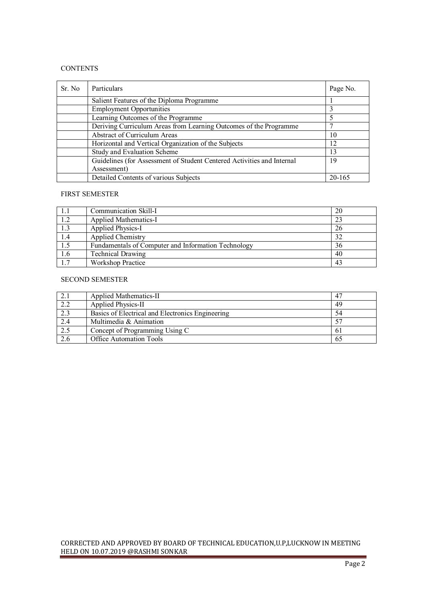#### **CONTENTS**

| Sr. No | Particulars                                                            | Page No. |
|--------|------------------------------------------------------------------------|----------|
|        | Salient Features of the Diploma Programme                              |          |
|        | <b>Employment Opportunities</b>                                        |          |
|        | Learning Outcomes of the Programme                                     | 5        |
|        | Deriving Curriculum Areas from Learning Outcomes of the Programme      |          |
|        | <b>Abstract of Curriculum Areas</b>                                    | 10       |
|        | Horizontal and Vertical Organization of the Subjects                   | 12       |
|        | <b>Study and Evaluation Scheme</b>                                     | 13       |
|        | Guidelines (for Assessment of Student Centered Activities and Internal | 19       |
|        | Assessment)                                                            |          |
|        | Detailed Contents of various Subjects                                  | 20-165   |

#### FIRST SEMESTER

|     | Communication Skill-I                               | 20 |
|-----|-----------------------------------------------------|----|
| 1.2 | Applied Mathematics-I                               | 23 |
| 1.3 | Applied Physics-I                                   | 26 |
| 1.4 | <b>Applied Chemistry</b>                            | 32 |
| 1.5 | Fundamentals of Computer and Information Technology | 36 |
| 1.6 | <b>Technical Drawing</b>                            | 40 |
| 1.7 | Workshop Practice                                   | 43 |

#### SECOND SEMESTER

| 2.1 | Applied Mathematics-II                           | -47 |
|-----|--------------------------------------------------|-----|
| 2.2 | Applied Physics-II                               | 49  |
| 2.3 | Basics of Electrical and Electronics Engineering | 54  |
| 2.4 | Multimedia & Animation                           |     |
| 2.5 | Concept of Programming Using C                   | 61  |
| 2.6 | <b>Office Automation Tools</b>                   | 65  |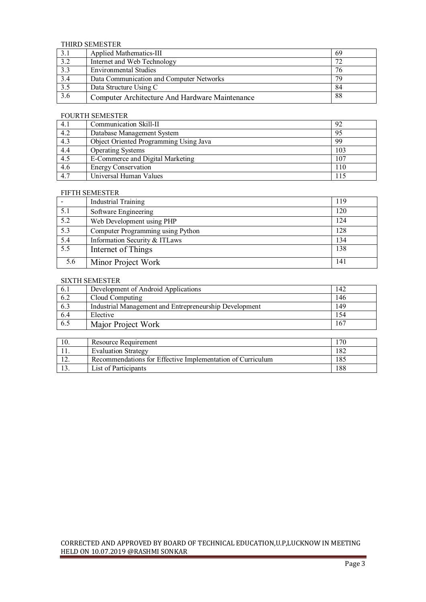#### THIRD SEMESTER

| 3.1              | Applied Mathematics-III                        | -69 |  |  |
|------------------|------------------------------------------------|-----|--|--|
| 3.2              | Internet and Web Technology                    |     |  |  |
| 3.3              | <b>Environmental Studies</b>                   | 76  |  |  |
| $\overline{3.4}$ | Data Communication and Computer Networks       | 79  |  |  |
| $\overline{3.5}$ | Data Structure Using C                         | 84  |  |  |
| 3.6              | Computer Architecture And Hardware Maintenance | 88  |  |  |

#### FOURTH SEMESTER

| 4.1 | Communication Skill-II                 | 92  |
|-----|----------------------------------------|-----|
| 4.2 | Database Management System             | 95  |
| 4.3 | Object Oriented Programming Using Java | 99  |
| 4.4 | <b>Operating Systems</b>               | 103 |
| 4.5 | E-Commerce and Digital Marketing       | 107 |
| 4.6 | <b>Energy Conservation</b>             | 110 |
| 4.7 | Universal Human Values                 | 115 |

#### FIFTH SEMESTER

|     | <b>Industrial Training</b>        | 119 |
|-----|-----------------------------------|-----|
| 5.1 | Software Engineering              | 120 |
| 5.2 | Web Development using PHP         | 124 |
| 5.3 | Computer Programming using Python | 128 |
| 5.4 | Information Security & ITLaws     | 134 |
| 5.5 | Internet of Things                | 138 |
| 5.6 | Minor Project Work                | 141 |

#### SIXTH SEMESTER

| 6.1 | Development of Android Applications                    | 142 |
|-----|--------------------------------------------------------|-----|
| 6.2 | Cloud Computing                                        | 146 |
| 6.3 | Industrial Management and Entrepreneurship Development | 149 |
| 6.4 | Elective                                               | 154 |
| 6.5 | Major Project Work                                     | 167 |

| 10. | Resource Requirement                                       | 170 |
|-----|------------------------------------------------------------|-----|
|     | <b>Evaluation Strategy</b>                                 | 182 |
|     | Recommendations for Effective Implementation of Curriculum | 185 |
|     | List of Participants                                       | 188 |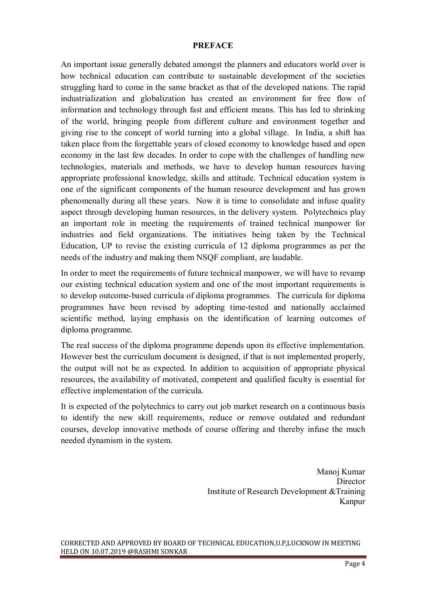### **PREFACE**

An important issue generally debated amongst the planners and educators world over is how technical education can contribute to sustainable development of the societies struggling hard to come in the same bracket as that of the developed nations. The rapid industrialization and globalization has created an environment for free flow of information and technology through fast and efficient means. This has led to shrinking of the world, bringing people from different culture and environment together and giving rise to the concept of world turning into a global village. In India, a shift has taken place from the forgettable years of closed economy to knowledge based and open economy in the last few decades. In order to cope with the challenges of handling new technologies, materials and methods, we have to develop human resources having appropriate professional knowledge, skills and attitude. Technical education system is one of the significant components of the human resource development and has grown phenomenally during all these years. Now it is time to consolidate and infuse quality aspect through developing human resources, in the delivery system. Polytechnics play an important role in meeting the requirements of trained technical manpower for industries and field organizations. The initiatives being taken by the Technical Education, UP to revise the existing curricula of 12 diploma programmes as per the needs of the industry and making them NSQF compliant, are laudable.

In order to meet the requirements of future technical manpower, we will have to revamp our existing technical education system and one of the most important requirements is to develop outcome-based curricula of diploma programmes. The curricula for diploma programmes have been revised by adopting time-tested and nationally acclaimed scientific method, laying emphasis on the identification of learning outcomes of diploma programme.

The real success of the diploma programme depends upon its effective implementation. However best the curriculum document is designed, if that is not implemented properly, the output will not be as expected. In addition to acquisition of appropriate physical resources, the availability of motivated, competent and qualified faculty is essential for effective implementation of the curricula.

It is expected of the polytechnics to carry out job market research on a continuous basis to identify the new skill requirements, reduce or remove outdated and redundant courses, develop innovative methods of course offering and thereby infuse the much needed dynamism in the system.

> Manoj Kumar **Director** Institute of Research Development &Training Kanpur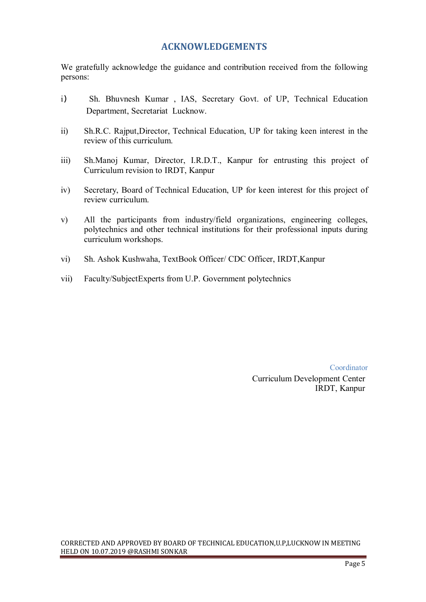# **ACKNOWLEDGEMENTS**

We gratefully acknowledge the guidance and contribution received from the following persons:

- i) Sh. Bhuvnesh Kumar , IAS, Secretary Govt. of UP, Technical Education Department, Secretariat Lucknow.
- ii) Sh.R.C. Rajput,Director, Technical Education, UP for taking keen interest in the review of this curriculum.
- iii) Sh.Manoj Kumar, Director, I.R.D.T., Kanpur for entrusting this project of Curriculum revision to IRDT, Kanpur
- iv) Secretary, Board of Technical Education, UP for keen interest for this project of review curriculum.
- v) All the participants from industry/field organizations, engineering colleges, polytechnics and other technical institutions for their professional inputs during curriculum workshops.
- vi) Sh. Ashok Kushwaha, TextBook Officer/ CDC Officer, IRDT,Kanpur
- vii) Faculty/SubjectExperts from U.P. Government polytechnics

Coordinator Curriculum Development Center IRDT, Kanpur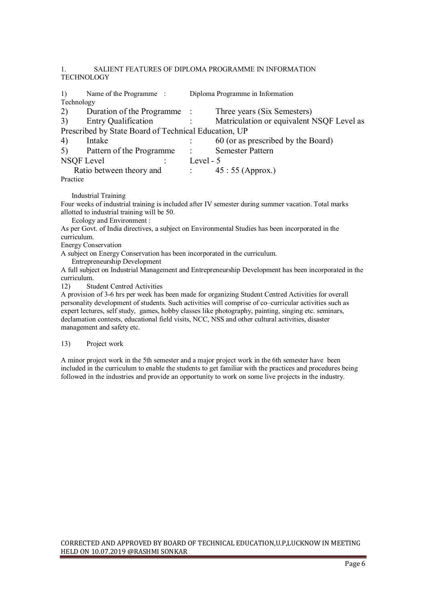#### 1. SALIENT FEATURES OF DIPLOMA PROGRAMME IN INFORMATION **TECHNOLOGY**

| 1)                                                   | Name of the Programme:      | Diploma Programme in Information |                                           |
|------------------------------------------------------|-----------------------------|----------------------------------|-------------------------------------------|
| Technology                                           |                             |                                  |                                           |
| 2)                                                   | Duration of the Programme : |                                  | Three years (Six Semesters)               |
| 3)                                                   | <b>Entry Qualification</b>  |                                  | Matriculation or equivalent NSQF Level as |
| Prescribed by State Board of Technical Education, UP |                             |                                  |                                           |
| 4)                                                   | Intake                      |                                  | 60 (or as prescribed by the Board)        |
| 5)                                                   | Pattern of the Programme    | $\sim$ 1.                        | <b>Semester Pattern</b>                   |
| <b>NSQF</b> Level                                    |                             | Level - 5                        |                                           |
|                                                      | Ratio between theory and    | $\sim 100$ km s $^{-1}$          | $45:55$ (Approx.)                         |
| Practice                                             |                             |                                  |                                           |

Industrial Training

Four weeks of industrial training is included after IV semester during summer vacation. Total marks allotted to industrial training will be 50.

Ecology and Environment :

As per Govt. of India directives, a subject on Environmental Studies has been incorporated in the curriculum.

Energy Conservation

A subject on Energy Conservation has been incorporated in the curriculum.

Entrepreneurship Development

A full subject on Industrial Management and Entrepreneurship Development has been incorporated in the curriculum.<br> $12$ ) Str

**Student Centred Activities** 

A provision of 3-6 hrs per week has been made for organizing Student Centred Activities for overall personality development of students. Such activities will comprise of co–curricular activities such as expert lectures, self study, games, hobby classes like photography, painting, singing etc. seminars, declamation contests, educational field visits, NCC, NSS and other cultural activities, disaster management and safety etc.

#### 13) Project work

A minor project work in the 5th semester and a major project work in the 6th semester have been included in the curriculum to enable the students to get familiar with the practices and procedures being followed in the industries and provide an opportunity to work on some live projects in the industry.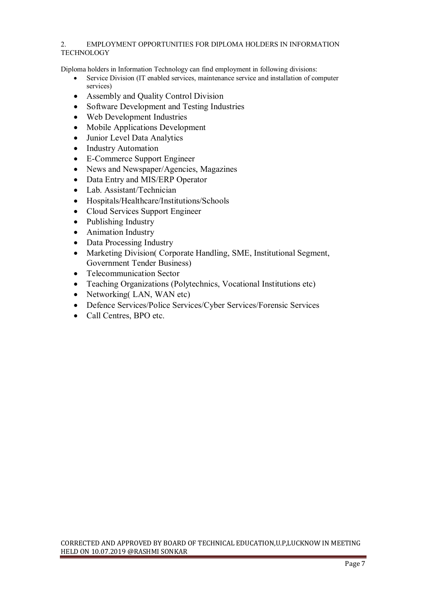#### 2. EMPLOYMENT OPPORTUNITIES FOR DIPLOMA HOLDERS IN INFORMATION TECHNOLOGY

Diploma holders in Information Technology can find employment in following divisions:

- Service Division (IT enabled services, maintenance service and installation of computer services)
- Assembly and Quality Control Division
- Software Development and Testing Industries
- Web Development Industries
- Mobile Applications Development
- Junior Level Data Analytics
- Industry Automation
- E-Commerce Support Engineer
- News and Newspaper/Agencies, Magazines
- Data Entry and MIS/ERP Operator
- Lab. Assistant/Technician
- Hospitals/Healthcare/Institutions/Schools
- Cloud Services Support Engineer
- Publishing Industry
- Animation Industry
- Data Processing Industry
- Marketing Division( Corporate Handling, SME, Institutional Segment, Government Tender Business)
- Telecommunication Sector
- Teaching Organizations (Polytechnics, Vocational Institutions etc)
- Networking (LAN, WAN etc)
- Defence Services/Police Services/Cyber Services/Forensic Services
- Call Centres, BPO etc.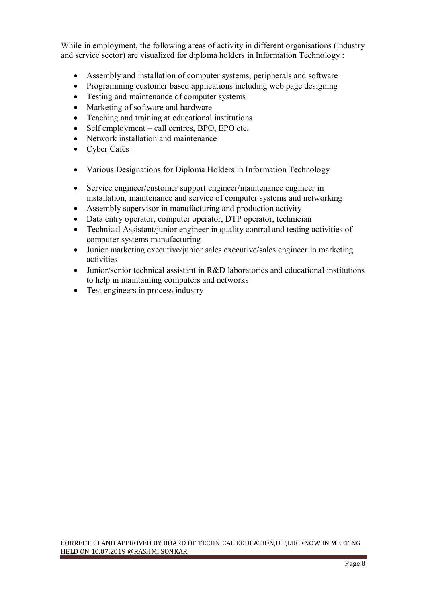While in employment, the following areas of activity in different organisations (industry and service sector) are visualized for diploma holders in Information Technology :

- Assembly and installation of computer systems, peripherals and software
- Programming customer based applications including web page designing
- Testing and maintenance of computer systems
- Marketing of software and hardware
- Teaching and training at educational institutions
- Self employment call centres, BPO, EPO etc.
- Network installation and maintenance
- Cyber Cafés
- Various Designations for Diploma Holders in Information Technology
- Service engineer/customer support engineer/maintenance engineer in installation, maintenance and service of computer systems and networking
- Assembly supervisor in manufacturing and production activity
- Data entry operator, computer operator, DTP operator, technician
- Technical Assistant/junior engineer in quality control and testing activities of computer systems manufacturing
- Junior marketing executive/junior sales executive/sales engineer in marketing activities
- Junior/senior technical assistant in R&D laboratories and educational institutions to help in maintaining computers and networks
- Test engineers in process industry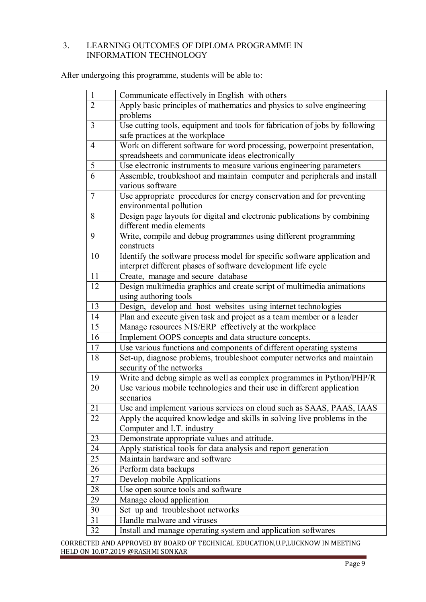# 3. LEARNING OUTCOMES OF DIPLOMA PROGRAMME IN INFORMATION TECHNOLOGY

After undergoing this programme, students will be able to:

| $\mathbf{1}$    | Communicate effectively in English with others                                                     |  |  |
|-----------------|----------------------------------------------------------------------------------------------------|--|--|
| $\overline{2}$  | Apply basic principles of mathematics and physics to solve engineering                             |  |  |
|                 | problems                                                                                           |  |  |
| $\overline{3}$  | Use cutting tools, equipment and tools for fabrication of jobs by following                        |  |  |
|                 | safe practices at the workplace                                                                    |  |  |
| $\overline{4}$  | Work on different software for word processing, powerpoint presentation,                           |  |  |
|                 | spreadsheets and communicate ideas electronically                                                  |  |  |
| 5               | Use electronic instruments to measure various engineering parameters                               |  |  |
| $\overline{6}$  | Assemble, troubleshoot and maintain computer and peripherals and install                           |  |  |
|                 | various software                                                                                   |  |  |
| $7\phantom{.0}$ | Use appropriate procedures for energy conservation and for preventing                              |  |  |
|                 | environmental pollution                                                                            |  |  |
| 8               | Design page layouts for digital and electronic publications by combining                           |  |  |
|                 | different media elements                                                                           |  |  |
| 9               | Write, compile and debug programmes using different programming                                    |  |  |
|                 | constructs                                                                                         |  |  |
| 10              | Identify the software process model for specific software application and                          |  |  |
|                 | interpret different phases of software development life cycle                                      |  |  |
| 11              | Create, manage and secure database                                                                 |  |  |
| 12              | Design multimedia graphics and create script of multimedia animations                              |  |  |
|                 | using authoring tools                                                                              |  |  |
| 13              | Design, develop and host websites using internet technologies                                      |  |  |
| 14              | Plan and execute given task and project as a team member or a leader                               |  |  |
| 15              | Manage resources NIS/ERP effectively at the workplace                                              |  |  |
| 16              | Implement OOPS concepts and data structure concepts.                                               |  |  |
| 17              | Use various functions and components of different operating systems                                |  |  |
| 18              | Set-up, diagnose problems, troubleshoot computer networks and maintain<br>security of the networks |  |  |
|                 |                                                                                                    |  |  |
| 19<br>20        | Write and debug simple as well as complex programmes in Python/PHP/R                               |  |  |
|                 | Use various mobile technologies and their use in different application                             |  |  |
| 21              | scenarios<br>Use and implement various services on cloud such as SAAS, PAAS, IAAS                  |  |  |
| 22              | Apply the acquired knowledge and skills in solving live problems in the                            |  |  |
|                 | Computer and I.T. industry                                                                         |  |  |
| 23              | Demonstrate appropriate values and attitude.                                                       |  |  |
| 24              | Apply statistical tools for data analysis and report generation                                    |  |  |
| 25              | Maintain hardware and software                                                                     |  |  |
| 26              | Perform data backups                                                                               |  |  |
| 27              | Develop mobile Applications                                                                        |  |  |
| 28              | Use open source tools and software                                                                 |  |  |
| 29              | Manage cloud application                                                                           |  |  |
| 30              | Set up and troubleshoot networks                                                                   |  |  |
| 31              | Handle malware and viruses                                                                         |  |  |
| 32              | Install and manage operating system and application softwares                                      |  |  |
|                 |                                                                                                    |  |  |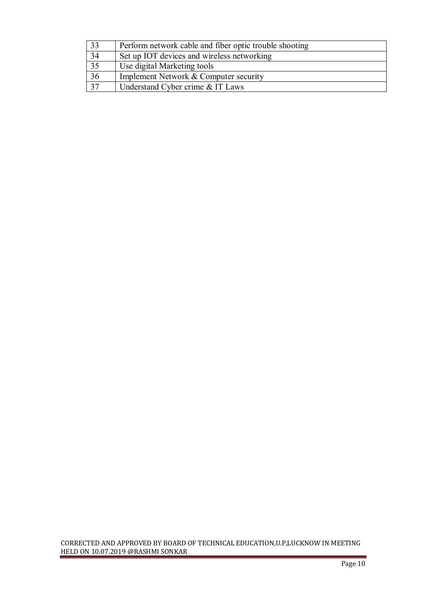| $\overline{33}$ | Perform network cable and fiber optic trouble shooting |
|-----------------|--------------------------------------------------------|
| 34              | Set up IOT devices and wireless networking             |
| $\overline{35}$ | Use digital Marketing tools                            |
| $\overline{36}$ | Implement Network & Computer security                  |
| $\overline{37}$ | Understand Cyber crime & IT Laws                       |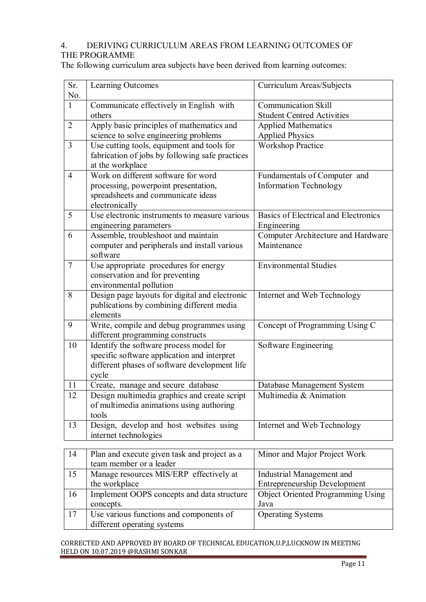### 4. DERIVING CURRICULUM AREAS FROM LEARNING OUTCOMES OF THE PROGRAMME

The following curriculum area subjects have been derived from learning outcomes:

| Sr.<br>No.     | Learning Outcomes                                                                        | Curriculum Areas/Subjects                            |
|----------------|------------------------------------------------------------------------------------------|------------------------------------------------------|
| $\mathbf{1}$   | Communicate effectively in English with                                                  | <b>Communication Skill</b>                           |
|                | others                                                                                   | <b>Student Centred Activities</b>                    |
| $\overline{2}$ | Apply basic principles of mathematics and                                                | <b>Applied Mathematics</b>                           |
|                | science to solve engineering problems                                                    | <b>Applied Physics</b>                               |
| $\overline{3}$ | Use cutting tools, equipment and tools for                                               | <b>Workshop Practice</b>                             |
|                | fabrication of jobs by following safe practices                                          |                                                      |
|                | at the workplace                                                                         |                                                      |
| $\overline{4}$ | Work on different software for word                                                      | Fundamentals of Computer and                         |
|                | processing, powerpoint presentation,                                                     | <b>Information Technology</b>                        |
|                | spreadsheets and communicate ideas                                                       |                                                      |
|                | electronically                                                                           |                                                      |
| 5              | Use electronic instruments to measure various                                            | Basics of Electrical and Electronics                 |
|                | engineering parameters                                                                   | Engineering                                          |
| 6              | Assemble, troubleshoot and maintain                                                      | Computer Architecture and Hardware                   |
|                | computer and peripherals and install various                                             | Maintenance                                          |
|                | software                                                                                 |                                                      |
| $\overline{7}$ | Use appropriate procedures for energy                                                    | <b>Environmental Studies</b>                         |
|                | conservation and for preventing                                                          |                                                      |
|                | environmental pollution                                                                  |                                                      |
| 8              | Design page layouts for digital and electronic                                           | Internet and Web Technology                          |
|                | publications by combining different media                                                |                                                      |
|                | elements                                                                                 |                                                      |
| 9              | Write, compile and debug programmes using                                                | Concept of Programming Using C                       |
|                | different programming constructs                                                         |                                                      |
| 10             | Identify the software process model for                                                  | Software Engineering                                 |
|                | specific software application and interpret                                              |                                                      |
|                | different phases of software development life                                            |                                                      |
| 11             | cycle                                                                                    |                                                      |
|                | Create, manage and secure database                                                       | Database Management System<br>Multimedia & Animation |
| 12             | Design multimedia graphics and create script<br>of multimedia animations using authoring |                                                      |
|                | tools                                                                                    |                                                      |
| 13             | Design, develop and host websites using                                                  | Internet and Web Technology                          |
|                | internet technologies                                                                    |                                                      |
|                |                                                                                          |                                                      |
| 14             | Plan and execute given task and project as a                                             | Minor and Major Project Work                         |
|                | team member or a leader                                                                  |                                                      |
| 15             | Manage resources MIS/ERP effectively at                                                  | <b>Industrial Management and</b>                     |
|                | the workplace                                                                            | <b>Entrepreneurship Development</b>                  |
| 16             | Implement OOPS concepts and data structure                                               | <b>Object Oriented Programming Using</b>             |
|                | concepts.                                                                                | Java                                                 |
| 17             | Use various functions and components of                                                  | <b>Operating Systems</b>                             |
|                | different operating systems                                                              |                                                      |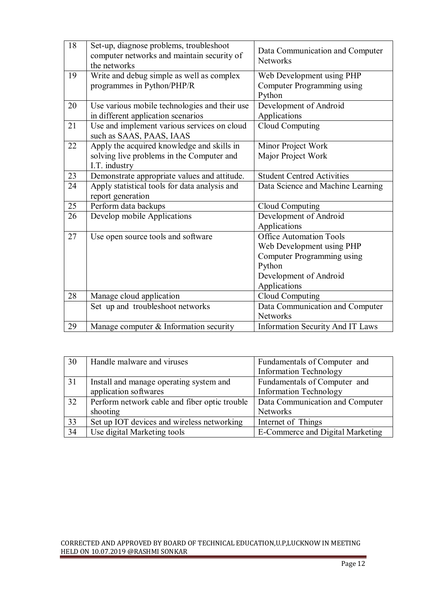| 18 | Set-up, diagnose problems, troubleshoot<br>computer networks and maintain security of<br>the networks    | Data Communication and Computer<br><b>Networks</b>                                                                                            |
|----|----------------------------------------------------------------------------------------------------------|-----------------------------------------------------------------------------------------------------------------------------------------------|
| 19 | Write and debug simple as well as complex<br>programmes in Python/PHP/R                                  | Web Development using PHP<br>Computer Programming using<br>Python                                                                             |
| 20 | Use various mobile technologies and their use<br>in different application scenarios                      | Development of Android<br>Applications                                                                                                        |
| 21 | Use and implement various services on cloud<br>such as SAAS, PAAS, IAAS                                  | Cloud Computing                                                                                                                               |
| 22 | Apply the acquired knowledge and skills in<br>solving live problems in the Computer and<br>I.T. industry | Minor Project Work<br>Major Project Work                                                                                                      |
| 23 | Demonstrate appropriate values and attitude.                                                             | <b>Student Centred Activities</b>                                                                                                             |
| 24 | Apply statistical tools for data analysis and<br>report generation                                       | Data Science and Machine Learning                                                                                                             |
| 25 | Perform data backups                                                                                     | Cloud Computing                                                                                                                               |
| 26 | Develop mobile Applications                                                                              | Development of Android<br>Applications                                                                                                        |
| 27 | Use open source tools and software                                                                       | <b>Office Automation Tools</b><br>Web Development using PHP<br>Computer Programming using<br>Python<br>Development of Android<br>Applications |
| 28 | Manage cloud application                                                                                 | Cloud Computing                                                                                                                               |
|    | Set up and troubleshoot networks                                                                         | Data Communication and Computer<br><b>Networks</b>                                                                                            |
| 29 | Manage computer & Information security                                                                   | <b>Information Security And IT Laws</b>                                                                                                       |

| 30 | Handle malware and viruses                    | Fundamentals of Computer and     |
|----|-----------------------------------------------|----------------------------------|
|    |                                               | <b>Information Technology</b>    |
| 31 | Install and manage operating system and       | Fundamentals of Computer and     |
|    | application softwares                         | <b>Information Technology</b>    |
| 32 | Perform network cable and fiber optic trouble | Data Communication and Computer  |
|    | shooting                                      | <b>Networks</b>                  |
| 33 | Set up IOT devices and wireless networking    | Internet of Things               |
| 34 | Use digital Marketing tools                   | E-Commerce and Digital Marketing |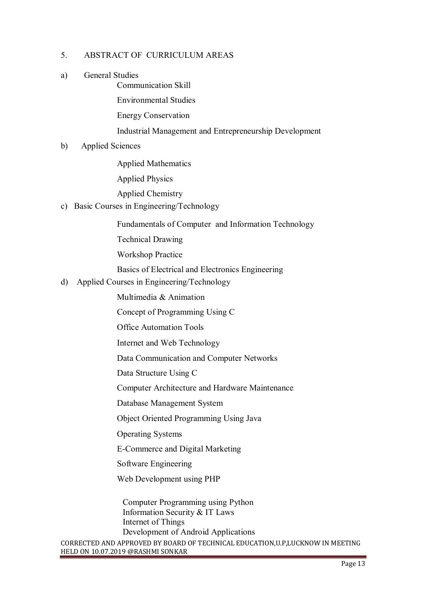# 5. ABSTRACT OF CURRICULUM AREAS

a) General Studies Communication Skill

Environmental Studies

Energy Conservation

Industrial Management and Entrepreneurship Development

b) Applied Sciences

Applied Mathematics

Applied Physics

Applied Chemistry

c) Basic Courses in Engineering/Technology

Fundamentals of Computer and Information Technology

Technical Drawing

Workshop Practice

Basics of Electrical and Electronics Engineering

d) Applied Courses in Engineering/Technology

Multimedia & Animation

Concept of Programming Using C

Office Automation Tools

Internet and Web Technology

Data Communication and Computer Networks

Data Structure Using C

Computer Architecture and Hardware Maintenance

Database Management System

Object Oriented Programming Using Java

Operating Systems

E-Commerce and Digital Marketing

Software Engineering

Web Development using PHP

 Computer Programming using Python Information Security & IT Laws Internet of Things Development of Android Applications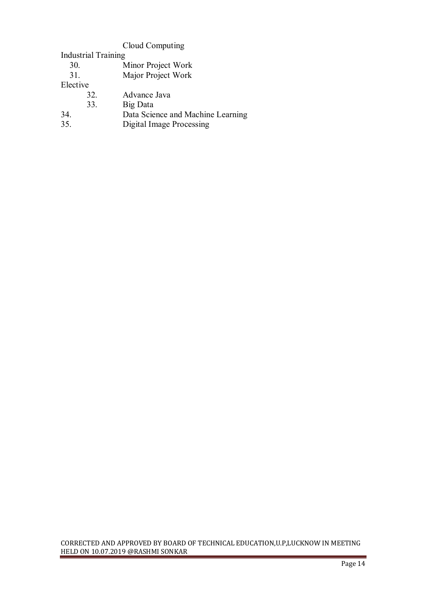# Cloud Computing

Industrial Training

| Minor Project Work<br>30. |  |
|---------------------------|--|
|---------------------------|--|

31. Major Project Work

Elective

- 32. Advance Java<br>33. Big Data
- 33. Big Data<br>34. Data Scie
- 34. Data Science and Machine Learning<br>35. Digital Image Processing
- 35. Digital Image Processing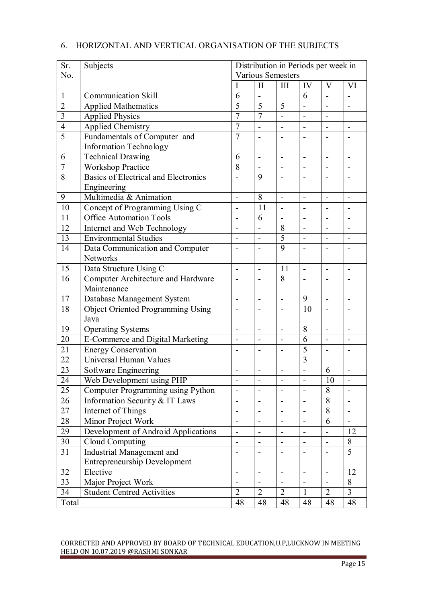| Sr.            | Subjects                                 | Distribution in Periods per week in |                              |                          |                              |                              |                              |  |  |  |
|----------------|------------------------------------------|-------------------------------------|------------------------------|--------------------------|------------------------------|------------------------------|------------------------------|--|--|--|
| No.            |                                          |                                     | <b>Various Semesters</b>     |                          |                              |                              |                              |  |  |  |
|                |                                          |                                     | $\mathbf{I}$                 | III                      | IV                           | V                            | VI                           |  |  |  |
| $\mathbf{1}$   | <b>Communication Skill</b>               | 6                                   |                              |                          | 6                            |                              |                              |  |  |  |
| $\overline{2}$ | <b>Applied Mathematics</b>               | $\overline{5}$                      | 5                            | 5                        | $\overline{\phantom{0}}$     | $\blacksquare$               |                              |  |  |  |
| 3              | <b>Applied Physics</b>                   | $\overline{7}$                      | $\overline{7}$               |                          | $\overline{a}$               | $\blacksquare$               |                              |  |  |  |
| $\overline{4}$ | <b>Applied Chemistry</b>                 | $\overline{7}$                      | $\overline{a}$               | $\overline{\phantom{a}}$ | $\overline{\phantom{a}}$     | $\overline{\phantom{a}}$     | $\qquad \qquad \blacksquare$ |  |  |  |
| $\overline{5}$ | Fundamentals of Computer and             | $\overline{7}$                      |                              |                          |                              |                              |                              |  |  |  |
|                | <b>Information Technology</b>            |                                     |                              |                          |                              |                              |                              |  |  |  |
| 6              | Technical Drawing                        | 6                                   | $\overline{\phantom{a}}$     | $\blacksquare$           | $\overline{a}$               | $\overline{a}$               | $\blacksquare$               |  |  |  |
| $\overline{7}$ | <b>Workshop Practice</b>                 | 8                                   | $\overline{\phantom{a}}$     | $\overline{\phantom{a}}$ | $\blacksquare$               | $\overline{a}$               | $\overline{\phantom{a}}$     |  |  |  |
| 8              | Basics of Electrical and Electronics     |                                     | 9                            |                          |                              |                              |                              |  |  |  |
|                | Engineering                              |                                     |                              |                          |                              |                              |                              |  |  |  |
| 9              | Multimedia & Animation                   | $\blacksquare$                      | 8                            | $\blacksquare$           | $\overline{\phantom{a}}$     | $\overline{\phantom{a}}$     | $\overline{\phantom{a}}$     |  |  |  |
| 10             | Concept of Programming Using C           |                                     | 11                           |                          |                              | $\blacksquare$               |                              |  |  |  |
| 11             | <b>Office Automation Tools</b>           | $\overline{\phantom{0}}$            | 6                            | $\blacksquare$           | $\overline{a}$               | $\overline{a}$               |                              |  |  |  |
| 12             | Internet and Web Technology              |                                     | $\overline{a}$               | 8                        | $\overline{a}$               | $\overline{a}$               |                              |  |  |  |
| 13             | <b>Environmental Studies</b>             | $\overline{\phantom{m}}$            | $\overline{\phantom{a}}$     | 5                        | $\overline{a}$               | $\blacksquare$               | $\overline{\phantom{a}}$     |  |  |  |
| 14             | Data Communication and Computer          | $\overline{\phantom{a}}$            | $\overline{\phantom{a}}$     | 9                        |                              | $\blacksquare$               | -                            |  |  |  |
|                | <b>Networks</b>                          |                                     |                              |                          |                              |                              |                              |  |  |  |
| 15             | Data Structure Using C                   | $\overline{\phantom{0}}$            |                              | 11                       | $\overline{\phantom{0}}$     |                              |                              |  |  |  |
| 16             | Computer Architecture and Hardware       | $\overline{\phantom{a}}$            | $\overline{\phantom{a}}$     | 8                        | $\overline{\phantom{a}}$     | $\qquad \qquad \blacksquare$ |                              |  |  |  |
|                | Maintenance                              |                                     |                              |                          |                              |                              |                              |  |  |  |
| 17             | Database Management System               | $\overline{\phantom{a}}$            | $\blacksquare$               | $\overline{\phantom{a}}$ | 9                            | $\overline{a}$               | $\overline{\phantom{0}}$     |  |  |  |
| 18             | <b>Object Oriented Programming Using</b> | -                                   |                              |                          | 10                           | $\qquad \qquad \blacksquare$ |                              |  |  |  |
|                | Java                                     |                                     |                              |                          |                              |                              |                              |  |  |  |
| 19             | <b>Operating Systems</b>                 | $\qquad \qquad \blacksquare$        | $\overline{\phantom{a}}$     | $\qquad \qquad -$        | 8                            | $\blacksquare$               |                              |  |  |  |
| 20             | <b>E-Commerce and Digital Marketing</b>  |                                     | $\overline{a}$               |                          | 6                            | $\blacksquare$               |                              |  |  |  |
| 21             | <b>Energy Conservation</b>               | $\overline{\phantom{0}}$            | $\overline{a}$               | $\overline{\phantom{a}}$ | 5                            | $\overline{a}$               |                              |  |  |  |
| 22             | Universal Human Values                   |                                     |                              |                          | $\overline{3}$               |                              |                              |  |  |  |
| 23             | Software Engineering                     | $\overline{\phantom{m}}$            | $\blacksquare$               | $\overline{a}$           | $\overline{a}$               | 6                            |                              |  |  |  |
| 24             | Web Development using PHP                | $\blacksquare$                      | $\overline{\phantom{0}}$     | $\overline{\phantom{0}}$ | $\blacksquare$               | $\overline{10}$              | $\blacksquare$               |  |  |  |
| 25             | Computer Programming using Python        | $\overline{\phantom{a}}$            | $\overline{\phantom{a}}$     | $\overline{\phantom{a}}$ | $\overline{a}$               | 8                            | $\overline{\phantom{0}}$     |  |  |  |
| 26             | Information Security & IT Laws           | $\overline{\phantom{m}}$            | $\overline{\phantom{m}}$     |                          |                              | 8                            | $\overline{\phantom{0}}$     |  |  |  |
| 27             | <b>Internet of Things</b>                | $\qquad \qquad \blacksquare$        | $\qquad \qquad \blacksquare$ | $\blacksquare$           | $\qquad \qquad \blacksquare$ | 8                            | $\qquad \qquad \blacksquare$ |  |  |  |
| 28             | Minor Project Work                       | $\overline{\phantom{m}}$            |                              |                          |                              | 6                            |                              |  |  |  |
| 29             | Development of Android Applications      | $\overline{\phantom{m}}$            |                              |                          |                              |                              | 12                           |  |  |  |
| 30             | Cloud Computing                          | $\overline{\phantom{a}}$            | $\qquad \qquad -$            | $\blacksquare$           | $\blacksquare$               | $\blacksquare$               | 8                            |  |  |  |
| 31             | Industrial Management and                | $\overline{a}$                      | $\overline{a}$               |                          |                              | $\overline{a}$               | 5                            |  |  |  |
|                | <b>Entrepreneurship Development</b>      |                                     |                              |                          |                              |                              |                              |  |  |  |
| 32             | Elective                                 | $\overline{\phantom{a}}$            | $\blacksquare$               | $\overline{\phantom{a}}$ | ÷,                           | $\blacksquare$               | 12                           |  |  |  |
| 33             | Major Project Work                       | $\blacksquare$                      | $\overline{a}$               |                          |                              | $\overline{a}$               | 8                            |  |  |  |
| 34             | <b>Student Centred Activities</b>        | $\overline{2}$                      | $\overline{2}$               | $\overline{2}$           | 1                            | $\overline{2}$               | 3                            |  |  |  |
| Total          |                                          | 48                                  | 48                           | 48                       | 48                           | 48                           | 48                           |  |  |  |

# 6. HORIZONTAL AND VERTICAL ORGANISATION OF THE SUBJECTS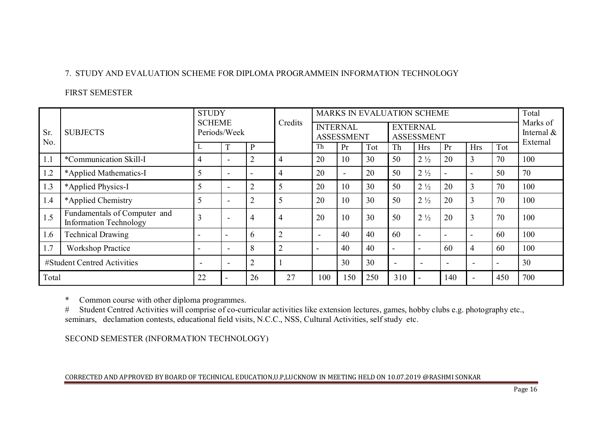# 7. STUDY AND EVALUATION SCHEME FOR DIPLOMA PROGRAMMEIN INFORMATION TECHNOLOGY

# FIRST SEMESTER

|            |                                                               | <b>STUDY</b><br><b>SCHEME</b> |                          |                          | Credits        |     |                                      | MARKS IN EVALUATION SCHEME |                                      |                          |                          |                          |                          | Total                                 |
|------------|---------------------------------------------------------------|-------------------------------|--------------------------|--------------------------|----------------|-----|--------------------------------------|----------------------------|--------------------------------------|--------------------------|--------------------------|--------------------------|--------------------------|---------------------------------------|
| Sr.<br>No. | <b>SUBJECTS</b>                                               |                               | Periods/Week             |                          |                |     | <b>INTERNAL</b><br><b>ASSESSMENT</b> |                            | <b>EXTERNAL</b><br><b>ASSESSMENT</b> |                          |                          |                          |                          | Marks of<br>Internal $\&$<br>External |
|            |                                                               |                               |                          | $\mathbf{P}$             |                | Th  | Pr                                   | Tot                        | Th                                   | <b>Hrs</b>               | Pr                       | <b>Hrs</b>               | Tot                      |                                       |
| 1.1        | *Communication Skill-I                                        | 4                             | $\overline{\phantom{0}}$ | $\overline{2}$           | $\overline{4}$ | 20  | 10                                   | 30                         | 50                                   | $2\frac{1}{2}$           | 20                       | 3                        | 70                       | 100                                   |
| 1.2        | *Applied Mathematics-I                                        |                               | $\overline{\phantom{a}}$ | $\overline{\phantom{a}}$ | $\overline{4}$ | 20  | $\overline{\phantom{a}}$             | 20                         | 50                                   | $2\frac{1}{2}$           |                          | $\overline{\phantom{0}}$ | 50                       | 70                                    |
| 1.3        | *Applied Physics-I                                            | 5                             |                          | $\overline{2}$           | 5              | 20  | 10                                   | 30                         | 50                                   | $2\frac{1}{2}$           | 20                       | 3                        | 70                       | 100                                   |
| 1.4        | *Applied Chemistry                                            |                               |                          | $\overline{2}$           | 5              | 20  | 10                                   | 30                         | 50                                   | $2\frac{1}{2}$           | 20                       | 3                        | 70                       | 100                                   |
| 1.5        | Fundamentals of Computer and<br><b>Information Technology</b> | ◠                             |                          | $\overline{4}$           | $\overline{4}$ | 20  | 10                                   | 30                         | 50                                   | $2\frac{1}{2}$           | 20                       | 3                        | 70                       | 100                                   |
| 1.6        | <b>Technical Drawing</b>                                      |                               |                          | 6                        | $\overline{2}$ |     | 40                                   | 40                         | 60                                   | $\overline{\phantom{a}}$ |                          | $\overline{\phantom{0}}$ | 60                       | 100                                   |
| 1.7        | <b>Workshop Practice</b>                                      |                               | $\overline{\phantom{a}}$ | 8                        | $\overline{2}$ |     | 40                                   | 40                         | $\overline{\phantom{0}}$             | $\overline{\phantom{a}}$ | 60                       | 4                        | 60                       | 100                                   |
|            | #Student Centred Activities                                   | $\overline{\phantom{0}}$      | $\overline{\phantom{a}}$ | $\overline{2}$           |                |     | 30                                   | 30                         |                                      | $\overline{\phantom{a}}$ | $\overline{\phantom{a}}$ | $\overline{\phantom{a}}$ | $\overline{\phantom{a}}$ | 30                                    |
| Total      |                                                               | 22                            |                          | 26                       | 27             | 100 | 150                                  | 250                        | 310                                  |                          | 140                      |                          | 450                      | 700                                   |

\* Common course with other diploma programmes.

# Student Centred Activities will comprise of co-curricular activities like extension lectures, games, hobby clubs e.g. photography etc., seminars, declamation contests, educational field visits, N.C.C., NSS, Cultural Activities, self study etc.

SECOND SEMESTER (INFORMATION TECHNOLOGY)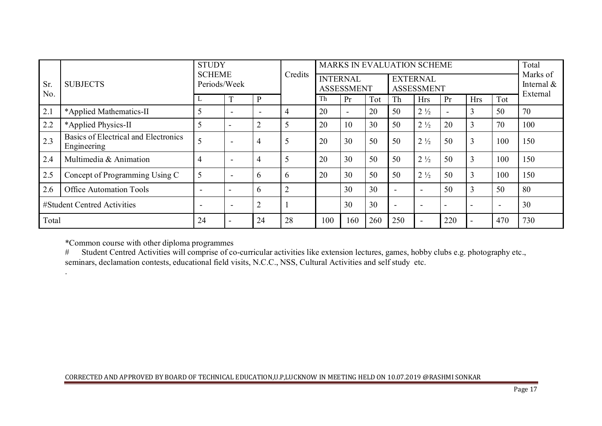|             |                                                     |              | <b>STUDY</b><br><b>SCHEME</b> |                          |                | MARKS IN EVALUATION SCHEME           |                | Total |                                      |                          |                          |                          |                          |                                       |
|-------------|-----------------------------------------------------|--------------|-------------------------------|--------------------------|----------------|--------------------------------------|----------------|-------|--------------------------------------|--------------------------|--------------------------|--------------------------|--------------------------|---------------------------------------|
| Sr.<br>No.  | <b>SUBJECTS</b>                                     | Periods/Week |                               |                          | Credits        | <b>INTERNAL</b><br><b>ASSESSMENT</b> |                |       | <b>EXTERNAL</b><br><b>ASSESSMENT</b> |                          |                          |                          |                          | Marks of<br>Internal $\&$<br>External |
|             |                                                     |              |                               | P                        |                | Th                                   | Pr             | Tot   | Th                                   | <b>Hrs</b>               | Pr                       | <b>Hrs</b>               | Tot                      |                                       |
| 2.1         | *Applied Mathematics-II                             |              |                               | $\overline{\phantom{0}}$ | 4              | 20                                   | $\blacksquare$ | 20    | 50                                   | $2\frac{1}{2}$           | $\overline{\phantom{a}}$ | 3                        | 50                       | 70                                    |
| 2.2         | *Applied Physics-II                                 |              |                               | $\overline{2}$           |                | 20                                   | 10             | 30    | 50                                   | $2\frac{1}{2}$           | 20                       | 3                        | 70                       | 100                                   |
| 2.3         | Basics of Electrical and Electronics<br>Engineering |              | $\,$                          | 4                        | 5              | 20                                   | 30             | 50    | 50                                   | $2\frac{1}{2}$           | 50                       | 3                        | 100                      | 150                                   |
| 2.4         | Multimedia & Animation                              | 4            | $\overline{\phantom{0}}$      | 4                        | 5              | 20                                   | 30             | 50    | 50                                   | $2\frac{1}{2}$           | 50                       | 3                        | 100                      | 150                                   |
| 2.5         | Concept of Programming Using C                      |              | $\overline{\phantom{0}}$      | 6                        | 6              | 20                                   | 30             | 50    | 50                                   | $2\frac{1}{2}$           | 50                       | 3                        | 100                      | 150                                   |
| 2.6         | <b>Office Automation Tools</b>                      |              | $\overline{\phantom{a}}$      | 6                        | $\overline{2}$ |                                      | 30             | 30    |                                      | $\overline{\phantom{a}}$ | 50                       | 3                        | 50                       | 80                                    |
|             | #Student Centred Activities                         |              | $\overline{\phantom{a}}$      | $\overline{2}$           |                |                                      | 30             | 30    |                                      | $\overline{\phantom{a}}$ | $\overline{\phantom{0}}$ | $\overline{\phantom{0}}$ | $\overline{\phantom{a}}$ | 30                                    |
| Total<br>24 |                                                     |              | 24                            | 28                       | 100            | 160                                  | 260            | 250   | $\overline{\phantom{0}}$             | 220                      |                          | 470                      | 730                      |                                       |

\*Common course with other diploma programmes<br># Student Centred Activities will comprise of co

.

# Student Centred Activities will comprise of co-curricular activities like extension lectures, games, hobby clubs e.g. photography etc., seminars, declamation contests, educational field visits, N.C.C., NSS, Cultural Activities and self study etc.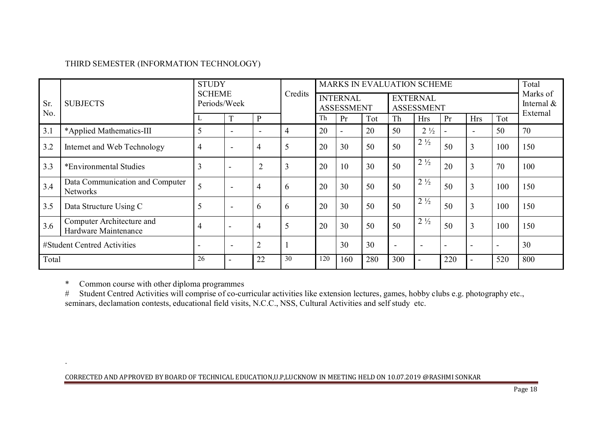# THIRD SEMESTER (INFORMATION TECHNOLOGY)

|            |                                                    |                | <b>STUDY</b><br><b>SCHEME</b><br>Credits |                          |                | <b>MARKS IN EVALUATION SCHEME</b>    |                | Total |                                      |                          |                           |                          |                          |          |
|------------|----------------------------------------------------|----------------|------------------------------------------|--------------------------|----------------|--------------------------------------|----------------|-------|--------------------------------------|--------------------------|---------------------------|--------------------------|--------------------------|----------|
| Sr.<br>No. | <b>SUBJECTS</b>                                    |                | Periods/Week                             |                          |                | <b>INTERNAL</b><br><b>ASSESSMENT</b> |                |       | <b>EXTERNAL</b><br><b>ASSESSMENT</b> |                          | Marks of<br>Internal $\&$ |                          |                          |          |
|            |                                                    | ►              |                                          | $\mathbf{P}$             |                | Th                                   | Pr             | Tot   | Th                                   | <b>Hrs</b>               | Pr                        | <b>Hrs</b>               | Tot                      | External |
| 3.1        | *Applied Mathematics-III                           | 5              |                                          | $\overline{\phantom{0}}$ | 4              | 20                                   | $\blacksquare$ | 20    | 50                                   | $2\frac{1}{2}$           |                           | $\overline{\phantom{0}}$ | 50                       | 70       |
| 3.2        | Internet and Web Technology                        | $\overline{4}$ | $\overline{\phantom{0}}$                 | 4                        | 5              | 20                                   | 30             | 50    | 50                                   | $2\frac{1}{2}$           | 50                        | 3                        | 100                      | 150      |
| 3.3        | *Environmental Studies                             | 3              | $\overline{\phantom{a}}$                 | $\overline{2}$           | $\overline{3}$ | 20                                   | 10             | 30    | 50                                   | $2\frac{1}{2}$           | 20                        | 3                        | 70                       | 100      |
| 3.4        | Data Communication and Computer<br><b>Networks</b> |                |                                          | $\overline{4}$           | 6              | 20                                   | 30             | 50    | 50                                   | $2\frac{1}{2}$           | 50                        | 3                        | 100                      | 150      |
| 3.5        | Data Structure Using C                             | 5              | $\overline{\phantom{0}}$                 | 6                        | 6              | 20                                   | 30             | 50    | 50                                   | $2\frac{1}{2}$           | 50                        | 3                        | 100                      | 150      |
| 3.6        | Computer Architecture and<br>Hardware Maintenance  | 4              | $\overline{\phantom{a}}$                 | $\overline{4}$           | 5              | 20                                   | 30             | 50    | 50                                   | $2\frac{1}{2}$           | 50                        | 3                        | 100                      | 150      |
|            | #Student Centred Activities                        |                | $\overline{\phantom{0}}$                 | $\overline{2}$           |                |                                      | 30             | 30    | $\overline{\phantom{0}}$             | $\overline{\phantom{a}}$ | $\overline{\phantom{a}}$  | $\overline{\phantom{0}}$ | $\overline{\phantom{a}}$ | 30       |
| Total      |                                                    | 26             | $\overline{\phantom{0}}$                 | 22                       | 30             | 120                                  | 160            | 280   | 300                                  | $\overline{\phantom{a}}$ | 220                       | $\overline{\phantom{a}}$ | 520                      | 800      |

.

\* Common course with other diploma programmes # Student Centred Activities will comprise of co-curricular activities like extension lectures, games, hobby clubs e.g. photography etc., seminars, declamation contests, educational field visits, N.C.C., NSS, Cultural Activities and self study etc.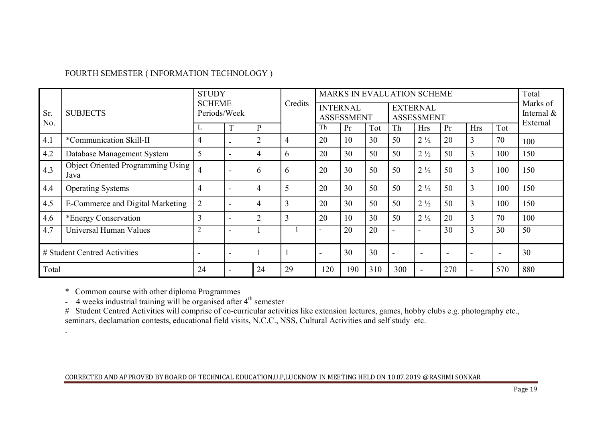# FOURTH SEMESTER ( INFORMATION TECHNOLOGY )

|            |                                           |                |                          |                |                |                          |                                      |     |     |                                      |                          |                          |                          |          |  |  | <b>STUDY</b> |  |  |  | <b>SCHEME</b><br>Credits |  |  | MARKS IN EVALUATION SCHEME |  |  |  |  |  |  |  | Total<br>Marks of |  |
|------------|-------------------------------------------|----------------|--------------------------|----------------|----------------|--------------------------|--------------------------------------|-----|-----|--------------------------------------|--------------------------|--------------------------|--------------------------|----------|--|--|--------------|--|--|--|--------------------------|--|--|----------------------------|--|--|--|--|--|--|--|-------------------|--|
| Sr.<br>No. | <b>SUBJECTS</b>                           | Periods/Week   |                          |                |                |                          | <b>INTERNAL</b><br><b>ASSESSMENT</b> |     |     | <b>EXTERNAL</b><br><b>ASSESSMENT</b> |                          |                          |                          |          |  |  |              |  |  |  |                          |  |  |                            |  |  |  |  |  |  |  |                   |  |
|            |                                           |                |                          | P              |                | Th                       | Pr                                   | Tot | Th  | <b>Hrs</b>                           | Pr                       | <b>Hrs</b>               | Tot                      | External |  |  |              |  |  |  |                          |  |  |                            |  |  |  |  |  |  |  |                   |  |
| 4.1        | *Communication Skill-II                   | 4              |                          | $\overline{2}$ | 4              | 20                       | 10                                   | 30  | 50  | $2\frac{1}{2}$                       | 20                       | 3                        | 70                       | 100      |  |  |              |  |  |  |                          |  |  |                            |  |  |  |  |  |  |  |                   |  |
| 4.2        | Database Management System                | 5              |                          | 4              | 6              | 20                       | 30                                   | 50  | 50  | $2\frac{1}{2}$                       | 50                       | 3                        | 100                      | 150      |  |  |              |  |  |  |                          |  |  |                            |  |  |  |  |  |  |  |                   |  |
| 4.3        | Object Oriented Programming Using<br>Java | 4              |                          | 6              | 6              | 20                       | 30                                   | 50  | 50  | $2\frac{1}{2}$                       | 50                       | 3                        | 100                      | 150      |  |  |              |  |  |  |                          |  |  |                            |  |  |  |  |  |  |  |                   |  |
| 4.4        | <b>Operating Systems</b>                  | 4              | $\overline{\phantom{a}}$ | 4              | 5              | 20                       | 30                                   | 50  | 50  | $2\frac{1}{2}$                       | 50                       | 3                        | 100                      | 150      |  |  |              |  |  |  |                          |  |  |                            |  |  |  |  |  |  |  |                   |  |
| 4.5        | <b>E-Commerce and Digital Marketing</b>   | $\overline{2}$ | $\overline{\phantom{a}}$ | 4              | $\overline{3}$ | 20                       | 30                                   | 50  | 50  | $2\frac{1}{2}$                       | 50                       | 3                        | 100                      | 150      |  |  |              |  |  |  |                          |  |  |                            |  |  |  |  |  |  |  |                   |  |
| 4.6        | *Energy Conservation                      | 3              |                          | $\overline{2}$ | $\overline{3}$ | 20                       | 10                                   | 30  | 50  | $2\frac{1}{2}$                       | 20                       | 3                        | 70                       | 100      |  |  |              |  |  |  |                          |  |  |                            |  |  |  |  |  |  |  |                   |  |
| 4.7        | Universal Human Values                    |                |                          |                |                |                          | 20                                   | 20  |     | $\overline{\phantom{a}}$             | 30                       | 3                        | 30                       | 50       |  |  |              |  |  |  |                          |  |  |                            |  |  |  |  |  |  |  |                   |  |
|            | # Student Centred Activities              |                | $\,$                     |                |                | $\overline{\phantom{0}}$ | 30                                   | 30  |     | $\overline{\phantom{a}}$             | $\overline{\phantom{a}}$ | $\overline{\phantom{a}}$ | $\overline{\phantom{a}}$ | 30       |  |  |              |  |  |  |                          |  |  |                            |  |  |  |  |  |  |  |                   |  |
| Total      |                                           | 24             |                          | 24             | 29             | 120                      | 190                                  | 310 | 300 |                                      | 270                      |                          | 570                      | 880      |  |  |              |  |  |  |                          |  |  |                            |  |  |  |  |  |  |  |                   |  |

.

\* Common course with other diploma Programmes<br>- 4 weeks industrial training will be organised after 4<sup>th</sup> semester

# Student Centred Activities will comprise of co-curricular activities like extension lectures, games, hobby clubs e.g. photography etc., seminars, declamation contests, educational field visits, N.C.C., NSS, Cultural Activities and self study etc.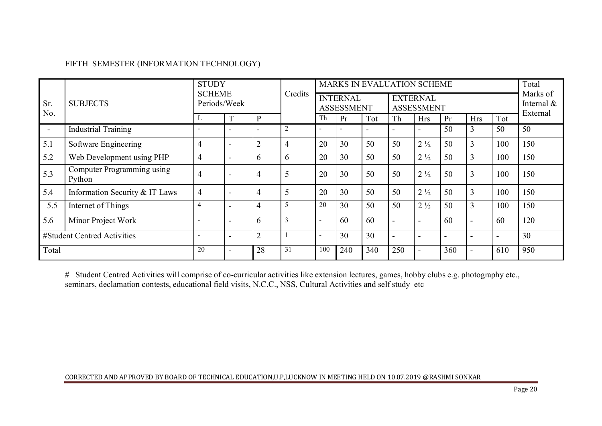# FIFTH SEMESTER (INFORMATION TECHNOLOGY)

|                |                                      |                          | <b>STUDY</b><br><b>SCHEME</b><br>Periods/Week |                          |                |     |                                      |     |                                      |                          |                           |                          |     |          | Credits |  |  | MARKS IN EVALUATION SCHEME |  | Total |
|----------------|--------------------------------------|--------------------------|-----------------------------------------------|--------------------------|----------------|-----|--------------------------------------|-----|--------------------------------------|--------------------------|---------------------------|--------------------------|-----|----------|---------|--|--|----------------------------|--|-------|
| Sr.<br>No.     | <b>SUBJECTS</b>                      |                          |                                               |                          |                |     | <b>INTERNAL</b><br><b>ASSESSMENT</b> |     | <b>EXTERNAL</b><br><b>ASSESSMENT</b> |                          | Marks of<br>Internal $\&$ |                          |     |          |         |  |  |                            |  |       |
|                |                                      |                          |                                               | $\mathbf{P}$             |                | Th  | Pr                                   | Tot | Th                                   | <b>Hrs</b>               | Pr                        | <b>Hrs</b>               | Tot | External |         |  |  |                            |  |       |
| $\blacksquare$ | <b>Industrial Training</b>           |                          | $\overline{\phantom{0}}$                      | $\overline{\phantom{a}}$ | $\overline{2}$ |     |                                      |     |                                      | $\overline{\phantom{a}}$ | 50                        | 3                        | 50  | 50       |         |  |  |                            |  |       |
| 5.1            | Software Engineering                 | 4                        | $\overline{\phantom{0}}$                      | $\overline{2}$           | 4              | 20  | 30                                   | 50  | 50                                   | $2\frac{1}{2}$           | 50                        | $\overline{3}$           | 100 | 150      |         |  |  |                            |  |       |
| 5.2            | Web Development using PHP            | 4                        | $\overline{\phantom{0}}$                      | 6                        | $\mathbf{a}$   | 20  | 30                                   | 50  | 50                                   | $2\frac{1}{2}$           | 50                        | $\overline{3}$           | 100 | 150      |         |  |  |                            |  |       |
| 5.3            | Computer Programming using<br>Python | 4                        | $\overline{\phantom{0}}$                      | 4                        |                | 20  | 30                                   | 50  | 50                                   | $2\frac{1}{2}$           | 50                        | $\overline{3}$           | 100 | 150      |         |  |  |                            |  |       |
| 5.4            | Information Security & IT Laws       | 4                        | $\overline{\phantom{0}}$                      | 4                        |                | 20  | 30                                   | 50  | 50                                   | $2\frac{1}{2}$           | 50                        | 3                        | 100 | 150      |         |  |  |                            |  |       |
| 5.5            | Internet of Things                   | 4                        |                                               | $\overline{4}$           | 5              | 20  | 30                                   | 50  | 50                                   | $2\frac{1}{2}$           | 50                        | 3                        | 100 | 150      |         |  |  |                            |  |       |
| 5.6            | Minor Project Work                   | $\overline{\phantom{a}}$ | $\overline{\phantom{0}}$                      | 6                        | 3              |     | 60                                   | 60  |                                      | $\overline{\phantom{a}}$ | 60                        | $\overline{\phantom{a}}$ | 60  | 120      |         |  |  |                            |  |       |
|                | #Student Centred Activities          |                          | $\overline{\phantom{0}}$                      | $\overline{2}$           |                |     | 30                                   | 30  |                                      | $\overline{\phantom{0}}$ | $\overline{\phantom{a}}$  | $\overline{\phantom{a}}$ |     | 30       |         |  |  |                            |  |       |
| Total          |                                      | 20                       |                                               | 28                       | 31             | 100 | 240                                  | 340 | 250                                  |                          | 360                       |                          | 610 | 950      |         |  |  |                            |  |       |

# Student Centred Activities will comprise of co-curricular activities like extension lectures, games, hobby clubs e.g. photography etc.,<br>seminars, declamation contests, educational field visits, N.C.C., NSS, Cultural Acti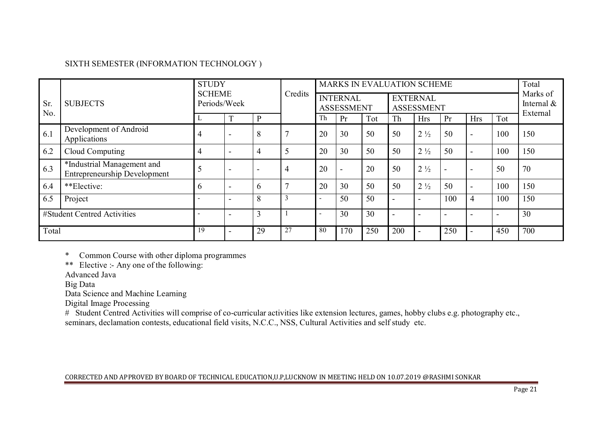# SIXTH SEMESTER (INFORMATION TECHNOLOGY )

|            |                                                                   | <b>STUDY</b> |                          | <b>SCHEME</b>            |                |    |                                      |     |                                      |                                       |                          |                          |     |     |  | MARKS IN EVALUATION SCHEME |  |  |  | Total |
|------------|-------------------------------------------------------------------|--------------|--------------------------|--------------------------|----------------|----|--------------------------------------|-----|--------------------------------------|---------------------------------------|--------------------------|--------------------------|-----|-----|--|----------------------------|--|--|--|-------|
| Sr.<br>No. | <b>SUBJECTS</b>                                                   | Periods/Week |                          |                          | Credits        |    | <b>INTERNAL</b><br><b>ASSESSMENT</b> |     | <b>EXTERNAL</b><br><b>ASSESSMENT</b> | Marks of<br>Internal $\&$<br>External |                          |                          |     |     |  |                            |  |  |  |       |
|            |                                                                   |              |                          | $\mathbf{P}$             |                | Th | Pr                                   | Tot | Th                                   | <b>Hrs</b>                            | Pr                       | <b>Hrs</b>               | Tot |     |  |                            |  |  |  |       |
| 6.1        | Development of Android<br>Applications                            | 4            | $\overline{\phantom{0}}$ | 8                        |                | 20 | 30                                   | 50  | 50                                   | $2\frac{1}{2}$                        | 50                       | $\overline{\phantom{a}}$ | 100 | 150 |  |                            |  |  |  |       |
| 6.2        | Cloud Computing                                                   | 4            | $\overline{\phantom{0}}$ | $\overline{4}$           |                | 20 | 30                                   | 50  | 50                                   | $2\frac{1}{2}$                        | 50                       | $\overline{\phantom{a}}$ | 100 | 150 |  |                            |  |  |  |       |
| 6.3        | *Industrial Management and<br><b>Entrepreneurship Development</b> |              | $\overline{\phantom{0}}$ | $\overline{\phantom{0}}$ | $\overline{a}$ | 20 | $\overline{\phantom{a}}$             | 20  | 50                                   | $2\frac{1}{2}$                        | $\overline{\phantom{0}}$ |                          | 50  | 70  |  |                            |  |  |  |       |
| 6.4        | **Elective:                                                       | b            | $\overline{\phantom{0}}$ | 6                        |                | 20 | 30                                   | 50  | 50                                   | $2\frac{1}{2}$                        | 50                       | $\overline{\phantom{a}}$ | 100 | 150 |  |                            |  |  |  |       |
| 6.5        | Project                                                           |              | $\overline{\phantom{0}}$ | 8                        |                |    | 50                                   | 50  |                                      | $\overline{\phantom{0}}$              | 100                      | $\overline{4}$           | 100 | 150 |  |                            |  |  |  |       |
|            | #Student Centred Activities                                       |              |                          | 3                        |                |    | 30                                   | 30  |                                      | $\overline{\phantom{0}}$              | $\overline{\phantom{0}}$ |                          |     | 30  |  |                            |  |  |  |       |
| Total      |                                                                   | 19           |                          | 29                       | 27             | 80 | 170                                  | 250 | 200                                  |                                       | 250                      |                          | 450 | 700 |  |                            |  |  |  |       |

\* Common Course with other diploma programmes

\*\* Elective :- Any one of the following:

Advanced Java

Big Data

Data Science and Machine Learning

Digital Image Processing

# Student Centred Activities will comprise of co-curricular activities like extension lectures, games, hobby clubs e.g. photography etc., seminars, declamation contests, educational field visits, N.C.C., NSS, Cultural Activities and self study etc.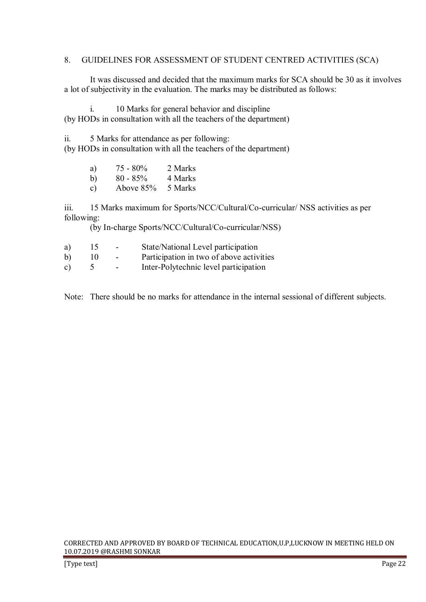### 8. GUIDELINES FOR ASSESSMENT OF STUDENT CENTRED ACTIVITIES (SCA)

 It was discussed and decided that the maximum marks for SCA should be 30 as it involves a lot of subjectivity in the evaluation. The marks may be distributed as follows:

 i. 10 Marks for general behavior and discipline (by HODs in consultation with all the teachers of the department)

ii. 5 Marks for attendance as per following: (by HODs in consultation with all the teachers of the department)

| a)            | $75 - 80\%$ | 2 Marks |
|---------------|-------------|---------|
| b)            | $80 - 85\%$ | 4 Marks |
| $\mathbf{c})$ | Above $85%$ | 5 Marks |

iii. 15 Marks maximum for Sports/NCC/Cultural/Co-curricular/ NSS activities as per following:

(by In-charge Sports/NCC/Cultural/Co-curricular/NSS)

| a)           | $\overline{5}$ | $\sim$ | State/National Level participation       |
|--------------|----------------|--------|------------------------------------------|
| b)           | 10             | $\sim$ | Participation in two of above activities |
| $\mathbf{c}$ |                |        | Inter-Polytechnic level participation    |

Note: There should be no marks for attendance in the internal sessional of different subjects.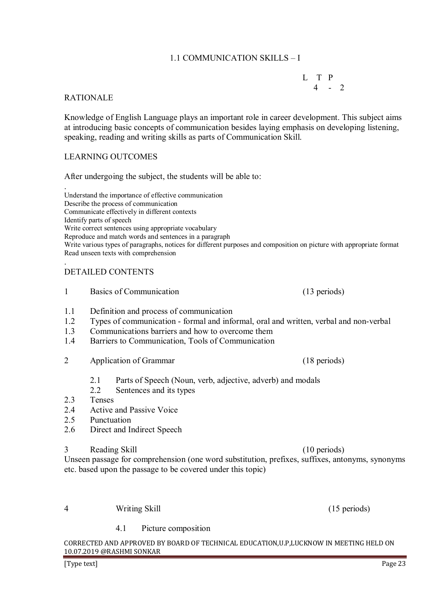# 1.1 COMMUNICATION SKILLS – I

 $L$  T P<br> $4$  - 2  $4 - 2$ 

# RATIONALE

Knowledge of English Language plays an important role in career development. This subject aims at introducing basic concepts of communication besides laying emphasis on developing listening, speaking, reading and writing skills as parts of Communication Skill.

# LEARNING OUTCOMES

After undergoing the subject, the students will be able to:

. Understand the importance of effective communication Describe the process of communication Communicate effectively in different contexts Identify parts of speech Write correct sentences using appropriate vocabulary Reproduce and match words and sentences in a paragraph Write various types of paragraphs, notices for different purposes and composition on picture with appropriate format Read unseen texts with comprehension

#### . DETAILED CONTENTS

- 1 Basics of Communication (13 periods)
- 1.1 Definition and process of communication
- 1.2 Types of communication formal and informal, oral and written, verbal and non-verbal
- 1.3 Communications barriers and how to overcome them
- 1.4 Barriers to Communication, Tools of Communication
- 2 Application of Grammar (18 periods)
	- 2.1 Parts of Speech (Noun, verb, adjective, adverb) and modals
	- 2.2 Sentences and its types
- 2.3 Tenses
- 2.4 Active and Passive Voice
- 2.5 Punctuation
- 2.6 Direct and Indirect Speech
- 3 Reading Skill (10 periods)

Unseen passage for comprehension (one word substitution, prefixes, suffixes, antonyms, synonyms etc. based upon the passage to be covered under this topic)

#### 4 Writing Skill (15 periods)

4.1 Picture composition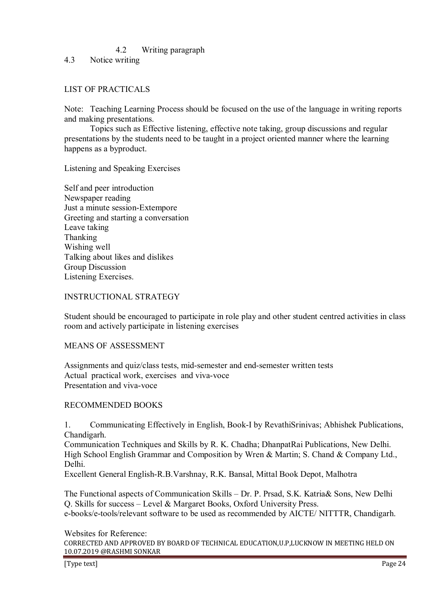# 4.2 Writing paragraph

4.3 Notice writing

# LIST OF PRACTICALS

Note: Teaching Learning Process should be focused on the use of the language in writing reports and making presentations.

 Topics such as Effective listening, effective note taking, group discussions and regular presentations by the students need to be taught in a project oriented manner where the learning happens as a byproduct.

Listening and Speaking Exercises

Self and peer introduction Newspaper reading Just a minute session-Extempore Greeting and starting a conversation Leave taking Thanking Wishing well Talking about likes and dislikes Group Discussion Listening Exercises.

### INSTRUCTIONAL STRATEGY

Student should be encouraged to participate in role play and other student centred activities in class room and actively participate in listening exercises

### MEANS OF ASSESSMENT

Assignments and quiz/class tests, mid-semester and end-semester written tests Actual practical work, exercises and viva-voce Presentation and viva-voce

# RECOMMENDED BOOKS

1. Communicating Effectively in English, Book-I by RevathiSrinivas; Abhishek Publications, Chandigarh.

Communication Techniques and Skills by R. K. Chadha; DhanpatRai Publications, New Delhi. High School English Grammar and Composition by Wren & Martin; S. Chand & Company Ltd., Delhi.

Excellent General English-R.B.Varshnay, R.K. Bansal, Mittal Book Depot, Malhotra

The Functional aspects of Communication Skills – Dr. P. Prsad, S.K. Katria& Sons, New Delhi Q. Skills for success – Level & Margaret Books, Oxford University Press. e-books/e-tools/relevant software to be used as recommended by AICTE/ NITTTR, Chandigarh.

### Websites for Reference: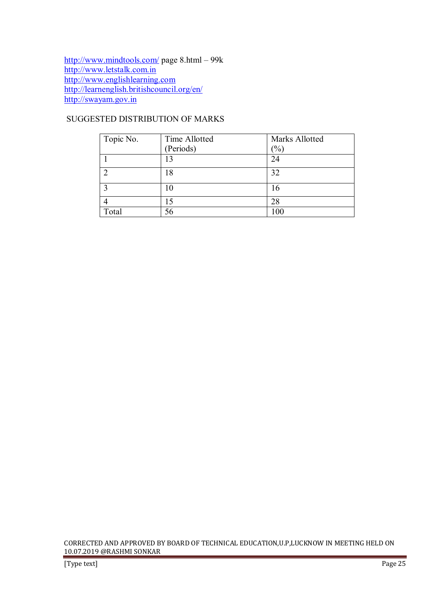http://www.mindtools.com/ page 8.html – 99k http://www.letstalk.com.in http://www.englishlearning.com http://learnenglish.britishcouncil.org/en/ http://swayam.gov.in

# SUGGESTED DISTRIBUTION OF MARKS

| Topic No. | Time Allotted | Marks Allotted   |
|-----------|---------------|------------------|
|           | (Periods)     | $\mathcal{O}'_0$ |
|           | 13            | 24               |
| ി         | 18            | 32               |
| ◠         | 10            | 16               |
|           | 15            | 28               |
| Total     | 56            | 100              |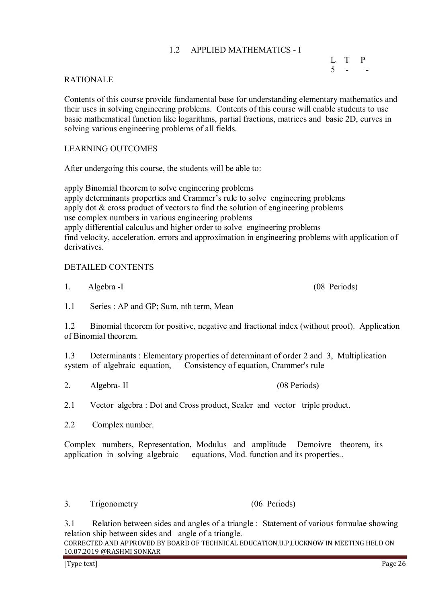# 1.2 APPLIED MATHEMATICS - I

# L T P  $5 - -$

### RATIONALE

Contents of this course provide fundamental base for understanding elementary mathematics and their uses in solving engineering problems. Contents of this course will enable students to use basic mathematical function like logarithms, partial fractions, matrices and basic 2D, curves in solving various engineering problems of all fields.

## LEARNING OUTCOMES

After undergoing this course, the students will be able to:

apply Binomial theorem to solve engineering problems apply determinants properties and Crammer's rule to solve engineering problems apply dot & cross product of vectors to find the solution of engineering problems use complex numbers in various engineering problems apply differential calculus and higher order to solve engineering problems find velocity, acceleration, errors and approximation in engineering problems with application of derivatives.

# DETAILED CONTENTS

1. Algebra -I (08 Periods)

1.1 Series : AP and GP; Sum, nth term, Mean

1.2 Binomial theorem for positive, negative and fractional index (without proof). Application of Binomial theorem.

1.3 Determinants : Elementary properties of determinant of order 2 and 3, Multiplication system of algebraic equation, Consistency of equation, Crammer's rule

2. Algebra- II (08 Periods)

2.1 Vector algebra : Dot and Cross product, Scaler and vector triple product.

2.2 Complex number.

Complex numbers, Representation, Modulus and amplitude Demoivre theorem, its application in solving algebraic equations, Mod. function and its properties..

3. Trigonometry (06 Periods)

3.1 Relation between sides and angles of a triangle : Statement of various formulae showing relation ship between sides and angle of a triangle.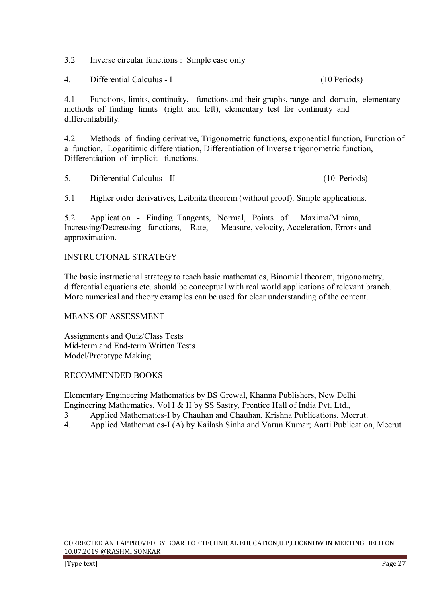3.2 Inverse circular functions : Simple case only

4. Differential Calculus - I (10 Periods)

4.1 Functions, limits, continuity, - functions and their graphs, range and domain, elementary methods of finding limits (right and left), elementary test for continuity and differentiability.

4.2 Methods of finding derivative, Trigonometric functions, exponential function, Function of a function, Logaritimic differentiation, Differentiation of Inverse trigonometric function, Differentiation of implicit functions.

5. Differential Calculus - II (10 Periods)

5.1 Higher order derivatives, Leibnitz theorem (without proof). Simple applications.

5.2 Application - Finding Tangents, Normal, Points of Maxima/Minima, Increasing/Decreasing functions, Rate, Measure, velocity, Acceleration, Errors and approximation.

# INSTRUCTONAL STRATEGY

The basic instructional strategy to teach basic mathematics, Binomial theorem, trigonometry, differential equations etc. should be conceptual with real world applications of relevant branch. More numerical and theory examples can be used for clear understanding of the content.

# MEANS OF ASSESSMENT

Assignments and Quiz/Class Tests Mid-term and End-term Written Tests Model/Prototype Making

### RECOMMENDED BOOKS

Elementary Engineering Mathematics by BS Grewal, Khanna Publishers, New Delhi Engineering Mathematics, Vol I & II by SS Sastry, Prentice Hall of India Pvt. Ltd.,

- 3 Applied Mathematics-I by Chauhan and Chauhan, Krishna Publications, Meerut.
- 4. Applied Mathematics-I (A) by Kailash Sinha and Varun Kumar; Aarti Publication, Meerut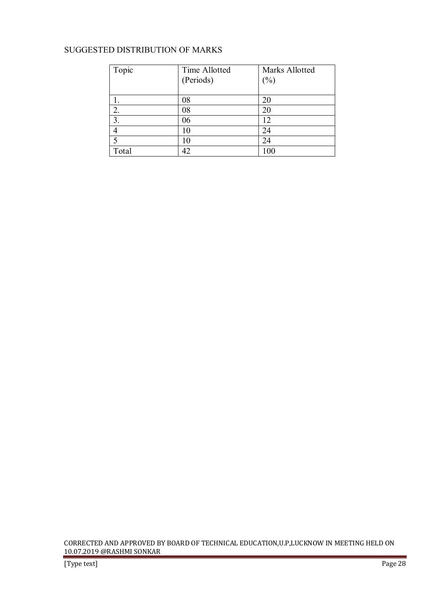# SUGGESTED DISTRIBUTION OF MARKS

| Topic | Time Allotted | Marks Allotted |
|-------|---------------|----------------|
|       | (Periods)     | $(\%)$         |
|       |               |                |
|       | 08            | 20             |
| 2.    | 08            | 20             |
| 3.    | 06            | 12             |
| 4     | 10            | 24             |
|       |               | 24             |
| Total |               | 100            |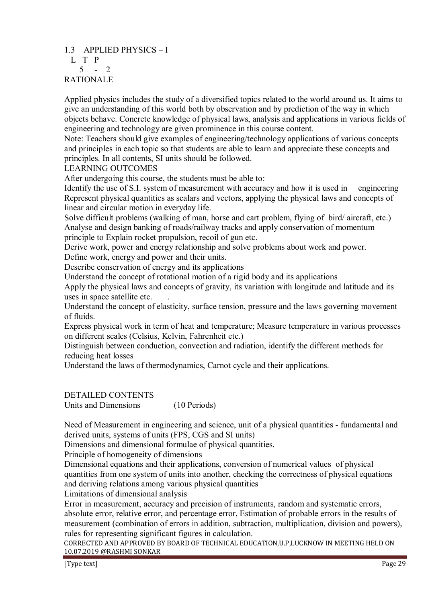# 1.3 APPLIED PHYSICS – I L T P  $5 - 2$ RATIONALE

Applied physics includes the study of a diversified topics related to the world around us. It aims to give an understanding of this world both by observation and by prediction of the way in which objects behave. Concrete knowledge of physical laws, analysis and applications in various fields of engineering and technology are given prominence in this course content.

Note: Teachers should give examples of engineering/technology applications of various concepts and principles in each topic so that students are able to learn and appreciate these concepts and principles. In all contents, SI units should be followed.

LEARNING OUTCOMES

After undergoing this course, the students must be able to:

Identify the use of S.I. system of measurement with accuracy and how it is used in engineering Represent physical quantities as scalars and vectors, applying the physical laws and concepts of linear and circular motion in everyday life.

Solve difficult problems (walking of man, horse and cart problem, flying of bird/ aircraft, etc.) Analyse and design banking of roads/railway tracks and apply conservation of momentum principle to Explain rocket propulsion, recoil of gun etc.

Derive work, power and energy relationship and solve problems about work and power.

Define work, energy and power and their units.

Describe conservation of energy and its applications

Understand the concept of rotational motion of a rigid body and its applications

Apply the physical laws and concepts of gravity, its variation with longitude and latitude and its uses in space satellite etc. .

Understand the concept of elasticity, surface tension, pressure and the laws governing movement of fluids.

Express physical work in term of heat and temperature; Measure temperature in various processes on different scales (Celsius, Kelvin, Fahrenheit etc.)

Distinguish between conduction, convection and radiation, identify the different methods for reducing heat losses

Understand the laws of thermodynamics, Carnot cycle and their applications.

DETAILED CONTENTS

Units and Dimensions (10 Periods)

Need of Measurement in engineering and science, unit of a physical quantities - fundamental and derived units, systems of units (FPS, CGS and SI units)

Dimensions and dimensional formulae of physical quantities.

Principle of homogeneity of dimensions

Dimensional equations and their applications, conversion of numerical values of physical quantities from one system of units into another, checking the correctness of physical equations and deriving relations among various physical quantities

Limitations of dimensional analysis

Error in measurement, accuracy and precision of instruments, random and systematic errors, absolute error, relative error, and percentage error, Estimation of probable errors in the results of measurement (combination of errors in addition, subtraction, multiplication, division and powers), rules for representing significant figures in calculation.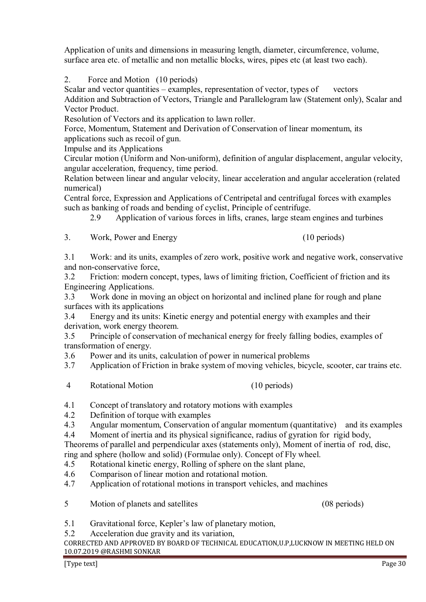Vector Product. Resolution of Vectors and its application to lawn roller.

Addition and Subtraction of Vectors, Triangle and Parallelogram law (Statement only), Scalar and

Force, Momentum, Statement and Derivation of Conservation of linear momentum, its applications such as recoil of gun.

Scalar and vector quantities – examples, representation of vector, types of vectors

Application of units and dimensions in measuring length, diameter, circumference, volume, surface area etc. of metallic and non metallic blocks, wires, pipes etc (at least two each).

Impulse and its Applications

2. Force and Motion (10 periods)

Circular motion (Uniform and Non-uniform), definition of angular displacement, angular velocity, angular acceleration, frequency, time period.

Relation between linear and angular velocity, linear acceleration and angular acceleration (related numerical)

Central force, Expression and Applications of Centripetal and centrifugal forces with examples such as banking of roads and bending of cyclist, Principle of centrifuge.

2.9 Application of various forces in lifts, cranes, large steam engines and turbines

3. Work, Power and Energy (10 periods)

3.1 Work: and its units, examples of zero work, positive work and negative work, conservative and non-conservative force,

3.2 Friction: modern concept, types, laws of limiting friction, Coefficient of friction and its Engineering Applications.

3.3 Work done in moving an object on horizontal and inclined plane for rough and plane surfaces with its applications

3.4 Energy and its units: Kinetic energy and potential energy with examples and their derivation, work energy theorem.

3.5 Principle of conservation of mechanical energy for freely falling bodies, examples of transformation of energy.

3.6 Power and its units, calculation of power in numerical problems

3.7 Application of Friction in brake system of moving vehicles, bicycle, scooter, car trains etc.

4 Rotational Motion (10 periods)

4.1 Concept of translatory and rotatory motions with examples

4.2 Definition of torque with examples

4.3 Angular momentum, Conservation of angular momentum (quantitative) and its examples

4.4 Moment of inertia and its physical significance, radius of gyration for rigid body,

Theorems of parallel and perpendicular axes (statements only), Moment of inertia of rod, disc, ring and sphere (hollow and solid) (Formulae only). Concept of Fly wheel.

- 4.5 Rotational kinetic energy, Rolling of sphere on the slant plane,
- 4.6 Comparison of linear motion and rotational motion.
- 4.7 Application of rotational motions in transport vehicles, and machines
- 5 Motion of planets and satellites (08 periods)
- 5.1 Gravitational force, Kepler's law of planetary motion,
- 5.2 Acceleration due gravity and its variation,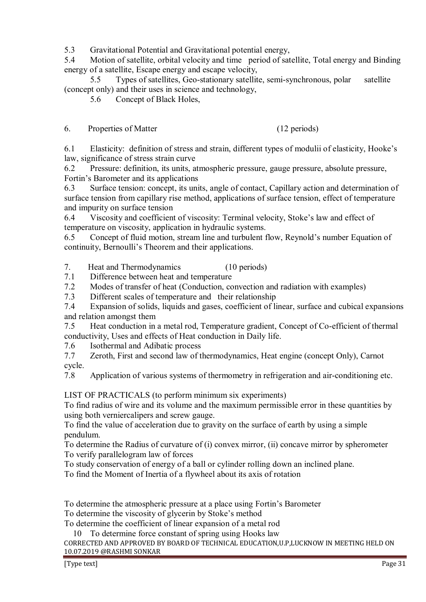5.3 Gravitational Potential and Gravitational potential energy,

5.4 Motion of satellite, orbital velocity and time period of satellite, Total energy and Binding energy of a satellite, Escape energy and escape velocity,

 5.5 Types of satellites, Geo-stationary satellite, semi-synchronous, polar satellite (concept only) and their uses in science and technology,

5.6 Concept of Black Holes,

6. Properties of Matter (12 periods)

6.1 Elasticity: definition of stress and strain, different types of modulii of elasticity, Hooke's law, significance of stress strain curve

6.2 Pressure: definition, its units, atmospheric pressure, gauge pressure, absolute pressure, Fortin's Barometer and its applications

6.3 Surface tension: concept, its units, angle of contact, Capillary action and determination of surface tension from capillary rise method, applications of surface tension, effect of temperature and impurity on surface tension

6.4 Viscosity and coefficient of viscosity: Terminal velocity, Stoke's law and effect of temperature on viscosity, application in hydraulic systems.

6.5 Concept of fluid motion, stream line and turbulent flow, Reynold's number Equation of continuity, Bernoulli's Theorem and their applications.

7. Heat and Thermodynamics (10 periods)

7.1 Difference between heat and temperature

7.2 Modes of transfer of heat (Conduction, convection and radiation with examples)

7.3 Different scales of temperature and their relationship

7.4 Expansion of solids, liquids and gases, coefficient of linear, surface and cubical expansions and relation amongst them

7.5 Heat conduction in a metal rod, Temperature gradient, Concept of Co-efficient of thermal conductivity, Uses and effects of Heat conduction in Daily life.

7.6 Isothermal and Adibatic process

7.7 Zeroth, First and second law of thermodynamics, Heat engine (concept Only), Carnot cycle.

7.8 Application of various systems of thermometry in refrigeration and air-conditioning etc.

LIST OF PRACTICALS (to perform minimum six experiments)

To find radius of wire and its volume and the maximum permissible error in these quantities by using both verniercalipers and screw gauge.

To find the value of acceleration due to gravity on the surface of earth by using a simple pendulum.

To determine the Radius of curvature of (i) convex mirror, (ii) concave mirror by spherometer To verify parallelogram law of forces

To study conservation of energy of a ball or cylinder rolling down an inclined plane.

To find the Moment of Inertia of a flywheel about its axis of rotation

To determine the atmospheric pressure at a place using Fortin's Barometer

To determine the viscosity of glycerin by Stoke's method

To determine the coefficient of linear expansion of a metal rod

10 To determine force constant of spring using Hooks law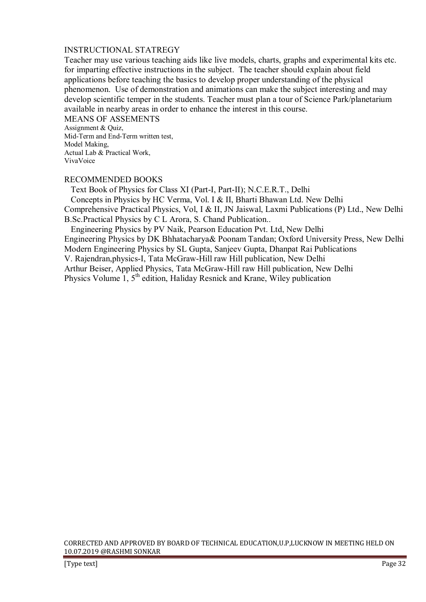### INSTRUCTIONAL STATREGY

Teacher may use various teaching aids like live models, charts, graphs and experimental kits etc. for imparting effective instructions in the subject. The teacher should explain about field applications before teaching the basics to develop proper understanding of the physical phenomenon. Use of demonstration and animations can make the subject interesting and may develop scientific temper in the students. Teacher must plan a tour of Science Park/planetarium available in nearby areas in order to enhance the interest in this course.

MEANS OF ASSEMENTS Assignment & Quiz, Mid-Term and End-Term written test, Model Making, Actual Lab & Practical Work, VivaVoice

### RECOMMENDED BOOKS

 Text Book of Physics for Class XI (Part-I, Part-II); N.C.E.R.T., Delhi Concepts in Physics by HC Verma, Vol. I & II, Bharti Bhawan Ltd. New Delhi Comprehensive Practical Physics, Vol, I & II, JN Jaiswal, Laxmi Publications (P) Ltd., New Delhi B.Sc.Practical Physics by C L Arora, S. Chand Publication..

 Engineering Physics by PV Naik, Pearson Education Pvt. Ltd, New Delhi Engineering Physics by DK Bhhatacharya& Poonam Tandan; Oxford University Press, New Delhi Modern Engineering Physics by SL Gupta, Sanjeev Gupta, Dhanpat Rai Publications V. Rajendran,physics-I, Tata McGraw-Hill raw Hill publication, New Delhi

Arthur Beiser, Applied Physics, Tata McGraw-Hill raw Hill publication, New Delhi

Physics Volume  $\overline{1}$ ,  $5^{\text{th}}$  edition, Haliday Resnick and Krane, Wiley publication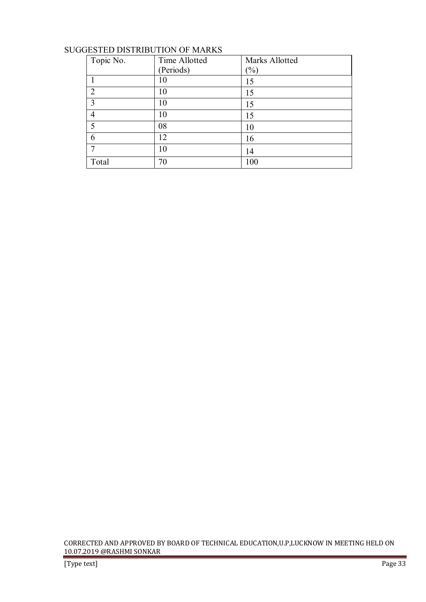# SUGGESTED DISTRIBUTION OF MARKS

| Topic No.      | Time Allotted | Marks Allotted             |
|----------------|---------------|----------------------------|
|                | (Periods)     | $\left(\frac{0}{0}\right)$ |
|                | 10            | 15                         |
| $\overline{2}$ | 10            | 15                         |
| 3              | 10            | 15                         |
| 4              | 10            | 15                         |
| 5              | 08            | 10                         |
| 6              | 12            | 16                         |
|                | 10            | 14                         |
| Total          | 70            | 100                        |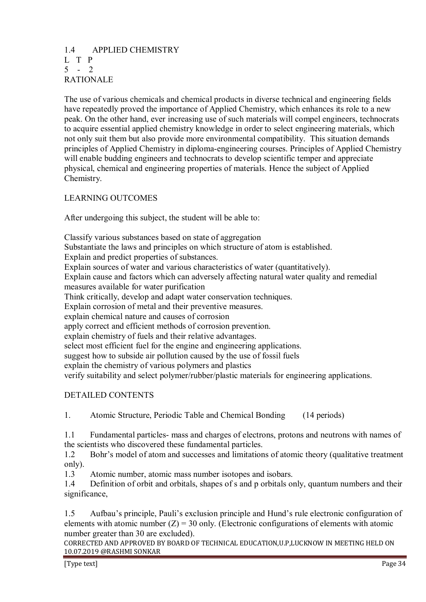# 1.4 APPLIED CHEMISTRY L T P  $5 - 2$ RATIONALE

The use of various chemicals and chemical products in diverse technical and engineering fields have repeatedly proved the importance of Applied Chemistry, which enhances its role to a new peak. On the other hand, ever increasing use of such materials will compel engineers, technocrats to acquire essential applied chemistry knowledge in order to select engineering materials, which not only suit them but also provide more environmental compatibility. This situation demands principles of Applied Chemistry in diploma-engineering courses. Principles of Applied Chemistry will enable budding engineers and technocrats to develop scientific temper and appreciate physical, chemical and engineering properties of materials. Hence the subject of Applied Chemistry.

# LEARNING OUTCOMES

After undergoing this subject, the student will be able to:

Classify various substances based on state of aggregation Substantiate the laws and principles on which structure of atom is established. Explain and predict properties of substances. Explain sources of water and various characteristics of water (quantitatively). Explain cause and factors which can adversely affecting natural water quality and remedial measures available for water purification Think critically, develop and adapt water conservation techniques. Explain corrosion of metal and their preventive measures. explain chemical nature and causes of corrosion apply correct and efficient methods of corrosion prevention. explain chemistry of fuels and their relative advantages. select most efficient fuel for the engine and engineering applications. suggest how to subside air pollution caused by the use of fossil fuels explain the chemistry of various polymers and plastics verify suitability and select polymer/rubber/plastic materials for engineering applications.

# DETAILED CONTENTS

1. Atomic Structure, Periodic Table and Chemical Bonding (14 periods)

1.1 Fundamental particles- mass and charges of electrons, protons and neutrons with names of the scientists who discovered these fundamental particles.

1.2 Bohr's model of atom and successes and limitations of atomic theory (qualitative treatment only).

1.3 Atomic number, atomic mass number isotopes and isobars.

1.4 Definition of orbit and orbitals, shapes of s and p orbitals only, quantum numbers and their significance,

1.5 Aufbau's principle, Pauli's exclusion principle and Hund's rule electronic configuration of elements with atomic number  $(Z) = 30$  only. (Electronic configurations of elements with atomic number greater than 30 are excluded).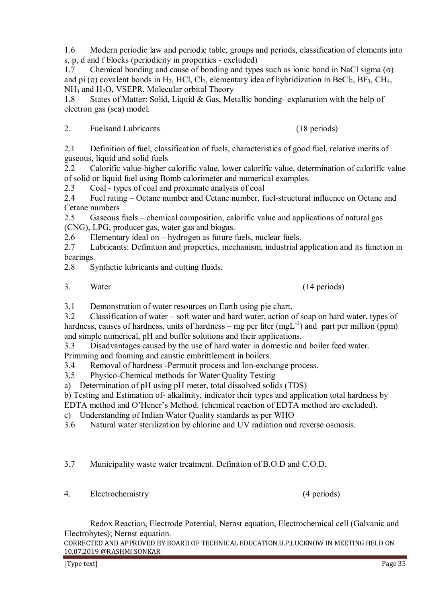1.6 Modern periodic law and periodic table, groups and periods, classification of elements into s, p, d and f blocks (periodicity in properties - excluded)

1.7 Chemical bonding and cause of bonding and types such as ionic bond in NaCl sigma  $(σ)$ and pi  $(\pi)$  covalent bonds in H<sub>2</sub>, HCl, Cl<sub>2</sub>, elementary idea of hybridization in BeCl<sub>2</sub>, BF<sub>3</sub>, CH<sub>4</sub>,  $NH<sub>3</sub>$  and  $H<sub>2</sub>O$ , VSEPR, Molecular orbital Theory

1.8 States of Matter: Solid, Liquid & Gas, Metallic bonding- explanation with the help of electron gas (sea) model.

2. Fuelsand Lubricants (18 periods)

2.1 Definition of fuel, classification of fuels, characteristics of good fuel, relative merits of gaseous, liquid and solid fuels

2.2 Calorific value-higher calorific value, lower calorific value, determination of calorific value of solid or liquid fuel using Bomb calorimeter and numerical examples.

2.3 Coal - types of coal and proximate analysis of coal

2.4 Fuel rating – Octane number and Cetane number, fuel-structural influence on Octane and Cetane numbers

2.5 Gaseous fuels – chemical composition, calorific value and applications of natural gas (CNG), LPG, producer gas, water gas and biogas.

2.6 Elementary ideal on – hydrogen as future fuels, nuclear fuels.

2.7 Lubricants: Definition and properties, mechanism, industrial application and its function in bearings.

2.8 Synthetic lubricants and cutting fluids.

3. Water (14 periods)

3.1 Demonstration of water resources on Earth using pie chart.

3.2 Classification of water – soft water and hard water, action of soap on hard water, types of hardness, causes of hardness, units of hardness – mg per liter  $(mgL^{-1})$  and part per million (ppm) and simple numerical, pH and buffer solutions and their applications.

3.3 Disadvantages caused by the use of hard water in domestic and boiler feed water.

Primming and foaming and caustic embrittlement in boilers.

3.4 Removal of hardness -Permutit process and Ion-exchange process.

3.5 Physico-Chemical methods for Water Quality Testing

a) Determination of pH using pH meter, total dissolved solids (TDS)

b) Testing and Estimation of- alkalinity, indicator their types and application total hardness by

EDTA method and O'Hener's Method. (chemical reaction of EDTA method are excluded).

c) Understanding of Indian Water Quality standards as per WHO

3.6 Natural water sterilization by chlorine and UV radiation and reverse osmosis.

3.7 Municipality waste water treatment. Definition of B.O.D and C.O.D.

4. Electrochemistry (4 periods)

 Redox Reaction, Electrode Potential, Nernst equation, Electrochemical cell (Galvanic and Electrobytes); Nernst equation.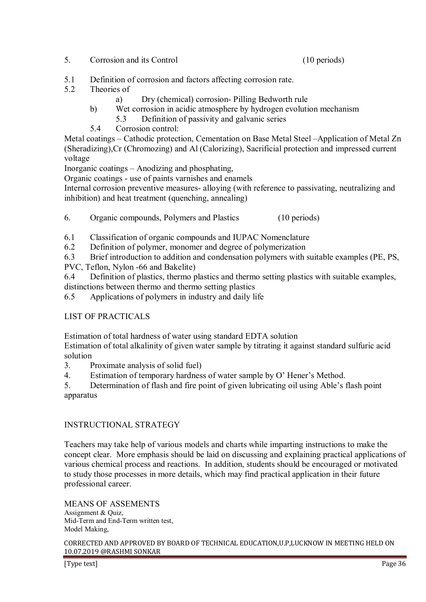5. Corrosion and its Control (10 periods)

- 5.1 Definition of corrosion and factors affecting corrosion rate.
- 5.2 Theories of
	- a) Dry (chemical) corrosion- Pilling Bedworth rule
	- b) Wet corrosion in acidic atmosphere by hydrogen evolution mechanism
		- 5.3 Definition of passivity and galvanic series
	- 5.4 Corrosion control:

Metal coatings – Cathodic protection, Cementation on Base Metal Steel –Application of Metal Zn (Sheradizing),Cr (Chromozing) and Al (Calorizing), Sacrificial protection and impressed current voltage

Inorganic coatings – Anodizing and phosphating,

Organic coatings - use of paints varnishes and enamels

Internal corrosion preventive measures- alloying (with reference to passivating, neutralizing and inhibition) and heat treatment (quenching, annealing)

6. Organic compounds, Polymers and Plastics (10 periods)

- 6.1 Classification of organic compounds and IUPAC Nomenclature
- 6.2 Definition of polymer, monomer and degree of polymerization

6.3 Brief introduction to addition and condensation polymers with suitable examples (PE, PS, PVC, Teflon, Nylon -66 and Bakelite)

6.4 Definition of plastics, thermo plastics and thermo setting plastics with suitable examples, distinctions between thermo and thermo setting plastics

6.5 Applications of polymers in industry and daily life

# LIST OF PRACTICALS

Estimation of total hardness of water using standard EDTA solution

Estimation of total alkalinity of given water sample by titrating it against standard sulfuric acid solution

- 3. Proximate analysis of solid fuel)
- 4. Estimation of temporary hardness of water sample by O' Hener's Method.

5. Determination of flash and fire point of given lubricating oil using Able's flash point apparatus

# INSTRUCTIONAL STRATEGY

Teachers may take help of various models and charts while imparting instructions to make the concept clear. More emphasis should be laid on discussing and explaining practical applications of various chemical process and reactions. In addition, students should be encouraged or motivated to study those processes in more details, which may find practical application in their future professional career.

MEANS OF ASSEMENTS Assignment & Quiz, Mid-Term and End-Term written test, Model Making,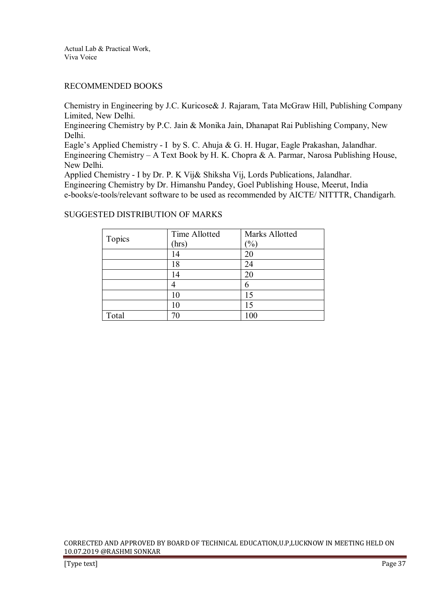Actual Lab & Practical Work, Viva Voice

# RECOMMENDED BOOKS

Chemistry in Engineering by J.C. Kuricose& J. Rajaram, Tata McGraw Hill, Publishing Company Limited, New Delhi.

Engineering Chemistry by P.C. Jain & Monika Jain, Dhanapat Rai Publishing Company, New Delhi.

Eagle's Applied Chemistry - I by S. C. Ahuja & G. H. Hugar, Eagle Prakashan, Jalandhar. Engineering Chemistry – A Text Book by H. K. Chopra & A. Parmar, Narosa Publishing House, New Delhi.

Applied Chemistry - I by Dr. P. K Vij& Shiksha Vij, Lords Publications, Jalandhar. Engineering Chemistry by Dr. Himanshu Pandey, Goel Publishing House, Meerut, India e-books/e-tools/relevant software to be used as recommended by AICTE/ NITTTR, Chandigarh.

# SUGGESTED DISTRIBUTION OF MARKS

| Topics | Time Allotted | Marks Allotted |
|--------|---------------|----------------|
|        | (hrs          | $\frac{1}{2}$  |
|        | 14            | 20             |
|        | 18            | 24             |
|        | 14            | 20             |
|        |               | 6              |
|        |               | 15             |
|        |               | 15             |
| Total  |               | 100            |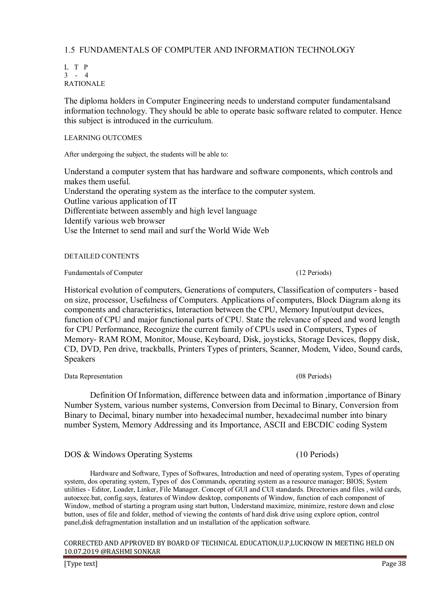# 1.5 FUNDAMENTALS OF COMPUTER AND INFORMATION TECHNOLOGY

L T P  $3 - 4$ RATIONALE

The diploma holders in Computer Engineering needs to understand computer fundamentalsand information technology. They should be able to operate basic software related to computer. Hence this subject is introduced in the curriculum.

# LEARNING OUTCOMES

After undergoing the subject, the students will be able to:

Understand a computer system that has hardware and software components, which controls and makes them useful. Understand the operating system as the interface to the computer system. Outline various application of IT Differentiate between assembly and high level language Identify various web browser Use the Internet to send mail and surf the World Wide Web

# DETAILED CONTENTS

# Fundamentals of Computer (12 Periods) (12 Periods)

Historical evolution of computers, Generations of computers, Classification of computers - based on size, processor, Usefulness of Computers. Applications of computers, Block Diagram along its components and characteristics, Interaction between the CPU, Memory Input/output devices, function of CPU and major functional parts of CPU. State the relevance of speed and word length for CPU Performance, Recognize the current family of CPUs used in Computers, Types of Memory- RAM ROM, Monitor, Mouse, Keyboard, Disk, joysticks, Storage Devices, floppy disk, CD, DVD, Pen drive, trackballs, Printers Types of printers, Scanner, Modem, Video, Sound cards, Speakers

Data Representation (08 Periods)

 Definition Of Information, difference between data and information ,importance of Binary Number System, various number systems, Conversion from Decimal to Binary, Conversion from Binary to Decimal, binary number into hexadecimal number, hexadecimal number into binary number System, Memory Addressing and its Importance, ASCII and EBCDIC coding System

DOS & Windows Operating Systems (10 Periods)

 Hardware and Software, Types of Softwares, Introduction and need of operating system, Types of operating system, dos operating system, Types of dos Commands, operating system as a resource manager; BIOS; System utilities - Editor, Loader, Linker, File Manager. Concept of GUI and CUI standards. Directories and files , wild cards, autoexec.bat, config.says, features of Window desktop, components of Window, function of each component of Window, method of starting a program using start button, Understand maximize, minimize, restore down and close button, uses of file and folder, method of viewing the contents of hard disk drive using explore option, control panel,disk defragmentation installation and un installation of the application software.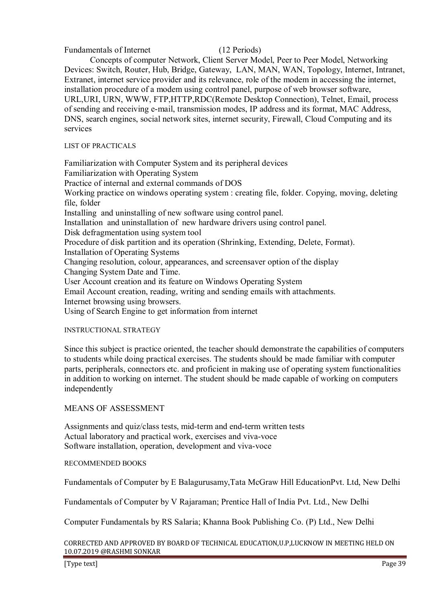Fundamentals of Internet (12 Periods)

 Concepts of computer Network, Client Server Model, Peer to Peer Model, Networking Devices: Switch, Router, Hub, Bridge, Gateway, LAN, MAN, WAN, Topology, Internet, Intranet, Extranet, internet service provider and its relevance, role of the modem in accessing the internet, installation procedure of a modem using control panel, purpose of web browser software, URL,URI, URN, WWW, FTP,HTTP,RDC(Remote Desktop Connection), Telnet, Email, process of sending and receiving e-mail, transmission modes, IP address and its format, MAC Address, DNS, search engines, social network sites, internet security, Firewall, Cloud Computing and its services

# LIST OF PRACTICALS

Familiarization with Computer System and its peripheral devices Familiarization with Operating System Practice of internal and external commands of DOS Working practice on windows operating system : creating file, folder. Copying, moving, deleting file, folder Installing and uninstalling of new software using control panel. Installation and uninstallation of new hardware drivers using control panel. Disk defragmentation using system tool Procedure of disk partition and its operation (Shrinking, Extending, Delete, Format). Installation of Operating Systems Changing resolution, colour, appearances, and screensaver option of the display Changing System Date and Time. User Account creation and its feature on Windows Operating System Email Account creation, reading, writing and sending emails with attachments. Internet browsing using browsers. Using of Search Engine to get information from internet

# INSTRUCTIONAL STRATEGY

Since this subject is practice oriented, the teacher should demonstrate the capabilities of computers to students while doing practical exercises. The students should be made familiar with computer parts, peripherals, connectors etc. and proficient in making use of operating system functionalities in addition to working on internet. The student should be made capable of working on computers independently

# MEANS OF ASSESSMENT

Assignments and quiz/class tests, mid-term and end-term written tests Actual laboratory and practical work, exercises and viva-voce Software installation, operation, development and viva-voce

# RECOMMENDED BOOKS

Fundamentals of Computer by E Balagurusamy,Tata McGraw Hill EducationPvt. Ltd, New Delhi

Fundamentals of Computer by V Rajaraman; Prentice Hall of India Pvt. Ltd., New Delhi

Computer Fundamentals by RS Salaria; Khanna Book Publishing Co. (P) Ltd., New Delhi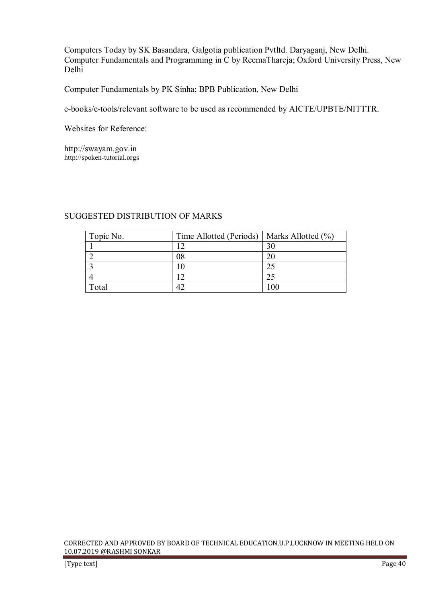Computers Today by SK Basandara, Galgotia publication Pvtltd. Daryaganj, New Delhi. Computer Fundamentals and Programming in C by ReemaThareja; Oxford University Press, New Delhi

Computer Fundamentals by PK Sinha; BPB Publication, New Delhi

e-books/e-tools/relevant software to be used as recommended by AICTE/UPBTE/NITTTR.

Websites for Reference:

http://swayam.gov.in http://spoken-tutorial.orgs

# SUGGESTED DISTRIBUTION OF MARKS

| Topic No. | Time Allotted (Periods) | Marks Allotted $(\% )$ |
|-----------|-------------------------|------------------------|
|           |                         | 30                     |
|           | 08                      |                        |
|           |                         |                        |
|           |                         |                        |
| Total     |                         |                        |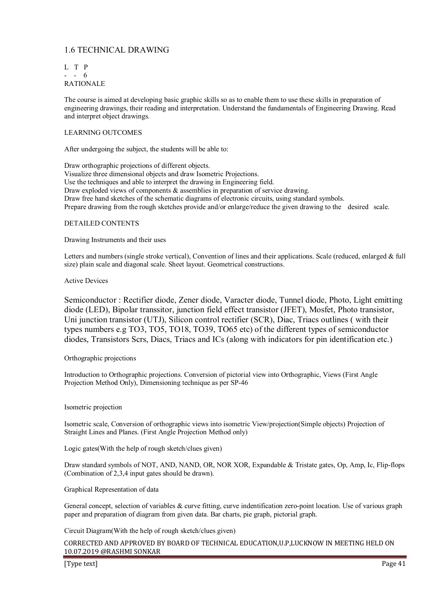# 1.6 TECHNICAL DRAWING

L T P - - 6 RATIONALE

The course is aimed at developing basic graphic skills so as to enable them to use these skills in preparation of engineering drawings, their reading and interpretation. Understand the fundamentals of Engineering Drawing. Read and interpret object drawings.

## LEARNING OUTCOMES

After undergoing the subject, the students will be able to:

Draw orthographic projections of different objects. Visualize three dimensional objects and draw Isometric Projections. Use the techniques and able to interpret the drawing in Engineering field. Draw exploded views of components & assemblies in preparation of service drawing. Draw free hand sketches of the schematic diagrams of electronic circuits, using standard symbols. Prepare drawing from the rough sketches provide and/or enlarge/reduce the given drawing to the desired scale.

#### DETAILED CONTENTS

Drawing Instruments and their uses

Letters and numbers (single stroke vertical), Convention of lines and their applications. Scale (reduced, enlarged & full size) plain scale and diagonal scale. Sheet layout. Geometrical constructions.

#### Active Devices

Semiconductor : Rectifier diode, Zener diode, Varacter diode, Tunnel diode, Photo, Light emitting diode (LED), Bipolar transsitor, junction field effect transistor (JFET), Mosfet, Photo transistor, Uni junction transistor (UTJ), Silicon control rectifier (SCR), Diac, Triacs outlines ( with their types numbers e.g TO3, TO5, TO18, TO39, TO65 etc) of the different types of semiconductor diodes, Transistors Scrs, Diacs, Triacs and ICs (along with indicators for pin identification etc.)

#### Orthographic projections

Introduction to Orthographic projections. Conversion of pictorial view into Orthographic, Views (First Angle Projection Method Only), Dimensioning technique as per SP-46

#### Isometric projection

Isometric scale, Conversion of orthographic views into isometric View/projection(Simple objects) Projection of Straight Lines and Planes. (First Angle Projection Method only)

Logic gates(With the help of rough sketch/clues given)

Draw standard symbols of NOT, AND, NAND, OR, NOR XOR, Expandable & Tristate gates, Op, Amp, Ic, Flip-flops (Combination of 2,3,4 input gates should be drawn).

#### Graphical Representation of data

General concept, selection of variables & curve fitting, curve indentification zero-point location. Use of various graph paper and preparation of diagram from given data. Bar charts, pie graph, pictorial graph.

Circuit Diagram(With the help of rough sketch/clues given)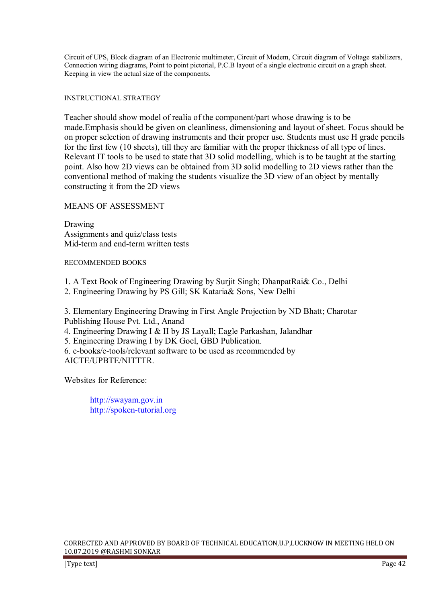Circuit of UPS, Block diagram of an Electronic multimeter, Circuit of Modem, Circuit diagram of Voltage stabilizers, Connection wiring diagrams, Point to point pictorial, P.C.B layout of a single electronic circuit on a graph sheet. Keeping in view the actual size of the components.

# INSTRUCTIONAL STRATEGY

Teacher should show model of realia of the component/part whose drawing is to be made.Emphasis should be given on cleanliness, dimensioning and layout of sheet. Focus should be on proper selection of drawing instruments and their proper use. Students must use H grade pencils for the first few (10 sheets), till they are familiar with the proper thickness of all type of lines. Relevant IT tools to be used to state that 3D solid modelling, which is to be taught at the starting point. Also how 2D views can be obtained from 3D solid modelling to 2D views rather than the conventional method of making the students visualize the 3D view of an object by mentally constructing it from the 2D views

MEANS OF ASSESSMENT

Drawing Assignments and quiz/class tests Mid-term and end-term written tests

RECOMMENDED BOOKS

1. A Text Book of Engineering Drawing by Surjit Singh; DhanpatRai& Co., Delhi

2. Engineering Drawing by PS Gill; SK Kataria& Sons, New Delhi

3. Elementary Engineering Drawing in First Angle Projection by ND Bhatt; Charotar Publishing House Pvt. Ltd., Anand

4. Engineering Drawing I & II by JS Layall; Eagle Parkashan, Jalandhar

5. Engineering Drawing I by DK Goel, GBD Publication.

6. e-books/e-tools/relevant software to be used as recommended by AICTE/UPBTE/NITTTR.

Websites for Reference:

 http://swayam.gov.in http://spoken-tutorial.org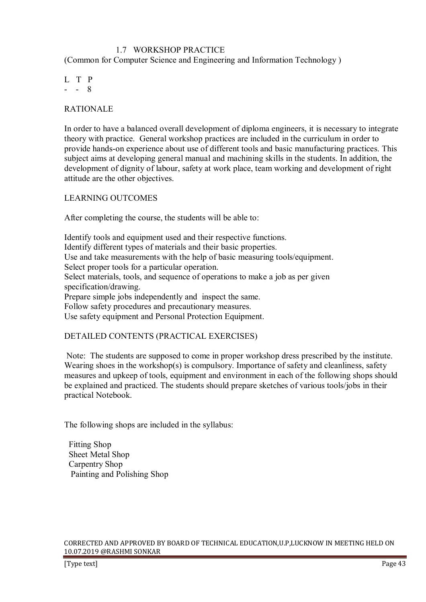# 1.7 WORKSHOP PRACTICE

(Common for Computer Science and Engineering and Information Technology )

L T P  $- - 8$ 

RATIONALE

In order to have a balanced overall development of diploma engineers, it is necessary to integrate theory with practice. General workshop practices are included in the curriculum in order to provide hands-on experience about use of different tools and basic manufacturing practices. This subject aims at developing general manual and machining skills in the students. In addition, the development of dignity of labour, safety at work place, team working and development of right attitude are the other objectives.

LEARNING OUTCOMES

After completing the course, the students will be able to:

Identify tools and equipment used and their respective functions. Identify different types of materials and their basic properties. Use and take measurements with the help of basic measuring tools/equipment. Select proper tools for a particular operation. Select materials, tools, and sequence of operations to make a job as per given specification/drawing. Prepare simple jobs independently and inspect the same. Follow safety procedures and precautionary measures. Use safety equipment and Personal Protection Equipment.

# DETAILED CONTENTS (PRACTICAL EXERCISES)

 Note: The students are supposed to come in proper workshop dress prescribed by the institute. Wearing shoes in the workshop(s) is compulsory. Importance of safety and cleanliness, safety measures and upkeep of tools, equipment and environment in each of the following shops should be explained and practiced. The students should prepare sketches of various tools/jobs in their practical Notebook.

The following shops are included in the syllabus:

 Fitting Shop Sheet Metal Shop Carpentry Shop Painting and Polishing Shop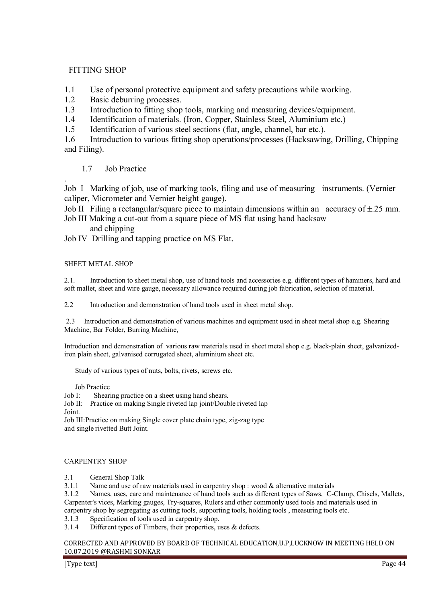# FITTING SHOP

- 1.1 Use of personal protective equipment and safety precautions while working.
- 1.2 Basic deburring processes.
- 1.3 Introduction to fitting shop tools, marking and measuring devices/equipment.
- 1.4 Identification of materials. (Iron, Copper, Stainless Steel, Aluminium etc.)
- 1.5 Identification of various steel sections (flat, angle, channel, bar etc.).

1.6 Introduction to various fitting shop operations/processes (Hacksawing, Drilling, Chipping and Filing).

# 1.7 Job Practice

. Job I Marking of job, use of marking tools, filing and use of measuring instruments. (Vernier caliper, Micrometer and Vernier height gauge).

Job II Filing a rectangular/square piece to maintain dimensions within an accuracy of  $\pm$ .25 mm.

- Job III Making a cut-out from a square piece of MS flat using hand hacksaw
	- and chipping
- Job IV Drilling and tapping practice on MS Flat.

# SHEET METAL SHOP

2.1. Introduction to sheet metal shop, use of hand tools and accessories e.g. different types of hammers, hard and soft mallet, sheet and wire gauge, necessary allowance required during job fabrication, selection of material.

2.2 Introduction and demonstration of hand tools used in sheet metal shop.

 2.3 Introduction and demonstration of various machines and equipment used in sheet metal shop e.g. Shearing Machine, Bar Folder, Burring Machine,

Introduction and demonstration of various raw materials used in sheet metal shop e.g. black-plain sheet, galvanizediron plain sheet, galvanised corrugated sheet, aluminium sheet etc.

Study of various types of nuts, bolts, rivets, screws etc.

# Job Practice

Job I: Shearing practice on a sheet using hand shears.

Job II: Practice on making Single riveted lap joint/Double riveted lap Joint.

Job III:Practice on making Single cover plate chain type, zig-zag type and single rivetted Butt Joint.

# CARPENTRY SHOP

3.1 General Shop Talk

3.1.1 Name and use of raw materials used in carpentry shop : wood & alternative materials

3.1.2 Names, uses, care and maintenance of hand tools such as different types of Saws, C-Clamp, Chisels, Mallets, Carpenter's vices, Marking gauges, Try-squares, Rulers and other commonly used tools and materials used in carpentry shop by segregating as cutting tools, supporting tools, holding tools , measuring tools etc.

3.1.3 Specification of tools used in carpentry shop.

3.1.4 Different types of Timbers, their properties, uses & defects.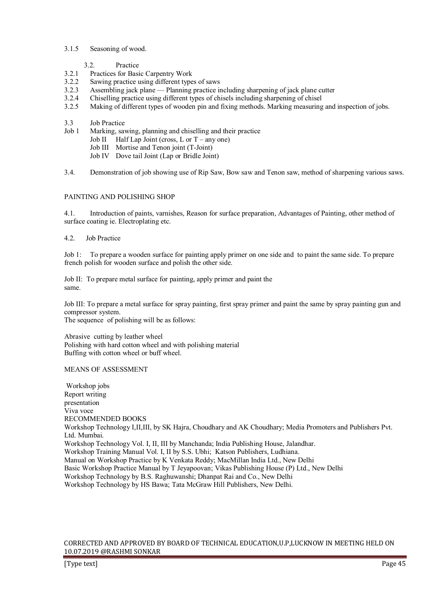# 3.1.5 Seasoning of wood.

3.2. Practice

- 3.2.1 Practices for Basic Carpentry Work
- 3.2.2 Sawing practice using different types of saws
- 3.2.3 Assembling jack plane Planning practice including sharpening of jack plane cutter
- 3.2.4 Chiselling practice using different types of chisels including sharpening of chisel<br>3.2.5 Making of different types of wooden pin and fixing methods. Marking measuring
- 3.2.5 Making of different types of wooden pin and fixing methods. Marking measuring and inspection of jobs.
- 3.3 Job Practice<br>Job 1 Marking say
- Marking, sawing, planning and chiselling and their practice
	- Job II Half Lap Joint (cross, L or  $T$  any one)
	- Job III Mortise and Tenon joint (T-Joint)
	- Job IV Dove tail Joint (Lap or Bridle Joint)

3.4. Demonstration of job showing use of Rip Saw, Bow saw and Tenon saw, method of sharpening various saws.

# PAINTING AND POLISHING SHOP

4.1. Introduction of paints, varnishes, Reason for surface preparation, Advantages of Painting, other method of surface coating ie. Electroplating etc.

4.2. Job Practice

Job 1: To prepare a wooden surface for painting apply primer on one side and to paint the same side. To prepare french polish for wooden surface and polish the other side.

Job II: To prepare metal surface for painting, apply primer and paint the same.

Job III: To prepare a metal surface for spray painting, first spray primer and paint the same by spray painting gun and compressor system.

The sequence of polishing will be as follows:

Abrasive cutting by leather wheel Polishing with hard cotton wheel and with polishing material Buffing with cotton wheel or buff wheel.

#### MEANS OF ASSESSMENT

 Workshop jobs Report writing presentation Viva voce RECOMMENDED BOOKS Workshop Technology I,II,III, by SK Hajra, Choudhary and AK Choudhary; Media Promoters and Publishers Pvt. Ltd. Mumbai. Workshop Technology Vol. I, II, III by Manchanda; India Publishing House, Jalandhar. Workshop Training Manual Vol. I, II by S.S. Ubhi; Katson Publishers, Ludhiana. Manual on Workshop Practice by K Venkata Reddy; MacMillan India Ltd., New Delhi Basic Workshop Practice Manual by T Jeyapoovan; Vikas Publishing House (P) Ltd., New Delhi Workshop Technology by B.S. Raghuwanshi; Dhanpat Rai and Co., New Delhi Workshop Technology by HS Bawa; Tata McGraw Hill Publishers, New Delhi.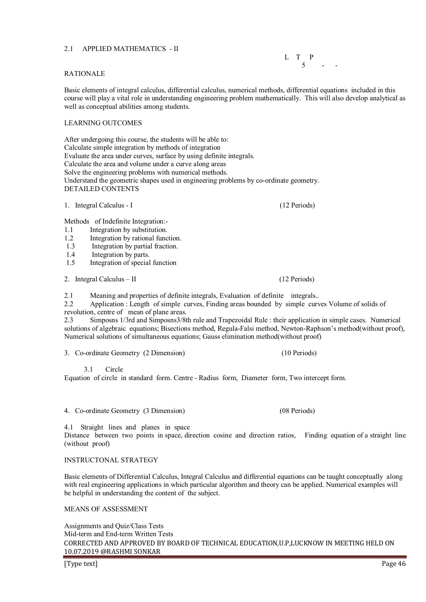# 2.1 APPLIED MATHEMATICS - II

# RATIONALE

Basic elements of integral calculus, differential calculus, numerical methods, differential equations included in this course will play a vital role in understanding engineering problem mathematically. This will also develop analytical as well as conceptual abilities among students.

## LEARNING OUTCOMES

After undergoing this course, the students will be able to: Calculate simple integration by methods of integration Evaluate the area under curves, surface by using definite integrals. Calculate the area and volume under a curve along areas Solve the engineering problems with numerical methods. Understand the geometric shapes used in engineering problems by co-ordinate geometry. DETAILED CONTENTS

1. Integral Calculus - I (12 Periods)

Methods of Indefinite Integration:-

- 
- 1.1 Integration by substitution.<br>1.2 Integration by rational func Integration by rational function.
- 1.3 Integration by partial fraction.
- 1.4 Integration by parts.
- 1.5 Integration of special function

2. Integral Calculus – II (12 Periods)

2.1 Meaning and properties of definite integrals, Evaluation of definite integrals...<br>2.2 Application: Length of simple curves Finding areas bounded by simple curv

2.2 Application : Length of simple curves, Finding areas bounded by simple curves Volume of solids of revolution, centre of mean of plane areas.

2.3 Simposns 1/3rd and Simposns3/8th rule and Trapezoidal Rule : their application in simple cases. Numerical solutions of algebraic equations; Bisections method, Regula-Falsi method, Newton-Raphson's method(without proof), Numerical solutions of simultaneous equations; Gauss elimination method(without proof)

3. Co-ordinate Geometry (2 Dimension) (10 Periods)

3.1 Circle

Equation of circle in standard form. Centre - Radius form, Diameter form, Two intercept form.

4. Co-ordinate Geometry (3 Dimension) (08 Periods)

4.1 Straight lines and planes in space

Distance between two points in space, direction cosine and direction ratios, Finding equation of a straight line (without proof)

#### INSTRUCTONAL STRATEGY

Basic elements of Differential Calculus, Integral Calculus and differential equations can be taught conceptually along with real engineering applications in which particular algorithm and theory can be applied. Numerical examples will be helpful in understanding the content of the subject.

## MEANS OF ASSESSMENT

CORRECTED AND APPROVED BY BOARD OF TECHNICAL EDUCATION,U.P,LUCKNOW IN MEETING HELD ON 10.07.2019 @RASHMI SONKAR Assignments and Quiz/Class Tests Mid-term and End-term Written Tests

 L T P  $5 - -$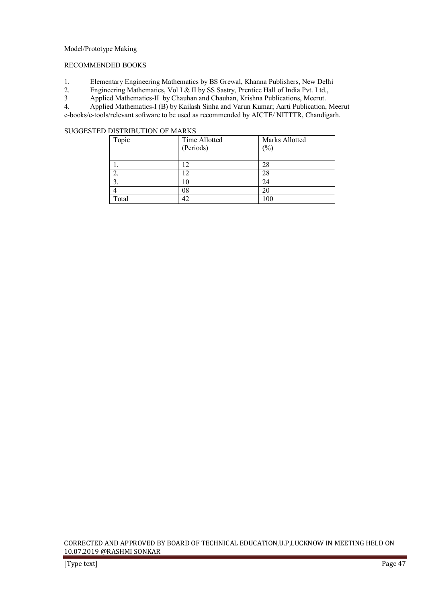## Model/Prototype Making

# RECOMMENDED BOOKS

- 1. Elementary Engineering Mathematics by BS Grewal, Khanna Publishers, New Delhi<br>2. Engineering Mathematics, Vol I & II by SS Sastry, Prentice Hall of India Pvt. Ltd.,
- 2. Engineering Mathematics, Vol I & II by SS Sastry, Prentice Hall of India Pvt. Ltd.,<br>Applied Mathematics-II by Chauhan and Chauhan, Krishna Publications, Meerut.
- 3 Applied Mathematics-II by Chauhan and Chauhan, Krishna Publications, Meerut.<br>4. Applied Mathematics-I (B) by Kailash Sinha and Varun Kumar: Aarti Publication.

4. Applied Mathematics-I (B) by Kailash Sinha and Varun Kumar; Aarti Publication, Meerut e-books/e-tools/relevant software to be used as recommended by AICTE/ NITTTR, Chandigarh.

# SUGGESTED DISTRIBUTION OF MARKS

| Topic | Time Allotted<br>(Periods) | Marks Allotted<br>$(\%)$ |
|-------|----------------------------|--------------------------|
|       | 12                         | 28                       |
| ۷,    | $\overline{2}$             | 28                       |
|       | l O                        | 24                       |
|       | 08                         | 20                       |
| Total | 12                         | 100                      |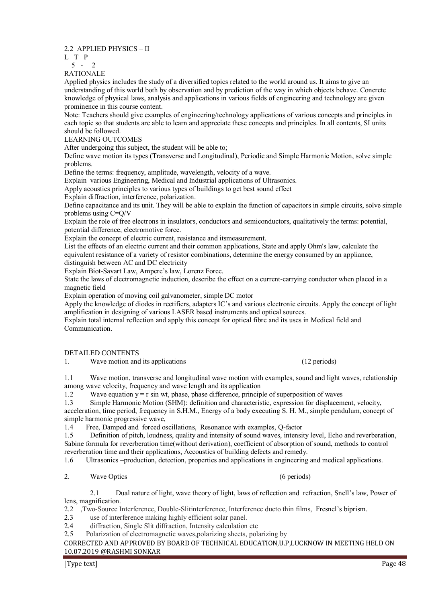2.2 APPLIED PHYSICS – II

L T P

5 - 2

RATIONALE

Applied physics includes the study of a diversified topics related to the world around us. It aims to give an understanding of this world both by observation and by prediction of the way in which objects behave. Concrete knowledge of physical laws, analysis and applications in various fields of engineering and technology are given prominence in this course content.

Note: Teachers should give examples of engineering/technology applications of various concepts and principles in each topic so that students are able to learn and appreciate these concepts and principles. In all contents, SI units should be followed.

LEARNING OUTCOMES

After undergoing this subject, the student will be able to;

Define wave motion its types (Transverse and Longitudinal), Periodic and Simple Harmonic Motion, solve simple problems.

Define the terms: frequency, amplitude, wavelength, velocity of a wave.

Explain various Engineering, Medical and Industrial applications of Ultrasonics.

Apply acoustics principles to various types of buildings to get best sound effect

Explain diffraction, interference, polarization.

Define capacitance and its unit. They will be able to explain the function of capacitors in simple circuits, solve simple problems using C=Q/V

Explain the role of free electrons in insulators, conductors and semiconductors, qualitatively the terms: potential, potential difference, electromotive force.

Explain the concept of electric current, resistance and itsmeasurement.

List the effects of an electric current and their common applications, State and apply Ohm's law, calculate the equivalent resistance of a variety of resistor combinations, determine the energy consumed by an appliance, distinguish between AC and DC electricity

Explain Biot-Savart Law, Ampere's law, Lorenz Force.

State the laws of electromagnetic induction, describe the effect on a current-carrying conductor when placed in a magnetic field

Explain operation of moving coil galvanometer, simple DC motor

Apply the knowledge of diodes in rectifiers, adapters IC's and various electronic circuits. Apply the concept of light amplification in designing of various LASER based instruments and optical sources.

Explain total internal reflection and apply this concept for optical fibre and its uses in Medical field and Communication.

DETAILED CONTENTS

1. Wave motion and its applications (12 periods)

1.1 Wave motion, transverse and longitudinal wave motion with examples, sound and light waves, relationship among wave velocity, frequency and wave length and its application

1.2 Wave equation  $y = r \sin wt$ , phase, phase difference, principle of superposition of waves<br>1.3 Simple Harmonic Motion (SHM): definition and characteristic, expression for displacem

Simple Harmonic Motion (SHM): definition and characteristic, expression for displacement, velocity,

acceleration, time period, frequency in S.H.M., Energy of a body executing S. H. M., simple pendulum, concept of simple harmonic progressive wave,

1.4 Free, Damped and forced oscillations, Resonance with examples, Q-factor

1.5 Definition of pitch, loudness, quality and intensity of sound waves, intensity level, Echo and reverberation, Sabine formula for reverberation time(without derivation), coefficient of absorption of sound, methods to control reverberation time and their applications, Accoustics of building defects and remedy.

1.6 Ultrasonics –production, detection, properties and applications in engineering and medical applications.

2. Wave Optics (6 periods)

 2.1 Dual nature of light, wave theory of light, laws of reflection and refraction, Snell's law, Power of lens, magnification.

2.2 ,Two-Source Interference, Double-Slitinterference, Interference dueto thin films, Fresnel's biprism.

2.3 use of interference making highly efficient solar panel.

2.4 diffraction, Single Slit diffraction, Intensity calculation etc

2.5 Polarization of electromagnetic waves,polarizing sheets, polarizing by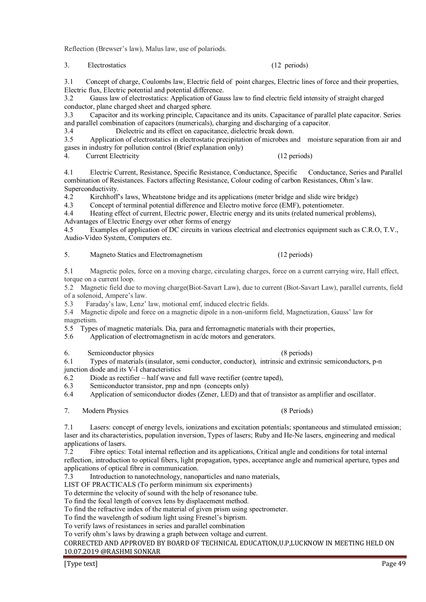Reflection (Brewser's law), Malus law, use of polariods.

3. Electrostatics (12 periods)

3.1 Concept of charge, Coulombs law, Electric field of point charges, Electric lines of force and their properties, Electric flux, Electric potential and potential difference.

3.2 Gauss law of electrostatics: Application of Gauss law to find electric field intensity of straight charged conductor, plane charged sheet and charged sphere.

3.3 Capacitor and its working principle, Capacitance and its units. Capacitance of parallel plate capacitor. Series and parallel combination of capacitors (numericals), charging and discharging of a capacitor.

3.4 Dielectric and its effect on capacitance, dielectric break down.<br>3.5 Application of electrostatics in electrostatic precipitation of microbes are

Application of electrostatics in electrostatic precipitation of microbes and moisture separation from air and gases in industry for pollution control (Brief explanation only)

4. Current Electricity (12 periods)

4.1 Electric Current, Resistance, Specific Resistance, Conductance, Specific Conductance, Series and Parallel combination of Resistances. Factors affecting Resistance, Colour coding of carbon Resistances, Ohm's law. Superconductivity.

4.2 Kirchhoff's laws, Wheatstone bridge and its applications (meter bridge and slide wire bridge)<br>4.3 Concent of terminal potential difference and Electro motive force (EMF) potentiometer

Concept of terminal potential difference and Electro motive force (EMF), potentiometer.

4.4 Heating effect of current, Electric power, Electric energy and its units (related numerical problems),

Advantages of Electric Energy over other forms of energy

4.5 Examples of application of DC circuits in various electrical and electronics equipment such as C.R.O, T.V., Audio-Video System, Computers etc.

5. Magneto Statics and Electromagnetism (12 periods)

5.1 Magnetic poles, force on a moving charge, circulating charges, force on a current carrying wire, Hall effect, torque on a current loop.

5.2 Magnetic field due to moving charge(Biot-Savart Law), due to current (Biot-Savart Law), parallel currents, field of a solenoid, Ampere's law.<br>5.3 Faraday's law Lenz'

Faraday's law, Lenz' law, motional emf, induced electric fields.

5.4 Magnetic dipole and force on a magnetic dipole in a non-uniform field, Magnetization, Gauss' law for magnetism.

5.5 Types of magnetic materials. Dia, para and ferromagnetic materials with their properties,

5.6 Application of electromagnetism in ac/dc motors and generators.

6. Semiconductor physics (8 periods)

6.1 Types of materials (insulator, semi conductor, conductor), intrinsic and extrinsic semiconductors, p-n junction diode and its V-I characteristics

 $\overline{6.2}$  Diode as rectifier – half wave and full wave rectifier (centre taped),

6.3 Semiconductor transistor, pnp and npn (concepts only)

6.4 Application of semiconductor diodes (Zener, LED) and that of transistor as amplifier and oscillator.

7. Modern Physics (8 Periods)

7.1 Lasers: concept of energy levels, ionizations and excitation potentials; spontaneous and stimulated emission; laser and its characteristics, population inversion, Types of lasers; Ruby and He-Ne lasers, engineering and medical applications of lasers.<br>7.2 Fibre ontics:

Fibre optics: Total internal reflection and its applications, Critical angle and conditions for total internal reflection, introduction to optical fibers, light propagation, types, acceptance angle and numerical aperture, types and applications of optical fibre in communication.<br>7.3 Introduction to nanotechnology nanor

Introduction to nanotechnology, nanoparticles and nano materials,

LIST OF PRACTICALS (To perform minimum six experiments)

To determine the velocity of sound with the help of resonance tube.

To find the focal length of convex lens by displacement method.

To find the refractive index of the material of given prism using spectrometer.

To find the wavelength of sodium light using Fresnel's biprism.

To verify laws of resistances in series and parallel combination

To verify ohm's laws by drawing a graph between voltage and current.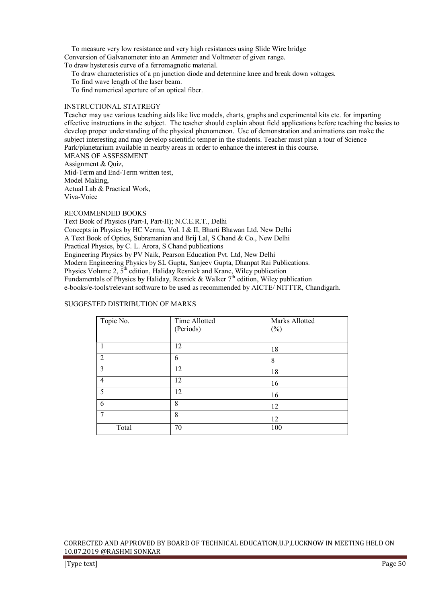To measure very low resistance and very high resistances using Slide Wire bridge Conversion of Galvanometer into an Ammeter and Voltmeter of given range. To draw hysteresis curve of a ferromagnetic material.

To draw characteristics of a pn junction diode and determine knee and break down voltages.

To find wave length of the laser beam.

To find numerical aperture of an optical fiber.

#### INSTRUCTIONAL STATREGY

Teacher may use various teaching aids like live models, charts, graphs and experimental kits etc. for imparting effective instructions in the subject. The teacher should explain about field applications before teaching the basics to develop proper understanding of the physical phenomenon. Use of demonstration and animations can make the subject interesting and may develop scientific temper in the students. Teacher must plan a tour of Science Park/planetarium available in nearby areas in order to enhance the interest in this course. MEANS OF ASSESSMENT

Assignment & Quiz,

Mid-Term and End-Term written test, Model Making, Actual Lab & Practical Work,

Viva-Voice

RECOMMENDED BOOKS

Text Book of Physics (Part-I, Part-II); N.C.E.R.T., Delhi Concepts in Physics by HC Verma, Vol. I & II, Bharti Bhawan Ltd. New Delhi A Text Book of Optics, Subramanian and Brij Lal, S Chand & Co., New Delhi Practical Physics, by C. L. Arora, S Chand publications Engineering Physics by PV Naik, Pearson Education Pvt. Ltd, New Delhi Modern Engineering Physics by SL Gupta, Sanjeev Gupta, Dhanpat Rai Publications. Physics Volume 2,  $5<sup>th</sup>$  edition, Haliday Resnick and Krane, Wiley publication Fundamentals of Physics by Haliday, Resnick & Walker  $7<sup>th</sup>$  edition, Wiley publication e-books/e-tools/relevant software to be used as recommended by AICTE/ NITTTR, Chandigarh.

## SUGGESTED DISTRIBUTION OF MARKS

| Topic No.      | Time Allotted | Marks Allotted |
|----------------|---------------|----------------|
|                | (Periods)     | $(\%)$         |
|                |               |                |
|                | 12            | 18             |
| $\overline{2}$ | 6             | 8              |
| $\overline{3}$ | 12            | 18             |
| $\overline{4}$ | 12            | 16             |
| 5              | 12            | 16             |
| 6              | 8             | 12             |
| $\overline{7}$ | 8             | 12             |
| Total          | 70            | 100            |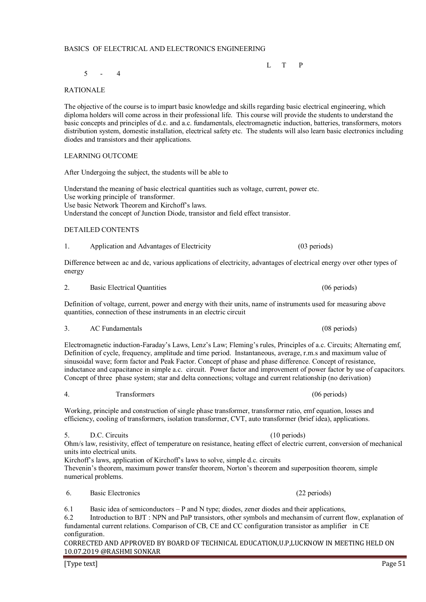# BASICS OF ELECTRICAL AND ELECTRONICS ENGINEERING

L T P

 $5 - 4$ 

# RATIONALE

The objective of the course is to impart basic knowledge and skills regarding basic electrical engineering, which diploma holders will come across in their professional life. This course will provide the students to understand the basic concepts and principles of d.c. and a.c. fundamentals, electromagnetic induction, batteries, transformers, motors distribution system, domestic installation, electrical safety etc. The students will also learn basic electronics including diodes and transistors and their applications.

# LEARNING OUTCOME

After Undergoing the subject, the students will be able to

Understand the meaning of basic electrical quantities such as voltage, current, power etc. Use working principle of transformer. Use basic Network Theorem and Kirchoff's laws. Understand the concept of Junction Diode, transistor and field effect transistor.

# DETAILED CONTENTS

1. Application and Advantages of Electricity (03 periods)

Difference between ac and dc, various applications of electricity, advantages of electrical energy over other types of energy

Definition of voltage, current, power and energy with their units, name of instruments used for measuring above

# 3. AC Fundamentals (08 periods)

Electromagnetic induction-Faraday's Laws, Lenz's Law; Fleming's rules, Principles of a.c. Circuits; Alternating emf, Definition of cycle, frequency, amplitude and time period. Instantaneous, average, r.m.s and maximum value of sinusoidal wave; form factor and Peak Factor. Concept of phase and phase difference. Concept of resistance, inductance and capacitance in simple a.c. circuit. Power factor and improvement of power factor by use of capacitors. Concept of three phase system; star and delta connections; voltage and current relationship (no derivation)

# 4. Transformers (06 periods)

Working, principle and construction of single phase transformer, transformer ratio, emf equation, losses and efficiency, cooling of transformers, isolation transformer, CVT, auto transformer (brief idea), applications.

# 5. D.C. Circuits (10 periods)

Ohm/s law, resistivity, effect of temperature on resistance, heating effect of electric current, conversion of mechanical units into electrical units.

Kirchoff's laws, application of Kirchoff's laws to solve, simple d.c. circuits Thevenin's theorem, maximum power transfer theorem, Norton's theorem and superposition theorem, simple numerical problems.

# 6. Basic Electronics (22 periods)

6.1 Basic idea of semiconductors – P and N type; diodes, zener diodes and their applications,

6.2 Introduction to BJT : NPN and PnP transistors, other symbols and mechansim of current flow, explanation of fundamental current relations. Comparison of CB, CE and CC configuration transistor as amplifier in CE configuration.

CORRECTED AND APPROVED BY BOARD OF TECHNICAL EDUCATION,U.P,LUCKNOW IN MEETING HELD ON 10.07.2019 @RASHMI SONKAR

[Type text] Page 51

2. Basic Electrical Quantities (06 periods) 2.

quantities, connection of these instruments in an electric circuit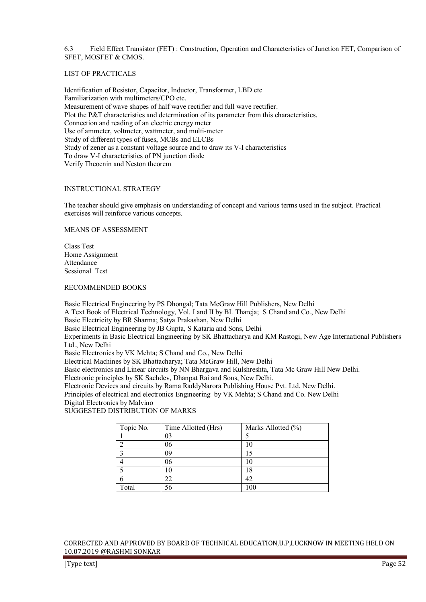6.3 Field Effect Transistor (FET) : Construction, Operation and Characteristics of Junction FET, Comparison of SFET, MOSFET & CMOS.

## LIST OF PRACTICALS

Identification of Resistor, Capacitor, Inductor, Transformer, LBD etc Familiarization with multimeters/CPO etc. Measurement of wave shapes of half wave rectifier and full wave rectifier. Plot the P&T characteristics and determination of its parameter from this characteristics. Connection and reading of an electric energy meter Use of ammeter, voltmeter, wattmeter, and multi-meter Study of different types of fuses, MCBs and ELCBs Study of zener as a constant voltage source and to draw its V-I characteristics To draw V-I characteristics of PN junction diode Verify Theoenin and Neston theorem

#### INSTRUCTIONAL STRATEGY

The teacher should give emphasis on understanding of concept and various terms used in the subject. Practical exercises will reinforce various concepts.

#### MEANS OF ASSESSMENT

Class Test Home Assignment Attendance Sessional Test

#### RECOMMENDED BOOKS

Basic Electrical Engineering by PS Dhongal; Tata McGraw Hill Publishers, New Delhi A Text Book of Electrical Technology, Vol. I and II by BL Thareja; S Chand and Co., New Delhi Basic Electricity by BR Sharma; Satya Prakashan, New Delhi Basic Electrical Engineering by JB Gupta, S Kataria and Sons, Delhi Experiments in Basic Electrical Engineering by SK Bhattacharya and KM Rastogi, New Age International Publishers Ltd., New Delhi Basic Electronics by VK Mehta; S Chand and Co., New Delhi Electrical Machines by SK Bhattacharya; Tata McGraw Hill, New Delhi Basic electronics and Linear circuits by NN Bhargava and Kulshreshta, Tata Mc Graw Hill New Delhi. Electronic principles by SK Sachdev, Dhanpat Rai and Sons, New Delhi. Electronic Devices and circuits by Rama RaddyNarora Publishing House Pvt. Ltd. New Delhi. Principles of electrical and electronics Engineering by VK Mehta; S Chand and Co. New Delhi Digital Electronics by Malvino SUGGESTED DISTRIBUTION OF MARKS

| Topic No. | Time Allotted (Hrs) | Marks Allotted (%) |
|-----------|---------------------|--------------------|
|           | 03                  |                    |
|           | 06                  |                    |
|           | 09                  |                    |
|           | 06                  |                    |
|           |                     | 18                 |
|           | 22                  | 42                 |
| Total     | 56                  | 100                |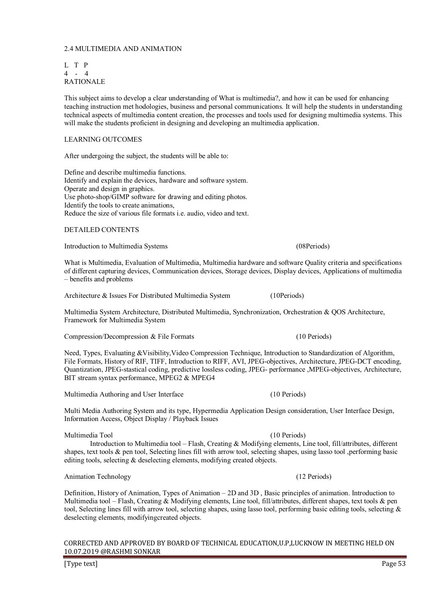# 2.4 MULTIMEDIA AND ANIMATION

L T P 4 - 4 RATIONALE

This subject aims to develop a clear understanding of What is multimedia?, and how it can be used for enhancing teaching instruction met hodologies, business and personal communications. It will help the students in understanding technical aspects of multimedia content creation, the processes and tools used for designing multimedia systems. This will make the students proficient in designing and developing an multimedia application.

# LEARNING OUTCOMES

After undergoing the subject, the students will be able to:

Define and describe multimedia functions. Identify and explain the devices, hardware and software system. Operate and design in graphics. Use photo-shop/GIMP software for drawing and editing photos. Identify the tools to create animations, Reduce the size of various file formats i.e. audio, video and text.

#### DETAILED CONTENTS

Introduction to Multimedia Systems (08Periods)

What is Multimedia, Evaluation of Multimedia, Multimedia hardware and software Quality criteria and specifications of different capturing devices, Communication devices, Storage devices, Display devices, Applications of multimedia – benefits and problems

Architecture & Issues For Distributed Multimedia System (10Periods)

Multimedia System Architecture, Distributed Multimedia, Synchronization, Orchestration & QOS Architecture, Framework for Multimedia System

Compression/Decompression & File Formats (10 Periods)

Need, Types, Evaluating &Visibility,Video Compression Technique, Introduction to Standardization of Algorithm, File Formats, History of RIF, TIFF, Introduction to RIFF, AVI, JPEG-objectives, Architecture, JPEG-DCT encoding, Quantization, JPEG-stastical coding, predictive lossless coding, JPEG- performance ,MPEG-objectives, Architecture, BIT stream syntax performance, MPEG2 & MPEG4

Multimedia Authoring and User Interface (10 Periods)

Multi Media Authoring System and its type, Hypermedia Application Design consideration, User Interface Design, Information Access, Object Display / Playback Issues

#### Multimedia Tool (10 Periods)

 Introduction to Multimedia tool – Flash, Creating & Modifying elements, Line tool, fill/attributes, different shapes, text tools & pen tool, Selecting lines fill with arrow tool, selecting shapes, using lasso tool ,performing basic editing tools, selecting & deselecting elements, modifying created objects.

## Animation Technology (12 Periods)

Definition, History of Animation, Types of Animation – 2D and 3D , Basic principles of animation. Introduction to Multimedia tool – Flash, Creating & Modifying elements, Line tool, fill/attributes, different shapes, text tools & pen tool, Selecting lines fill with arrow tool, selecting shapes, using lasso tool, performing basic editing tools, selecting & deselecting elements, modifyingcreated objects.

#### CORRECTED AND APPROVED BY BOARD OF TECHNICAL EDUCATION,U.P,LUCKNOW IN MEETING HELD ON 10.07.2019 @RASHMI SONKAR

[Type text] Page 53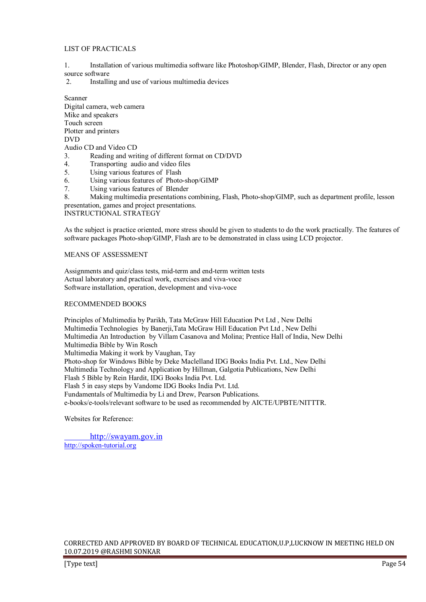# LIST OF PRACTICALS

- 1. Installation of various multimedia software like Photoshop/GIMP, Blender, Flash, Director or any open source software
- 2. Installing and use of various multimedia devices

Scanner Digital camera, web camera Mike and speakers Touch screen Plotter and printers DVD Audio CD and Video CD

- 3. Reading and writing of different format on CD/DVD<br>4. Transporting audio and video files
- 4. Transporting audio and video files<br>5. Using various features of Flash
- Using various features of Flash
- 6. Using various features of Photo-shop/GIMP
- 7. Using various features of Blender

8. Making multimedia presentations combining, Flash, Photo-shop/GIMP, such as department profile, lesson presentation, games and project presentations.

INSTRUCTIONAL STRATEGY

As the subject is practice oriented, more stress should be given to students to do the work practically. The features of software packages Photo-shop/GIMP, Flash are to be demonstrated in class using LCD projector.

## MEANS OF ASSESSMENT

Assignments and quiz/class tests, mid-term and end-term written tests Actual laboratory and practical work, exercises and viva-voce Software installation, operation, development and viva-voce

#### RECOMMENDED BOOKS

Principles of Multimedia by Parikh, Tata McGraw Hill Education Pvt Ltd , New Delhi Multimedia Technologies by Banerji,Tata McGraw Hill Education Pvt Ltd , New Delhi Multimedia An Introduction by Villam Casanova and Molina; Prentice Hall of India, New Delhi Multimedia Bible by Win Rosch Multimedia Making it work by Vaughan, Tay Photo-shop for Windows Bible by Deke Maclelland IDG Books India Pvt. Ltd., New Delhi Multimedia Technology and Application by Hillman, Galgotia Publications, New Delhi Flash 5 Bible by Rein Hardit, IDG Books India Pvt. Ltd. Flash 5 in easy steps by Vandome IDG Books India Pvt. Ltd. Fundamentals of Multimedia by Li and Drew, Pearson Publications. e-books/e-tools/relevant software to be used as recommended by AICTE/UPBTE/NITTTR.

Websites for Reference:

 http://swayam.gov.in http://spoken-tutorial.org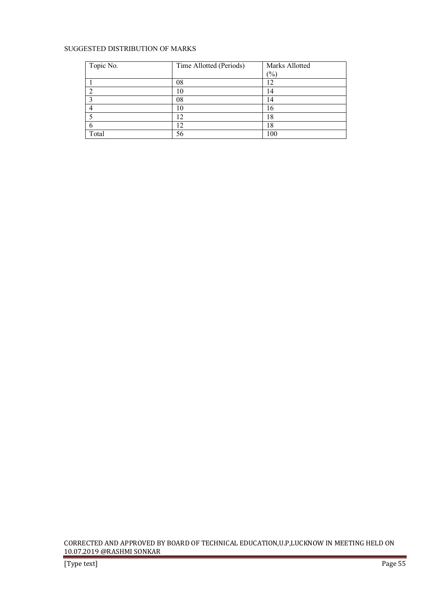# SUGGESTED DISTRIBUTION OF MARKS

| Topic No. | Time Allotted (Periods) | Marks Allotted  |
|-----------|-------------------------|-----------------|
|           |                         | $\frac{(0)}{0}$ |
|           | 08                      |                 |
|           | 10                      | 14              |
|           | 08                      | 14              |
|           |                         | 16              |
|           |                         |                 |
|           |                         | 18              |
| Total     | 56                      | 100             |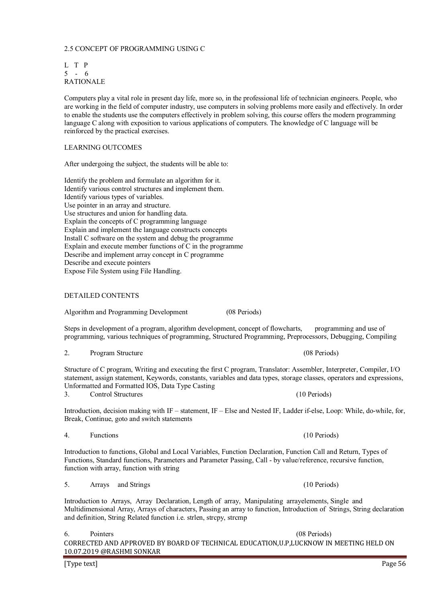#### 2.5 CONCEPT OF PROGRAMMING USING C

L T P 5 - 6 RATIONALE

Computers play a vital role in present day life, more so, in the professional life of technician engineers. People, who are working in the field of computer industry, use computers in solving problems more easily and effectively. In order to enable the students use the computers effectively in problem solving, this course offers the modern programming language C along with exposition to various applications of computers. The knowledge of C language will be reinforced by the practical exercises.

#### LEARNING OUTCOMES

After undergoing the subject, the students will be able to:

Identify the problem and formulate an algorithm for it. Identify various control structures and implement them. Identify various types of variables. Use pointer in an array and structure. Use structures and union for handling data. Explain the concepts of C programming language Explain and implement the language constructs concepts Install C software on the system and debug the programme Explain and execute member functions of C in the programme Describe and implement array concept in C programme Describe and execute pointers Expose File System using File Handling.

#### DETAILED CONTENTS

Algorithm and Programming Development (08 Periods)

Steps in development of a program, algorithm development, concept of flowcharts, programming and use of programming, various techniques of programming, Structured Programming, Preprocessors, Debugging, Compiling

| ◠<br>۷. | Program Structure |
|---------|-------------------|
|         |                   |

Structure of C program, Writing and executing the first C program, Translator: Assembler, Interpreter, Compiler, I/O statement, assign statement, Keywords, constants, variables and data types, storage classes, operators and expressions, Unformatted and Formatted IOS, Data Type Casting 3. Control Structures (10 Periods)

Introduction, decision making with IF – statement, IF – Else and Nested IF, Ladder if-else, Loop: While, do-while, for, Break, Continue, goto and switch statements

4. Functions (10 Periods)

Introduction to functions, Global and Local Variables, Function Declaration, Function Call and Return, Types of Functions, Standard functions, Parameters and Parameter Passing, Call - by value/reference, recursive function, function with array, function with string

5. Arrays and Strings (10 Periods)

Introduction to Arrays, Array Declaration, Length of array, Manipulating arrayelements, Single and Multidimensional Array, Arrays of characters, Passing an array to function, Introduction of Strings, String declaration and definition, String Related function i.e. strlen, strcpy, strcmp

CORRECTED AND APPROVED BY BOARD OF TECHNICAL EDUCATION,U.P,LUCKNOW IN MEETING HELD ON 10.07.2019 @RASHMI SONKAR 6. Pointers (08 Periods)

[Type text] Page 56

(08 Periods)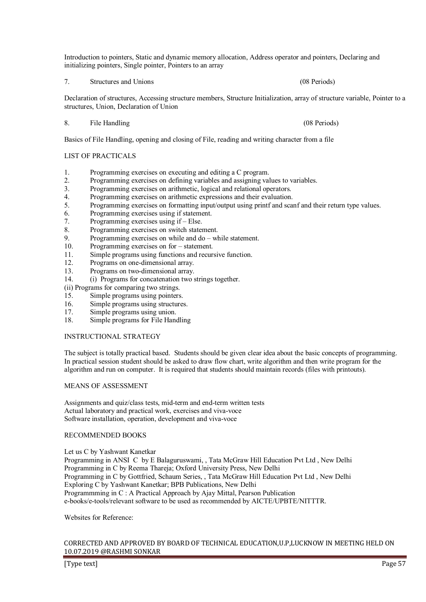Introduction to pointers, Static and dynamic memory allocation, Address operator and pointers, Declaring and initializing pointers, Single pointer, Pointers to an array

7. Structures and Unions (08 Periods)

Declaration of structures, Accessing structure members, Structure Initialization, array of structure variable, Pointer to a structures, Union, Declaration of Union

8. File Handling (08 Periods)

Basics of File Handling, opening and closing of File, reading and writing character from a file

# LIST OF PRACTICALS

- 1. Programming exercises on executing and editing a C program.<br>2. Programming exercises on defining variables and assigning values
- 2. Programming exercises on defining variables and assigning values to variables.
- 3. Programming exercises on arithmetic, logical and relational operators.
- 4. Programming exercises on arithmetic expressions and their evaluation.<br>5 Programming exercises on formatting input/output using printf and scale
- 5. Programming exercises on formatting input/output using printf and scanf and their return type values.
- 6. Programming exercises using if statement.
- 7. Programming exercises using if Else.
- 8. Programming exercises on switch statement.<br>9 Programming exercises on while and  $d\rho w$
- 9. Programming exercises on while and  $do$  while statement.<br>10. Programming exercises on for statement.
- Programming exercises on for statement.
- 11. Simple programs using functions and recursive function.
- 12. Programs on one-dimensional array.
- 13. Programs on two-dimensional array.<br>14 (i) Programs for concatenation two s
- 14. (i) Programs for concatenation two strings together.

(ii) Programs for comparing two strings.

- 15. Simple programs using pointers.<br>16. Simple programs using structures
- 16. Simple programs using structures.<br>17. Simple programs using union
- Simple programs using union.
- 18. Simple programs for File Handling

#### INSTRUCTIONAL STRATEGY

The subject is totally practical based. Students should be given clear idea about the basic concepts of programming. In practical session student should be asked to draw flow chart, write algorithm and then write program for the algorithm and run on computer. It is required that students should maintain records (files with printouts).

#### MEANS OF ASSESSMENT

Assignments and quiz/class tests, mid-term and end-term written tests Actual laboratory and practical work, exercises and viva-voce Software installation, operation, development and viva-voce

#### RECOMMENDED BOOKS

Let us C by Yashwant Kanetkar Programming in ANSI C by E Balaguruswami, , Tata McGraw Hill Education Pvt Ltd , New Delhi Programming in C by Reema Thareja; Oxford University Press, New Delhi Programming in C by Gottfried, Schaum Series, , Tata McGraw Hill Education Pvt Ltd , New Delhi Exploring C by Yashwant Kanetkar; BPB Publications, New Delhi Programmming in C : A Practical Approach by Ajay Mittal, Pearson Publication e-books/e-tools/relevant software to be used as recommended by AICTE/UPBTE/NITTTR.

Websites for Reference: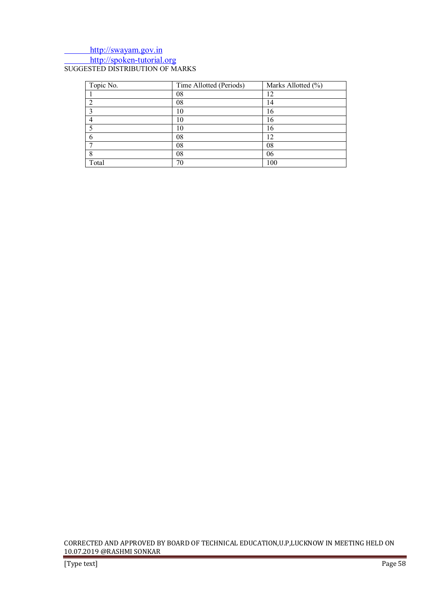# http://swayam.gov.in http://spoken-tutorial.org SUGGESTED DISTRIBUTION OF MARKS

| Topic No. | Time Allotted (Periods) | Marks Allotted (%) |
|-----------|-------------------------|--------------------|
|           | 08                      | 12                 |
|           | 08                      | 14                 |
|           | 10                      | 16                 |
|           | 10                      | 16                 |
|           | 10                      | 16                 |
|           | 08                      | 12                 |
|           | 08                      | 08                 |
|           | 08                      | 06                 |
| Total     | 70                      | 100                |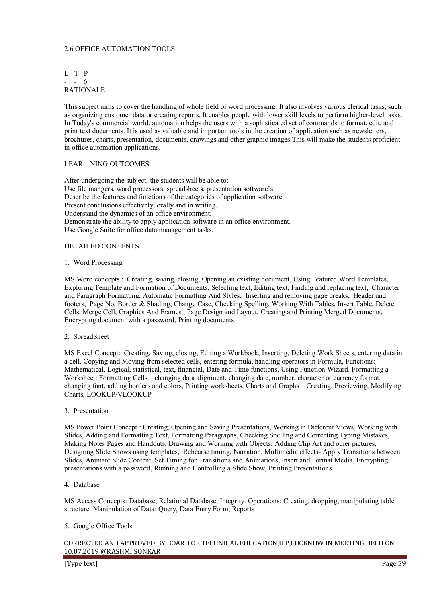# 2.6 OFFICE AUTOMATION TOOLS

# L T P - - 6 RATIONALE

This subject aims to cover the handling of whole field of word processing. It also involves various clerical tasks, such as organizing customer data or creating reports. It enables people with lower skill levels to perform higher-level tasks. In Today's commercial world, automation helps the users with a sophisticated set of commands to format, edit, and print text documents. It is used as valuable and important tools in the creation of application such as newsletters, brochures, charts, presentation, documents, drawings and other graphic images.This will make the students proficient in office automation applications.

#### LEAR NING OUTCOMES

After undergoing the subject, the students will be able to: Use file mangers, word processors, spreadsheets, presentation software's Describe the features and functions of the categories of application software. Present conclusions effectively, orally and in writing. Understand the dynamics of an office environment. Demonstrate the ability to apply application software in an office environment. Use Google Suite for office data management tasks.

#### DETAILED CONTENTS

#### 1. Word Processing

MS Word concepts : Creating, saving, closing, Opening an existing document, Using Featured Word Templates, Exploring Template and Formation of Documents, Selecting text, Editing text, Finding and replacing text, Character and Paragraph Formatting, Automatic Formatting And Styles, Inserting and removing page breaks, Header and footers, Page No, Border & Shading, Change Case, Checking Spelling, Working With Tables, Insert Table, Delete Cells, Merge Cell, Graphics And Frames , Page Design and Layout, Creating and Printing Merged Documents, Encrypting document with a password, Printing documents

#### 2. SpreadSheet

MS Excel Concept: Creating, Saving, closing, Editing a Workbook, Inserting, Deleting Work Sheets, entering data in a cell, Copying and Moving from selected cells, entering formula, handling operators in Formula, Functions: Mathematical, Logical, statistical, text, financial, Date and Time functions, Using Function Wizard. Formatting a Worksheet: Formatting Cells – changing data alignment, changing date, number, character or currency format, changing font, adding borders and colors, Printing worksheets, Charts and Graphs – Creating, Previewing, Modifying Charts, LOOKUP/VLOOKUP

#### 3. Presentation

MS Power Point Concept : Creating, Opening and Saving Presentations, Working in Different Views, Working with Slides, Adding and Formatting Text, Formatting Paragraphs, Checking Spelling and Correcting Typing Mistakes, Making Notes Pages and Handouts, Drawing and Working with Objects, Adding Clip Art and other pictures, Designing Slide Shows using templates, Rehearse timing, Narration, Multimedia effects- Apply Transitions between Slides, Animate Slide Content, Set Timing for Transitions and Animations, Insert and Format Media, Encrypting presentations with a password, Running and Controlling a Slide Show, Printing Presentations

#### 4. Database

MS Access Concepts: Database, Relational Database, Integrity. Operations: Creating, dropping, manipulating table structure. Manipulation of Data: Query, Data Entry Form, Reports

#### 5. Google Office Tools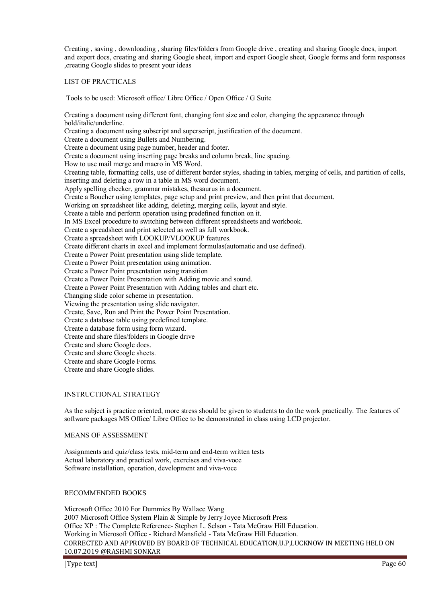Creating , saving , downloading , sharing files/folders from Google drive , creating and sharing Google docs, import and export docs, creating and sharing Google sheet, import and export Google sheet, Google forms and form responses ,creating Google slides to present your ideas

## LIST OF PRACTICALS

Tools to be used: Microsoft office/ Libre Office / Open Office / G Suite

Creating a document using different font, changing font size and color, changing the appearance through bold/italic/underline. Creating a document using subscript and superscript, justification of the document. Create a document using Bullets and Numbering. Create a document using page number, header and footer. Create a document using inserting page breaks and column break, line spacing. How to use mail merge and macro in MS Word. Creating table, formatting cells, use of different border styles, shading in tables, merging of cells, and partition of cells, inserting and deleting a row in a table in MS word document. Apply spelling checker, grammar mistakes, thesaurus in a document. Create a Boucher using templates, page setup and print preview, and then print that document. Working on spreadsheet like adding, deleting, merging cells, layout and style. Create a table and perform operation using predefined function on it. In MS Excel procedure to switching between different spreadsheets and workbook. Create a spreadsheet and print selected as well as full workbook. Create a spreadsheet with LOOKUP/VLOOKUP features. Create different charts in excel and implement formulas(automatic and use defined). Create a Power Point presentation using slide template. Create a Power Point presentation using animation. Create a Power Point presentation using transition Create a Power Point Presentation with Adding movie and sound. Create a Power Point Presentation with Adding tables and chart etc. Changing slide color scheme in presentation. Viewing the presentation using slide navigator. Create, Save, Run and Print the Power Point Presentation. Create a database table using predefined template. Create a database form using form wizard. Create and share files/folders in Google drive Create and share Google docs. Create and share Google sheets. Create and share Google Forms. Create and share Google slides.

#### INSTRUCTIONAL STRATEGY

As the subject is practice oriented, more stress should be given to students to do the work practically. The features of software packages MS Office/ Libre Office to be demonstrated in class using LCD projector.

#### MEANS OF ASSESSMENT

Assignments and quiz/class tests, mid-term and end-term written tests Actual laboratory and practical work, exercises and viva-voce Software installation, operation, development and viva-voce

# RECOMMENDED BOOKS

CORRECTED AND APPROVED BY BOARD OF TECHNICAL EDUCATION,U.P,LUCKNOW IN MEETING HELD ON 10.07.2019 @RASHMI SONKAR Microsoft Office 2010 For Dummies By Wallace Wang 2007 Microsoft Office System Plain & Simple by Jerry Joyce Microsoft Press Office XP : The Complete Reference- Stephen L. Selson - Tata McGraw Hill Education. Working in Microsoft Office - Richard Mansfield - Tata McGraw Hill Education.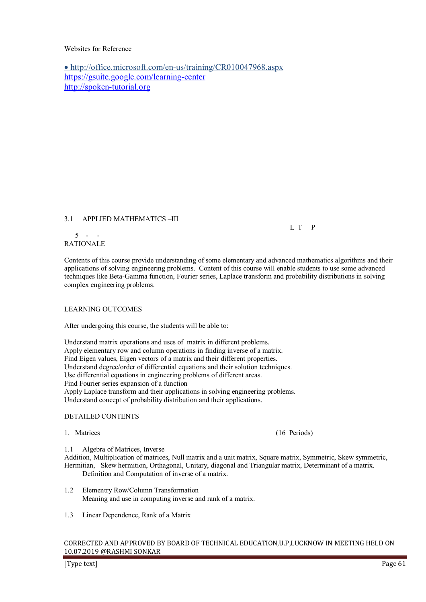# Websites for Reference

• http://office.microsoft.com/en-us/training/CR010047968.aspx https://gsuite.google.com/learning-center http://spoken-tutorial.org

# 3.1 APPLIED MATHEMATICS –III

L T P

#### $5 - -$ RATIONALE

Contents of this course provide understanding of some elementary and advanced mathematics algorithms and their applications of solving engineering problems. Content of this course will enable students to use some advanced techniques like Beta-Gamma function, Fourier series, Laplace transform and probability distributions in solving complex engineering problems.

# LEARNING OUTCOMES

After undergoing this course, the students will be able to:

Understand matrix operations and uses of matrix in different problems. Apply elementary row and column operations in finding inverse of a matrix. Find Eigen values, Eigen vectors of a matrix and their different properties. Understand degree/order of differential equations and their solution techniques. Use differential equations in engineering problems of different areas. Find Fourier series expansion of a function Apply Laplace transform and their applications in solving engineering problems. Understand concept of probability distribution and their applications.

## DETAILED CONTENTS

1. Matrices (16 Periods)

1.1 Algebra of Matrices, Inverse

Addition, Multiplication of matrices, Null matrix and a unit matrix, Square matrix, Symmetric, Skew symmetric, Hermitian, Skew hermition, Orthagonal, Unitary, diagonal and Triangular matrix, Determinant of a matrix. Definition and Computation of inverse of a matrix.

- 1.2 Elementry Row/Column Transformation Meaning and use in computing inverse and rank of a matrix.
- 1.3 Linear Dependence, Rank of a Matrix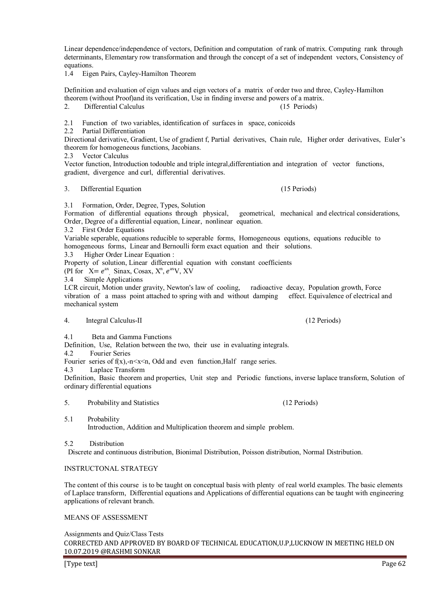Linear dependence/independence of vectors, Definition and computation of rank of matrix. Computing rank through determinants, Elementary row transformation and through the concept of a set of independent vectors, Consistency of equations.

1.4 Eigen Pairs, Cayley-Hamilton Theorem

Definition and evaluation of eign values and eign vectors of a matrix of order two and three, Cayley-Hamilton theorem (without Proof)and its verification, Use in finding inverse and powers of a matrix.<br>2. Differential Calculus

2. Differential Calculus (15 Periods)

2.1 Function of two variables, identification of surfaces in space, conicoids

2.2 Partial Differentiation

Directional derivative, Gradient, Use of gradient f, Partial derivatives, Chain rule, Higher order derivatives, Euler's theorem for homogeneous functions, Jacobians.

2.3 Vector Calculus

Vector function, Introduction todouble and triple integral,differentiation and integration of vector functions, gradient, divergence and curl, differential derivatives.

#### 3. Differential Equation (15 Periods)

3.1 Formation, Order, Degree, Types, Solution

Formation of differential equations through physical, geometrical, mechanical and electrical considerations, Order, Degree of a differential equation, Linear, nonlinear equation.

3.2 First Order Equations

Variable seperable, equations reducible to seperable forms, Homogeneous equtions, equations reducible to homogeneous forms, Linear and Bernoulli form exact equation and their solutions.

3.3 Higher Order Linear Equation :

Property of solution, Linear differential equation with constant coefficients

(PI for  $X = e^{ax}$ , Sinax, Cosax,  $X^n$ ,  $e^{ax}V$ , XV

3.4 Simple Applications

LCR circuit, Motion under gravity, Newton's law of cooling, radioactive decay, Population growth, Force vibration of a mass point attached to spring with and without damping effect. Equivalence of electrical and mechanical system

#### 4. Integral Calculus-II (12 Periods)

4.1 Beta and Gamma Functions

Definition, Use, Relation between the two, their use in evaluating integrals.

4.2 Fourier Series

Fourier series of  $f(x)$ ,-n $\le x \le n$ , Odd and even function, Half range series.

4.3 Laplace Transform

Definition, Basic theorem and properties, Unit step and Periodic functions, inverse laplace transform, Solution of ordinary differential equations

5. Probability and Statistics (12 Periods)

5.1 Probability

Introduction, Addition and Multiplication theorem and simple problem.

5.2 Distribution

Discrete and continuous distribution, Bionimal Distribution, Poisson distribution, Normal Distribution.

# INSTRUCTONAL STRATEGY

The content of this course is to be taught on conceptual basis with plenty of real world examples. The basic elements of Laplace transform, Differential equations and Applications of differential equations can be taught with engineering applications of relevant branch.

# MEANS OF ASSESSMENT

Assignments and Quiz/Class Tests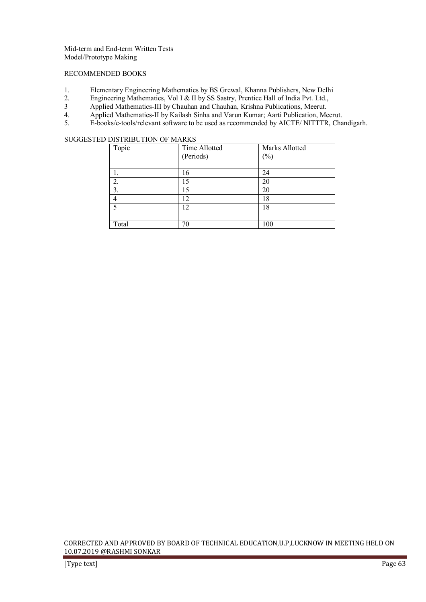Mid-term and End-term Written Tests Model/Prototype Making

#### RECOMMENDED BOOKS

- 1. Elementary Engineering Mathematics by BS Grewal, Khanna Publishers, New Delhi<br>2. Engineering Mathematics, Vol I & II by SS Sastry, Prentice Hall of India Pvt. Ltd.
- 2. Engineering Mathematics, Vol I & II by SS Sastry, Prentice Hall of India Pvt. Ltd.,<br>3. Applied Mathematics-III by Chauhan and Chauhan. Krishna Publications. Meerut.
- 3 Applied Mathematics-III by Chauhan and Chauhan, Krishna Publications, Meerut.<br>4. Applied Mathematics-II by Kailash Sinha and Varun Kumar; Aarti Publication, Me
- 4. Applied Mathematics-II by Kailash Sinha and Varun Kumar; Aarti Publication, Meerut.<br>5. E-books/e-tools/relevant software to be used as recommended by AICTE/ NITTTR. Cha
- 5. E-books/e-tools/relevant software to be used as recommended by AICTE/ NITTTR, Chandigarh.

# SUGGESTED DISTRIBUTION OF MARKS

| Topic       | Time Allotted<br>(Periods) | Marks Allotted<br>$(\%)$ |
|-------------|----------------------------|--------------------------|
|             | 16                         | 24                       |
| 2.          | 15                         | 20                       |
| 3.          | 15                         | 20                       |
| 4           | 12                         | 18                       |
| $\varsigma$ | 12                         | 18                       |
|             |                            |                          |
| Total       | 70                         | 100                      |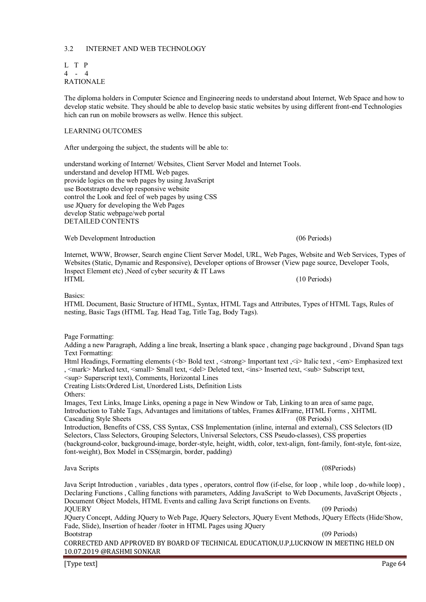# 3.2 INTERNET AND WEB TECHNOLOGY

| L T P |      |                  |
|-------|------|------------------|
| 4     | $-4$ |                  |
|       |      | <b>RATIONALE</b> |

The diploma holders in Computer Science and Engineering needs to understand about Internet, Web Space and how to develop static website. They should be able to develop basic static websites by using different front-end Technologies hich can run on mobile browsers as wellw. Hence this subject.

## LEARNING OUTCOMES

After undergoing the subject, the students will be able to:

understand working of Internet/ Websites, Client Server Model and Internet Tools. understand and develop HTML Web pages. provide logics on the web pages by using JavaScript use Bootstrapto develop responsive website control the Look and feel of web pages by using CSS use JQuery for developing the Web Pages develop Static webpage/web portal DETAILED CONTENTS

Web Development Introduction (06 Periods) (06 Periods)

Internet, WWW, Browser, Search engine Client Server Model, URL, Web Pages, Website and Web Services, Types of Websites (Static, Dynamic and Responsive), Developer options of Browser (View page source, Developer Tools, Inspect Element etc) ,Need of cyber security & IT Laws HTML (10 Periods)

Basics:

HTML Document, Basic Structure of HTML, Syntax, HTML Tags and Attributes, Types of HTML Tags, Rules of nesting, Basic Tags (HTML Tag. Head Tag, Title Tag, Body Tags).

Page Formatting:

Adding a new Paragraph, Adding a line break, Inserting a blank space , changing page background , Divand Span tags Text Formatting:

Html Headings, Formatting elements (<b> Bold text, <strong> Important text, <i> Italic text, <em> Emphasized text , <mark> Marked text, <small> Small text, <del> Deleted text, <ins> Inserted text, <sub> Subscript text,

sup> Superscript text), Comments, Horizontal Lines

Creating Lists:Ordered List, Unordered Lists, Definition Lists Others:

Images, Text Links, Image Links, opening a page in New Window or Tab, Linking to an area of same page, Introduction to Table Tags, Advantages and limitations of tables, Frames &IFrame, HTML Forms , XHTML Cascading Style Sheets (08 Periods) (08 Periods) Introduction, Benefits of CSS, CSS Syntax, CSS Implementation (inline, internal and external), CSS Selectors (ID Selectors, Class Selectors, Grouping Selectors, Universal Selectors, CSS Pseudo-classes), CSS properties

(background-color, background-image, border-style, height, width, color, text-align, font-family, font-style, font-size, font-weight), Box Model in CSS(margin, border, padding)

Java Scripts (08Periods)

Java Script Introduction , variables , data types , operators, control flow (if-else, for loop , while loop , do-while loop) , Declaring Functions , Calling functions with parameters, Adding JavaScript to Web Documents, JavaScript Objects , Document Object Models, HTML Events and calling Java Script functions on Events. JQUERY (09 Periods) JQuery Concept, Adding JQuery to Web Page, JQuery Selectors, JQuery Event Methods, JQuery Effects (Hide/Show,

Fade, Slide), Insertion of header /footer in HTML Pages using JQuery Bootstrap (09 Periods) (09 Periods)

CORRECTED AND APPROVED BY BOARD OF TECHNICAL EDUCATION,U.P,LUCKNOW IN MEETING HELD ON 10.07.2019 @RASHMI SONKAR

[Type text] Page 64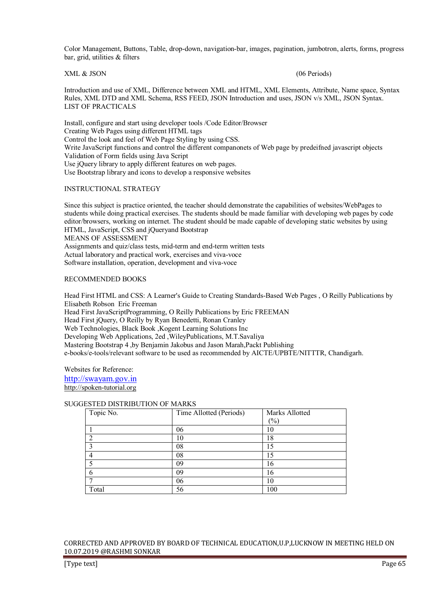Color Management, Buttons, Table, drop-down, navigation -bar, images, pagination, jumbotron, alerts, forms, progress bar, grid, utilities & filters

XML & JSON (06 Periods)

Introduction and use of XML, Difference between XML and HTML, XML Elements, Attribute, Name space, Syntax Rules, XML DTD and XML Schema, RSS FEED, JSON Introduction and uses, JSON v/s XML, JSON Syntax. LIST OF PRACTICALS

Install, configure and start using developer tools /Code Editor/Browser Creating Web Pages using different HTML tags Control the look and feel of Web Page Styling by using CSS. Write JavaScript functions and control the different companonets of Web page by predeifned javascript objects Validation of Form fields using Java Script Use jQuery library to apply different features on web pages. Use Bootstrap library and icons to develop a responsive websites

# INSTRUCTIONAL STRATEGY

Since this subject is practice oriented, the teacher should demonstrate the capabilities of websites/WebPages to students while doing practical exercises. The students should be made familiar with developing web pages by code editor/browsers, working on internet. The student should be made capable of developing static websites by using HTML, JavaScript, CSS and jQuery and Bootstrap MEANS OF ASSESSMENT Assignments and quiz/class tests, mid-term and end-term written tests Actual laboratory and practical work, exercises and viva-voce Software installation, operation, development and viva-voce

# RECOMMENDED BOOKS

Head First HTML and CSS: A Learner's Guide to Creating Standards-Based Web Pages , O Reilly Publications by Elisabeth Robson Eric Freeman Head First JavaScriptProgramming, O Reilly Publications by Eric FREEMAN Head First jQuery, O Reilly by Ryan Benedetti, Ronan Cranley Web Technologies, Black Book ,Kogent Learning Solutions Inc Developing Web Applications, 2ed ,WileyPublications, M.T.Savaliya Mastering Bootstrap 4 ,by Benjamin Jakobus and Jason Marah, Packt Publishing e-books/e-tools/relevant software to be used as recommended by AICTE/UPBTE/NITTTR, Chandigarh.

Websites for Reference: http://swayam.gov.in

http://spoken-tutorial.org

# SUGGESTED DISTRIBUTION OF MARKS

| Topic No. | Time Allotted (Periods) | Marks Allotted |
|-----------|-------------------------|----------------|
|           |                         | $(\%)$         |
|           | 06                      | 10             |
|           | 10                      | 18             |
|           | 08                      | 15             |
|           | 08                      | 15             |
|           | 09                      | 16             |
|           | 09                      | 16             |
|           | 06                      | 10             |
| Total     | 56                      | 100            |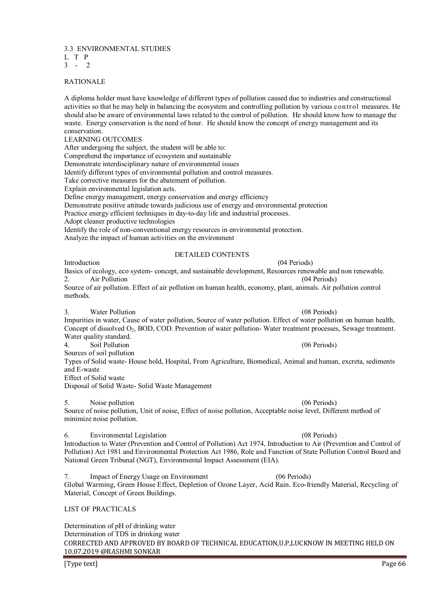3.3 ENVIRONMENTAL STUDIES

- L T P
- $3 2$

# RATIONALE

A diploma holder must have knowledge of different types of pollution caused due to industries and constructional activities so that he may help in balancing the ecosystem and controlling pollution by various control measures. He should also be aware of environmental laws related to the control of pollution. He should know how to manage the waste. Energy conservation is the need of hour. He should know the concept of energy management and its conservation.

## LEARNING OUTCOMES

After undergoing the subject, the student will be able to:

Comprehend the importance of ecosystem and sustainable

Demonstrate interdisciplinary nature of environmental issues

Identify different types of environmental pollution and control measures.

Take corrective measures for the abatement of pollution.

Explain environmental legislation acts.

Define energy management, energy conservation and energy efficiency

Demonstrate positive attitude towards judicious use of energy and environmental protection

Practice energy efficient techniques in day-to-day life and industrial processes.

Adopt cleaner productive technologies

Identify the role of non-conventional energy resources in environmental protection.

Analyze the impact of human activities on the environment

# DETAILED CONTENTS

Introduction (04 Periods) Basics of ecology, eco system- concept, and sustainable development, Resources renewable and non renewable.<br>
2 Air Pollution (04 Periods) 2 Air Pollution Source of air pollution. Effect of air pollution on human health, economy, plant, animals. Air pollution control methods.

3. Water Pollution (08 Periods)

Impurities in water, Cause of water pollution, Source of water pollution. Effect of water pollution on human health, Concept of dissolved O<sub>2</sub>, BOD, COD. Prevention of water pollution-Water treatment processes, Sewage treatment. Water quality standard. 4. Soil Pollution (06 Periods)

Sources of soil pollution

Types of Solid waste- House hold, Hospital, From Agriculture, Biomedical, Animal and human, excreta, sediments and E-waste

Effect of Solid waste

Disposal of Solid Waste- Solid Waste Management

5. Noise pollution (06 Periods) Source of noise pollution, Unit of noise, Effect of noise pollution, Acceptable noise level, Different method of minimize noise pollution.

6. Environmental Legislation (08 Periods) Introduction to Water (Prevention and Control of Pollution) Act 1974, Introduction to Air (Prevention and Control of Pollution) Act 1981 and Environmental Protection Act 1986, Role and Function of State Pollution Control Board and National Green Tribunal (NGT), Environmental Impact Assessment (EIA).

7. Impact of Energy Usage on Environment (06 Periods) Global Warming, Green House Effect, Depletion of Ozone Layer, Acid Rain. Eco-friendly Material, Recycling of Material, Concept of Green Buildings.

# LIST OF PRACTICALS

CORRECTED AND APPROVED BY BOARD OF TECHNICAL EDUCATION,U.P,LUCKNOW IN MEETING HELD ON 10.07.2019 @RASHMI SONKAR Determination of pH of drinking water Determination of TDS in drinking water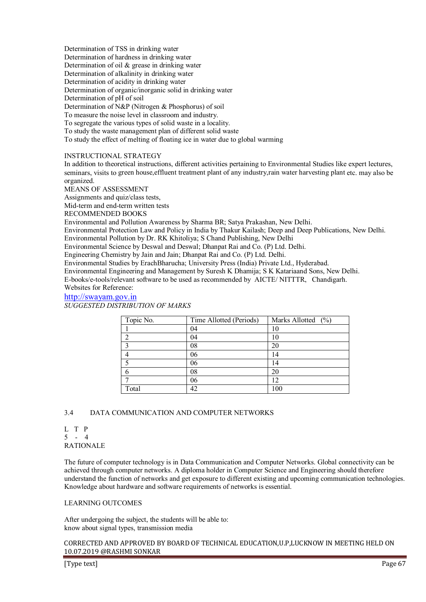Determination of TSS in drinking water Determination of hardness in drinking water Determination of oil & grease in drinking water Determination of alkalinity in drinking water Determination of acidity in drinking water Determination of organic/inorganic solid in drinking water Determination of pH of soil Determination of N&P (Nitrogen & Phosphorus) of soil To measure the noise level in classroom and industry. To segregate the various types of solid waste in a locality. To study the waste management plan of different solid waste To study the effect of melting of floating ice in water due to global warming

# INSTRUCTIONAL STRATEGY

In addition to theoretical instructions, different activities pertaining to Environmental Studies like expert lectures, seminars, visits to green house,effluent treatment plant of any industry,rain water harvesting plant etc. may also be organized.

MEANS OF ASSESSMENT

Assignments and quiz/class tests,

Mid-term and end-term written tests

RECOMMENDED BOOKS

Environmental and Pollution Awareness by Sharma BR; Satya Prakashan, New Delhi.

Environmental Protection Law and Policy in India by Thakur Kailash; Deep and Deep Publications, New Delhi. Environmental Pollution by Dr. RK Khitoliya; S Chand Publishing, New Delhi

Environmental Science by Deswal and Deswal; Dhanpat Rai and Co. (P) Ltd. Delhi.

Engineering Chemistry by Jain and Jain; Dhanpat Rai and Co. (P) Ltd. Delhi.

Environmental Studies by ErachBharucha; University Press (India) Private Ltd., Hyderabad.

Environmental Engineering and Management by Suresh K Dhamija; S K Katariaand Sons, New Delhi.

E-books/e-tools/relevant software to be used as recommended by AICTE/ NITTTR, Chandigarh. Websites for Reference:

# http://swayam.gov.in

*SUGGESTED DISTRIBUTION OF MARKS* 

| Topic No. | Time Allotted (Periods) | Marks Allotted (%) |
|-----------|-------------------------|--------------------|
|           | 04                      | 10                 |
|           | 04                      | 10                 |
|           | 08                      | 20                 |
|           | 06                      | 14                 |
|           | 06                      | 14                 |
| h         | 08                      | 20                 |
|           | 06                      |                    |
| Total     | 42                      | 100                |

# 3.4 DATA COMMUNICATION AND COMPUTER NETWORKS

L T P 5 - 4 RATIONALE

The future of computer technology is in Data Communication and Computer Networks. Global connectivity can be achieved through computer networks. A diploma holder in Computer Science and Engineering should therefore understand the function of networks and get exposure to different existing and upcoming communication technologies. Knowledge about hardware and software requirements of networks is essential.

#### LEARNING OUTCOMES

After undergoing the subject, the students will be able to: know about signal types, transmission media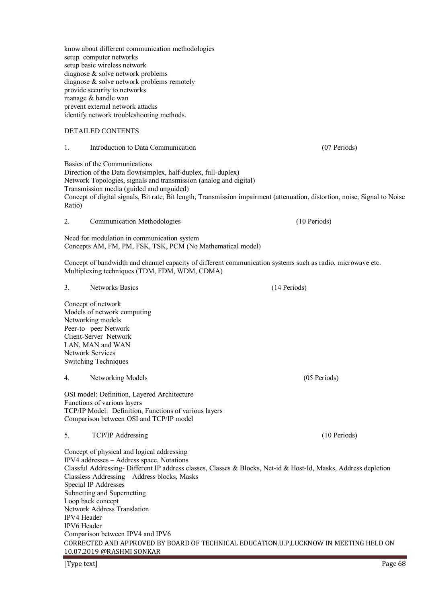know about different communication methodologies setup computer networks setup basic wireless network diagnose & solve network problems diagnose & solve network problems remotely provide security to networks manage & handle wan prevent external network attacks identify network troubleshooting methods.

# DETAILED CONTENTS

## 1. Introduction to Data Communication (07 Periods)

Basics of the Communications

Direction of the Data flow(simplex, half-duplex, full-duplex) Network Topologies, signals and transmission (analog and digital) Transmission media (guided and unguided) Concept of digital signals, Bit rate, Bit length, Transmission impairment (attenuation, distortion, noise, Signal to Noise Ratio)

2. Communication Methodologies (10 Periods)

Need for modulation in communication system Concepts AM, FM, PM, FSK, TSK, PCM (No Mathematical model)

Concept of bandwidth and channel capacity of different communication systems such as radio, microwave etc. Multiplexing techniques (TDM, FDM, WDM, CDMA)

#### 3. Networks Basics (14 Periods)

Concept of network Models of network computing Networking models Peer-to –peer Network Client-Server Network LAN, MAN and WAN Network Services Switching Techniques

#### 4. Networking Models (05 Periods)

OSI model: Definition, Layered Architecture Functions of various layers TCP/IP Model: Definition, Functions of various layers Comparison between OSI and TCP/IP model

#### 5. TCP/IP Addressing (10 Periods)

CORRECTED AND APPROVED BY BOARD OF TECHNICAL EDUCATION,U.P,LUCKNOW IN MEETING HELD ON 10.07.2019 @RASHMI SONKAR Concept of physical and logical addressing IPV4 addresses – Address space, Notations Classful Addressing- Different IP address classes, Classes & Blocks, Net-id & Host-Id, Masks, Address depletion Classless Addressing – Address blocks, Masks Special IP Addresses Subnetting and Supernetting Loop back concept Network Address Translation IPV4 Header IPV6 Header Comparison between IPV4 and IPV6

[Type text] Page 68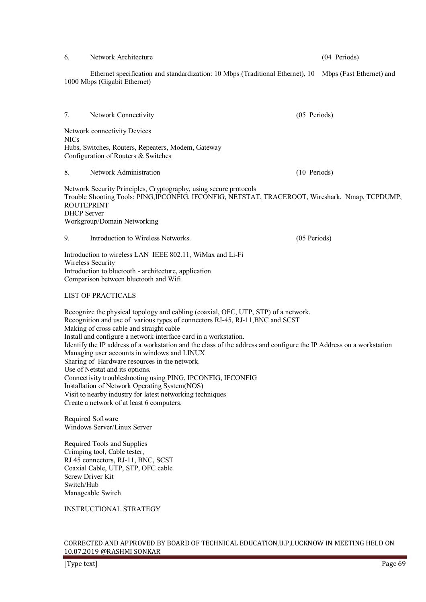### 6. Network Architecture (04 Periods)

 Ethernet specification and standardization: 10 Mbps (Traditional Ethernet), 10 Mbps (Fast Ethernet) and 1000 Mbps (Gigabit Ethernet)

7. Network Connectivity (05 Periods) Network connectivity Devices NICs Hubs, Switches, Routers, Repeaters, Modem, Gateway Configuration of Routers & Switches 8. Network Administration (10 Periods) Network Security Principles, Cryptography, using secure protocols Trouble Shooting Tools: PING,IPCONFIG, IFCONFIG, NETSTAT, TRACEROOT, Wireshark, Nmap, TCPDUMP, **ROUTEPRINT** 

DHCP Server Workgroup/Domain Networking

9. Introduction to Wireless Networks. (05 Periods)

Introduction to wireless LAN IEEE 802.11, WiMax and Li-Fi Wireless Security Introduction to bluetooth - architecture, application Comparison between bluetooth and Wifi

#### LIST OF PRACTICALS

Recognize the physical topology and cabling (coaxial, OFC, UTP, STP) of a network. Recognition and use of various types of connectors RJ-45, RJ-11,BNC and SCST Making of cross cable and straight cable Install and configure a network interface card in a workstation. Identify the IP address of a workstation and the class of the address and configure the IP Address on a workstation Managing user accounts in windows and LINUX Sharing of Hardware resources in the network. Use of Netstat and its options. Connectivity troubleshooting using PING, IPCONFIG, IFCONFIG Installation of Network Operating System(NOS) Visit to nearby industry for latest networking techniques Create a network of at least 6 computers.

Required Software Windows Server/Linux Server

Required Tools and Supplies Crimping tool, Cable tester, RJ 45 connectors, RJ-11, BNC, SCST Coaxial Cable, UTP, STP, OFC cable Screw Driver Kit Switch/Hub Manageable Switch

INSTRUCTIONAL STRATEGY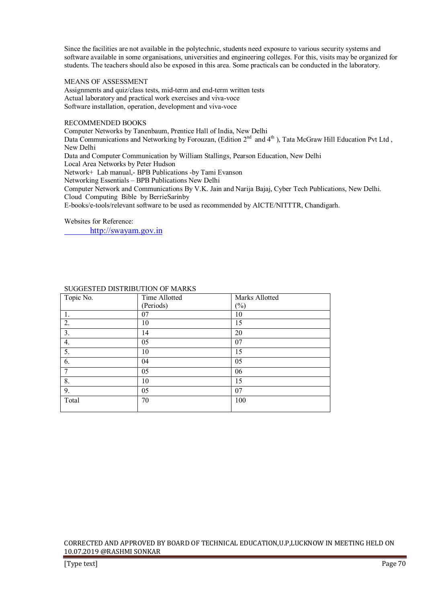Since the facilities are not available in the polytechnic, students need exposure to various security systems and software available in some organisations, universities and engineering colleges. For this, visits may be organized for students. The teachers should also be exposed in this area. Some practicals can be conducted in the laboratory.

#### MEANS OF ASSESSMENT

Assignments and quiz/class tests, mid-term and end-term written tests Actual laboratory and practical work exercises and viva-voce Software installation, operation, development and viva-voce

#### RECOMMENDED BOOKS

Computer Networks by Tanenbaum, Prentice Hall of India, New Delhi Data Communications and Networking by Forouzan, (Edition 2<sup>nd</sup> and 4<sup>th</sup>), Tata McGraw Hill Education Pvt Ltd, New Delhi Data and Computer Communication by William Stallings, Pearson Education, New Delhi Local Area Networks by Peter Hudson Network+ Lab manual,- BPB Publications -by Tami Evanson Networking Essentials – BPB Publications New Delhi Computer Network and Communications By V.K. Jain and Narija Bajaj, Cyber Tech Publications, New Delhi. Cloud Computing Bible by BerrieSarinby E-books/e-tools/relevant software to be used as recommended by AICTE/NITTTR, Chandigarh.

Websites for Reference:

http://swayam.gov.in

| Topic No.        | Time Allotted | Marks Allotted             |  |
|------------------|---------------|----------------------------|--|
|                  | (Periods)     | $\left(\frac{0}{0}\right)$ |  |
| 1.               | 07            | 10                         |  |
| $\overline{2}$ . | 10            | 15                         |  |
| $\overline{3}$ . | 14            | 20                         |  |
| 4.               | 05            | 07                         |  |
| $\overline{5}$ . | 10            | 15                         |  |
| 6.               | 04            | 05                         |  |
| $\overline{7}$   | 05            | 06                         |  |
| 8.               | 10            | 15                         |  |
| $\overline{9}$ . | 05            | 07                         |  |
| Total            | 70            | 100                        |  |
|                  |               |                            |  |

# SUGGESTED DISTRIBUTION OF MARKS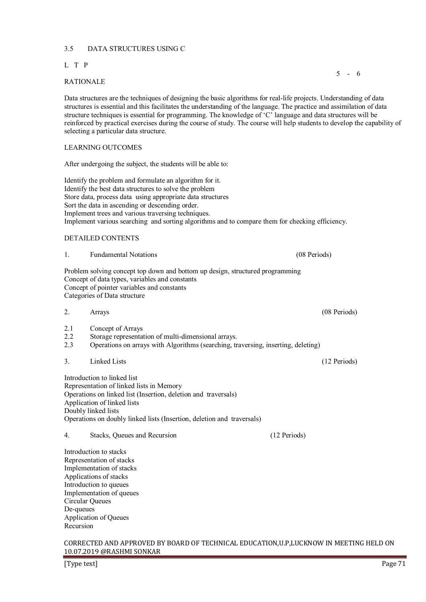# 3.5 DATA STRUCTURES USING C

# L T P

#### $5 - 6$ RATIONALE

Data structures are the techniques of designing the basic algorithms for real-life projects. Understanding of data structures is essential and this facilitates the understanding of the language. The practice and assimilation of data structure techniques is essential for programming. The knowledge of 'C' language and data structures will be reinforced by practical exercises during the course of study. The course will help students to develop the capability of selecting a particular data structure.

# LEARNING OUTCOMES

After undergoing the subject, the students will be able to:

Identify the problem and formulate an algorithm for it. Identify the best data structures to solve the problem Store data, process data using appropriate data structures Sort the data in ascending or descending order. Implement trees and various traversing techniques. Implement various searching and sorting algorithms and to compare them for checking efficiency.

# DETAILED CONTENTS

| 1. | <b>Fundamental Notations</b>                                                  | (08 Periods) |
|----|-------------------------------------------------------------------------------|--------------|
|    | Problem solving concept top down and bottom up design, structured programming |              |
|    | Concept of data types, variables and constants                                |              |
|    | Concept of pointer variables and constants                                    |              |
|    | Cotagonica of Dota structural                                                 |              |

Categories of Data structure

- 2. Arrays (08 Periods)
- 2.1 Concept of Arrays
- 2.2 Storage representation of multi-dimensional arrays.<br>2.3 Operations on arrays with Algorithms (searching tr
- 2.3 Operations on arrays with Algorithms (searching, traversing, inserting, deleting)
- 3. Linked Lists (12 Periods)

Introduction to linked list Representation of linked lists in Memory Operations on linked list (Insertion, deletion and traversals) Application of linked lists Doubly linked lists Operations on doubly linked lists (Insertion, deletion and traversals)

4. Stacks, Queues and Recursion (12 Periods)

Introduction to stacks Representation of stacks Implementation of stacks Applications of stacks Introduction to queues Implementation of queues Circular Queues De-queues Application of Queues Recursion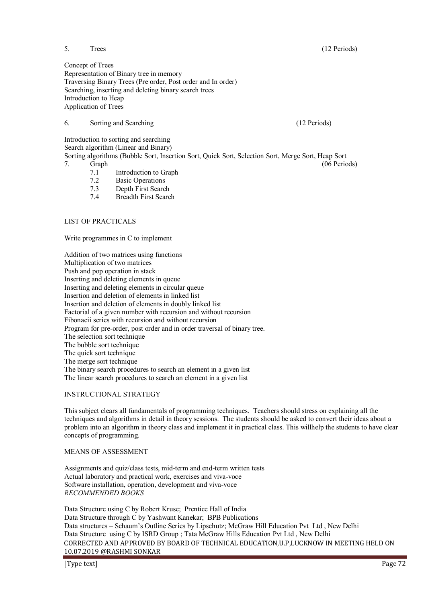5. Trees (12 Periods)

Concept of Trees Representation of Binary tree in memory Traversing Binary Trees (Pre order, Post order and In order) Searching, inserting and deleting binary search trees Introduction to Heap Application of Trees

# 6. Sorting and Searching (12 Periods)

Introduction to sorting and searching

Search algorithm (Linear and Binary)

Sorting algorithms (Bubble Sort, Insertion Sort, Quick Sort, Selection Sort, Merge Sort, Heap Sort Franchise Graph (06 Periods) (06 Periods)

- 7.1 Introduction to Graph<br>7.2 Basic Operations
- **Basic Operations**
- 7.3 Depth First Search
- 7.4 Breadth First Search

# LIST OF PRACTICALS

Write programmes in C to implement

Addition of two matrices using functions Multiplication of two matrices Push and pop operation in stack Inserting and deleting elements in queue Inserting and deleting elements in circular queue Insertion and deletion of elements in linked list Insertion and deletion of elements in doubly linked list Factorial of a given number with recursion and without recursion Fibonacii series with recursion and without recursion Program for pre-order, post order and in order traversal of binary tree. The selection sort technique The bubble sort technique The quick sort technique The merge sort technique The binary search procedures to search an element in a given list The linear search procedures to search an element in a given list

# INSTRUCTIONAL STRATEGY

This subject clears all fundamentals of programming techniques. Teachers should stress on explaining all the techniques and algorithms in detail in theory sessions. The students should be asked to convert their ideas about a problem into an algorithm in theory class and implement it in practical class. This willhelp the students to have clear concepts of programming.

#### MEANS OF ASSESSMENT

Assignments and quiz/class tests, mid-term and end-term written tests Actual laboratory and practical work, exercises and viva-voce Software installation, operation, development and viva-voce *RECOMMENDED BOOKS* 

CORRECTED AND APPROVED BY BOARD OF TECHNICAL EDUCATION,U.P,LUCKNOW IN MEETING HELD ON 10.07.2019 @RASHMI SONKAR Data Structure using C by Robert Kruse; Prentice Hall of India Data Structure through C by Yashwant Kanekar; BPB Publications Data structures – Schaum's Outline Series by Lipschutz; McGraw Hill Education Pvt Ltd , New Delhi Data Structure using C by ISRD Group ; Tata McGraw Hills Education Pvt Ltd , New Delhi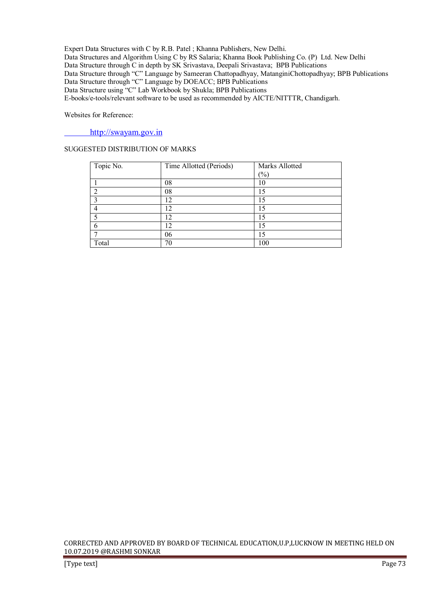Expert Data Structures with C by R.B. Patel ; Khanna Publishers, New Delhi. Data Structures and Algorithm Using C by RS Salaria; Khanna Book Publishing Co. (P) Ltd. New Delhi Data Structure through C in depth by SK Srivastava, Deepali Srivastava; BPB Publications Data Structure through "C" Language by Sameeran Chattopadhyay, MatanginiChottopadhyay; BPB Publications Data Structure through "C" Language by DOEACC; BPB Publications Data Structure using "C" Lab Workbook by Shukla; BPB Publications E-books/e-tools/relevant software to be used as recommended by AICTE/NITTTR, Chandigarh.

Websites for Reference:

http://swayam.gov.in

# SUGGESTED DISTRIBUTION OF MARKS

| Topic No. | Time Allotted (Periods) | Marks Allotted |
|-----------|-------------------------|----------------|
|           |                         | (%)            |
|           | 08                      |                |
|           | 08                      | 15             |
|           | $12^{-}$                | 15             |
|           | 12                      | 15             |
|           | $12^{\circ}$            | 15             |
|           | 12                      | 15             |
|           | 06                      | 15             |
| Total     | 70                      | 100            |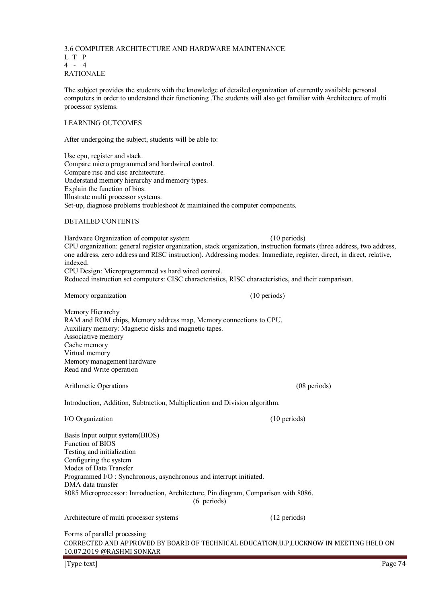3.6 COMPUTER ARCHITECTURE AND HARDWARE MAINTENANCE L T P 4 - 4 RATIONALE The subject provides the students with the knowledge of detailed organization of currently available personal computers in order to understand their functioning .The students will also get familiar with Architecture of multi processor systems. LEARNING OUTCOMES

After undergoing the subject, students will be able to:

Use cpu, register and stack. Compare micro programmed and hardwired control. Compare risc and cisc architecture. Understand memory hierarchy and memory types. Explain the function of bios. Illustrate multi processor systems. Set-up, diagnose problems troubleshoot & maintained the computer components.

# DETAILED CONTENTS

Hardware Organization of computer system (10 periods) CPU organization: general register organization, stack organization, instruction formats (three address, two address, one address, zero address and RISC instruction). Addressing modes: Immediate, register, direct, in direct, relative, indexed. CPU Design: Microprogrammed vs hard wired control.

Reduced instruction set computers: CISC characteristics, RISC characteristics, and their comparison.

Memory organization (10 periods)

Memory Hierarchy RAM and ROM chips, Memory address map, Memory connections to CPU. Auxiliary memory: Magnetic disks and magnetic tapes. Associative memory Cache memory Virtual memory Memory management hardware Read and Write operation

Arithmetic Operations (08 periods) (08 periods)

Introduction, Addition, Subtraction, Multiplication and Division algorithm.

| I/O Organization |  |
|------------------|--|
|------------------|--|

Basis Input output system(BIOS) Function of BIOS Testing and initialization Configuring the system Modes of Data Transfer Programmed I/O : Synchronous, asynchronous and interrupt initiated. DMA data transfer 8085 Microprocessor: Introduction, Architecture, Pin diagram, Comparison with 8086. (6 periods)

Architecture of multi processor systems (12 periods)

CORRECTED AND APPROVED BY BOARD OF TECHNICAL EDUCATION,U.P,LUCKNOW IN MEETING HELD ON 10.07.2019 @RASHMI SONKAR Forms of parallel processing

[Type text] Page 74

 $(10$  periods)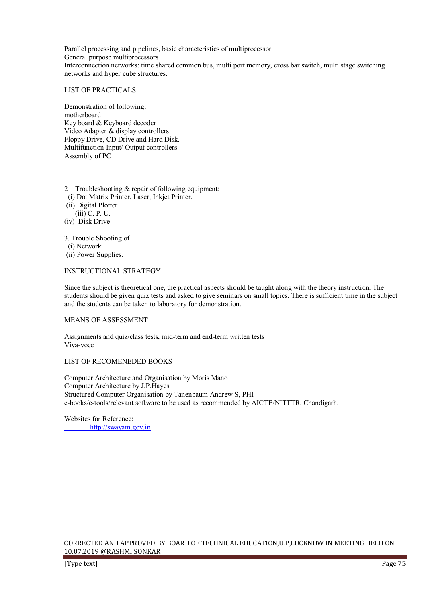Parallel processing and pipelines, basic characteristics of multiprocessor General purpose multiprocessors Interconnection networks: time shared common bus, multi port memory, cross bar switch, multi stage switching networks and hyper cube structures.

#### LIST OF PRACTICALS

Demonstration of following: motherboard Key board & Keyboard decoder Video Adapter & display controllers Floppy Drive, CD Drive and Hard Disk. Multifunction Input/ Output controllers Assembly of PC

- 2 Troubleshooting & repair of following equipment:
- (i) Dot Matrix Printer, Laser, Inkjet Printer.
- (ii) Digital Plotter (iii) C. P. U.
- (iv) Disk Drive

3. Trouble Shooting of

 (i) Network (ii) Power Supplies.

# INSTRUCTIONAL STRATEGY

Since the subject is theoretical one, the practical aspects should be taught along with the theory instruction. The students should be given quiz tests and asked to give seminars on small topics. There is sufficient time in the subject and the students can be taken to laboratory for demonstration.

# MEANS OF ASSESSMENT

Assignments and quiz/class tests, mid-term and end-term written tests Viva-voce

# LIST OF RECOMENEDED BOOKS

Computer Architecture and Organisation by Moris Mano Computer Architecture by J.P.Hayes Structured Computer Organisation by Tanenbaum Andrew S, PHI e-books/e-tools/relevant software to be used as recommended by AICTE/NITTTR, Chandigarh.

Websites for Reference: http://swayam.gov.in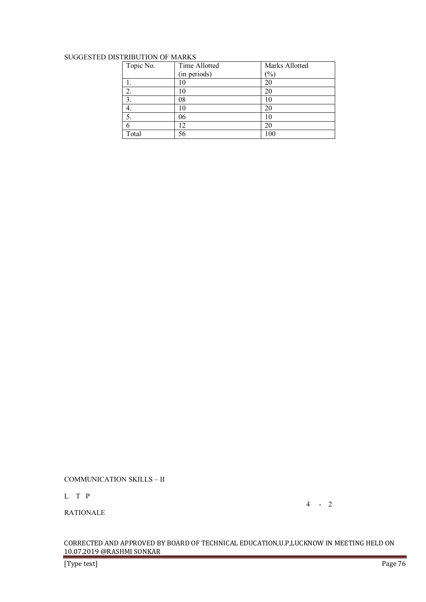# SUGGESTED DISTRIBUTION OF MARKS

| Topic No. | Time Allotted | Marks Allotted |
|-----------|---------------|----------------|
|           | (in periods)  | $\%$           |
|           | 10            | 20             |
| 2.        | 10            | 20             |
| 3.        | 08            | 10             |
| 4.        | 10            | 20             |
|           | 06            | 10             |
|           | 12            | 20             |
| Total     | 56            | 100            |

CORRECTED AND APPROVED BY BOARD OF TECHNICAL EDUCATION,U.P,LUCKNOW IN MEETING HELD ON

COMMUNICATION SKILLS – II

10.07.2019 @RASHMI SONKAR

4 - 2

L T P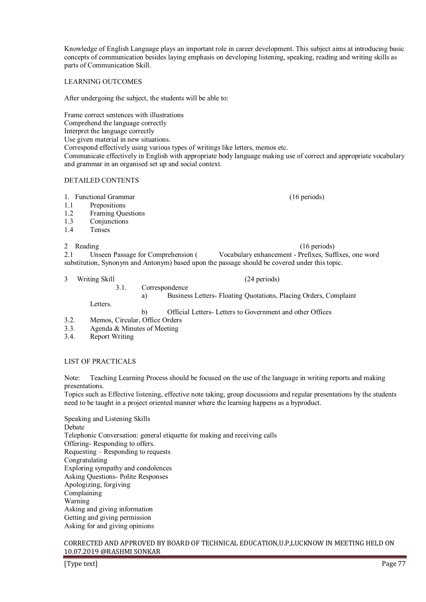Knowledge of English Language plays an important role in career development. This subject aims at introducing basic concepts of communication besides laying emphasis on developing listening, speaking, reading and writing skills as parts of Communication Skill.

#### LEARNING OUTCOMES

After undergoing the subject, the students will be able to:

Frame correct sentences with illustrations Comprehend the language correctly Interpret the language correctly Use given material in new situations.

Correspond effectively using various types of writings like letters, memos etc.

Communicate effectively in English with appropriate body language making use of correct and appropriate vocabulary and grammar in an organised set up and social context.

#### DETAILED CONTENTS

1. Functional Grammar (16 periods)

- 1.1 Prepositions
- 1.2 Framing Questions
- 1.3 Conjunctions
- 1.4 Tenses

2 Reading (16 periods) (16 periods) 2.1 Unseen Passage for Comprehension ( Vocabulary enhancement - Prefixes, Suffixes, one word substitution, Synonym and Antonym) based upon the passage should be covered under this topic.

#### 3 Writing Skill (24 periods)

3.1. Correspondence

Letters.

a) Business Letters- Floating Quotations, Placing Orders, Complaint

b) Official Letters- Letters to Government and other Offices

- 3.2. Memos, Circular, Office Orders
- 3.3. Agenda & Minutes of Meeting
- 3.4. Report Writing

#### LIST OF PRACTICALS

Note: Teaching Learning Process should be focused on the use of the language in writing reports and making presentations.

Topics such as Effective listening, effective note taking, group discussions and regular presentations by the students need to be taught in a project oriented manner where the learning happens as a byproduct.

Speaking and Listening Skills Debate Telephonic Conversation: general etiquette for making and receiving calls Offering- Responding to offers. Requesting – Responding to requests Congratulating Exploring sympathy and condolences Asking Questions- Polite Responses Apologizing, forgiving Complaining Warning Asking and giving information Getting and giving permission Asking for and giving opinions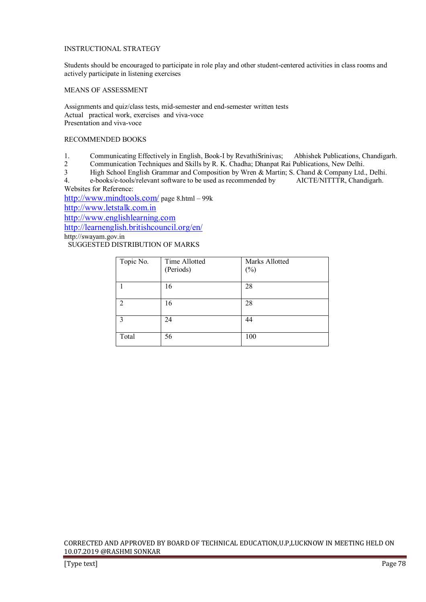# INSTRUCTIONAL STRATEGY

Students should be encouraged to participate in role play and other student-centered activities in class rooms and actively participate in listening exercises

# MEANS OF ASSESSMENT

Assignments and quiz/class tests, mid-semester and end-semester written tests Actual practical work, exercises and viva-voce Presentation and viva-voce

# RECOMMENDED BOOKS

- 1. Communicating Effectively in English, Book-I by RevathiSrinivas; Abhishek Publications, Chandigarh.<br>2. Communication Techniques and Skills by R. K. Chadha: Dhannat Rai Publications, New Delhi
- 2 Communication Techniques and Skills by R. K. Chadha; Dhanpat Rai Publications, New Delhi.

3 High School English Grammar and Composition by Wren & Martin; S. Chand & Company Ltd., Delhi.<br>4. e-books/e-tools/relevant software to be used as recommended by AICTE/NITTR, Chandigarh.

4. e-books/e-tools/relevant software to be used as recommended by Websites for Reference:

http://www.mindtools.com/ page 8.html – 99k

http://www.letstalk.com.in

http://www.englishlearning.com

http://learnenglish.britishcouncil.org/en/

http://swayam.gov.in

SUGGESTED DISTRIBUTION OF MARKS

| Topic No. | Time Allotted<br>(Periods) | Marks Allotted<br>$(\%)$ |
|-----------|----------------------------|--------------------------|
|           | 16                         | 28                       |
| っ         | 16                         | 28                       |
| 3         | 24                         | 44                       |
| Total     | 56                         | 100                      |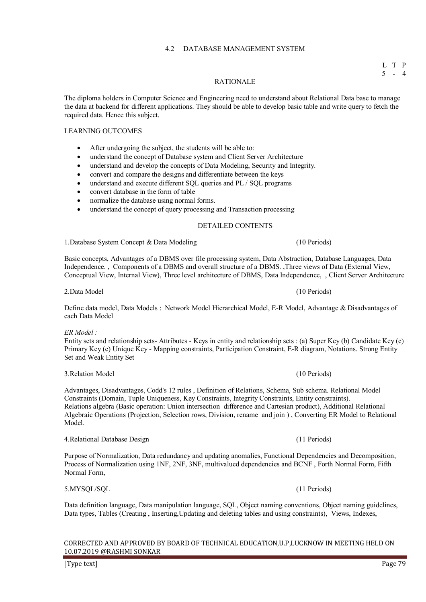# 4.2 DATABASE MANAGEMENT SYSTEM

#### L T P 5 - 4

#### RATIONALE

The diploma holders in Computer Science and Engineering need to understand about Relational Data base to manage the data at backend for different applications. They should be able to develop basic table and write query to fetch the required data. Hence this subject.

# LEARNING OUTCOMES

- After undergoing the subject, the students will be able to:
- understand the concept of Database system and Client Server Architecture
- understand and develop the concepts of Data Modeling, Security and Integrity.
- convert and compare the designs and differentiate between the keys
- understand and execute different SQL queries and PL / SQL programs
- convert database in the form of table
- normalize the database using normal forms.
- understand the concept of query processing and Transaction processing

# DETAILED CONTENTS

1.Database System Concept & Data Modeling (10 Periods)

Basic concepts, Advantages of a DBMS over file processing system, Data Abstraction, Database Languages, Data Independence. , Components of a DBMS and overall structure of a DBMS. ,Three views of Data (External View, Conceptual View, Internal View), Three level architecture of DBMS, Data Independence, , Client Server Architecture

2.Data Model (10 Periods)

Define data model, Data Models : Network Model Hierarchical Model, E-R Model, Advantage & Disadvantages of each Data Model

# *ER Model :*

Entity sets and relationship sets- Attributes - Keys in entity and relationship sets : (a) Super Key (b) Candidate Key (c) Primary Key (e) Unique Key - Mapping constraints, Participation Constraint, E-R diagram, Notations. Strong Entity Set and Weak Entity Set

Advantages, Disadvantages, Codd's 12 rules , Definition of Relations, Schema, Sub schema. Relational Model Constraints (Domain, Tuple Uniqueness, Key Constraints, Integrity Constraints, Entity constraints). Relations algebra (Basic operation: Union intersection difference and Cartesian product), Additional Relational Algebraic Operations (Projection, Selection rows, Division, rename and join ) , Converting ER Model to Relational Model.

#### 4.Relational Database Design (11 Periods)

Purpose of Normalization, Data redundancy and updating anomalies, Functional Dependencies and Decomposition, Process of Normalization using 1NF, 2NF, 3NF, multivalued dependencies and BCNF , Forth Normal Form, Fifth Normal Form,

Data definition language, Data manipulation language, SQL, Object naming conventions, Object naming guidelines, Data types, Tables (Creating , Inserting,Updating and deleting tables and using constraints), Views, Indexes,

CORRECTED AND APPROVED BY BOARD OF TECHNICAL EDUCATION,U.P,LUCKNOW IN MEETING HELD ON 10.07.2019 @RASHMI SONKAR

[Type text] Page 79

3.Relation Model (10 Periods)

5.MYSQL/SQL (11 Periods)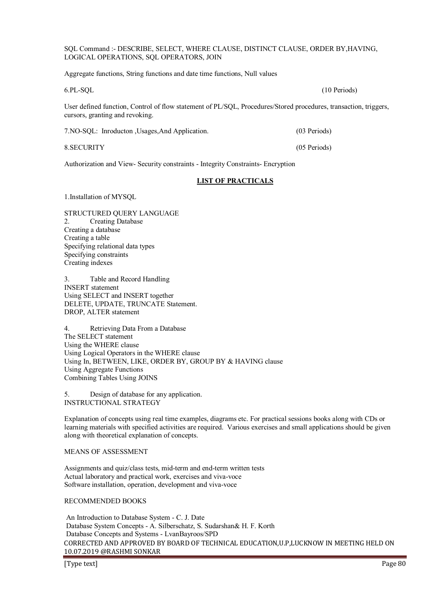SQL Command :- DESCRIBE, SELECT, WHERE CLAUSE, DISTINCT CLAUSE, ORDER BY,HAVING, LOGICAL OPERATIONS, SQL OPERATORS, JOIN

Aggregate functions, String functions and date time functions, Null values

6.PL-SQL (10 Periods)

User defined function, Control of flow statement of PL/SQL, Procedures/Stored procedures, transaction, triggers, cursors, granting and revoking.

| 7. NO-SQL: Inroducton, Usages, And Application. | (03 Periods) |
|-------------------------------------------------|--------------|
|                                                 |              |

8.SECURITY (05 Periods)

Authorization and View- Security constraints - Integrity Constraints- Encryption

# **LIST OF PRACTICALS**

1.Installation of MYSQL

STRUCTURED QUERY LANGUAGE 2. Creating Database Creating a database Creating a table Specifying relational data types Specifying constraints Creating indexes

3. Table and Record Handling INSERT statement Using SELECT and INSERT together DELETE, UPDATE, TRUNCATE Statement. DROP, ALTER statement

4. Retrieving Data From a Database The SELECT statement Using the WHERE clause Using Logical Operators in the WHERE clause Using In, BETWEEN, LIKE, ORDER BY, GROUP BY & HAVING clause Using Aggregate Functions Combining Tables Using JOINS

5. Design of database for any application. INSTRUCTIONAL STRATEGY

Explanation of concepts using real time examples, diagrams etc. For practical sessions books along with CDs or learning materials with specified activities are required. Various exercises and small applications should be given along with theoretical explanation of concepts.

# MEANS OF ASSESSMENT

Assignments and quiz/class tests, mid-term and end-term written tests Actual laboratory and practical work, exercises and viva-voce Software installation, operation, development and viva-voce

RECOMMENDED BOOKS

CORRECTED AND APPROVED BY BOARD OF TECHNICAL EDUCATION,U.P,LUCKNOW IN MEETING HELD ON 10.07.2019 @RASHMI SONKAR An Introduction to Database System - C. J. Date Database System Concepts - A. Silberschatz, S. Sudarshan& H. F. Korth Database Concepts and Systems - LvanBayroos/SPD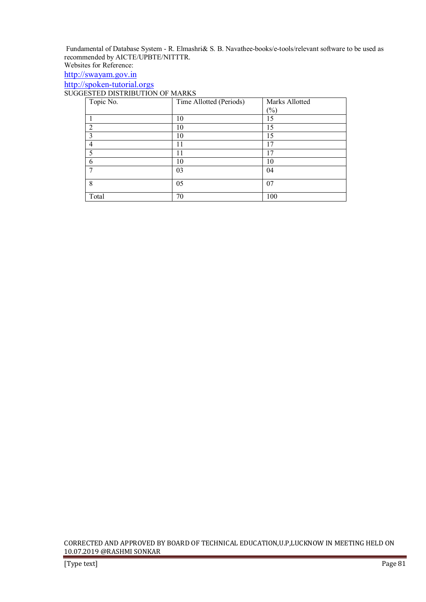Fundamental of Database System - R. Elmashri& S. B. Navathee-books/e-tools/relevant software to be used as recommended by AICTE/UPBTE/NITTTR. Websites for Reference:

http://swayam.gov.in

http://spoken-tutorial.orgs

SUGGESTED DISTRIBUTION OF MARKS

| Topic No.      | Time Allotted (Periods) | Marks Allotted |
|----------------|-------------------------|----------------|
|                |                         | $(\%)$         |
|                | 10                      | 15             |
| $\overline{2}$ | 10                      | 15             |
| 3              | 10                      | 15             |
| 4              | 11                      | 17             |
| 5              | 11                      | 17             |
| 6              | 10                      | 10             |
|                | 03                      | 04             |
| 8              | 05                      | 07             |
| Total          | 70                      | 100            |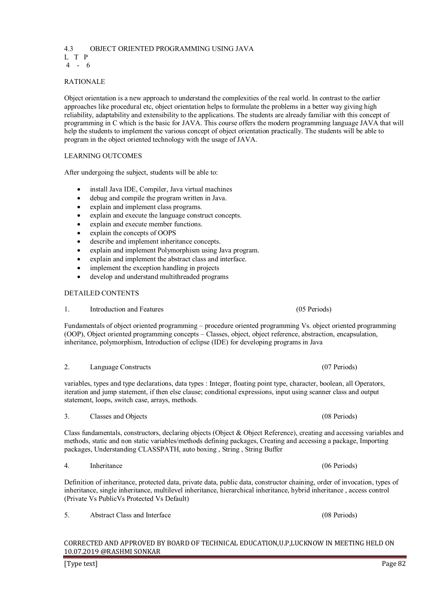# 4.3 OBJECT ORIENTED PROGRAMMING USING JAVA L T P

4 - 6

# RATIONALE

Object orientation is a new approach to understand the complexities of the real world. In contrast to the earlier approaches like procedural etc, object orientation helps to formulate the problems in a better way giving high reliability, adaptability and extensibility to the applications. The students are already familiar with this concept of programming in C which is the basic for JAVA. This course offers the modern programming language JAVA that will help the students to implement the various concept of object orientation practically. The students will be able to program in the object oriented technology with the usage of JAVA.

# LEARNING OUTCOMES

After undergoing the subject, students will be able to:

- install Java IDE, Compiler, Java virtual machines
- debug and compile the program written in Java.
- explain and implement class programs.
- explain and execute the language construct concepts.
- explain and execute member functions.
- explain the concepts of OOPS
- describe and implement inheritance concepts.
- explain and implement Polymorphism using Java program.
- explain and implement the abstract class and interface.
- implement the exception handling in projects
- develop and understand multithreaded programs

# DETAILED CONTENTS

1. Introduction and Features (05 Periods)

Fundamentals of object oriented programming – procedure oriented programming Vs. object oriented programming (OOP), Object oriented programming concepts – Classes, object, object reference, abstraction, encapsulation, inheritance, polymorphism, Introduction of eclipse (IDE) for developing programs in Java

variables, types and type declarations, data types : Integer, floating point type, character, boolean, all Operators, iteration and jump statement, if then else clause; conditional expressions, input using scanner class and output statement, loops, switch case, arrays, methods.

3. Classes and Objects (08 Periods)

Class fundamentals, constructors, declaring objects (Object & Object Reference), creating and accessing variables and methods, static and non static variables/methods defining packages, Creating and accessing a package, Importing packages, Understanding CLASSPATH, auto boxing , String , String Buffer

Definition of inheritance, protected data, private data, public data, constructor chaining, order of invocation, types of inheritance, single inheritance, multilevel inheritance, hierarchical inheritance, hybrid inheritance , access control (Private Vs PublicVs Protected Vs Default)

CORRECTED AND APPROVED BY BOARD OF TECHNICAL EDUCATION,U.P,LUCKNOW IN MEETING HELD ON 10.07.2019 @RASHMI SONKAR

4. Inheritance (06 Periods)

5. Abstract Class and Interface (08 Periods)

# 2. Language Constructs (07 Periods)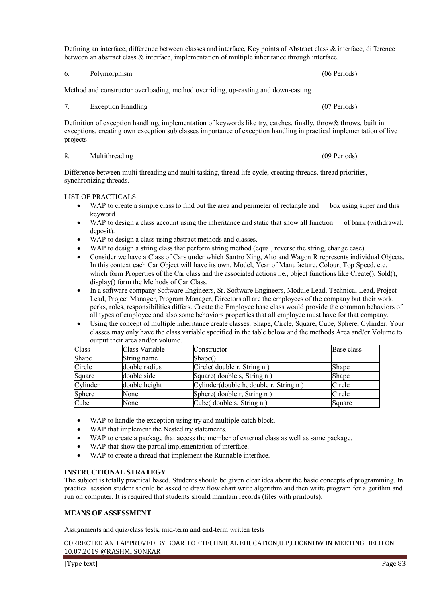Defining an interface, difference between classes and interface, Key points of Abstract class & interface, difference between an abstract class & interface, implementation of multiple inheritance through interface.

Method and constructor overloading, method overriding, up-casting and down-casting.

7. Exception Handling (07 Periods)

Definition of exception handling, implementation of keywords like try, catches, finally, throw& throws, built in exceptions, creating own exception sub classes importance of exception handling in practical implementation of live projects

#### 8. Multithreading (09 Periods)

Difference between multi threading and multi tasking, thread life cycle, creating threads, thread priorities, synchronizing threads.

#### LIST OF PRACTICALS

- WAP to create a simple class to find out the area and perimeter of rectangle and box using super and this keyword.
- WAP to design a class account using the inheritance and static that show all function of bank (withdrawal, deposit).
- WAP to design a class using abstract methods and classes.
- WAP to design a string class that perform string method (equal, reverse the string, change case).
- Consider we have a Class of Cars under which Santro Xing, Alto and Wagon R represents individual Objects. In this context each Car Object will have its own, Model, Year of Manufacture, Colour, Top Speed, etc. which form Properties of the Car class and the associated actions i.e., object functions like Create(), Sold(), display() form the Methods of Car Class.
- In a software company Software Engineers, Sr. Software Engineers, Module Lead, Technical Lead, Project Lead, Project Manager, Program Manager, Directors all are the employees of the company but their work, perks, roles, responsibilities differs. Create the Employee base class would provide the common behaviors of all types of employee and also some behaviors properties that all employee must have for that company.
- Using the concept of multiple inheritance create classes: Shape, Circle, Square, Cube, Sphere, Cylinder. Your classes may only have the class variable specified in the table below and the methods Area and/or Volume to output their area and/or volume.

| Class    | Class Variable | Constructor                            | Base class |
|----------|----------------|----------------------------------------|------------|
| Shape    | String name    | Shape()                                |            |
| Circle   | double radius  | Circle(double r, String n)             | Shape      |
| Square   | double side    | Square(double s, String n)             | Shape      |
| Cylinder | double height  | Cylinder(double h, double r, String n) | Circle     |
| Sphere   | None           | Sphere(double r, String n)             | Circle     |
| Cube     | None           | Cube(double s, String n)               | Square     |

- WAP to handle the exception using try and multiple catch block.
- WAP that implement the Nested try statements.
- WAP to create a package that access the member of external class as well as same package.
- WAP that show the partial implementation of interface.
- WAP to create a thread that implement the Runnable interface.

#### **INSTRUCTIONAL STRATEGY**

The subject is totally practical based. Students should be given clear idea about the basic concepts of programming. In practical session student should be asked to draw flow chart write algorithm and then write program for algorithm and run on computer. It is required that students should maintain records (files with printouts).

#### **MEANS OF ASSESSMENT**

Assignments and quiz/class tests, mid-term and end-term written tests

CORRECTED AND APPROVED BY BOARD OF TECHNICAL EDUCATION,U.P,LUCKNOW IN MEETING HELD ON 10.07.2019 @RASHMI SONKAR

6. Polymorphism (06 Periods)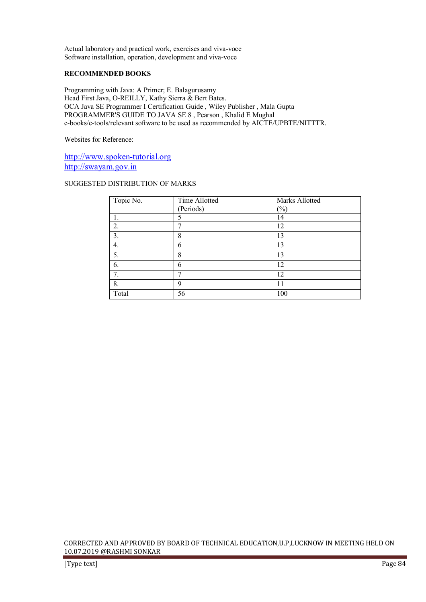Actual laboratory and practical work, exercises and viva-voce Software installation, operation, development and viva-voce

# **RECOMMENDED BOOKS**

Programming with Java: A Primer; E. Balagurusamy Head First Java, O-REILLY, Kathy Sierra & Bert Bates. OCA Java SE Programmer I Certification Guide , Wiley Publisher , Mala Gupta PROGRAMMER'S GUIDE TO JAVA SE 8 , Pearson , Khalid E Mughal e-books/e-tools/relevant software to be used as recommended by AICTE/UPBTE/NITTTR.

Websites for Reference:

http://www.spoken-tutorial.org http://swayam.gov.in

## SUGGESTED DISTRIBUTION OF MARKS

| Topic No. | Time Allotted | Marks Allotted |
|-----------|---------------|----------------|
|           | (Periods)     | $(\%)$         |
|           | 5             | 14             |
| 2.        | π             | 12             |
| 3.        | 8             | 13             |
| 4.        | 6             | 13             |
| 5.        | 8             | 13             |
| 6.        | 6             | 12             |
| 7.        | ┑             | 12             |
| 8.        | 9             | 11             |
| Total     | 56            | 100            |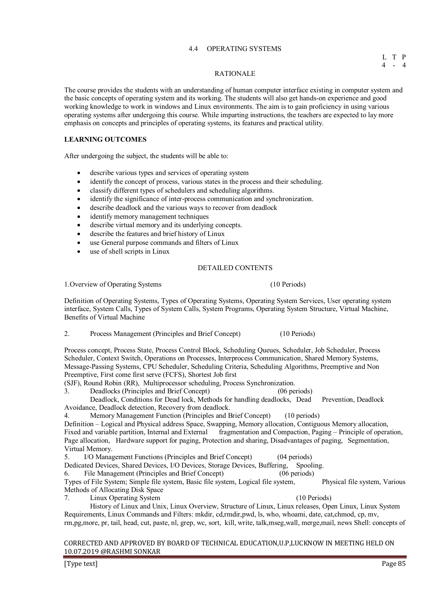#### 4.4 OPERATING SYSTEMS

#### RATIONALE

The course provides the students with an understanding of human computer interface existing in computer system and the basic concepts of operating system and its working. The students will also get hands-on experience and good working knowledge to work in windows and Linux environments. The aim is to gain proficiency in using various operating systems after undergoing this course. While imparting instructions, the teachers are expected to lay more emphasis on concepts and principles of operating systems, its features and practical utility.

# **LEARNING OUTCOMES**

After undergoing the subject, the students will be able to:

- describe various types and services of operating system
- identify the concept of process, various states in the process and their scheduling.
- classify different types of schedulers and scheduling algorithms.
- identify the significance of inter-process communication and synchronization.
- describe deadlock and the various ways to recover from deadlock
- identify memory management techniques
- describe virtual memory and its underlying concepts.
- describe the features and brief history of Linux
- use General purpose commands and filters of Linux
- use of shell scripts in Linux

#### DETAILED CONTENTS

1.Overview of Operating Systems (10 Periods)

Definition of Operating Systems, Types of Operating Systems, Operating System Services, User operating system interface, System Calls, Types of System Calls, System Programs, Operating System Structure, Virtual Machine, Benefits of Virtual Machine

2. Process Management (Principles and Brief Concept) (10 Periods)

Process concept, Process State, Process Control Block, Scheduling Queues, Scheduler, Job Scheduler, Process Scheduler, Context Switch, Operations on Processes, Interprocess Communication, Shared Memory Systems, Message-Passing Systems, CPU Scheduler, Scheduling Criteria, Scheduling Algorithms, Preemptive and Non Preemptive, First come first serve (FCFS), Shortest Job first

(SJF), Round Robin (RR), Multiprocessor scheduling, Process Synchronization.

3. Deadlocks (Principles and Brief Concept) (06 periods)

Deadlock, Conditions for Dead lock, Methods for handling deadlocks, Dead Prevention, Deadlock Avoidance, Deadlock detection, Recovery from deadlock.

4. Memory Management Function (Principles and Brief Concept) (10 periods)

Definition – Logical and Physical address Space, Swapping, Memory allocation, Contiguous Memory allocation, Fixed and variable partition, Internal and External fragmentation and Compaction, Paging – Principle of operation, Page allocation, Hardware support for paging, Protection and sharing, Disadvantages of paging, Segmentation, Virtual Memory.

5. I/O Management Functions (Principles and Brief Concept) (04 periods)

Dedicated Devices, Shared Devices, I/O Devices, Storage Devices, Buffering, Spooling.

6. File Management (Principles and Brief Concept) (06 periods)

Types of File System; Simple file system, Basic file system, Logical file system, Physical file system, Various Methods of Allocating Disk Space

7. Linux Operating System (10 Periods)

 History of Linux and Unix, Linux Overview, Structure of Linux, Linux releases, Open Linux, Linux System Requirements, Linux Commands and Filters: mkdir, cd,rmdir,pwd, ls, who, whoami, date, cat,chmod, cp, mv, rm,pg,more, pr, tail, head, cut, paste, nl, grep, wc, sort, kill, write, talk,mseg,wall, merge,mail, news Shell: concepts of

#### CORRECTED AND APPROVED BY BOARD OF TECHNICAL EDUCATION,U.P,LUCKNOW IN MEETING HELD ON 10.07.2019 @RASHMI SONKAR

[Type text] Page 85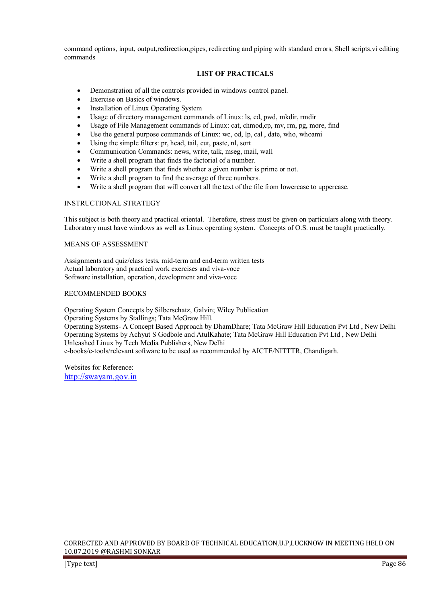command options, input, output,redirection,pipes, redirecting and piping with standard errors, Shell scripts, vi editing commands

# **LIST OF PRACTICALS**

- Demonstration of all the controls provided in windows control panel.
- Exercise on Basics of windows.
- Installation of Linux Operating System
- Usage of directory management commands of Linux: ls, cd, pwd, mkdir, rmdir
- Usage of File Management commands of Linux: cat, chmod,cp, mv, rm, pg, more, find
- Use the general purpose commands of Linux: wc, od, lp, cal, date, who, whoami
- Using the simple filters: pr, head, tail, cut, paste, nl, sort
- Communication Commands: news, write, talk, mseg, mail, wall
- Write a shell program that finds the factorial of a number.
- Write a shell program that finds whether a given number is prime or not.
- Write a shell program to find the average of three numbers.
- Write a shell program that will convert all the text of the file from lowercase to uppercase.

#### INSTRUCTIONAL STRATEGY

This subject is both theory and practical oriental. Therefore, stress must be given on particulars along with theory. Laboratory must have windows as well as Linux operating system. Concepts of O.S. must be taught practically.

#### MEANS OF ASSESSMENT

Assignments and quiz/class tests, mid-term and end-term written tests Actual laboratory and practical work exercises and viva-voce Software installation, operation, development and viva-voce

# RECOMMENDED BOOKS

Operating System Concepts by Silberschatz, Galvin; Wiley Publication Operating Systems by Stallings; Tata McGraw Hill. Operating Systems- A Concept Based Approach by DhamDhare; Tata McGraw Hill Education Pvt Ltd , New Delhi Operating Systems by Achyut S Godbole and AtulKahate; Tata McGraw Hill Education Pvt Ltd , New Delhi Unleashed Linux by Tech Media Publishers, New Delhi e-books/e-tools/relevant software to be used as recommended by AICTE/NITTTR, Chandigarh.

Websites for Reference: http://swayam.gov.in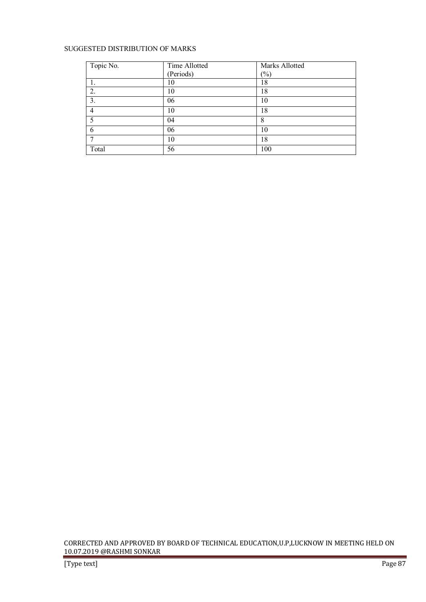# SUGGESTED DISTRIBUTION OF MARKS

| Topic No. | Time Allotted | Marks Allotted |
|-----------|---------------|----------------|
|           | (Periods)     | $(\%)$         |
|           | 10            | 18             |
| 2.        | 10            | 18             |
| 3.        | 06            | 10             |
| 4         | 10            | 18             |
| 5         | 04            | 8              |
| 6         | 06            | 10             |
|           | 10            | 18             |
| Total     | 56            | 100            |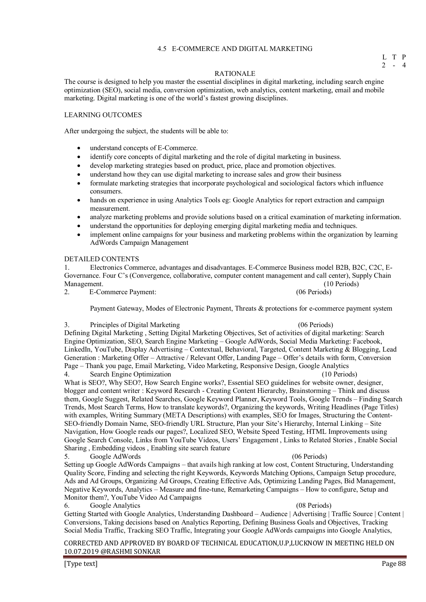# 4.5 E-COMMERCE AND DIGITAL MARKETING

#### RATIONALE

The course is designed to help you master the essential disciplines in digital marketing, including search engine optimization (SEO), social media, conversion optimization, web analytics, content marketing, email and mobile marketing. Digital marketing is one of the world's fastest growing disciplines.

#### LEARNING OUTCOMES

After undergoing the subject, the students will be able to:

- understand concepts of E-Commerce.
- identify core concepts of digital marketing and the role of digital marketing in business.
- develop marketing strategies based on product, price, place and promotion objectives.
- understand how they can use digital marketing to increase sales and grow their business
- formulate marketing strategies that incorporate psychological and sociological factors which influence consumers.
- hands on experience in using Analytics Tools eg: Google Analytics for report extraction and campaign measurement.
- analyze marketing problems and provide solutions based on a critical examination of marketing information.
- understand the opportunities for deploying emerging digital marketing media and techniques.
- implement online campaigns for your business and marketing problems within the organization by learning AdWords Campaign Management

#### DETAILED CONTENTS

1. Electronics Commerce, advantages and disadvantages. E-Commerce Business model B2B, B2C, C2C, E-Governance. Four C's (Convergence, collaborative, computer content management and call center), Supply Chain Management. (10 Periods) (10 Periods) (10 Periods) (10 Periods) (10 Periods) (10 Periods) (10 Periods) (10 Periods) (10 Periods) (10 Periods) (10 Periods) (10 Periods) (10 Periods) (10 Periods) (10 Periods) (10 Periods) (1

2. E-Commerce Payment:

Payment Gateway, Modes of Electronic Payment, Threats & protections for e-commerce payment system

#### 3. Principles of Digital Marketing (06 Periods)

Defining Digital Marketing , Setting Digital Marketing Objectives, Set of activities of digital marketing: Search Engine Optimization, SEO, Search Engine Marketing – Google AdWords, Social Media Marketing: Facebook, LinkedIn, YouTube, Display Advertising – Contextual, Behavioral, Targeted, Content Marketing & Blogging, Lead Generation : Marketing Offer – Attractive / Relevant Offer, Landing Page – Offer's details with form, Conversion Page – Thank you page, Email Marketing, Video Marketing, Responsive Design, Google Analytics Search Engine Optimization

What is SEO?, Why SEO?, How Search Engine works?, Essential SEO guidelines for website owner, designer, blogger and content writer : Keyword Research - Creating Content Hierarchy, Brainstorming – Think and discuss them, Google Suggest, Related Searches, Google Keyword Planner, Keyword Tools, Google Trends – Finding Search Trends, Most Search Terms, How to translate keywords?, Organizing the keywords, Writing Headlines (Page Titles) with examples, Writing Summary (META Descriptions) with examples, SEO for Images, Structuring the Content-SEO-friendly Domain Name, SEO-friendly URL Structure, Plan your Site's Hierarchy, Internal Linking – Site Navigation, How Google reads our pages?, Localized SEO, Website Speed Testing, HTML Improvements using Google Search Console, Links from YouTube Videos, Users' Engagement , Links to Related Stories , Enable Social Sharing , Embedding videos , Enabling site search feature

5. Google AdWords (06 Periods)

Setting up Google AdWords Campaigns – that avails high ranking at low cost, Content Structuring, Understanding Quality Score, Finding and selecting the right Keywords, Keywords Matching Options, Campaign Setup procedure, Ads and Ad Groups, Organizing Ad Groups, Creating Effective Ads, Optimizing Landing Pages, Bid Management, Negative Keywords, Analytics – Measure and fine-tune, Remarketing Campaigns – How to configure, Setup and Monitor them?, YouTube Video Ad Campaigns

6. Google Analytics (08 Periods)

Getting Started with Google Analytics, Understanding Dashboard – Audience | Advertising | Traffic Source | Content | Conversions, Taking decisions based on Analytics Reporting, Defining Business Goals and Objectives, Tracking Social Media Traffic, Tracking SEO Traffic, Integrating your Google AdWords campaigns into Google Analytics,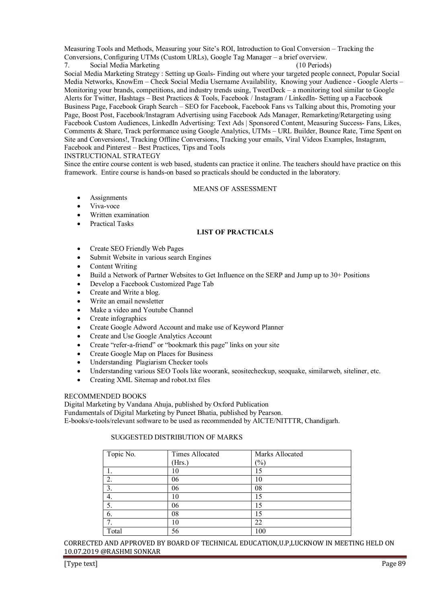Measuring Tools and Methods, Measuring your Site's ROI, Introduction to Goal Conversion – Tracking the Conversions, Configuring UTMs (Custom URLs), Google Tag Manager – a brief overview.

7. Social Media Marketing (10 Periods)

Social Media Marketing Strategy : Setting up Goals- Finding out where your targeted people connect, Popular Social Media Networks, KnowEm – Check Social Media Username Availability, Knowing your Audience - Google Alerts – Monitoring your brands, competitions, and industry trends using, TweetDeck – a monitoring tool similar to Google Alerts for Twitter, Hashtags – Best Practices & Tools, Facebook / Instagram / LinkedIn- Setting up a Facebook Business Page, Facebook Graph Search – SEO for Facebook, Facebook Fans vs Talking about this, Promoting your Page, Boost Post, Facebook/Instagram Advertising using Facebook Ads Manager, Remarketing/Retargeting using Facebook Custom Audiences, LinkedIn Advertising: Text Ads | Sponsored Content, Measuring Success- Fans, Likes, Comments & Share, Track performance using Google Analytics, UTMs – URL Builder, Bounce Rate, Time Spent on Site and Conversions!, Tracking Offline Conversions, Tracking your emails, Viral Videos Examples, Instagram, Facebook and Pinterest – Best Practices, Tips and Tools

INSTRUCTIONAL STRATEGY

Since the entire course content is web based, students can practice it online. The teachers should have practice on this framework. Entire course is hands-on based so practicals should be conducted in the laboratory.

#### MEANS OF ASSESSMENT

- **Assignments**
- Viva-voce
- Written examination
- Practical Tasks

# **LIST OF PRACTICALS**

- Create SEO Friendly Web Pages
- Submit Website in various search Engines
- Content Writing
- Build a Network of Partner Websites to Get Influence on the SERP and Jump up to 30+ Positions
- Develop a Facebook Customized Page Tab
- Create and Write a blog.
- Write an email newsletter
- Make a video and Youtube Channel
- Create infographics
- Create Google Adword Account and make use of Keyword Planner
- Create and Use Google Analytics Account
- Create "refer-a-friend" or "bookmark this page" links on your site
- Create Google Map on Places for Business
- Understanding Plagiarism Checker tools
- Understanding various SEO Tools like woorank, seositecheckup, seoquake, similarweb, siteliner, etc.
- Creating XML Sitemap and robot.txt files

# RECOMMENDED BOOKS

Digital Marketing by Vandana Ahuja, published by Oxford Publication

Fundamentals of Digital Marketing by Puneet Bhatia, published by Pearson.

E-books/e-tools/relevant software to be used as recommended by AICTE/NITTTR, Chandigarh.

# SUGGESTED DISTRIBUTION OF MARKS

| Topic No. | <b>Times Allocated</b> | Marks Allocated |  |
|-----------|------------------------|-----------------|--|
|           | (Hrs.)                 | $(\%)$          |  |
|           | 10                     | 15              |  |
| 2.        | 06                     | 10              |  |
| 3.        | 06                     | 08              |  |
| 4.        | 10                     | 15              |  |
| 5.        | 06                     | 15              |  |
| 6.        | 08                     | 15              |  |
| 7         | 10                     | 22              |  |
| Total     | 56                     | 100             |  |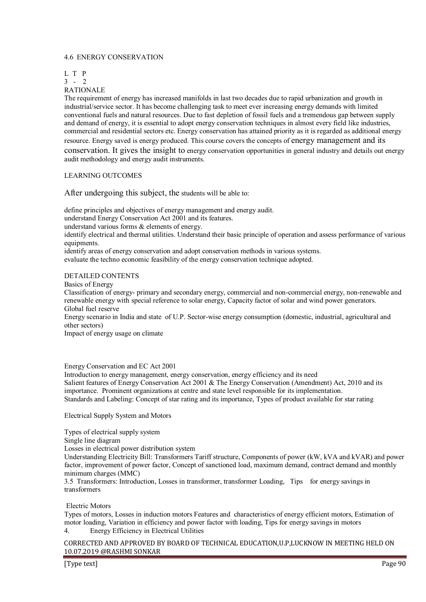#### 4.6 ENERGY CONSERVATION

L T P

3 - 2

RATIONALE

The requirement of energy has increased manifolds in last two decades due to rapid urbanization and growth in industrial/service sector. It has become challenging task to meet ever increasing energy demands with limited conventional fuels and natural resources. Due to fast depletion of fossil fuels and a tremendous gap between supply and demand of energy, it is essential to adopt energy conservation techniques in almost every field like industries, commercial and residential sectors etc. Energy conservation has attained priority as it is regarded as additional energy resource. Energy saved is energy produced. This course covers the concepts of energy management and its conservation. It gives the insight to energy conservation opportunities in general industry and details out energy audit methodology and energy audit instruments.

### LEARNING OUTCOMES

After undergoing this subject, the students will be able to:

define principles and objectives of energy management and energy audit.

understand Energy Conservation Act 2001 and its features.

understand various forms & elements of energy.

identify electrical and thermal utilities. Understand their basic principle of operation and assess performance of various equipments.

identify areas of energy conservation and adopt conservation methods in various systems.

evaluate the techno economic feasibility of the energy conservation technique adopted.

#### DETAILED CONTENTS

Basics of Energy

Classification of energy- primary and secondary energy, commercial and non-commercial energy, non-renewable and renewable energy with special reference to solar energy, Capacity factor of solar and wind power generators. Global fuel reserve

Energy scenario in India and state of U.P. Sector-wise energy consumption (domestic, industrial, agricultural and other sectors)

Impact of energy usage on climate

#### Energy Conservation and EC Act 2001

Introduction to energy management, energy conservation, energy efficiency and its need Salient features of Energy Conservation Act 2001 & The Energy Conservation (Amendment) Act, 2010 and its importance. Prominent organizations at centre and state level responsible for its implementation. Standards and Labeling: Concept of star rating and its importance, Types of product available for star rating

Electrical Supply System and Motors

Types of electrical supply system

Single line diagram

Losses in electrical power distribution system

Understanding Electricity Bill: Transformers Tariff structure, Components of power (kW, kVA and kVAR) and power factor, improvement of power factor, Concept of sanctioned load, maximum demand, contract demand and monthly minimum charges (MMC)

3.5 Transformers: Introduction, Losses in transformer, transformer Loading, Tips for energy savings in transformers

Electric Motors

Types of motors, Losses in induction motors Features and characteristics of energy efficient motors, Estimation of motor loading, Variation in efficiency and power factor with loading, Tips for energy savings in motors 4. Energy Efficiency in Electrical Utilities

CORRECTED AND APPROVED BY BOARD OF TECHNICAL EDUCATION,U.P,LUCKNOW IN MEETING HELD ON 10.07.2019 @RASHMI SONKAR

[Type text] Page 90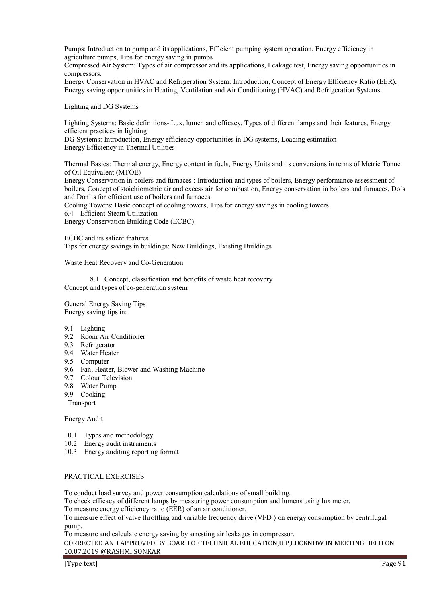Pumps: Introduction to pump and its applications, Efficient pumping system operation, Energy efficiency in agriculture pumps, Tips for energy saving in pumps

Compressed Air System: Types of air compressor and its applications, Leakage test, Energy saving opportunities in compressors.

Energy Conservation in HVAC and Refrigeration System: Introduction, Concept of Energy Efficiency Ratio (EER), Energy saving opportunities in Heating, Ventilation and Air Conditioning (HVAC) and Refrigeration Systems.

Lighting and DG Systems

Lighting Systems: Basic definitions- Lux, lumen and efficacy, Types of different lamps and their features, Energy efficient practices in lighting

DG Systems: Introduction, Energy efficiency opportunities in DG systems, Loading estimation Energy Efficiency in Thermal Utilities

Thermal Basics: Thermal energy, Energy content in fuels, Energy Units and its conversions in terms of Metric Tonne of Oil Equivalent (MTOE)

Energy Conservation in boilers and furnaces : Introduction and types of boilers, Energy performance assessment of boilers, Concept of stoichiometric air and excess air for combustion, Energy conservation in boilers and furnaces, Do's and Don'ts for efficient use of boilers and furnaces

Cooling Towers: Basic concept of cooling towers, Tips for energy savings in cooling towers

6.4 Efficient Steam Utilization

Energy Conservation Building Code (ECBC)

ECBC and its salient features Tips for energy savings in buildings: New Buildings, Existing Buildings

Waste Heat Recovery and Co-Generation

 8.1 Concept, classification and benefits of waste heat recovery Concept and types of co-generation system

General Energy Saving Tips Energy saving tips in:

- 9.1 Lighting
- 9.2 Room Air Conditioner
- 9.3 Refrigerator
- 9.4 Water Heater
- 9.5 Computer
- 9.6 Fan, Heater, Blower and Washing Machine
- 9.7 Colour Television
- 9.8 Water Pump
- 9.9 Cooking
- Transport

Energy Audit

- 10.1 Types and methodology
- 10.2 Energy audit instruments
- 10.3 Energy auditing reporting format

#### PRACTICAL EXERCISES

To conduct load survey and power consumption calculations of small building.

To check efficacy of different lamps by measuring power consumption and lumens using lux meter.

To measure energy efficiency ratio (EER) of an air conditioner.

To measure effect of valve throttling and variable frequency drive (VFD ) on energy consumption by centrifugal pump.

To measure and calculate energy saving by arresting air leakages in compressor.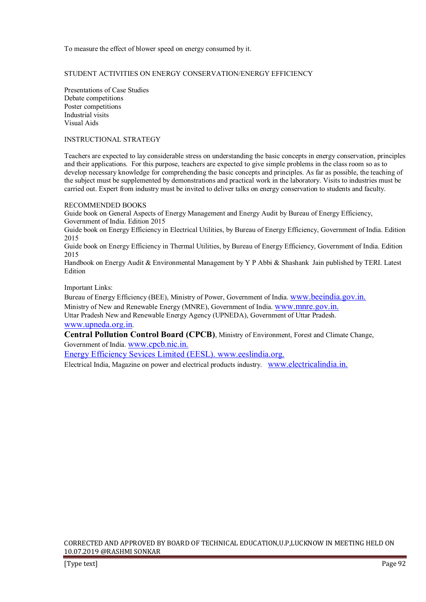To measure the effect of blower speed on energy consumed by it.

# STUDENT ACTIVITIES ON ENERGY CONSERVATION/ENERGY EFFICIENCY

Presentations of Case Studies Debate competitions Poster competitions Industrial visits Visual Aids

### INSTRUCTIONAL STRATEGY

Teachers are expected to lay considerable stress on understanding the basic concepts in energy conservation, principles and their applications. For this purpose, teachers are expected to give simple problems in the class room so as to develop necessary knowledge for comprehending the basic concepts and principles. As far as possible, the teaching of the subject must be supplemented by demonstrations and practical work in the laboratory. Visits to industries must be carried out. Expert from industry must be invited to deliver talks on energy conservation to students and faculty.

# RECOMMENDED BOOKS

Guide book on General Aspects of Energy Management and Energy Audit by Bureau of Energy Efficiency, Government of India. Edition 2015

Guide book on Energy Efficiency in Electrical Utilities, by Bureau of Energy Efficiency, Government of India. Edition 2015

Guide book on Energy Efficiency in Thermal Utilities, by Bureau of Energy Efficiency, Government of India. Edition 2015

Handbook on Energy Audit & Environmental Management by Y P Abbi & Shashank Jain published by TERI. Latest **Edition** 

#### Important Links:

Bureau of Energy Efficiency (BEE), Ministry of Power, Government of India. www.beeindia.gov.in. Ministry of New and Renewable Energy (MNRE), Government of India. www.mnre.gov.in.

Uttar Pradesh New and Renewable Energy Agency (UPNEDA), Government of Uttar Pradesh. www.upneda.org.in.

**Central Pollution Control Board (CPCB)**, Ministry of Environment, Forest and Climate Change, Government of India. www.cpcb.nic.in.

Energy Efficiency Sevices Limited (EESL). www.eeslindia.org.

Electrical India, Magazine on power and electrical products industry. www.electricalindia.in.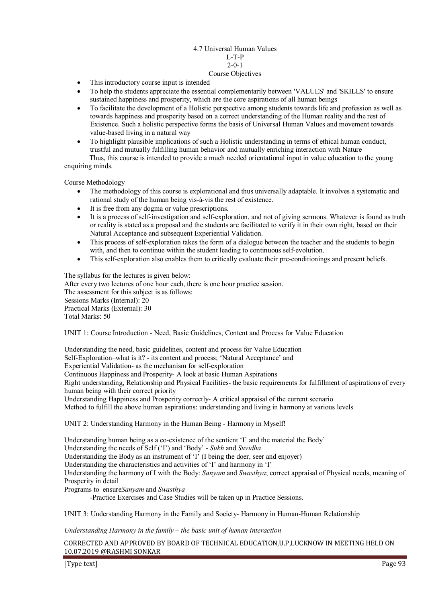#### 4.7 Universal Human Values L-T-P  $2-0-1$ Course Objectives

- This introductory course input is intended
- To help the students appreciate the essential complementarily between 'VALUES' and 'SKILLS' to ensure sustained happiness and prosperity, which are the core aspirations of all human beings
- To facilitate the development of a Holistic perspective among students towards life and profession as well as towards happiness and prosperity based on a correct understanding of the Human reality and the rest of Existence. Such a holistic perspective forms the basis of Universal Human Values and movement towards value-based living in a natural way
- To highlight plausible implications of such a Holistic understanding in terms of ethical human conduct, trustful and mutually fulfilling human behavior and mutually enriching interaction with Nature

 Thus, this course is intended to provide a much needed orientational input in value education to the young enquiring minds.

Course Methodology

- The methodology of this course is explorational and thus universally adaptable. It involves a systematic and rational study of the human being vis-à-vis the rest of existence.
- It is free from any dogma or value prescriptions.
- It is a process of self-investigation and self-exploration, and not of giving sermons. Whatever is found as truth or reality is stated as a proposal and the students are facilitated to verify it in their own right, based on their Natural Acceptance and subsequent Experiential Validation.
- This process of self-exploration takes the form of a dialogue between the teacher and the students to begin with, and then to continue within the student leading to continuous self-evolution.
- This self-exploration also enables them to critically evaluate their pre-conditionings and present beliefs.

The syllabus for the lectures is given below: After every two lectures of one hour each, there is one hour practice session. The assessment for this subject is as follows: Sessions Marks (Internal): 20 Practical Marks (External): 30 Total Marks: 50

UNIT 1: Course Introduction - Need, Basic Guidelines, Content and Process for Value Education

Understanding the need, basic guidelines, content and process for Value Education

Self-Exploration–what is it? - its content and process; 'Natural Acceptance' and

Experiential Validation- as the mechanism for self-exploration

Continuous Happiness and Prosperity- A look at basic Human Aspirations

Right understanding, Relationship and Physical Facilities- the basic requirements for fulfillment of aspirations of every human being with their correct priority

Understanding Happiness and Prosperity correctly- A critical appraisal of the current scenario

Method to fulfill the above human aspirations: understanding and living in harmony at various levels

UNIT 2: Understanding Harmony in the Human Being - Harmony in Myself!

Understanding human being as a co-existence of the sentient 'I' and the material the Body'

Understanding the needs of Self ('I') and 'Body' - *Sukh* and *Suvidha* 

Understanding the Body as an instrument of 'I' (I being the doer, seer and enjoyer)

Understanding the characteristics and activities of 'I' and harmony in 'I'

Understanding the harmony of I with the Body: *Sanyam* and *Swasthya*; correct appraisal of Physical needs, meaning of Prosperity in detail

Programs to ensure*Sanyam* and *Swasthya*

-Practice Exercises and Case Studies will be taken up in Practice Sessions.

UNIT 3: Understanding Harmony in the Family and Society- Harmony in Human-Human Relationship

*Understanding Harmony in the family – the basic unit of human interaction* 

CORRECTED AND APPROVED BY BOARD OF TECHNICAL EDUCATION,U.P,LUCKNOW IN MEETING HELD ON 10.07.2019 @RASHMI SONKAR

[Type text] Page 93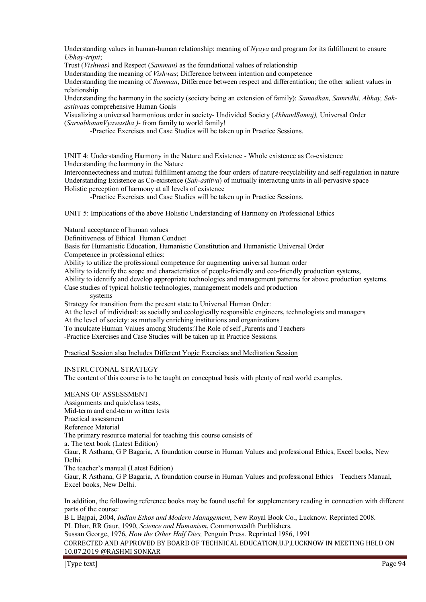Understanding values in human-human relationship; meaning of *Nyaya* and program for its fulfillment to ensure *Ubhay-tripti*;

Trust (*Vishwas)* and Respect (*Samman)* as the foundational values of relationship

Understanding the meaning of *Vishwas*; Difference between intention and competence

Understanding the meaning of *Samman*, Difference between respect and differentiation; the other salient values in relationship

Understanding the harmony in the society (society being an extension of family): *Samadhan, Samridhi, Abhay, Sahastitva*as comprehensive Human Goals

Visualizing a universal harmonious order in society- Undivided Society (*AkhandSamaj),* Universal Order (*SarvabhaumVyawastha )*- from family to world family!

-Practice Exercises and Case Studies will be taken up in Practice Sessions.

UNIT 4: Understanding Harmony in the Nature and Existence - Whole existence as Co-existence Understanding the harmony in the Nature

Interconnectedness and mutual fulfillment among the four orders of nature-recyclability and self-regulation in nature Understanding Existence as Co-existence (*Sah-astitva*) of mutually interacting units in all-pervasive space Holistic perception of harmony at all levels of existence

-Practice Exercises and Case Studies will be taken up in Practice Sessions.

UNIT 5: Implications of the above Holistic Understanding of Harmony on Professional Ethics

Natural acceptance of human values

Definitiveness of Ethical Human Conduct

Basis for Humanistic Education, Humanistic Constitution and Humanistic Universal Order

Competence in professional ethics:

Ability to utilize the professional competence for augmenting universal human order

Ability to identify the scope and characteristics of people-friendly and eco-friendly production systems,

Ability to identify and develop appropriate technologies and management patterns for above production systems.

Case studies of typical holistic technologies, management models and production

systems

Strategy for transition from the present state to Universal Human Order:

At the level of individual: as socially and ecologically responsible engineers, technologists and managers

At the level of society: as mutually enriching institutions and organizations

To inculcate Human Values among Students:The Role of self ,Parents and Teachers

-Practice Exercises and Case Studies will be taken up in Practice Sessions.

Practical Session also Includes Different Yogic Exercises and Meditation Session

INSTRUCTONAL STRATEGY

The content of this course is to be taught on conceptual basis with plenty of real world examples.

MEANS OF ASSESSMENT Assignments and quiz/class tests, Mid-term and end-term written tests Practical assessment Reference Material The primary resource material for teaching this course consists of a. The text book (Latest Edition) Gaur, R Asthana, G P Bagaria, A foundation course in Human Values and professional Ethics, Excel books, New Delhi. The teacher's manual (Latest Edition)

Gaur, R Asthana, G P Bagaria, A foundation course in Human Values and professional Ethics – Teachers Manual, Excel books, New Delhi.

In addition, the following reference books may be found useful for supplementary reading in connection with different parts of the course:

B L Bajpai, 2004, *Indian Ethos and Modern Management*, New Royal Book Co., Lucknow. Reprinted 2008. PL Dhar, RR Gaur, 1990, *Science and Humanism*, Commonwealth Purblishers. Sussan George, 1976, *How the Other Half Dies,* Penguin Press. Reprinted 1986, 1991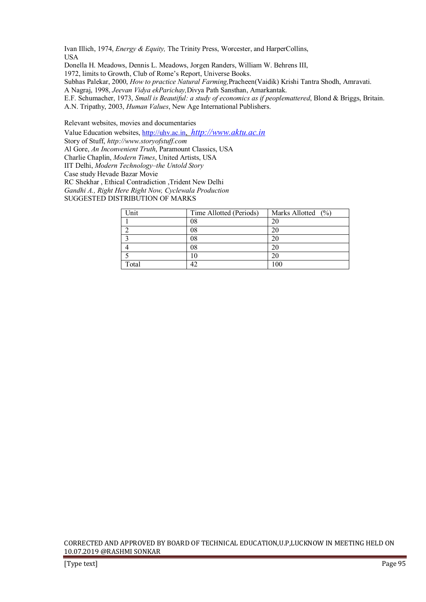Ivan Illich, 1974, *Energy & Equity,* The Trinity Press, Worcester, and HarperCollins, USA

Donella H. Meadows, Dennis L. Meadows, Jorgen Randers, William W. Behrens III,

1972, limits to Growth, Club of Rome's Report, Universe Books.

Subhas Palekar, 2000, *How to practice Natural Farming,*Pracheen(Vaidik) Krishi Tantra Shodh, Amravati.

A Nagraj, 1998, *Jeevan Vidya ekParichay,*Divya Path Sansthan, Amarkantak.

E.F. Schumacher, 1973, *Small is Beautiful: a study of economics as if peoplemattered*, Blond & Briggs, Britain. A.N. Tripathy, 2003, *Human Values*, New Age International Publishers.

Relevant websites, movies and documentaries

Value Education websites, http://uhv.ac.in, *http://www.aktu.ac.in* Story of Stuff, *http://www.storyofstuff.com* Al Gore, *An Inconvenient Truth*, Paramount Classics, USA Charlie Chaplin, *Modern Times*, United Artists, USA IIT Delhi, *Modern Technology–the Untold Story* Case study Hevade Bazar Movie RC Shekhar , Ethical Contradiction ,Trident New Delhi *Gandhi A., Right Here Right Now, Cyclewala Production* SUGGESTED DISTRIBUTION OF MARKS

| Unit  | Time Allotted (Periods) | Marks Allotted $(%$ |
|-------|-------------------------|---------------------|
|       | 08                      | 20                  |
|       | 08                      | 20                  |
|       | 08                      | 20                  |
|       | 08                      | 20                  |
|       |                         | 20                  |
| Total |                         |                     |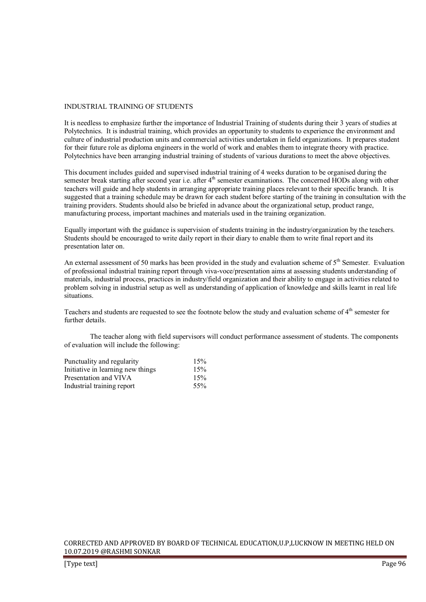#### INDUSTRIAL TRAINING OF STUDENTS

It is needless to emphasize further the importance of Industrial Training of students during their 3 years of studies at Polytechnics. It is industrial training, which provides an opportunity to students to experience the environment and culture of industrial production units and commercial activities undertaken in field organizations. It prepares student for their future role as diploma engineers in the world of work and enables them to integrate theory with practice. Polytechnics have been arranging industrial training of students of various durations to meet the above objectives.

This document includes guided and supervised industrial training of 4 weeks duration to be organised during the semester break starting after second year i.e. after 4<sup>th</sup> semester examinations. The concerned HODs along with other teachers will guide and help students in arranging appropriate training places relevant to their specific branch. It is suggested that a training schedule may be drawn for each student before starting of the training in consultation with the training providers. Students should also be briefed in advance about the organizational setup, product range, manufacturing process, important machines and materials used in the training organization.

Equally important with the guidance is supervision of students training in the industry/organization by the teachers. Students should be encouraged to write daily report in their diary to enable them to write final report and its presentation later on.

An external assessment of 50 marks has been provided in the study and evaluation scheme of  $5<sup>th</sup>$  Semester. Evaluation of professional industrial training report through viva-voce/presentation aims at assessing students understanding of materials, industrial process, practices in industry/field organization and their ability to engage in activities related to problem solving in industrial setup as well as understanding of application of knowledge and skills learnt in real life situations.

Teachers and students are requested to see the footnote below the study and evaluation scheme of 4<sup>th</sup> semester for further details.

 The teacher along with field supervisors will conduct performance assessment of students. The components of evaluation will include the following:

| Punctuality and regularity        | 15% |
|-----------------------------------|-----|
| Initiative in learning new things | 15% |
| Presentation and VIVA             | 15% |
| Industrial training report        | 55% |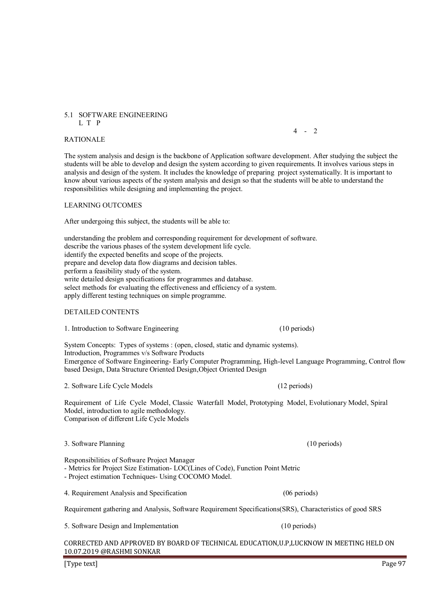#### 5.1 SOFTWARE ENGINEERING L T P

RATIONALE

The system analysis and design is the backbone of Application software development. After studying the subject the students will be able to develop and design the system according to given requirements. It involves various steps in analysis and design of the system. It includes the knowledge of preparing project systematically. It is important to know about various aspects of the system analysis and design so that the students will be able to understand the responsibilities while designing and implementing the project.

LEARNING OUTCOMES

After undergoing this subject, the students will be able to:

understanding the problem and corresponding requirement for development of software. describe the various phases of the system development life cycle. identify the expected benefits and scope of the projects. prepare and develop data flow diagrams and decision tables. perform a feasibility study of the system. write detailed design specifications for programmes and database. select methods for evaluating the effectiveness and efficiency of a system. apply different testing techniques on simple programme.

 $4 - 2$ 

#### DETAILED CONTENTS

1. Introduction to Software Engineering (10 periods)

System Concepts: Types of systems : (open, closed, static and dynamic systems). Introduction, Programmes v/s Software Products Emergence of Software Engineering- Early Computer Programming, High-level Language Programming, Control flow based Design, Data Structure Oriented Design,Object Oriented Design

2. Software Life Cycle Models (12 periods)

Requirement of Life Cycle Model, Classic Waterfall Model, Prototyping Model, Evolutionary Model, Spiral Model, introduction to agile methodology. Comparison of different Life Cycle Models

#### 3. Software Planning (10 periods)

Responsibilities of Software Project Manager

- Metrics for Project Size Estimation- LOC(Lines of Code), Function Point Metric

4. Requirement Analysis and Specification (06 periods)

- Project estimation Techniques- Using COCOMO Model.

Requirement gathering and Analysis, Software Requirement Specifications(SRS), Characteristics of good SRS

5. Software Design and Implementation (10 periods)

CORRECTED AND APPROVED BY BOARD OF TECHNICAL EDUCATION,U.P,LUCKNOW IN MEETING HELD ON 10.07.2019 @RASHMI SONKAR

[Type text] Page 97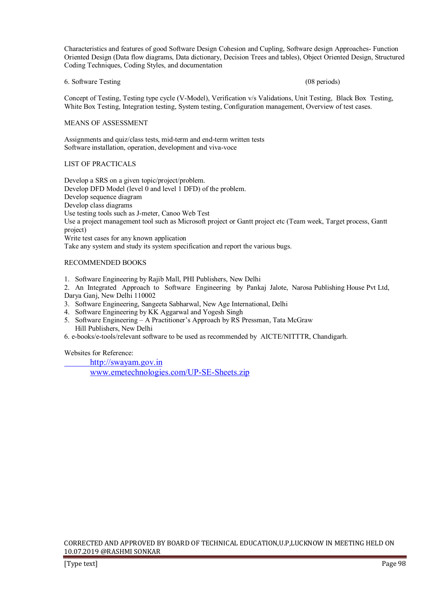Characteristics and features of good Software Design Cohesion and Cupling, Software design Approaches- Function Oriented Design (Data flow diagrams, Data dictionary, Decision Trees and tables), Object Oriented Design, Structured Coding Techniques, Coding Styles, and documentation

#### 6. Software Testing (08 periods)

Concept of Testing, Testing type cycle (V-Model), Verification v/s Validations, Unit Testing, Black Box Testing, White Box Testing, Integration testing, System testing, Configuration management, Overview of test cases.

#### MEANS OF ASSESSMENT

Assignments and quiz/class tests, mid-term and end-term written tests Software installation, operation, development and viva-voce

#### LIST OF PRACTICALS

Develop a SRS on a given topic/project/problem. Develop DFD Model (level 0 and level 1 DFD) of the problem. Develop sequence diagram Develop class diagrams Use testing tools such as J-meter, Canoo Web Test Use a project management tool such as Microsoft project or Gantt project etc (Team week, Target process, Gantt project) Write test cases for any known application

Take any system and study its system specification and report the various bugs.

#### RECOMMENDED BOOKS

1. Software Engineering by Rajib Mall, PHI Publishers, New Delhi

2. An Integrated Approach to Software Engineering by Pankaj Jalote, Narosa Publishing House Pvt Ltd, Darya Ganj, New Delhi 110002

- 3. Software Engineering, Sangeeta Sabharwal, New Age International, Delhi
- 4. Software Engineering by KK Aggarwal and Yogesh Singh
- 5. Software Engineering A Practitioner's Approach by RS Pressman, Tata McGraw Hill Publishers, New Delhi
- 6. e-books/e-tools/relevant software to be used as recommended by AICTE/NITTTR, Chandigarh.

Websites for Reference:

 http://swayam.gov.in www.emetechnologies.com/UP-SE-Sheets.zip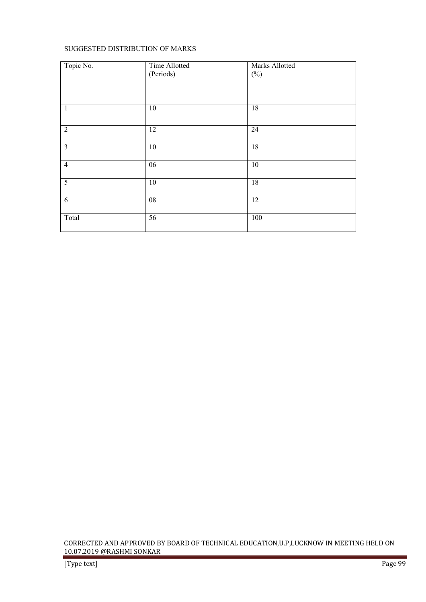# SUGGESTED DISTRIBUTION OF MARKS

| Topic No.               | Time Allotted<br>(Periods) | <b>Marks Allotted</b><br>$(\%)$ |
|-------------------------|----------------------------|---------------------------------|
| $\mathbf{1}$            | $\overline{10}$            | 18                              |
| $\overline{2}$          | $\overline{12}$            | $\overline{24}$                 |
| $\overline{\mathbf{3}}$ | 10                         | 18                              |
| $\overline{4}$          | $\overline{06}$            | 10                              |
| 5                       | $\overline{10}$            | $\overline{18}$                 |
| 6                       | $\overline{08}$            | $\overline{12}$                 |
| Total                   | 56                         | 100                             |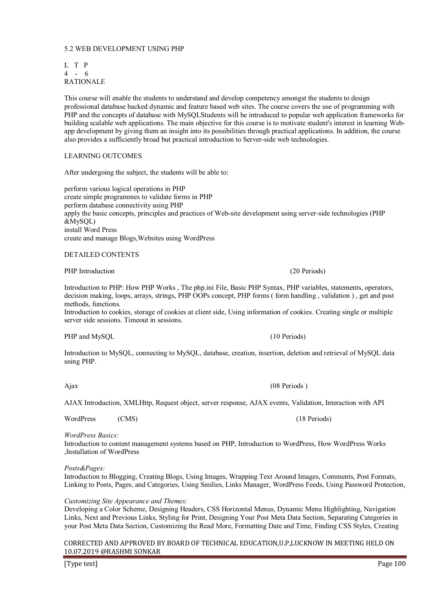# 5.2 WEB DEVELOPMENT USING PHP

L T P 4 - 6 RATIONALE

This course will enable the students to understand and develop competency amongst the students to design professional database backed dynamic and feature based web sites. The course covers the use of programming with PHP and the concepts of database with MySQLStudents will be introduced to popular web application frameworks for building scalable web applications. The main objective for this course is to motivate student's interest in learning Webapp development by giving them an insight into its possibilities through practical applications. In addition, the course also provides a sufficiently broad but practical introduction to Server-side web technologies.

# LEARNING OUTCOMES

After undergoing the subject, the students will be able to:

perform various logical operations in PHP create simple programmes to validate forms in PHP perform database connectivity using PHP apply the basic concepts, principles and practices of Web-site development using server-side technologies (PHP &MySQL) install Word Press create and manage Blogs,Websites using WordPress

#### DETAILED CONTENTS

PHP Introduction (20 Periods) (20 Periods)

Introduction to PHP: How PHP Works , The php.ini File, Basic PHP Syntax, PHP variables, statements, operators, decision making, loops, arrays, strings, PHP OOPs concept, PHP forms ( form handling , validation ) , get and post methods, functions.

Introduction to cookies, storage of cookies at client side, Using information of cookies. Creating single or multiple server side sessions. Timeout in sessions.

PHP and MySQL (10 Periods) (10 Periods)

Introduction to MySQL, connecting to MySQL, database, creation, insertion, deletion and retrieval of MySQL data using PHP.

AJAX Introduction, XMLHttp, Request object, server response, AJAX events, Validation, Interaction with API

Ajax (08 Periods )

WordPress (CMS) (18 Periods)

#### *WordPress Basics:*

Introduction to content management systems based on PHP, Introduction to WordPress, How WordPress Works ,Installation of WordPress

#### *Posts&Pages:*

Introduction to Blogging, Creating Blogs, Using Images, Wrapping Text Around Images, Comments, Post Formats, Linking to Posts, Pages, and Categories, Using Smilies, Links Manager, WordPress Feeds, Using Password Protection,

#### *Customizing Site Appearance and Themes:*

Developing a Color Scheme, Designing Headers, CSS Horizontal Menus, Dynamic Menu Highlighting, Navigation Links, Next and Previous Links, Styling for Print, Designing Your Post Meta Data Section, Separating Categories in your Post Meta Data Section, Customizing the Read More, Formatting Date and Time, Finding CSS Styles, Creating

#### CORRECTED AND APPROVED BY BOARD OF TECHNICAL EDUCATION,U.P,LUCKNOW IN MEETING HELD ON 10.07.2019 @RASHMI SONKAR

[Type text] Page 100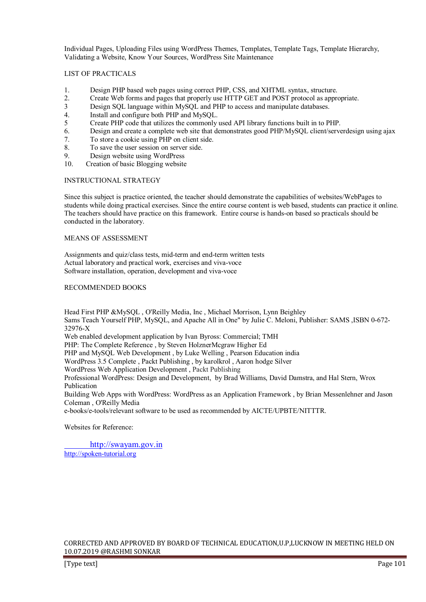Individual Pages, Uploading Files using WordPress Themes, Templates, Template Tags, Template Hierarchy, Validating a Website, Know Your Sources, WordPress Site Maintenance

#### LIST OF PRACTICALS

- 1. Design PHP based web pages using correct PHP, CSS, and XHTML syntax, structure.
- 2. Create Web forms and pages that properly use HTTP GET and POST protocol as appropriate.<br>
Design SOL language within MySOL and PHP to access and manipulate databases
- 3 Design SQL language within MySQL and PHP to access and manipulate databases.<br>4. Install and configure both PHP and MySOL.
- Install and configure both PHP and MySQL.
- 5 Create PHP code that utilizes the commonly used API library functions built in to PHP.<br>6. Design and create a complete web site that demonstrates good PHP/MvSOL client/serve
- 6. Design and create a complete web site that demonstrates good PHP/MySQL client/serverdesign using ajax
- 7. To store a cookie using PHP on client side.
- 8. To save the user session on server side.
- 9. Design website using WordPress<br>10 Creation of basic Blogging website
- Creation of basic Blogging website

#### INSTRUCTIONAL STRATEGY

Since this subject is practice oriented, the teacher should demonstrate the capabilities of websites/WebPages to students while doing practical exercises. Since the entire course content is web based, students can practice it online. The teachers should have practice on this framework. Entire course is hands-on based so practicals should be conducted in the laboratory.

#### MEANS OF ASSESSMENT

Assignments and quiz/class tests, mid-term and end-term written tests Actual laboratory and practical work, exercises and viva-voce Software installation, operation, development and viva-voce

#### RECOMMENDED BOOKS

Head First PHP &MySQL , O'Reilly Media, Inc , Michael Morrison, Lynn Beighley Sams Teach Yourself PHP, MySQL, and Apache All in One" by Julie C. Meloni, Publisher: SAMS ,ISBN 0-672- 32976-X Web enabled development application by Ivan Byross: Commercial; TMH PHP: The Complete Reference , by Steven HolznerMcgraw Higher Ed PHP and MySQL Web Development , by Luke Welling , Pearson Education india WordPress 3.5 Complete , Packt Publishing , by karolkrol , Aaron hodge Silver WordPress Web Application Development , Packt Publishing Professional WordPress: Design and Development, by Brad Williams, David Damstra, and Hal Stern, Wrox Publication Building Web Apps with WordPress: WordPress as an Application Framework , by Brian Messenlehner and Jason Coleman , O'Reilly Media e-books/e-tools/relevant software to be used as recommended by AICTE/UPBTE/NITTTR.

Websites for Reference:

 http://swayam.gov.in http://spoken-tutorial.org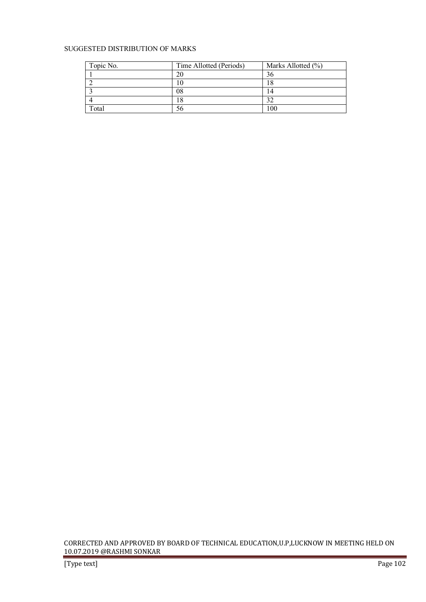# SUGGESTED DISTRIBUTION OF MARKS

| Topic No. | Time Allotted (Periods) | Marks Allotted (%) |
|-----------|-------------------------|--------------------|
|           |                         | 36                 |
|           |                         |                    |
|           | 08                      |                    |
|           |                         | ົ                  |
| Total     |                         | 100                |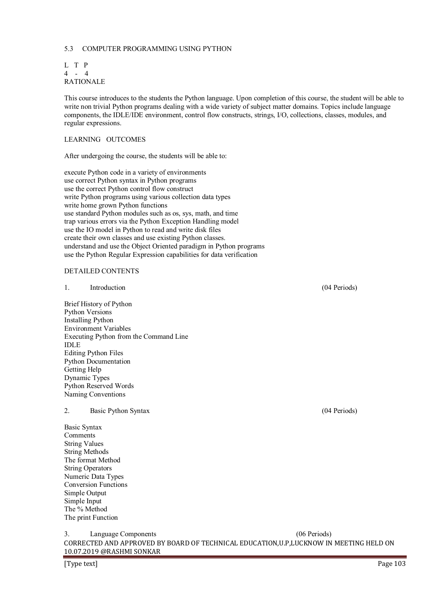# 5.3 COMPUTER PROGRAMMING USING PYTHON

|                  | L T P |  |
|------------------|-------|--|
|                  | 4 - 4 |  |
| <b>RATIONALE</b> |       |  |

This course introduces to the students the Python language. Upon completion of this course, the student will be able to write non trivial Python programs dealing with a wide variety of subject matter domains. Topics include language components, the IDLE/IDE environment, control flow constructs, strings, I/O, collections, classes, modules, and regular expressions.

# LEARNING OUTCOMES

After undergoing the course, the students will be able to:

execute Python code in a variety of environments use correct Python syntax in Python programs use the correct Python control flow construct write Python programs using various collection data types write home grown Python functions use standard Python modules such as os, sys, math, and time trap various errors via the Python Exception Handling model use the IO model in Python to read and write disk files create their own classes and use existing Python classes. understand and use the Object Oriented paradigm in Python programs use the Python Regular Expression capabilities for data verification

#### DETAILED CONTENTS

| 1.          | Introduction                           | (04 Periods)   |
|-------------|----------------------------------------|----------------|
|             | Brief History of Python                |                |
|             | <b>Python Versions</b>                 |                |
|             | <b>Installing Python</b>               |                |
|             | <b>Environment Variables</b>           |                |
|             | Executing Python from the Command Line |                |
| <b>IDLE</b> |                                        |                |
|             | <b>Editing Python Files</b>            |                |
|             | Python Documentation                   |                |
|             | Getting Help                           |                |
|             | Dynamic Types                          |                |
|             | Python Reserved Words                  |                |
|             | Naming Conventions                     |                |
| 2.          | Basic Python Syntax                    | $(04$ Periods) |
|             | Basic Syntax                           |                |
|             | Comments                               |                |
|             | <b>String Values</b>                   |                |
|             | <b>String Methods</b>                  |                |
|             | The format Method                      |                |
|             | <b>String Operators</b>                |                |

CORRECTED AND APPROVED BY BOARD OF TECHNICAL EDUCATION,U.P,LUCKNOW IN MEETING HELD ON 10.07.2019 @RASHMI SONKAR 3. Language Components (06 Periods)

Numeric Data Types Conversion Functions Simple Output Simple Input The % Method The print Function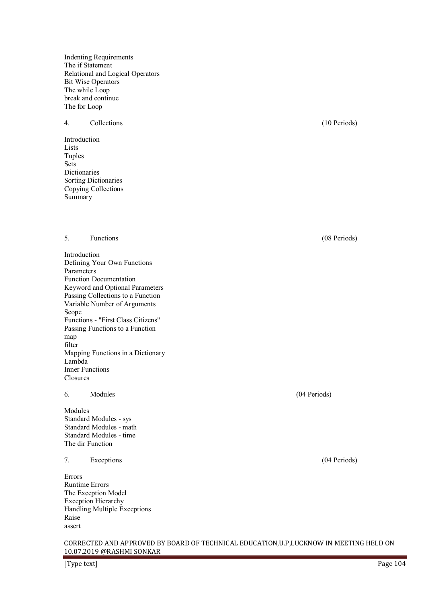Indenting Requirements The if Statement Relational and Logical Operators Bit Wise Operators The while Loop break and continue The for Loop

### 4. Collections (10 Periods)

Introduction Lists Tuples Sets Dictionaries Sorting Dictionaries Copying Collections Summary

#### 5. Functions (08 Periods)

Introduction Defining Your Own Functions Parameters Function Documentation Keyword and Optional Parameters Passing Collections to a Function Variable Number of Arguments Scope Functions - "First Class Citizens" Passing Functions to a Function map filter Mapping Functions in a Dictionary Lambda Inner Functions Closures

#### 6. Modules (04 Periods)

Modules Standard Modules - sys Standard Modules - math Standard Modules - time The dir Function

# 7. Exceptions (04 Periods)

Errors Runtime Errors The Exception Model Exception Hierarchy Handling Multiple Exceptions Raise assert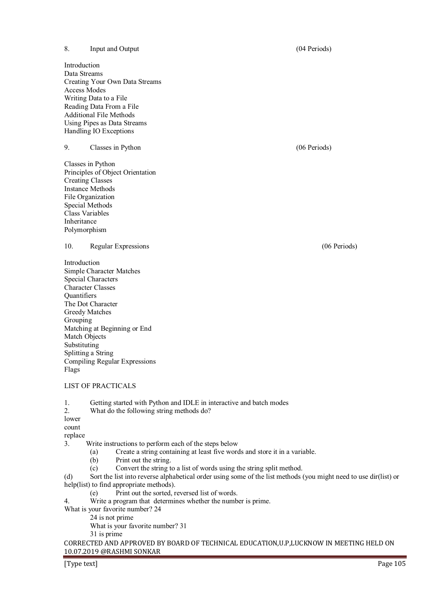8. Input and Output (04 Periods) Introduction Data Streams Creating Your Own Data Streams Access Modes Writing Data to a File Reading Data From a File Additional File Methods Using Pipes as Data Streams Handling IO Exceptions 9. Classes in Python (06 Periods) Classes in Python Principles of Object Orientation Creating Classes Instance Methods File Organization Special Methods Class Variables Inheritance Polymorphism 10. Regular Expressions (06 Periods) Introduction Simple Character Matches Special Characters Character Classes **Quantifiers** The Dot Character Greedy Matches Grouping Matching at Beginning or End Match Objects Substituting Splitting a String Compiling Regular Expressions LIST OF PRACTICALS 1. Getting started with Python and IDLE in interactive and batch modes<br>2 What do the following string methods do? What do the following string methods do? 3. Write instructions to perform each of the steps below (a) Create a string containing at least five words and store it in a variable. (b) Print out the string. (c) Convert the string to a list of words using the string split method. (d) Sort the list into reverse alphabetical order using some of the list methods (you might need to use dir(list) or help(list) to find appropriate methods). (e) Print out the sorted, reversed list of words. 4. Write a program that determines whether the number is prime.

- What is your favorite number? 24
	- 24 is not prime

What is your favorite number? 31

31 is prime

CORRECTED AND APPROVED BY BOARD OF TECHNICAL EDUCATION,U.P,LUCKNOW IN MEETING HELD ON 10.07.2019 @RASHMI SONKAR

Flags

lower count replace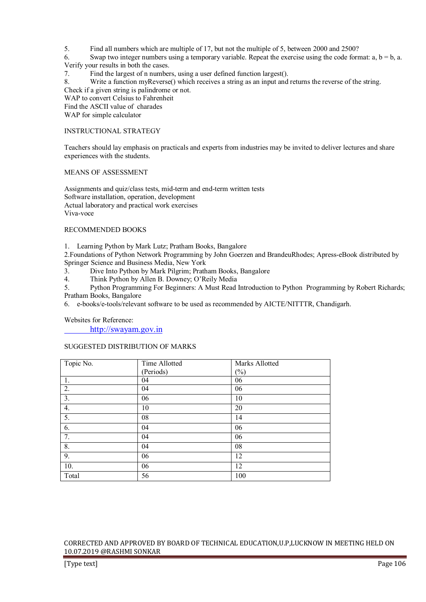5. Find all numbers which are multiple of 17, but not the multiple of 5, between 2000 and 2500?

6. Swap two integer numbers using a temporary variable. Repeat the exercise using the code format:  $a, b = b, a$ . Verify your results in both the cases.

7. Find the largest of n numbers, using a user defined function largest().

8. Write a function myReverse() which receives a string as an input and returns the reverse of the string. Check if a given string is palindrome or not.

WAP to convert Celsius to Fahrenheit

Find the ASCII value of charades

WAP for simple calculator

# INSTRUCTIONAL STRATEGY

Teachers should lay emphasis on practicals and experts from industries may be invited to deliver lectures and share experiences with the students.

#### MEANS OF ASSESSMENT

Assignments and quiz/class tests, mid-term and end-term written tests Software installation, operation, development Actual laboratory and practical work exercises Viva-voce

#### RECOMMENDED BOOKS

1. Learning Python by Mark Lutz; Pratham Books, Bangalore

2.Foundations of Python Network Programming by John Goerzen and BrandeuRhodes; Apress-eBook distributed by Springer Science and Business Media, New York

3. Dive Into Python by Mark Pilgrim; Pratham Books, Bangalore

4. Think Python by Allen B. Downey; O'Reily Media

5. Python Programming For Beginners: A Must Read Introduction to Python Programming by Robert Richards; Pratham Books, Bangalore

6. e-books/e-tools/relevant software to be used as recommended by AICTE/NITTTR, Chandigarh.

Websites for Reference:

http://swayam.gov.in

#### SUGGESTED DISTRIBUTION OF MARKS

| Topic No.        | Time Allotted | Marks Allotted |
|------------------|---------------|----------------|
|                  | (Periods)     | $(\%)$         |
| 1.               | 04            | 06             |
| 2.               | 04            | 06             |
| $\overline{3}$ . | 06            | 10             |
| 4.               | 10            | 20             |
| $\overline{5}$ . | 08            | 14             |
| 6.               | 04            | 06             |
| 7.               | 04            | 06             |
| 8.               | 04            | 08             |
| 9.               | 06            | 12             |
| 10.              | 06            | 12             |
| Total            | 56            | 100            |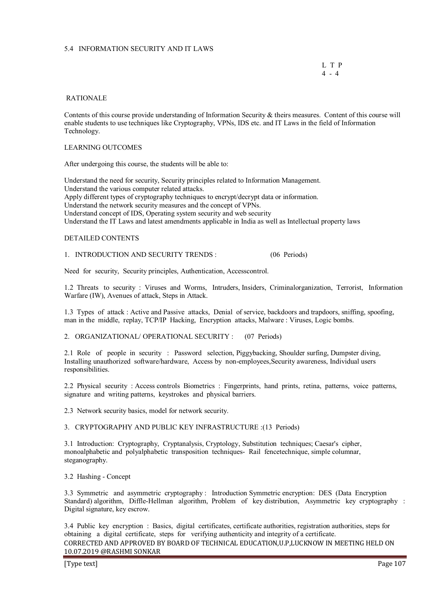# 5.4 INFORMATION SECURITY AND IT LAWS

 L T P  $4 - 4$ 

#### RATIONALE

Contents of this course provide understanding of Information Security & theirs measures. Content of this course will enable students to use techniques like Cryptography, VPNs, IDS etc. and IT Laws in the field of Information Technology.

#### LEARNING OUTCOMES

After undergoing this course, the students will be able to:

Understand the need for security, Security principles related to Information Management. Understand the various computer related attacks. Apply different types of cryptography techniques to encrypt/decrypt data or information. Understand the network security measures and the concept of VPNs. Understand concept of IDS, Operating system security and web security Understand the IT Laws and latest amendments applicable in India as well as Intellectual property laws

#### DETAILED CONTENTS

1. INTRODUCTION AND SECURITY TRENDS : (06 Periods)

Need for security, Security principles, Authentication, Accesscontrol.

1.2 Threats to security : Viruses and Worms, Intruders, Insiders, Criminalorganization, Terrorist, Information Warfare (IW), Avenues of attack, Steps in Attack.

1.3 Types of attack : Active and Passive attacks, Denial of service, backdoors and trapdoors, sniffing, spoofing, man in the middle, replay, TCP/IP Hacking, Encryption attacks, Malware : Viruses, Logic bombs.

2. ORGANIZATIONAL/ OPERATIONAL SECURITY : (07 Periods)

2.1 Role of people in security : Password selection, Piggybacking, Shoulder surfing, Dumpster diving, Installing unauthorized software/hardware, Access by non-employees,Security awareness, Individual users responsibilities.

2.2 Physical security : Access controls Biometrics : Fingerprints, hand prints, retina, patterns, voice patterns, signature and writing patterns, keystrokes and physical barriers.

2.3 Network security basics, model for network security.

#### 3. CRYPTOGRAPHY AND PUBLIC KEY INFRASTRUCTURE :(13 Periods)

3.1 Introduction: Cryptography, Cryptanalysis, Cryptology, Substitution techniques; Caesar's cipher, monoalphabetic and polyalphabetic transposition techniques- Rail fencetechnique, simple columnar, steganography.

3.2 Hashing - Concept

3.3 Symmetric and asymmetric cryptography : Introduction Symmetric encryption: DES (Data Encryption Standard) algorithm, Diffle-Hellman algorithm, Problem of key distribution, Asymmetric key cryptography : Digital signature, key escrow.

CORRECTED AND APPROVED BY BOARD OF TECHNICAL EDUCATION,U.P,LUCKNOW IN MEETING HELD ON 10.07.2019 @RASHMI SONKAR 3.4 Public key encryption : Basics, digital certificates, certificate authorities, registration authorities, steps for obtaining a digital certificate, steps for verifying authenticity and integrity of a certificate.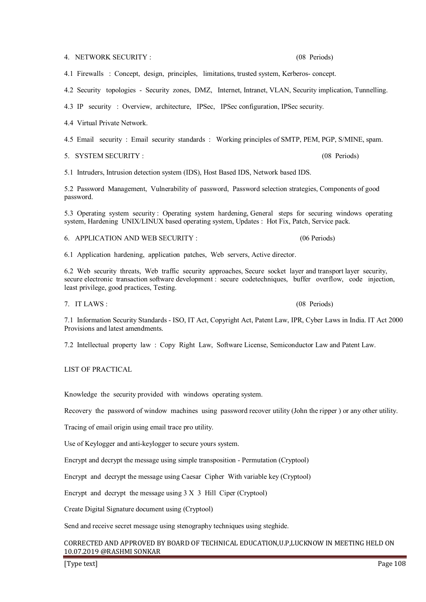4. NETWORK SECURITY : (08 Periods)

4.1 Firewalls : Concept, design, principles, limitations, trusted system, Kerberos- concept.

4.2 Security topologies - Security zones, DMZ, Internet, Intranet, VLAN, Security implication, Tunnelling.

4.3 IP security : Overview, architecture, IPSec, IPSec configuration, IPSec security.

4.4 Virtual Private Network.

4.5 Email security : Email security standards : Working principles of SMTP, PEM, PGP, S/MINE, spam.

5. SYSTEM SECURITY : (08 Periods)

5.1 Intruders, Intrusion detection system (IDS), Host Based IDS, Network based IDS.

5.2 Password Management, Vulnerability of password, Password selection strategies, Components of good password.

5.3 Operating system security : Operating system hardening, General steps for securing windows operating system, Hardening UNIX/LINUX based operating system, Updates : Hot Fix, Patch, Service pack.

6. APPLICATION AND WEB SECURITY : (06 Periods)

6.1 Application hardening, application patches, Web servers, Active director.

6.2 Web security threats, Web traffic security approaches, Secure socket layer and transport layer security, secure electronic transaction software development : secure codetechniques, buffer overflow, code injection, least privilege, good practices, Testing.

7. IT LAWS : (08 Periods)

7.1 Information Security Standards - ISO, IT Act, Copyright Act, Patent Law, IPR, Cyber Laws in India. IT Act 2000 Provisions and latest amendments.

7.2 Intellectual property law : Copy Right Law, Software License, Semiconductor Law and Patent Law.

LIST OF PRACTICAL

Knowledge the security provided with windows operating system.

Recovery the password of window machines using password recover utility (John the ripper ) or any other utility.

Tracing of email origin using email trace pro utility.

Use of Keylogger and anti-keylogger to secure yours system.

Encrypt and decrypt the message using simple transposition - Permutation (Cryptool)

Encrypt and decrypt the message using Caesar Cipher With variable key (Cryptool)

Encrypt and decrypt the message using 3 X 3 Hill Ciper (Cryptool)

Create Digital Signature document using (Cryptool)

Send and receive secret message using stenography techniques using steghide.

# CORRECTED AND APPROVED BY BOARD OF TECHNICAL EDUCATION,U.P,LUCKNOW IN MEETING HELD ON 10.07.2019 @RASHMI SONKAR

[Type text] Page 108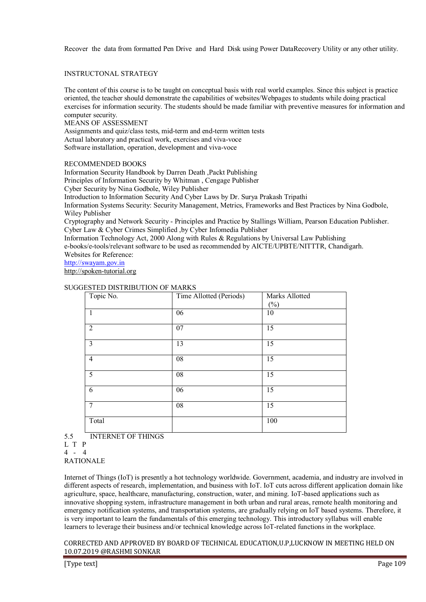Recover the data from formatted Pen Drive and Hard Disk using Power DataRecovery Utility or any other utility.

## INSTRUCTONAL STRATEGY

The content of this course is to be taught on conceptual basis with real world examples. Since this subject is practice oriented, the teacher should demonstrate the capabilities of websites/Webpages to students while doing practical exercises for information security. The students should be made familiar with preventive measures for information and computer security.

#### MEANS OF ASSESSMENT

Assignments and quiz/class tests, mid-term and end-term written tests Actual laboratory and practical work, exercises and viva-voce Software installation, operation, development and viva-voce

## RECOMMENDED BOOKS

Information Security Handbook by Darren Death ,Packt Publishing

Principles of Information Security by Whitman , Cengage Publisher

Cyber Security by Nina Godbole, Wiley Publisher

Introduction to Information Security And Cyber Laws by Dr. Surya Prakash Tripathi

Information Systems Security: Security Management, Metrics, Frameworks and Best Practices by Nina Godbole, Wiley Publisher

Cryptography and Network Security - Principles and Practice by Stallings William, Pearson Education Publisher. Cyber Law & Cyber Crimes Simplified ,by Cyber Infomedia Publisher

Information Technology Act, 2000 Along with Rules & Regulations by Universal Law Publishing

e-books/e-tools/relevant software to be used as recommended by AICTE/UPBTE/NITTTR, Chandigarh. Websites for Reference:

http://swayam.gov.in

http://spoken-tutorial.org

## SUGGESTED DISTRIBUTION OF MARKS

| Topic No.      | Time Allotted (Periods) | Marks Allotted |
|----------------|-------------------------|----------------|
|                |                         | $(\%)$         |
| $\overline{1}$ | 06                      | 10             |
|                |                         |                |
| $\overline{2}$ | 07                      | 15             |
|                |                         |                |
| $\overline{3}$ | 13                      | 15             |
|                |                         |                |
| $\overline{4}$ | 08                      | 15             |
|                |                         |                |
| $\overline{5}$ | 08                      | 15             |
|                |                         |                |
| 6              | 06                      | 15             |
|                |                         |                |
| 7              | 08                      | 15             |
|                |                         |                |
| Total          |                         | 100            |
|                |                         |                |

5.5 INTERNET OF THINGS

RATIONALE

Internet of Things (IoT) is presently a hot technology worldwide. Government, academia, and industry are involved in different aspects of research, implementation, and business with IoT. IoT cuts across different application domain like agriculture, space, healthcare, manufacturing, construction, water, and mining. IoT-based applications such as innovative shopping system, infrastructure management in both urban and rural areas, remote health monitoring and emergency notification systems, and transportation systems, are gradually relying on IoT based systems. Therefore, it is very important to learn the fundamentals of this emerging technology. This introductory syllabus will enable learners to leverage their business and/or technical knowledge across IoT-related functions in the workplace.

L T P

<sup>4 - 4</sup>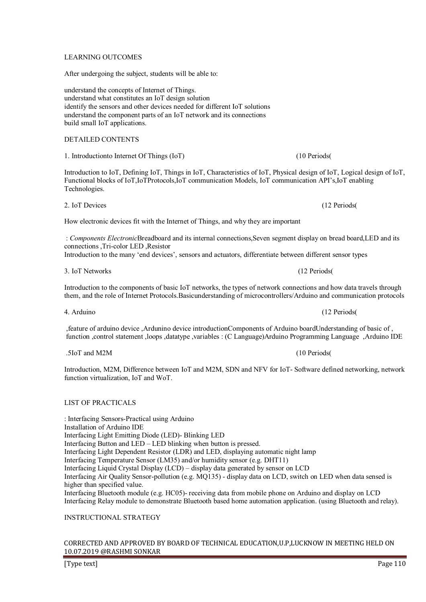## LEARNING OUTCOMES

After undergoing the subject, students will be able to:

understand the concepts of Internet of Things. understand what constitutes an IoT design solution identify the sensors and other devices needed for different IoT solutions understand the component parts of an IoT network and its connections build small IoT applications.

# DETAILED CONTENTS

1. Introductionto Internet Of Things (IoT) (10 Periods(

Introduction to IoT, Defining IoT, Things in IoT, Characteristics of IoT, Physical design of IoT, Logical design of IoT, Functional blocks of IoT,IoTProtocols,IoT communication Models, IoT communication API's,IoT enabling Technologies.

2. IoT Devices (12 Periods(

How electronic devices fit with the Internet of Things, and why they are important

: Components ElectronicBreadboard and its internal connections Seven segment display on bread board, LED and its connections ,Tri-color LED ,Resistor

Introduction to the many 'end devices', sensors and actuators, differentiate between different sensor types

3. IoT Networks (12 Periods(

Introduction to the components of basic IoT networks, the types of network connections and how data travels through them, and the role of Internet Protocols.Basicunderstanding of microcontrollers/Arduino and communication protocols

4. Arduino (12 Periods(

, feature of arduino device ,Ardunino device introductionComponents of Arduino boardUnderstanding of basic of , function ,control statement ,loops ,datatype ,variables : (C Language)Arduino Programming Language ,Arduino IDE

5 . IoT and M2M (10 Periods(

Introduction, M2M, Difference between IoT and M2M, SDN and NFV for IoT- Software defined networking, network function virtualization, IoT and WoT.

## LIST OF PRACTICALS

 : Interfacing Sensors-Practical using Arduino Installation of Arduino IDE Interfacing Light Emitting Diode (LED)- Blinking LED Interfacing Button and LED – LED blinking when button is pressed. Interfacing Light Dependent Resistor (LDR) and LED, displaying automatic night lamp Interfacing Temperature Sensor (LM35) and/or humidity sensor (e.g. DHT11) Interfacing Liquid Crystal Display (LCD) – display data generated by sensor on LCD Interfacing Air Quality Sensor-pollution (e.g. MQ135) - display data on LCD, switch on LED when data sensed is higher than specified value. Interfacing Bluetooth module (e.g. HC05)- receiving data from mobile phone on Arduino and display on LCD Interfacing Relay module to demonstrate Bluetooth based home automation application. (using Bluetooth and relay).

## INSTRUCTIONAL STRATEGY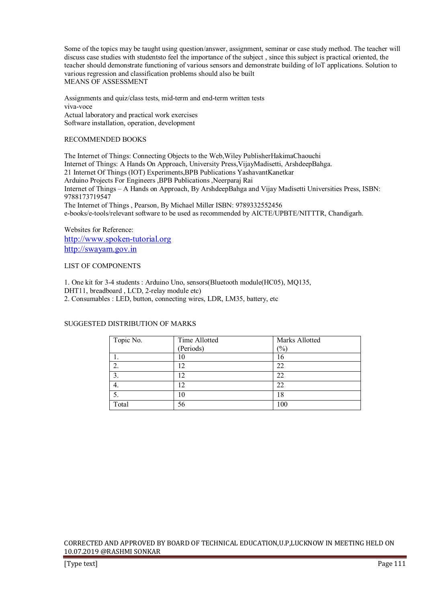Some of the topics may be taught using question/answer, assignment, seminar or case study method. The teacher will discuss case studies with students to feel the importance of the subject, since this subject is practical oriented, the teacher should demonstrate functioning of various sensors and demonstrate building of IoT applications. Solution to various regression and classification problems should also be built MEANS OF ASSESSMENT

Assignments and quiz/class tests, mid-term and end-term written tests viva-voce Actual laboratory and practical work exercises Software installation, operation, development

## RECOMMENDED BOOKS

The Internet of Things: Connecting Objects to the Web,Wiley PublisherHakimaChaouchi Internet of Things: A Hands On Approach, University Press,VijayMadisetti, ArshdeepBahga. 21 Internet Of Things (IOT) Experiments,BPB Publications YashavantKanetkar Arduino Projects For Engineers ,BPB Publications ,Neerparaj Rai Internet of Things – A Hands on Approach, By ArshdeepBahga and Vijay Madisetti Universities Press, ISBN: 9788173719547 The Internet of Things , Pearson, By Michael Miller ISBN: 9789332552456 e-books/e-tools/relevant software to be used as recommended by AICTE/UPBTE/NITTTR, Chandigarh.

Websites for Reference: http://www.spoken-tutorial.org http://swayam.gov.in

### LIST OF COMPONENTS

1. One kit for 3-4 students : Arduino Uno, sensors(Bluetooth module(HC05), MQ135, DHT11, breadboard, LCD, 2-relay module etc) 2. Consumables : LED, button, connecting wires, LDR, LM35, battery, etc

## SUGGESTED DISTRIBUTION OF MARKS

| Topic No. | Time Allotted | Marks Allotted |
|-----------|---------------|----------------|
|           | (Periods)     | $\frac{1}{2}$  |
|           | 10            | '6             |
| ۷.        | 12            | 22             |
| ٥.        | 12            | 22             |
| 4.        | 12            | 22             |
|           | 10            | 18             |
| Total     | 56            | 100            |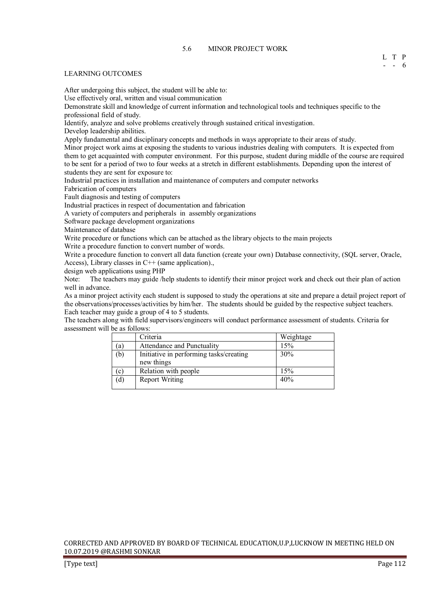#### LEARNING OUTCOMES

After undergoing this subject, the student will be able to:

Use effectively oral, written and visual communication

Demonstrate skill and knowledge of current information and technological tools and techniques specific to the professional field of study.

Identify, analyze and solve problems creatively through sustained critical investigation.

Develop leadership abilities.

Apply fundamental and disciplinary concepts and methods in ways appropriate to their areas of study.

Minor project work aims at exposing the students to various industries dealing with computers. It is expected from them to get acquainted with computer environment. For this purpose, student during middle of the course are required to be sent for a period of two to four weeks at a stretch in different establishments. Depending upon the interest of students they are sent for exposure to:

Industrial practices in installation and maintenance of computers and computer networks

Fabrication of computers

Fault diagnosis and testing of computers

Industrial practices in respect of documentation and fabrication

A variety of computers and peripherals in assembly organizations

Software package development organizations

Maintenance of database

Write procedure or functions which can be attached as the library objects to the main projects

Write a procedure function to convert number of words.

Write a procedure function to convert all data function (create your own) Database connectivity, (SQL server, Oracle, Access), Library classes in C++ (same application).,

design web applications using PHP

Note: The teachers may guide /help students to identify their minor project work and check out their plan of action well in advance.

As a minor project activity each student is supposed to study the operations at site and prepare a detail project report of the observations/processes/activities by him/her. The students should be guided by the respective subject teachers. Each teacher may guide a group of 4 to 5 students.

The teachers along with field supervisors/engineers will conduct performance assessment of students. Criteria for assessment will be as follows:

|                            | Criteria                                              | Weightage |
|----------------------------|-------------------------------------------------------|-----------|
| (a)                        | Attendance and Punctuality                            | 15%       |
| (b)                        | Initiative in performing tasks/creating<br>new things | 30%       |
| $\left( \mathbf{c}\right)$ | Relation with people                                  | 15%       |
| (d)                        | <b>Report Writing</b>                                 | 40%       |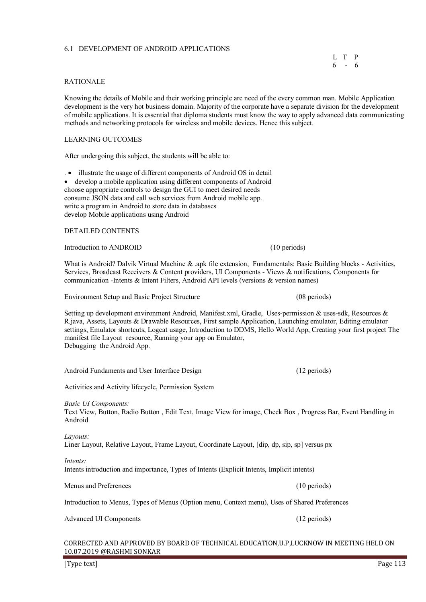## 6.1 DEVELOPMENT OF ANDROID APPLICATIONS

## RATIONALE

Knowing the details of Mobile and their working principle are need of the every common man. Mobile Application development is the very hot business domain. Majority of the corporate have a separate division for the development of mobile applications. It is essential that diploma students must know the way to apply advanced data communicating methods and networking protocols for wireless and mobile devices. Hence this subject.

## LEARNING OUTCOMES

After undergoing this subject, the students will be able to:

. • illustrate the usage of different components of Android OS in detail

• develop a mobile application using different components of Android choose appropriate controls to design the GUI to meet desired needs consume JSON data and call web services from Android mobile app. write a program in Android to store data in databases develop Mobile applications using Android

#### DETAILED CONTENTS

Introduction to ANDROID (10 periods)

What is Android? Dalvik Virtual Machine & .apk file extension, Fundamentals: Basic Building blocks - Activities, Services, Broadcast Receivers & Content providers, UI Components - Views & notifications, Components for communication -Intents & Intent Filters, Android API levels (versions & version names)

Environment Setup and Basic Project Structure (08 periods)

Setting up development environment Android, Manifest.xml, Gradle, Uses-permission & uses-sdk, Resources & R.java, Assets, Layouts & Drawable Resources, First sample Application, Launching emulator, Editing emulator settings, Emulator shortcuts, Logcat usage, Introduction to DDMS, Hello World App, Creating your first project The manifest file Layout resource, Running your app on Emulator, Debugging the Android App.

Android Fundaments and User Interface Design (12 periods)

Activities and Activity lifecycle, Permission System

*Basic UI Components:* 

Text View, Button, Radio Button , Edit Text, Image View for image, Check Box , Progress Bar, Event Handling in Android

*Layouts:*  Liner Layout, Relative Layout, Frame Layout, Coordinate Layout, [dip, dp, sip, sp] versus px

*Intents:* 

Intents introduction and importance, Types of Intents (Explicit Intents, Implicit intents)

Menus and Preferences (10 periods)

Introduction to Menus, Types of Menus (Option menu, Context menu), Uses of Shared Preferences

Advanced UI Components (12 periods) (12 periods)

 L T P  $6 - 6$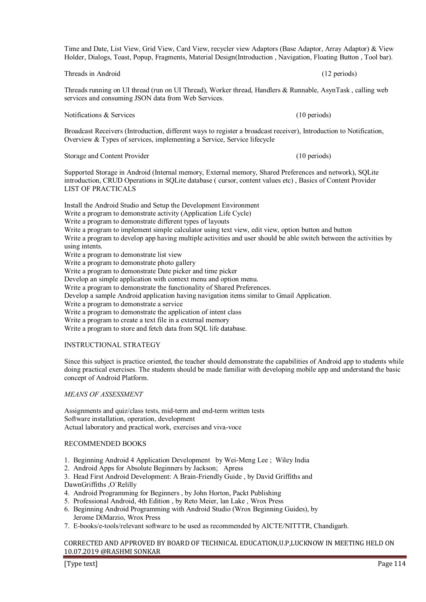[Type text] Page 114

## Time and Date, List View, Grid View, Card View, recycler view Adaptors (Base Adaptor, Array Adaptor) & View Holder, Dialogs, Toast, Popup, Fragments, Material Design(Introduction , Navigation, Floating Button , Tool bar).

Threads running on UI thread (run on UI Thread), Worker thread, Handlers & Runnable, AsynTask , calling web services and consuming JSON data from Web Services.

Notifications & Services (10 periods) (10 periods)

Broadcast Receivers (Introduction, different ways to register a broadcast receiver), Introduction to Notification, Overview & Types of services, implementing a Service, Service lifecycle

Storage and Content Provider (10 periods) (10 periods)

Supported Storage in Android (Internal memory, External memory, Shared Preferences and network), SQLite introduction, CRUD Operations in SQLite database ( cursor, content values etc) , Basics of Content Provider LIST OF PRACTICALS

Install the Android Studio and Setup the Development Environment Write a program to demonstrate activity (Application Life Cycle) Write a program to demonstrate different types of layouts Write a program to implement simple calculator using text view, edit view, option button and button Write a program to develop app having multiple activities and user should be able switch between the activities by using intents. Write a program to demonstrate list view Write a program to demonstrate photo gallery Write a program to demonstrate Date picker and time picker Develop an simple application with context menu and option menu. Write a program to demonstrate the functionality of Shared Preferences. Develop a sample Android application having navigation items similar to Gmail Application. Write a program to demonstrate a service Write a program to demonstrate the application of intent class Write a program to create a text file in a external memory Write a program to store and fetch data from SQL life database.

#### INSTRUCTIONAL STRATEGY

Since this subject is practice oriented, the teacher should demonstrate the capabilities of Android app to students while doing practical exercises. The students should be made familiar with developing mobile app and understand the basic concept of Android Platform.

#### *MEANS OF ASSESSMENT*

Assignments and quiz/class tests, mid-term and end-term written tests Software installation, operation, development Actual laboratory and practical work, exercises and viva-voce

## RECOMMENDED BOOKS

- 1. Beginning Android 4 Application Development by Wei-Meng Lee ; Wiley India
- 2. Android Apps for Absolute Beginners by Jackson; Apress
- 3. Head First Android Development: A Brain-Friendly Guide , by David Griffiths and

DawnGriffiths ,O`Relilly

- 4. Android Programming for Beginners , by John Horton, Packt Publishing
- 5. Professional Android, 4th Edition , by Reto Meier, lan Lake , Wrox Press
- 6. Beginning Android Programming with Android Studio (Wrox Beginning Guides), by Jerome DiMarzio, Wrox Press
- 7. E-books/e-tools/relevant software to be used as recommended by AICTE/NITTTR, Chandigarh.

## CORRECTED AND APPROVED BY BOARD OF TECHNICAL EDUCATION,U.P,LUCKNOW IN MEETING HELD ON 10.07.2019 @RASHMI SONKAR

Threads in Android (12 periods) (12 periods)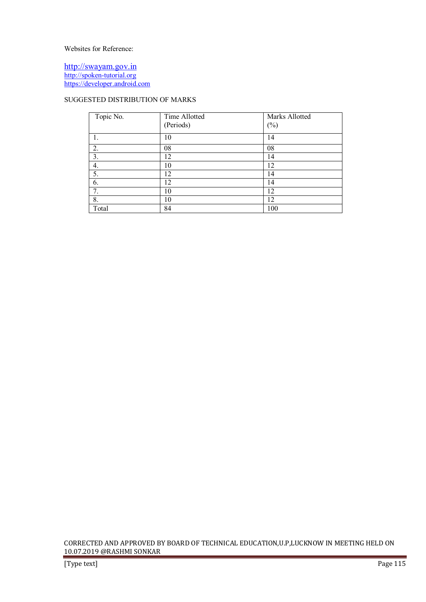Websites for Reference:

http://swayam.gov.in http://spoken-tutorial.org https://developer.android.com

# SUGGESTED DISTRIBUTION OF MARKS

| Topic No. | Time Allotted | Marks Allotted |
|-----------|---------------|----------------|
|           | (Periods)     | $(\%)$         |
| 1.        | 10            | 14             |
| 2.        | 08            | 08             |
| 3.        | 12            | 14             |
| 4.        | 10            | 12             |
| 5.        | 12            | 14             |
| 6.        | 12            | 14             |
| 7.        | 10            | 12             |
| 8.        | 10            | 12             |
| Total     | 84            | 100            |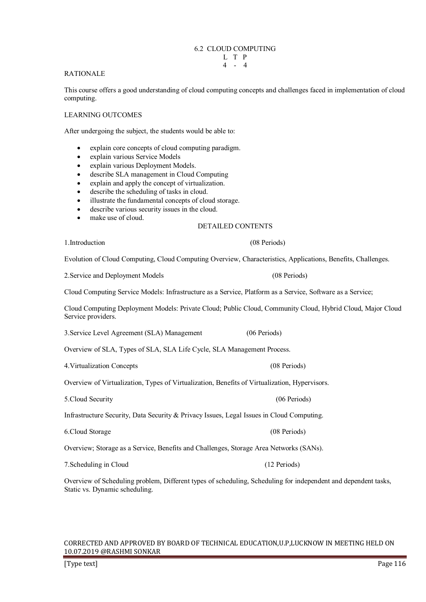## 6.2 CLOUD COMPUTING

#### RATIONALE

This course offers a good understanding of cloud computing concepts and challenges faced in implementation of cloud computing.

## LEARNING OUTCOMES

After undergoing the subject, the students would be able to:

- explain core concepts of cloud computing paradigm.
- explain various Service Models
- explain various Deployment Models.
- describe SLA management in Cloud Computing
- explain and apply the concept of virtualization.
- describe the scheduling of tasks in cloud.
- illustrate the fundamental concepts of cloud storage.
- describe various security issues in the cloud.
- make use of cloud.

## DETAILED CONTENTS

1.Introduction (08 Periods)

Evolution of Cloud Computing, Cloud Computing Overview, Characteristics, Applications, Benefits, Challenges.

2.Service and Deployment Models (08 Periods)

Cloud Computing Service Models: Infrastructure as a Service, Platform as a Service, Software as a Service;

Cloud Computing Deployment Models: Private Cloud; Public Cloud, Community Cloud, Hybrid Cloud, Major Cloud Service providers.

3.Service Level Agreement (SLA) Management (06 Periods)

Overview of SLA, Types of SLA, SLA Life Cycle, SLA Management Process.

|  |  |  | 4. Virtualization Concepts |
|--|--|--|----------------------------|
|--|--|--|----------------------------|

Overview of Virtualization, Types of Virtualization, Benefits of Virtualization, Hypervisors.

5.Cloud Security (06 Periods)

Infrastructure Security, Data Security & Privacy Issues, Legal Issues in Cloud Computing.

6.Cloud Storage (08 Periods)

Overview; Storage as a Service, Benefits and Challenges, Storage Area Networks (SANs).

7.Scheduling in Cloud (12 Periods)

Overview of Scheduling problem, Different types of scheduling, Scheduling for independent and dependent tasks, Static vs. Dynamic scheduling.

## CORRECTED AND APPROVED BY BOARD OF TECHNICAL EDUCATION,U.P,LUCKNOW IN MEETING HELD ON 10.07.2019 @RASHMI SONKAR

(08 Periods)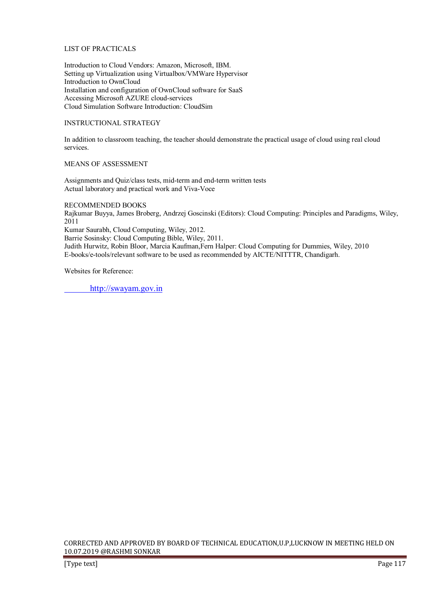## LIST OF PRACTICALS

Introduction to Cloud Vendors: Amazon, Microsoft, IBM. Setting up Virtualization using Virtualbox/VMWare Hypervisor Introduction to OwnCloud Installation and configuration of OwnCloud software for SaaS Accessing Microsoft AZURE cloud-services Cloud Simulation Software Introduction: CloudSim

## INSTRUCTIONAL STRATEGY

In addition to classroom teaching, the teacher should demonstrate the practical usage of cloud using real cloud services.

## MEANS OF ASSESSMENT

Assignments and Quiz/class tests, mid-term and end-term written tests Actual laboratory and practical work and Viva-Voce

RECOMMENDED BOOKS

Rajkumar Buyya, James Broberg, Andrzej Goscinski (Editors): Cloud Computing: Principles and Paradigms, Wiley, 2011

Kumar Saurabh, Cloud Computing, Wiley, 2012.

Barrie Sosinsky: Cloud Computing Bible, Wiley, 2011.

Judith Hurwitz, Robin Bloor, Marcia Kaufman,Fern Halper: Cloud Computing for Dummies, Wiley, 2010 E-books/e-tools/relevant software to be used as recommended by AICTE/NITTTR, Chandigarh.

Websites for Reference:

http://swayam.gov.in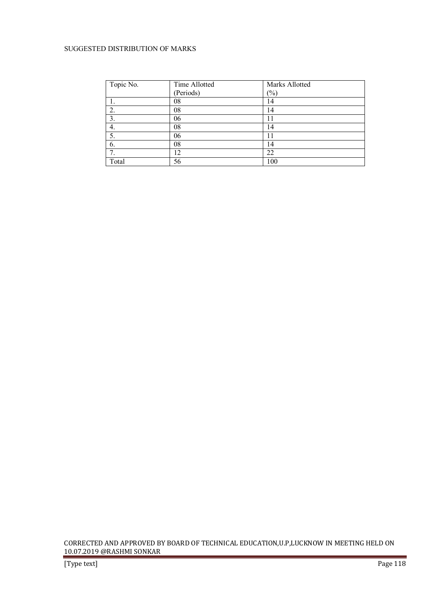## SUGGESTED DISTRIBUTION OF MARKS

| Topic No. | Time Allotted | Marks Allotted |
|-----------|---------------|----------------|
|           | (Periods)     | $(\% )$        |
|           | 08            | 14             |
| 2.        | 08            | 14             |
| 3.        | 06            |                |
|           | 08            | 14             |
|           | 06            | 11             |
| 6.        | 08            | 14             |
|           | 12            | 22             |
| Total     | 56            | 100            |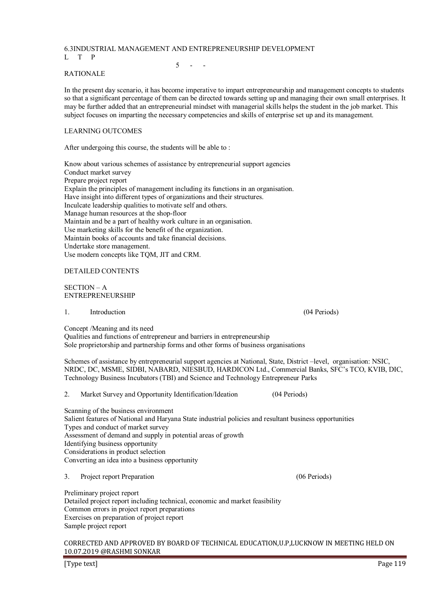# 6.3INDUSTRIAL MANAGEMENT AND ENTREPRENEURSHIP DEVELOPMENT

L T P

 $5 - -$ 

## RATIONALE

In the present day scenario, it has become imperative to impart entrepreneurship and management concepts to students so that a significant percentage of them can be directed towards setting up and managing their own small enterprises. It may be further added that an entrepreneurial mindset with managerial skills helps the student in the job market. This subject focuses on imparting the necessary competencies and skills of enterprise set up and its management.

## LEARNING OUTCOMES

After undergoing this course, the students will be able to :

Know about various schemes of assistance by entrepreneurial support agencies Conduct market survey Prepare project report Explain the principles of management including its functions in an organisation. Have insight into different types of organizations and their structures. Inculcate leadership qualities to motivate self and others. Manage human resources at the shop-floor Maintain and be a part of healthy work culture in an organisation. Use marketing skills for the benefit of the organization. Maintain books of accounts and take financial decisions. Undertake store management. Use modern concepts like TQM, JIT and CRM.

## DETAILED CONTENTS

SECTION – A ENTREPRENEURSHIP

#### 1. Introduction (04 Periods)

Concept /Meaning and its need

Qualities and functions of entrepreneur and barriers in entrepreneurship Sole proprietorship and partnership forms and other forms of business organisations

Schemes of assistance by entrepreneurial support agencies at National, State, District –level, organisation: NSIC, NRDC, DC, MSME, SIDBI, NABARD, NIESBUD, HARDICON Ltd., Commercial Banks, SFC's TCO, KVIB, DIC, Technology Business Incubators (TBI) and Science and Technology Entrepreneur Parks

2. Market Survey and Opportunity Identification/Ideation (04 Periods)

Scanning of the business environment Salient features of National and Haryana State industrial policies and resultant business opportunities Types and conduct of market survey Assessment of demand and supply in potential areas of growth Identifying business opportunity Considerations in product selection Converting an idea into a business opportunity

3. Project report Preparation (06 Periods)

Preliminary project report Detailed project report including technical, economic and market feasibility Common errors in project report preparations Exercises on preparation of project report Sample project report

#### CORRECTED AND APPROVED BY BOARD OF TECHNICAL EDUCATION,U.P,LUCKNOW IN MEETING HELD ON 10.07.2019 @RASHMI SONKAR

[Type text] Page 119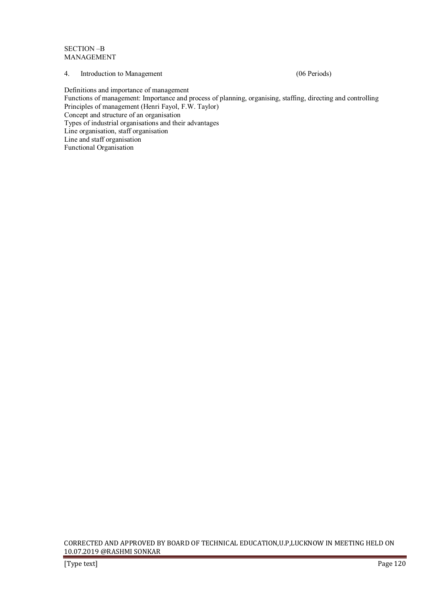SECTION –B MANAGEMENT

## 4. Introduction to Management (06 Periods)

Definitions and importance of management

Functions of management: Importance and process of planning, organising, staffing, directing and controlling Principles of management (Henri Fayol, F.W. Taylor)

Concept and structure of an organisation

Types of industrial organisations and their advantages

Line organisation, staff organisation

Line and staff organisation

Functional Organisation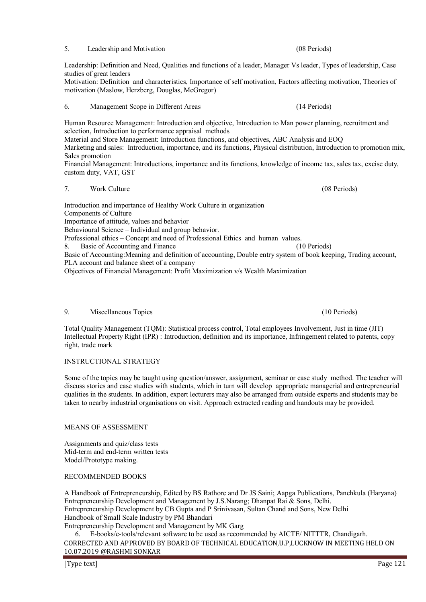Leadership: Definition and Need, Qualities and functions of a leader, Manager Vs leader, Types of leadership, Case studies of great leaders

Motivation: Definition and characteristics, Importance of self motivation, Factors affecting motivation, Theories of motivation (Maslow, Herzberg, Douglas, McGregor)

#### 6. Management Scope in Different Areas (14 Periods)

Human Resource Management: Introduction and objective, Introduction to Man power planning, recruitment and selection, Introduction to performance appraisal methods

Material and Store Management: Introduction functions, and objectives, ABC Analysis and EOQ Marketing and sales: Introduction, importance, and its functions, Physical distribution, Introduction to promotion mix, Sales promotion

Financial Management: Introductions, importance and its functions, knowledge of income tax, sales tax, excise duty, custom duty, VAT, GST

## 7. Work Culture (08 Periods)

Introduction and importance of Healthy Work Culture in organization Components of Culture Importance of attitude, values and behavior Behavioural Science – Individual and group behavior.

Professional ethics – Concept and need of Professional Ethics and human values.

8. Basic of Accounting and Finance (10 Periods) Basic of Accounting:Meaning and definition of accounting, Double entry system of book keeping, Trading account, PLA account and balance sheet of a company

Objectives of Financial Management: Profit Maximization v/s Wealth Maximization

#### 9. Miscellaneous Topics (10 Periods)

Total Quality Management (TQM): Statistical process control, Total employees Involvement, Just in time (JIT) Intellectual Property Right (IPR) : Introduction, definition and its importance, Infringement related to patents, copy right, trade mark

## INSTRUCTIONAL STRATEGY

Some of the topics may be taught using question/answer, assignment, seminar or case study method. The teacher will discuss stories and case studies with students, which in turn will develop appropriate managerial and entrepreneurial qualities in the students. In addition, expert lecturers may also be arranged from outside experts and students may be taken to nearby industrial organisations on visit. Approach extracted reading and handouts may be provided.

## MEANS OF ASSESSMENT

Assignments and quiz/class tests Mid-term and end-term written tests Model/Prototype making.

## RECOMMENDED BOOKS

A Handbook of Entrepreneurship, Edited by BS Rathore and Dr JS Saini; Aapga Publications, Panchkula (Haryana) Entrepreneurship Development and Management by J.S.Narang; Dhanpat Rai & Sons, Delhi. Entrepreneurship Development by CB Gupta and P Srinivasan, Sultan Chand and Sons, New Delhi Handbook of Small Scale Industry by PM Bhandari Entrepreneurship Development and Management by MK Garg

CORRECTED AND APPROVED BY BOARD OF TECHNICAL EDUCATION,U.P,LUCKNOW IN MEETING HELD ON 10.07.2019 @RASHMI SONKAR 6. E-books/e-tools/relevant software to be used as recommended by AICTE/ NITTTR, Chandigarh.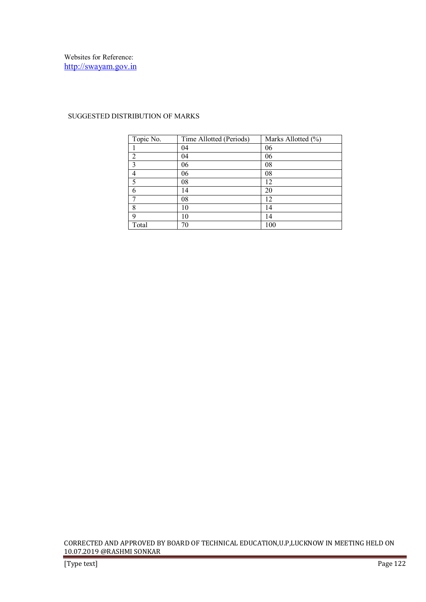| Topic No.      | Time Allotted (Periods) | Marks Allotted (%) |
|----------------|-------------------------|--------------------|
|                | 04                      | 06                 |
| $\overline{2}$ | 04                      | 06                 |
| 3              | 06                      | 08                 |
| 4              | 06                      | 08                 |
| 5              | 08                      | 12                 |
| 6              | 14                      | 20                 |
| 7              | 08                      | 12                 |
| 8              | 10                      | 14                 |
| q              | 10                      | 14                 |
| Total          | 70                      | 100                |

## SUGGESTED DISTRIBUTION OF MARKS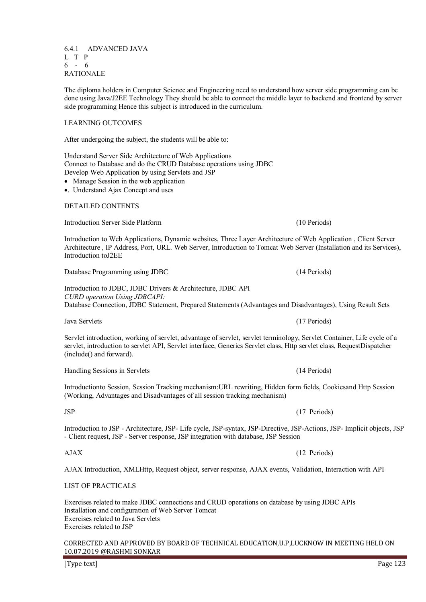6.4.1 ADVANCED JAVA L T P 6 - 6 RATIONALE

The diploma holders in Computer Science and Engineering need to understand how server side programming can be done using Java/J2EE Technology They should be able to connect the middle layer to backend and frontend by server side programming Hence this subject is introduced in the curriculum.

## LEARNING OUTCOMES

After undergoing the subject, the students will be able to:

Understand Server Side Architecture of Web Applications Connect to Database and do the CRUD Database operations using JDBC Develop Web Application by using Servlets and JSP

• Manage Session in the web application

•. Understand Ajax Concept and uses

#### DETAILED CONTENTS

Introduction Server Side Platform (10 Periods)

Introduction to Web Applications, Dynamic websites, Three Layer Architecture of Web Application , Client Server Architecture , IP Address, Port, URL. Web Server, Introduction to Tomcat Web Server (Installation and its Services), Introduction toJ2EE

Database Programming using JDBC (14 Periods) Introduction to JDBC, JDBC Drivers & Architecture, JDBC API

*CURD operation Using JDBCAPI:* Database Connection, JDBC Statement, Prepared Statements (Advantages and Disadvantages), Using Result Sets

Java Servlets (17 Periods)

Servlet introduction, working of servlet, advantage of servlet, servlet terminology, Servlet Container, Life cycle of a servlet, introduction to servlet API, Servlet interface, Generics Servlet class, Http servlet class, RequestDispatcher (include() and forward).

Handling Sessions in Servlets (14 Periods)

Introductionto Session, Session Tracking mechanism:URL rewriting, Hidden form fields, Cookiesand Http Session (Working, Advantages and Disadvantages of all session tracking mechanism)

Introduction to JSP - Architecture, JSP- Life cycle, JSP-syntax, JSP-Directive, JSP-Actions, JSP- Implicit objects, JSP - Client request, JSP - Server response, JSP integration with database, JSP Session

AJAX Introduction, XMLHttp, Request object, server response, AJAX events, Validation, Interaction with API

## LIST OF PRACTICALS

Exercises related to make JDBC connections and CRUD operations on database by using JDBC APIs Installation and configuration of Web Server Tomcat Exercises related to Java Servlets Exercises related to JSP

#### CORRECTED AND APPROVED BY BOARD OF TECHNICAL EDUCATION,U.P,LUCKNOW IN MEETING HELD ON 10.07.2019 @RASHMI SONKAR

[Type text] Page 123

JSP (17 Periods)

AJAX (12 Periods)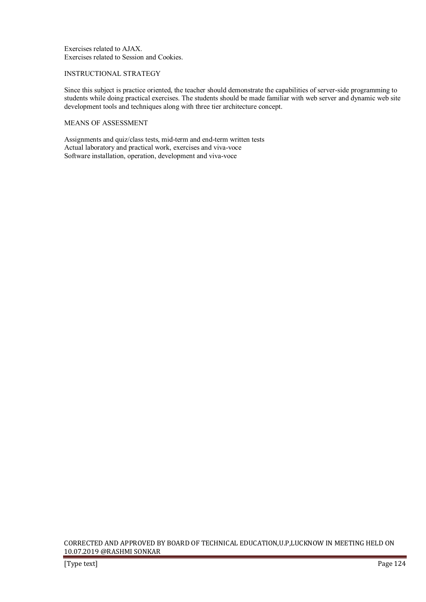Exercises related to AJAX. Exercises related to Session and Cookies.

## INSTRUCTIONAL STRATEGY

Since this subject is practice oriented, the teacher should demonstrate the capabilities of server-side programming to students while doing practical exercises. The students should be made familiar with web server and dynamic web site development tools and techniques along with three tier architecture concept.

## MEANS OF ASSESSMENT

Assignments and quiz/class tests, mid-term and end-term written tests Actual laboratory and practical work, exercises and viva-voce Software installation, operation, development and viva-voce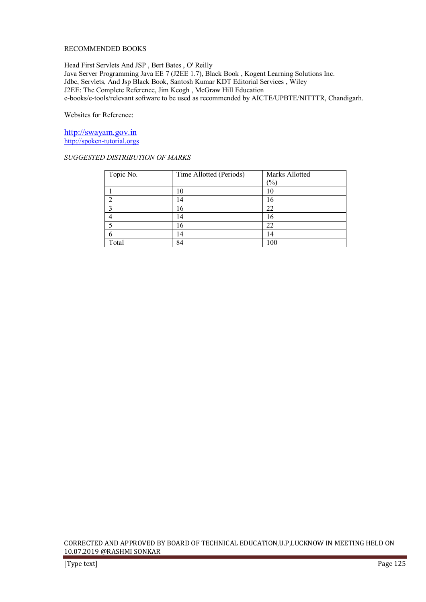## RECOMMENDED BOOKS

Head First Servlets And JSP , Bert Bates , O' Reilly Java Server Programming Java EE 7 (J2EE 1.7), Black Book , Kogent Learning Solutions Inc. Jdbc, Servlets, And Jsp Black Book, Santosh Kumar KDT Editorial Services , Wiley J2EE: The Complete Reference, Jim Keogh , McGraw Hill Education e-books/e-tools/relevant software to be used as recommended by AICTE/UPBTE/NITTTR, Chandigarh.

Websites for Reference:

http://swayam.gov.in http://spoken-tutorial.orgs

## *SUGGESTED DISTRIBUTION OF MARKS*

| Topic No. | Time Allotted (Periods) | Marks Allotted |
|-----------|-------------------------|----------------|
|           |                         | (%)            |
|           |                         | 10             |
|           | $\overline{A}$          | 16             |
|           | 16                      | 22             |
|           | !4                      | 16             |
|           | 16                      | 22             |
|           | $\overline{4}$          | 14             |
| Total     | 84                      | 100            |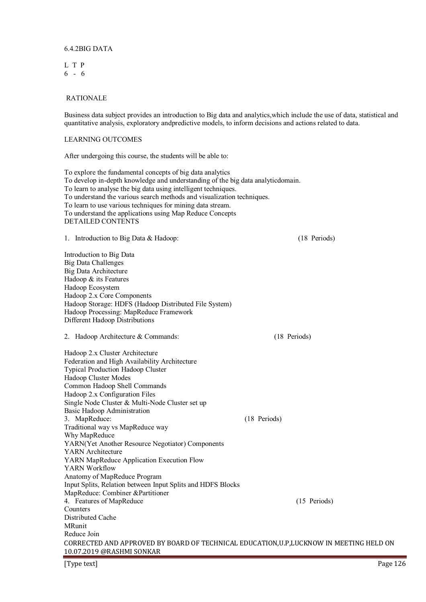#### 6.4.2BIG DATA

L T P 6 - 6

#### RATIONALE

Business data subject provides an introduction to Big data and analytics,which include the use of data, statistical and quantitative analysis, exploratory andpredictive models, to inform decisions and actions related to data.

## LEARNING OUTCOMES

After undergoing this course, the students will be able to:

To explore the fundamental concepts of big data analytics To develop in-depth knowledge and understanding of the big data analyticdomain. To learn to analyse the big data using intelligent techniques. To understand the various search methods and visualization techniques. To learn to use various techniques for mining data stream. To understand the applications using Map Reduce Concepts DETAILED CONTENTS

1. Introduction to Big Data & Hadoop: (18 Periods)

Introduction to Big Data Big Data Challenges Big Data Architecture Hadoop & its Features Hadoop Ecosystem Hadoop 2.x Core Components Hadoop Storage: HDFS (Hadoop Distributed File System) Hadoop Processing: MapReduce Framework Different Hadoop Distributions

2. Hadoop Architecture & Commands: (18 Periods)

| Hadoop 2.x Cluster Architecture                                                         |              |              |
|-----------------------------------------------------------------------------------------|--------------|--------------|
| Federation and High Availability Architecture                                           |              |              |
| <b>Typical Production Hadoop Cluster</b>                                                |              |              |
| Hadoop Cluster Modes                                                                    |              |              |
| Common Hadoop Shell Commands                                                            |              |              |
| Hadoop 2.x Configuration Files                                                          |              |              |
| Single Node Cluster & Multi-Node Cluster set up                                         |              |              |
| Basic Hadoop Administration                                                             |              |              |
| 3. MapReduce:                                                                           | (18 Periods) |              |
| Traditional way vs MapReduce way                                                        |              |              |
| Why MapReduce                                                                           |              |              |
| YARN(Yet Another Resource Negotiator) Components                                        |              |              |
| YARN Architecture                                                                       |              |              |
| YARN MapReduce Application Execution Flow                                               |              |              |
| YARN Workflow                                                                           |              |              |
| Anatomy of MapReduce Program                                                            |              |              |
| Input Splits, Relation between Input Splits and HDFS Blocks                             |              |              |
| MapReduce: Combiner &Partitioner                                                        |              |              |
| 4. Features of MapReduce                                                                |              | (15 Periods) |
| Counters                                                                                |              |              |
| Distributed Cache                                                                       |              |              |
| MRunit                                                                                  |              |              |
| Reduce Join                                                                             |              |              |
| CORRECTED AND APPROVED BY BOARD OF TECHNICAL EDUCATION, U.P. LUCKNOW IN MEETING HELD ON |              |              |
| 10.07.2019 @RASHMI SONKAR                                                               |              |              |
|                                                                                         |              |              |

[Type text] Page 126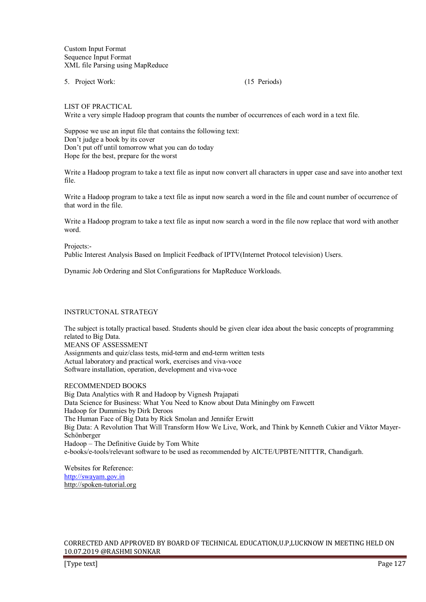Custom Input Format Sequence Input Format XML file Parsing using MapReduce

5. Project Work: (15 Periods)

LIST OF PRACTICAL

Write a very simple Hadoop program that counts the number of occurrences of each word in a text file.

Suppose we use an input file that contains the following text: Don't judge a book by its cover Don't put off until tomorrow what you can do today Hope for the best, prepare for the worst

Write a Hadoop program to take a text file as input now convert all characters in upper case and save into another text file.

Write a Hadoop program to take a text file as input now search a word in the file and count number of occurrence of that word in the file.

Write a Hadoop program to take a text file as input now search a word in the file now replace that word with another word.

Projects:-

Public Interest Analysis Based on Implicit Feedback of IPTV(Internet Protocol television) Users.

Dynamic Job Ordering and Slot Configurations for MapReduce Workloads.

#### INSTRUCTONAL STRATEGY

The subject is totally practical based. Students should be given clear idea about the basic concepts of programming related to Big Data.

MEANS OF ASSESSMENT Assignments and quiz/class tests, mid-term and end-term written tests Actual laboratory and practical work, exercises and viva-voce Software installation, operation, development and viva-voce

RECOMMENDED BOOKS

Big Data Analytics with R and Hadoop by Vignesh Prajapati Data Science for Business: What You Need to Know about Data Miningby om Fawcett Hadoop for Dummies by Dirk Deroos The Human Face of Big Data by Rick Smolan and Jennifer Erwitt Big Data: A Revolution That Will Transform How We Live, Work, and Think by Kenneth Cukier and Viktor Mayer-Schönberger Hadoop – The Definitive Guide by Tom White e-books/e-tools/relevant software to be used as recommended by AICTE/UPBTE/NITTTR, Chandigarh.

Websites for Reference: http://swayam.gov.in http://spoken-tutorial.org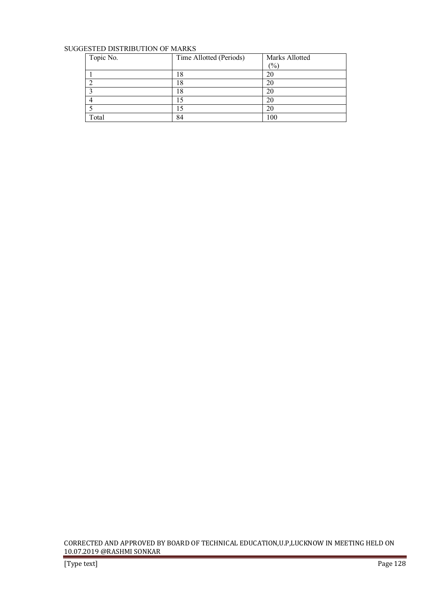## SUGGESTED DISTRIBUTION OF MARKS

| Topic No. | Time Allotted (Periods) | Marks Allotted |
|-----------|-------------------------|----------------|
|           |                         | $(\% )$        |
|           | 18                      | 20             |
|           | 18                      | 20             |
|           | 18                      | 20             |
|           | 15                      | 20             |
|           |                         | 20             |
| Total     | 84                      | 100            |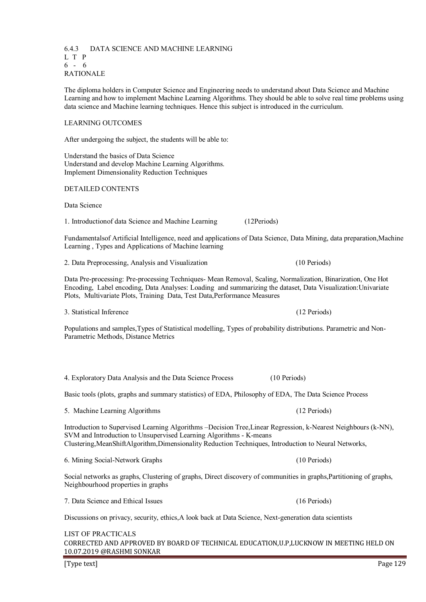6.4.3 DATA SCIENCE AND MACHINE LEARNING L T P 6 - 6 RATIONALE

The diploma holders in Computer Science and Engineering needs to understand about Data Science and Machine Learning and how to implement Machine Learning Algorithms. They should be able to solve real time problems using data science and Machine learning techniques. Hence this subject is introduced in the curriculum.

#### LEARNING OUTCOMES

After undergoing the subject, the students will be able to:

Understand the basics of Data Science Understand and develop Machine Learning Algorithms. Implement Dimensionality Reduction Techniques

DETAILED CONTENTS

Data Science

1. Introductionof data Science and Machine Learning (12Periods)

4. Exploratory Data Analysis and the Data Science Process (10 Periods)

Fundamentalsof Artificial Intelligence, need and applications of Data Science, Data Mining, data preparation,Machine Learning , Types and Applications of Machine learning

2. Data Preprocessing, Analysis and Visualization (10 Periods)

Data Pre-processing: Pre-processing Techniques- Mean Removal, Scaling, Normalization, Binarization, One Hot Encoding, Label encoding, Data Analyses: Loading and summarizing the dataset, Data Visualization:Univariate Plots, Multivariate Plots, Training Data, Test Data,Performance Measures

3. Statistical Inference (12 Periods)

Populations and samples,Types of Statistical modelling, Types of probability distributions. Parametric and Non-Parametric Methods, Distance Metrics

| Basic tools (plots, graphs and summary statistics) of EDA, Philosophy of EDA, The Data Science Process                                                                                                                                                                                        |                |  |
|-----------------------------------------------------------------------------------------------------------------------------------------------------------------------------------------------------------------------------------------------------------------------------------------------|----------------|--|
| 5. Machine Learning Algorithms                                                                                                                                                                                                                                                                | (12 Periods)   |  |
| Introduction to Supervised Learning Algorithms –Decision Tree, Linear Regression, k-Nearest Neighbours (k-NN),<br>SVM and Introduction to Unsupervised Learning Algorithms - K-means<br>Clustering, MeanShiftAlgorithm, Dimensionality Reduction Techniques, Introduction to Neural Networks, |                |  |
| 6. Mining Social-Network Graphs                                                                                                                                                                                                                                                               | $(10$ Periods) |  |
| Social networks as graphs, Clustering of graphs, Direct discovery of communities in graphs, Partitioning of graphs,<br>Neighbourhood properties in graphs                                                                                                                                     |                |  |
| 7. Data Science and Ethical Issues                                                                                                                                                                                                                                                            | $(16$ Periods) |  |
| Discussions on privacy, security, ethics, A look back at Data Science, Next-generation data scientists                                                                                                                                                                                        |                |  |

# CORRECTED AND APPROVED BY BOARD OF TECHNICAL EDUCATION,U.P,LUCKNOW IN MEETING HELD ON 10.07.2019 @RASHMI SONKAR LIST OF PRACTICALS

[Type text] Page 129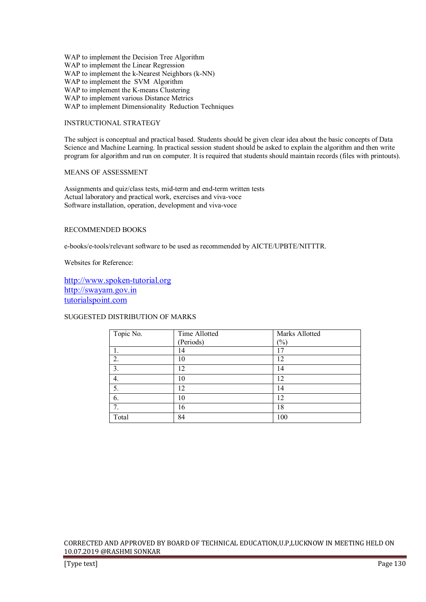WAP to implement the Decision Tree Algorithm WAP to implement the Linear Regression WAP to implement the k-Nearest Neighbors (k-NN) WAP to implement the SVM Algorithm WAP to implement the K-means Clustering WAP to implement various Distance Metrics WAP to implement Dimensionality Reduction Techniques

## INSTRUCTIONAL STRATEGY

The subject is conceptual and practical based. Students should be given clear idea about the basic concepts of Data Science and Machine Learning. In practical session student should be asked to explain the algorithm and then write program for algorithm and run on computer. It is required that students should maintain records (files with printouts).

## MEANS OF ASSESSMENT

Assignments and quiz/class tests, mid-term and end-term written tests Actual laboratory and practical work, exercises and viva-voce Software installation, operation, development and viva-voce

## RECOMMENDED BOOKS

e-books/e-tools/relevant software to be used as recommended by AICTE/UPBTE/NITTTR.

Websites for Reference:

http://www.spoken-tutorial.org http://swayam.gov.in tutorialspoint.com

## SUGGESTED DISTRIBUTION OF MARKS

| Topic No. | Time Allotted | Marks Allotted |
|-----------|---------------|----------------|
|           | (Periods)     | $\frac{1}{2}$  |
|           | 14            | 17             |
| 2.        | 10            | 12             |
| 3.        | 12            | 14             |
| 4.        | 10            | 12             |
| 5.        | 12            | 14             |
| 6.        | 10            | 12             |
| 7.        | 16            | 18             |
| Total     | 84            | 100            |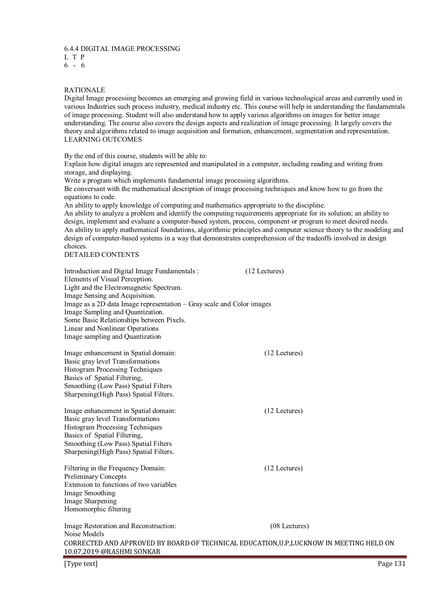# 6.4.4 DIGITAL IMAGE PROCESSING

- L T P
- 6 6

## RATIONALE

Digital Image processing becomes an emerging and growing field in various technological areas and currently used in various Industries such process industry, medical industry etc. This course will help in understanding the fundamentals of image processing. Student will also understand how to apply various algorithms on images for better image understanding. The course also covers the design aspects and realization of image processing. It largely covers the theory and algorithms related to image acquisition and formation, enhancement, segmentation and representation. LEARNING OUTCOMES

By the end of this course, students will be able to:

Explain how digital images are represented and manipulated in a computer, including reading and writing from storage, and displaying.

Write a program which implements fundamental image processing algorithms.

Be conversant with the mathematical description of image processing techniques and know how to go from the equations to code.

An ability to apply knowledge of computing and mathematics appropriate to the discipline.

An ability to analyze a problem and identify the computing requirements appropriate for its solution; an ability to design, implement and evaluate a computer-based system, process, component or program to meet desired needs. An ability to apply mathematical foundations, algorithmic principles and computer science theory to the modeling and design of computer-based systems in a way that demonstrates comprehension of the tradeoffs involved in design choices.

DETAILED CONTENTS

| Introduction and Digital Image Fundamentals:<br>Elements of Visual Perception.<br>Light and the Electromagnetic Spectrum.<br>Image Sensing and Acquisition.<br>Image as a 2D data Image representation - Gray scale and Color images<br>Image Sampling and Quantization.<br>Some Basic Relationships between Pixels.<br>Linear and Nonlinear Operations<br>Image sampling and Quantization | (12 Lectures) |  |
|--------------------------------------------------------------------------------------------------------------------------------------------------------------------------------------------------------------------------------------------------------------------------------------------------------------------------------------------------------------------------------------------|---------------|--|
| Image enhancement in Spatial domain:<br>Basic gray level Transformations<br>Histogram Processing Techniques<br>Basics of Spatial Filtering,<br>Smoothing (Low Pass) Spatial Filters<br>Sharpening (High Pass) Spatial Filters.                                                                                                                                                             | (12 Lectures) |  |
| Image enhancement in Spatial domain:<br>Basic gray level Transformations<br>Histogram Processing Techniques<br>Basics of Spatial Filtering,<br>Smoothing (Low Pass) Spatial Filters<br>Sharpening (High Pass) Spatial Filters.                                                                                                                                                             | (12 Lectures) |  |
| Filtering in the Frequency Domain:<br><b>Preliminary Concepts</b><br>Extension to functions of two variables<br>Image Smoothing<br>Image Sharpening<br>Homomorphic filtering                                                                                                                                                                                                               | (12 Lectures) |  |
| Image Restoration and Reconstruction:<br>Noise Models<br>CORRECTED AND APPROVED BY BOARD OF TECHNICAL EDUCATION, U.P. LUCKNOW IN MEETING HELD ON<br>10.07.2019 @RASHMI SONKAR                                                                                                                                                                                                              | (08 Lectures) |  |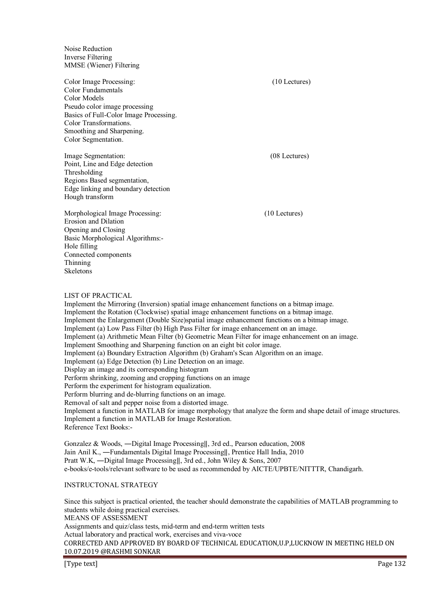Noise Reduction Inverse Filtering MMSE (Wiener) Filtering

Color Image Processing: (10 Lectures) Color Fundamentals Color Models Pseudo color image processing Basics of Full-Color Image Processing. Color Transformations. Smoothing and Sharpening. Color Segmentation.

Image Segmentation: (08 Lectures) Point, Line and Edge detection Thresholding Regions Based segmentation, Edge linking and boundary detection Hough transform

Morphological Image Processing: (10 Lectures) Erosion and Dilation Opening and Closing Basic Morphological Algorithms:- Hole filling Connected components Thinning Skeletons

#### LIST OF PRACTICAL

Implement the Mirroring (Inversion) spatial image enhancement functions on a bitmap image. Implement the Rotation (Clockwise) spatial image enhancement functions on a bitmap image. Implement the Enlargement (Double Size)spatial image enhancement functions on a bitmap image. Implement (a) Low Pass Filter (b) High Pass Filter for image enhancement on an image. Implement (a) Arithmetic Mean Filter (b) Geometric Mean Filter for image enhancement on an image. Implement Smoothing and Sharpening function on an eight bit color image. Implement (a) Boundary Extraction Algorithm (b) Graham's Scan Algorithm on an image. Implement (a) Edge Detection (b) Line Detection on an image. Display an image and its corresponding histogram Perform shrinking, zooming and cropping functions on an image Perform the experiment for histogram equalization. Perform blurring and de-blurring functions on an image. Removal of salt and pepper noise from a distorted image. Implement a function in MATLAB for image morphology that analyze the form and shape detail of image structures. Implement a function in MATLAB for Image Restoration. Reference Text Books:-

Gonzalez & Woods, ―Digital Image Processing‖, 3rd ed., Pearson education, 2008 Jain Anil K., ―Fundamentals Digital Image Processing‖, Prentice Hall India, 2010 Pratt W.K, ―Digital Image Processing‖, 3rd ed., John Wiley & Sons, 2007 e-books/e-tools/relevant software to be used as recommended by AICTE/UPBTE/NITTTR, Chandigarh.

## INSTRUCTONAL STRATEGY

Since this subject is practical oriented, the teacher should demonstrate the capabilities of MATLAB programming to students while doing practical exercises. MEANS OF ASSESSMENT

Assignments and quiz/class tests, mid-term and end-term written tests

Actual laboratory and practical work, exercises and viva-voce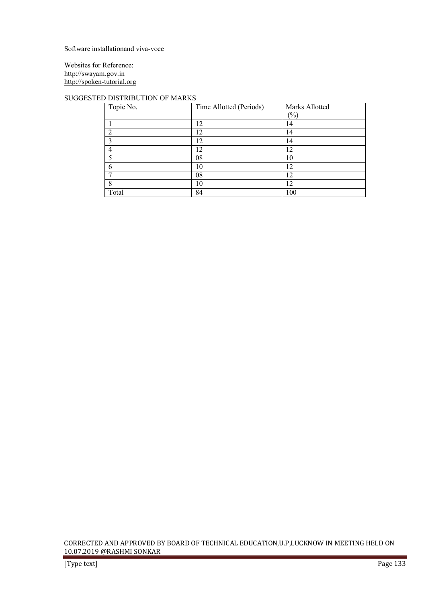Software installationand viva-voce

Websites for Reference: http://swayam.gov.in http://spoken-tutorial.org

## SUGGESTED DISTRIBUTION OF MARKS

| Topic No. | Time Allotted (Periods) | Marks Allotted |
|-----------|-------------------------|----------------|
|           |                         | $(\%)$         |
|           | 12                      | l 4            |
| ∍         | 12                      | 14             |
|           | 12                      | 14             |
|           | 12                      | 12             |
| 5         | 08                      | 10             |
| 6         | 10                      | 12             |
|           | 08                      | 12             |
| 8         | 10                      | 12             |
| Total     | 84                      | 100            |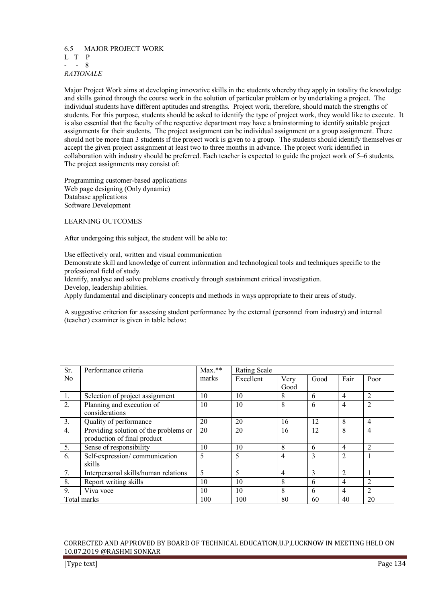#### 6.5 MAJOR PROJECT WORK L T P  $- 8$ *RATIONALE*

Major Project Work aims at developing innovative skills in the students whereby they apply in totality the knowledge and skills gained through the course work in the solution of particular problem or by undertaking a project. The individual students have different aptitudes and strengths. Project work, therefore, should match the strengths of students. For this purpose, students should be asked to identify the type of project work, they would like to execute. It is also essential that the faculty of the respective department may have a brainstorming to identify suitable project assignments for their students. The project assignment can be individual assignment or a group assignment. There should not be more than 3 students if the project work is given to a group. The students should identify themselves or accept the given project assignment at least two to three months in advance. The project work identified in collaboration with industry should be preferred. Each teacher is expected to guide the project work of 5–6 students. The project assignments may consist of:

Programming customer-based applications Web page designing (Only dynamic) Database applications Software Development

LEARNING OUTCOMES

After undergoing this subject, the student will be able to:

Use effectively oral, written and visual communication

Demonstrate skill and knowledge of current information and technological tools and techniques specific to the professional field of study.

Identify, analyse and solve problems creatively through sustainment critical investigation.

Develop, leadership abilities.

Apply fundamental and disciplinary concepts and methods in ways appropriate to their areas of study.

A suggestive criterion for assessing student performance by the external (personnel from industry) and internal (teacher) examiner is given in table below:

| Sr.            | Performance criteria                  | $Max.**$ | Rating Scale |      |      |                |                |
|----------------|---------------------------------------|----------|--------------|------|------|----------------|----------------|
| N <sub>0</sub> |                                       | marks    | Excellent    | Very | Good | Fair           | Poor           |
|                |                                       |          |              | Good |      |                |                |
| 1.             | Selection of project assignment       | 10       | 10           | 8    | 6    | $\overline{4}$ | $\overline{2}$ |
| 2.             | Planning and execution of             | 10       | 10           | 8    | 6    | $\overline{4}$ | $\overline{2}$ |
|                | considerations                        |          |              |      |      |                |                |
| 3.             | Quality of performance                | 20       | 20           | 16   | 12   | 8              | $\overline{4}$ |
| 4.             | Providing solution of the problems or | 20       | 20           | 16   | 12   | 8              | $\overline{4}$ |
|                | production of final product           |          |              |      |      |                |                |
| 5.             | Sense of responsibility               | 10       | 10           | 8    | 6    | $\overline{4}$ | $\overline{2}$ |
| 6.             | Self-expression/communication         | 5        | 5            | 4    | 3    | $\overline{2}$ |                |
|                | skills                                |          |              |      |      |                |                |
| 7.             | Interpersonal skills/human relations  | 5        | 5            | 4    | 3    | $\overline{2}$ |                |
| 8.             | Report writing skills                 | 10       | 10           | 8    | 6    | $\overline{4}$ | $\overline{2}$ |
| 9.             | Viva voce                             | 10       | 10           | 8    | 6    | 4              | 2              |
|                | Total marks                           | 100      | 100          | 80   | 60   | 40             | 20             |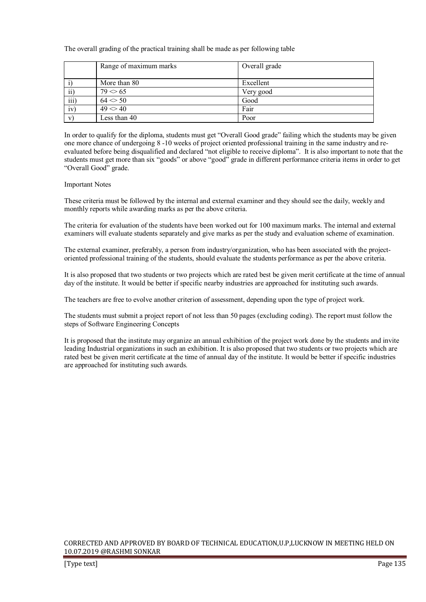The overall grading of the practical training shall be made as per following table

|                         | Range of maximum marks | Overall grade |
|-------------------------|------------------------|---------------|
|                         | More than 80           | Excellent     |
| $\overline{ii}$         | $79 \leq 65$           | Very good     |
| $\overline{\text{iii}}$ | $64 \leq 50$           | Good          |
| iv)                     | 49 < 40                | Fair          |
| V)                      | Less than 40           | Poor          |

In order to qualify for the diploma, students must get "Overall Good grade" failing which the students may be given one more chance of undergoing 8 -10 weeks of project oriented professional training in the same industry and reevaluated before being disqualified and declared "not eligible to receive diploma". It is also important to note that the students must get more than six "goods" or above "good" grade in different performance criteria items in order to get "Overall Good" grade.

#### Important Notes

These criteria must be followed by the internal and external examiner and they should see the daily, weekly and monthly reports while awarding marks as per the above criteria.

The criteria for evaluation of the students have been worked out for 100 maximum marks. The internal and external examiners will evaluate students separately and give marks as per the study and evaluation scheme of examination.

The external examiner, preferably, a person from industry/organization, who has been associated with the projectoriented professional training of the students, should evaluate the students performance as per the above criteria.

It is also proposed that two students or two projects which are rated best be given merit certificate at the time of annual day of the institute. It would be better if specific nearby industries are approached for instituting such awards.

The teachers are free to evolve another criterion of assessment, depending upon the type of project work.

The students must submit a project report of not less than 50 pages (excluding coding). The report must follow the steps of Software Engineering Concepts

It is proposed that the institute may organize an annual exhibition of the project work done by the students and invite leading Industrial organizations in such an exhibition. It is also proposed that two students or two projects which are rated best be given merit certificate at the time of annual day of the institute. It would be better if specific industries are approached for instituting such awards.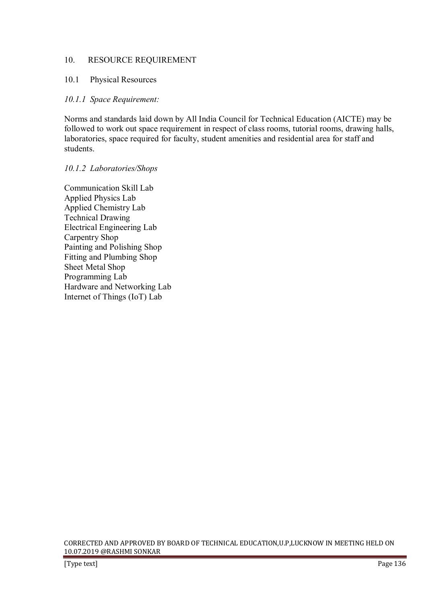# 10. RESOURCE REQUIREMENT

# 10.1 Physical Resources

# *10.1.1 Space Requirement:*

Norms and standards laid down by All India Council for Technical Education (AICTE) may be followed to work out space requirement in respect of class rooms, tutorial rooms, drawing halls, laboratories, space required for faculty, student amenities and residential area for staff and students.

## *10.1.2 Laboratories/Shops*

Communication Skill Lab Applied Physics Lab Applied Chemistry Lab Technical Drawing Electrical Engineering Lab Carpentry Shop Painting and Polishing Shop Fitting and Plumbing Shop Sheet Metal Shop Programming Lab Hardware and Networking Lab Internet of Things (IoT) Lab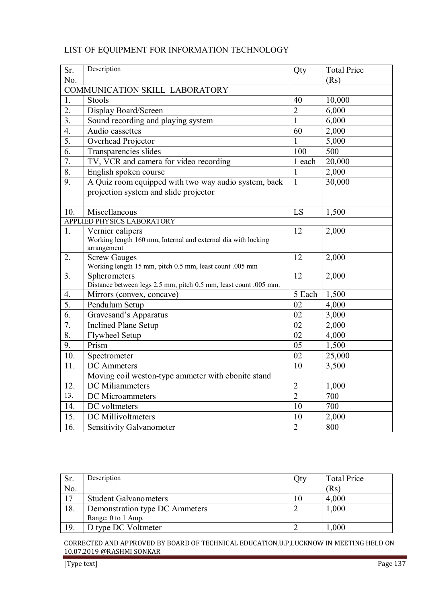| Sr.              | Description                                                                    | Qty             | <b>Total Price</b> |  |  |  |
|------------------|--------------------------------------------------------------------------------|-----------------|--------------------|--|--|--|
| No.              |                                                                                |                 | (Rs)               |  |  |  |
|                  | COMMUNICATION SKILL LABORATORY                                                 |                 |                    |  |  |  |
| 1.               | Stools                                                                         | 40              | 10,000             |  |  |  |
| $\overline{2}$ . | Display Board/Screen                                                           | $\overline{2}$  | 6,000              |  |  |  |
| $\overline{3}$ . | Sound recording and playing system                                             | $\mathbf{1}$    | 6,000              |  |  |  |
| $\overline{4}$ . | Audio cassettes                                                                | 60              | 2,000              |  |  |  |
| 5.               | Overhead Projector                                                             | 1               | 5,000              |  |  |  |
| 6.               | Transparencies slides                                                          | 100             | 500                |  |  |  |
| 7.               | TV, VCR and camera for video recording                                         | 1 each          | 20,000             |  |  |  |
| 8.               | English spoken course                                                          | $\mathbf{1}$    | 2,000              |  |  |  |
| $\overline{9}$ . | A Quiz room equipped with two way audio system, back                           | $\mathbf{1}$    | 30,000             |  |  |  |
|                  | projection system and slide projector                                          |                 |                    |  |  |  |
|                  |                                                                                |                 |                    |  |  |  |
| 10.              | Miscellaneous                                                                  | LS              | 1,500              |  |  |  |
|                  | APPLIED PHYSICS LABORATORY                                                     |                 |                    |  |  |  |
| 1.               | Vernier calipers                                                               | 12              | 2,000              |  |  |  |
|                  | Working length 160 mm, Internal and external dia with locking                  |                 |                    |  |  |  |
|                  | arrangement                                                                    |                 |                    |  |  |  |
| 2.               | <b>Screw Gauges</b><br>Working length 15 mm, pitch 0.5 mm, least count .005 mm | 12              | 2,000              |  |  |  |
| 3 <sub>1</sub>   | Spherometers                                                                   | 12              | 2,000              |  |  |  |
|                  | Distance between legs 2.5 mm, pitch 0.5 mm, least count .005 mm.               |                 |                    |  |  |  |
| 4.               | Mirrors (convex, concave)                                                      | 5 Each          | 1,500              |  |  |  |
| $\overline{5}$ . | Pendulum Setup                                                                 | $\overline{02}$ | 4,000              |  |  |  |
| $\overline{6}$ . | Gravesand's Apparatus                                                          | 02              | 3,000              |  |  |  |
| 7.               | <b>Inclined Plane Setup</b>                                                    | 02              | 2,000              |  |  |  |
| 8.               | <b>Flywheel Setup</b>                                                          | 02              | 4,000              |  |  |  |
| 9.               | Prism                                                                          | 05              | 1,500              |  |  |  |
| 10.              | Spectrometer                                                                   | 02              | 25,000             |  |  |  |
| 11.              | <b>DC</b> Ammeters                                                             | 10              | 3,500              |  |  |  |
|                  | Moving coil weston-type ammeter with ebonite stand                             |                 |                    |  |  |  |
| 12.              | DC Miliammeters                                                                | $\overline{2}$  | 1,000              |  |  |  |
| 13.              | DC Microammeters                                                               | $\overline{2}$  | 700                |  |  |  |
| 14.              | DC voltmeters                                                                  | 10              | 700                |  |  |  |
| 15.              | <b>DC</b> Millivoltmeters                                                      | 10              | 2,000              |  |  |  |
| 16.              | Sensitivity Galvanometer                                                       | $\overline{2}$  | 800                |  |  |  |

# LIST OF EQUIPMENT FOR INFORMATION TECHNOLOGY

| Sr. | Description                    | Qty | <b>Total Price</b> |
|-----|--------------------------------|-----|--------------------|
| No. |                                |     | (Rs)               |
| 17  | <b>Student Galvanometers</b>   |     | 4,000              |
| 18. | Demonstration type DC Ammeters |     | 1,000              |
|     | Range; 0 to 1 Amp.             |     |                    |
| 19. | D type DC Voltmeter            |     | .000               |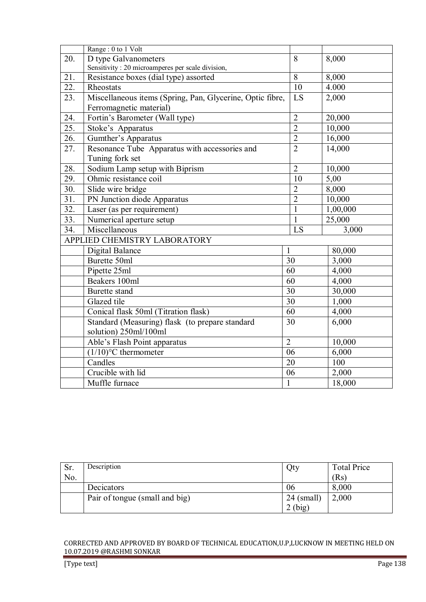|     | Range: 0 to 1 Volt                                        |                |          |
|-----|-----------------------------------------------------------|----------------|----------|
| 20. | D type Galvanometers                                      | 8              | 8,000    |
|     | Sensitivity: 20 microamperes per scale division,          |                |          |
| 21. | Resistance boxes (dial type) assorted                     | $\overline{8}$ | 8,000    |
| 22. | Rheostats                                                 | 10             | 4.000    |
| 23. | Miscellaneous items (Spring, Pan, Glycerine, Optic fibre, | LS             | 2,000    |
|     | Ferromagnetic material)                                   |                |          |
| 24. | Fortin's Barometer (Wall type)                            | $\overline{2}$ | 20,000   |
| 25. | Stoke's Apparatus                                         | $\overline{2}$ | 10,000   |
| 26. | Gumther's Apparatus                                       | $\overline{2}$ | 16,000   |
| 27. | Resonance Tube Apparatus with accessories and             | $\overline{2}$ | 14,000   |
|     | Tuning fork set                                           |                |          |
| 28. | Sodium Lamp setup with Biprism                            | $\overline{2}$ | 10,000   |
| 29. | Ohmic resistance coil                                     | 10             | 5,00     |
| 30. | Slide wire bridge                                         | $\overline{2}$ | 8,000    |
| 31. | PN Junction diode Apparatus                               | $\overline{2}$ | 10,000   |
| 32. | Laser (as per requirement)                                | 1              | 1,00,000 |
| 33. | Numerical aperture setup                                  | $\mathbf{1}$   | 25,000   |
| 34. | Miscellaneous                                             | LS             | 3,000    |
|     | APPLIED CHEMISTRY LABORATORY                              |                |          |
|     | Digital Balance                                           | $\mathbf{1}$   | 80,000   |
|     | Burette 50ml                                              | 30             | 3,000    |
|     | Pipette 25ml                                              | 60             | 4,000    |
|     | Beakers 100ml                                             | 60             | 4,000    |
|     | Burette stand                                             | 30             | 30,000   |
|     | Glazed tile                                               | 30             | 1,000    |
|     | Conical flask 50ml (Titration flask)                      | 60             | 4,000    |
|     | Standard (Measuring) flask (to prepare standard           | 30             | 6,000    |
|     | solution) 250ml/100ml                                     |                |          |
|     | Able's Flash Point apparatus                              | $\overline{2}$ | 10,000   |
|     | $(1/10)$ <sup>o</sup> C thermometer                       | 06             | 6,000    |
|     | Candles                                                   | 20             | 100      |
|     | Crucible with lid                                         | 06             | 2,000    |
|     | Muffle furnace                                            | $\mathbf{1}$   | 18,000   |

| Sr. | Description                    | Qty          | <b>Total Price</b> |
|-----|--------------------------------|--------------|--------------------|
| No. |                                |              | (Rs)               |
|     | Decicators                     | 06           | 8,000              |
|     | Pair of tongue (small and big) | $24$ (small) | 2,000              |
|     |                                | (big)        |                    |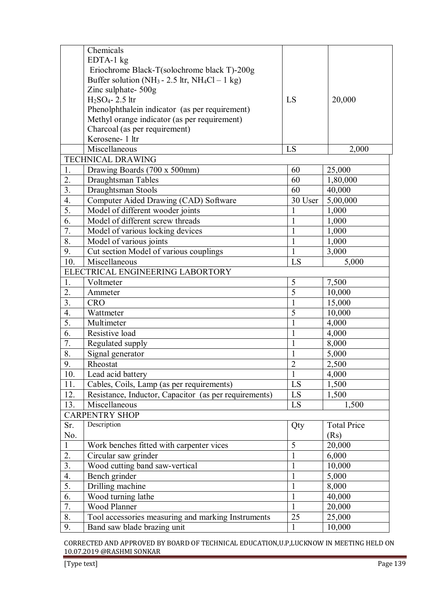|                  | Chemicals                                                              |                |                    |
|------------------|------------------------------------------------------------------------|----------------|--------------------|
|                  | EDTA-1 kg                                                              |                |                    |
|                  | Eriochrome Black-T(solochrome black T)-200g                            |                |                    |
|                  | Buffer solution (NH <sub>3</sub> - 2.5 ltr, NH <sub>4</sub> Cl - 1 kg) |                |                    |
|                  | Zinc sulphate- 500g                                                    |                |                    |
|                  | $H2SO4 - 2.5$ ltr                                                      | LS             | 20,000             |
|                  | Phenolphthalein indicator (as per requirement)                         |                |                    |
|                  | Methyl orange indicator (as per requirement)                           |                |                    |
|                  | Charcoal (as per requirement)                                          |                |                    |
|                  | Kerosene- 1 ltr                                                        |                |                    |
|                  | Miscellaneous                                                          | LS             | 2,000              |
|                  | TECHNICAL DRAWING                                                      |                |                    |
| 1.               | Drawing Boards (700 x 500mm)                                           | 60             | 25,000             |
| 2.               | Draughtsman Tables                                                     | 60             | 1,80,000           |
| $\overline{3}$ . | Draughtsman Stools                                                     | 60             | 40,000             |
| $\overline{4}$ . | Computer Aided Drawing (CAD) Software                                  | 30 User        | 5,00,000           |
| $\overline{5}$ . | Model of different wooder joints                                       | 1              | 1,000              |
| 6.               | Model of different screw threads                                       | $\mathbf{1}$   | 1,000              |
| 7.               | Model of various locking devices                                       | $\mathbf{1}$   | 1,000              |
| 8.               | Model of various joints                                                | $\mathbf{1}$   | 1,000              |
| 9.               | Cut section Model of various couplings                                 | $\mathbf{1}$   | 3,000              |
| 10.              | $\overline{\text{M}}$ iscellaneous                                     | LS             | 5,000              |
|                  | ELECTRICAL ENGINEERING LABORTORY                                       |                |                    |
| 1.               | Voltmeter                                                              | 5              | 7,500              |
| 2.               | Ammeter                                                                | $\overline{5}$ | 10,000             |
| 3.               | <b>CRO</b>                                                             | $\mathbf{1}$   | 15,000             |
| $\overline{4}$ . | Wattmeter                                                              | $\overline{5}$ | 10,000             |
| $\overline{5}$ . | Multimeter                                                             | $\mathbf{1}$   | 4,000              |
| 6.               | Resistive load                                                         | $\mathbf{1}$   | 4,000              |
| $\overline{7}$ . | Regulated supply                                                       | $\mathbf{1}$   | 8,000              |
| 8.               | Signal generator                                                       | $\mathbf{1}$   | 5,000              |
| 9.               | Rheostat                                                               | $\overline{2}$ | 2,500              |
| 10.              | Lead acid battery                                                      | $\mathbf{1}$   | 4,000              |
| 11.              | Cables, Coils, Lamp (as per requirements)                              | LS             | 1,500              |
| 12.              | Resistance, Inductor, Capacitor (as per requirements)                  | LS             | 1,500              |
| 13.              | Miscellaneous                                                          | LS             | 1,500              |
|                  | <b>CARPENTRY SHOP</b>                                                  |                |                    |
| Sr.              | Description                                                            | Qty            | <b>Total Price</b> |
| No.              |                                                                        |                | (Rs)               |
| $\mathbf{1}$     | Work benches fitted with carpenter vices                               | 5              | 20,000             |
| 2.               | Circular saw grinder                                                   | $\mathbf{1}$   | 6,000              |
| $\overline{3}$ . | Wood cutting band saw-vertical                                         | $\mathbf{1}$   | 10,000             |
| 4.               | Bench grinder                                                          | $\mathbf{1}$   | 5,000              |
| 5.               | Drilling machine                                                       | $\mathbf{1}$   | 8,000              |
| 6.               | Wood turning lathe                                                     | $\mathbf{1}$   | 40,000             |
| 7.               | Wood Planner                                                           | $\mathbf{1}$   | 20,000             |
| 8.               | Tool accessories measuring and marking Instruments                     | 25             | 25,000             |
| 9.               | Band saw blade brazing unit                                            | $\mathbf{1}$   | 10,000             |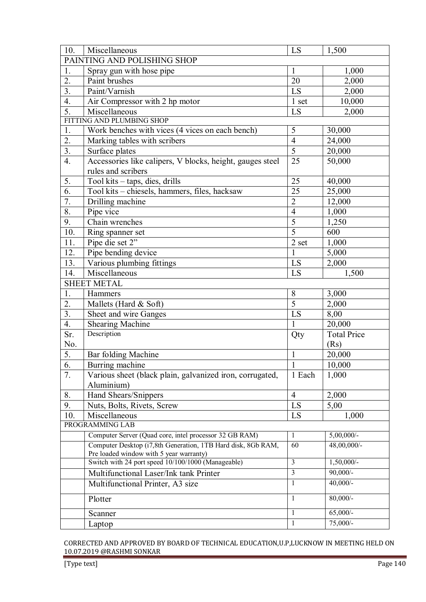| 10.              | Miscellaneous                                                | LS              | 1,500              |  |  |
|------------------|--------------------------------------------------------------|-----------------|--------------------|--|--|
|                  | PAINTING AND POLISHING SHOP                                  |                 |                    |  |  |
| 1.               | Spray gun with hose pipe                                     | $\mathbf{1}$    | 1,000              |  |  |
| 2.               | Paint brushes                                                | 20              | 2,000              |  |  |
| $\overline{3}$ . | Paint/Varnish                                                | LS              | 2,000              |  |  |
| 4.               | Air Compressor with 2 hp motor                               | 1 set           | 10,000             |  |  |
| 5.               | Miscellaneous                                                | LS              | 2,000              |  |  |
|                  | FITTING AND PLUMBING SHOP                                    |                 |                    |  |  |
| 1.               | Work benches with vices (4 vices on each bench)              | 5               | 30,000             |  |  |
| 2.               | Marking tables with scribers                                 | $\overline{4}$  | 24,000             |  |  |
| 3.               | Surface plates                                               | 5               | 20,000             |  |  |
| $\overline{4}$ . | Accessories like calipers, V blocks, height, gauges steel    | 25              | 50,000             |  |  |
|                  | rules and scribers                                           |                 |                    |  |  |
| 5.               | Tool kits - taps, dies, drills                               | 25              | 40,000             |  |  |
| 6.               | Tool kits - chiesels, hammers, files, hacksaw                | 25              | 25,000             |  |  |
| $\overline{7}$ . | Drilling machine                                             | $\overline{2}$  | 12,000             |  |  |
| 8.               | Pipe vice                                                    | $\overline{4}$  | 1,000              |  |  |
| 9.               | Chain wrenches                                               | $\overline{5}$  | 1,250              |  |  |
| 10.              | Ring spanner set                                             | $\overline{5}$  | 600                |  |  |
| 11.              | Pipe die set 2"                                              | 2 set           | 1,000              |  |  |
| 12.              | Pipe bending device                                          | 1               | 5,000              |  |  |
| 13.              | Various plumbing fittings                                    | LS              | 2,000              |  |  |
| 14.              | Miscellaneous                                                | LS              | 1,500              |  |  |
|                  | <b>SHEET METAL</b>                                           |                 |                    |  |  |
| 1.               | Hammers                                                      | $8\,$           | 3,000              |  |  |
| 2.               | Mallets (Hard $& Soft$ )                                     | $\overline{5}$  | 2,000              |  |  |
| $\overline{3}$ . | Sheet and wire Ganges                                        | LS              | 8,00               |  |  |
| 4.               | <b>Shearing Machine</b>                                      | 1               | 20,000             |  |  |
| Sr.              | Description                                                  | Qty             | <b>Total Price</b> |  |  |
| No.              |                                                              |                 | (Rs)               |  |  |
| 5.               | Bar folding Machine                                          | $\mathbf{1}$    | 20,000             |  |  |
| $\overline{6}$ . | Burring machine                                              | $\mathbf{1}$    | 10,000             |  |  |
| 7.               | Various sheet (black plain, galvanized iron, corrugated,     | 1 Each          | 1,000              |  |  |
|                  | Aluminium)                                                   |                 |                    |  |  |
| 8.               | Hand Shears/Snippers                                         | $\overline{4}$  | 2,000              |  |  |
| 9.               | Nuts, Bolts, Rivets, Screw                                   | LS              | 5,00               |  |  |
| 10.              | Miscellaneous                                                | LS              | 1,000              |  |  |
|                  | PROGRAMMING LAB                                              |                 |                    |  |  |
|                  | Computer Server (Quad core, intel processor 32 GB RAM)       | $\mathbf{1}$    | $5,00,000/$ -      |  |  |
|                  | Computer Desktop (i7,8th Generation, 1TB Hard disk, 8Gb RAM, | $\overline{60}$ | 48,00,000/-        |  |  |
|                  | Pre loaded window with 5 year warranty)                      |                 |                    |  |  |
|                  | Switch with 24 port speed 10/100/1000 (Manageable)           | $\overline{3}$  | $1,50,000/$ -      |  |  |
|                  | Multifunctional Laser/Ink tank Printer                       | 3               | $90,000/-$         |  |  |
|                  | Multifunctional Printer, A3 size                             | 1               | $40,000/$ -        |  |  |
|                  | Plotter                                                      | 1               | $80,000/$ -        |  |  |
|                  | Scanner                                                      | $\mathbf{1}$    | $65,000/-$         |  |  |
|                  | Laptop                                                       | $\mathbf{1}$    | $75,000/-$         |  |  |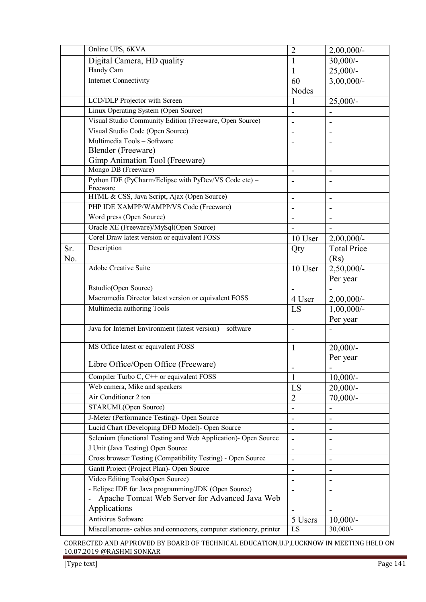|     | Online UPS, 6KVA                                                   | $\overline{2}$               | $2,00,000/$ -            |
|-----|--------------------------------------------------------------------|------------------------------|--------------------------|
|     | Digital Camera, HD quality                                         | 1                            | $30,000/$ -              |
|     | Handy Cam                                                          | 1                            | $25,000/-$               |
|     | <b>Internet Connectivity</b>                                       | 60                           | $3,00,000/$ -            |
|     |                                                                    | Nodes                        |                          |
|     | LCD/DLP Projector with Screen                                      | 1                            | $25,000/-$               |
|     | Linux Operating System (Open Source)                               |                              |                          |
|     | Visual Studio Community Edition (Freeware, Open Source)            |                              |                          |
|     | Visual Studio Code (Open Source)                                   |                              |                          |
|     | Multimedia Tools - Software                                        |                              |                          |
|     | Blender (Freeware)                                                 |                              |                          |
|     | Gimp Animation Tool (Freeware)                                     |                              |                          |
|     | Mongo DB (Freeware)                                                |                              |                          |
|     | Python IDE (PyCharm/Eclipse with PyDev/VS Code etc) -<br>Freeware  |                              |                          |
|     | HTML & CSS, Java Script, Ajax (Open Source)                        |                              | $\blacksquare$           |
|     | PHP IDE XAMPP/WAMPP/VS Code (Freeware)                             | -                            |                          |
|     | Word press (Open Source)                                           |                              |                          |
|     | Oracle XE (Freeware)/MySql(Open Source)                            |                              |                          |
|     | Corel Draw latest version or equivalent FOSS                       | 10 User                      | $2,00,000/$ -            |
| Sr. | Description                                                        |                              | <b>Total Price</b>       |
| No. |                                                                    | Qty                          | (Rs)                     |
|     | <b>Adobe Creative Suite</b>                                        | 10 User                      |                          |
|     |                                                                    |                              | $2,50,000/-$             |
|     | Rstudio(Open Source)                                               |                              | Per year                 |
|     | Macromedia Director latest version or equivalent FOSS              |                              |                          |
|     | Multimedia authoring Tools                                         | 4 User                       | $2,00,000/$ -            |
|     |                                                                    | LS                           | $1,00,000/$ -            |
|     | Java for Internet Environment (latest version) – software          |                              | Per year                 |
|     |                                                                    |                              |                          |
|     | MS Office latest or equivalent FOSS                                | 1                            | $20,000/$ -              |
|     |                                                                    |                              | Per year                 |
|     | Libre Office/Open Office (Freeware)                                | -                            | $\overline{\phantom{0}}$ |
|     | Compiler Turbo C, C++ or equivalent FOSS                           | $\mathbf{1}$                 | $10,000/-$               |
|     | Web camera, Mike and speakers                                      | LS                           | $20,000/$ -              |
|     | Air Conditioner 2 ton                                              | $\overline{2}$               | $70,000/$ -              |
|     | STARUML(Open Source)                                               |                              |                          |
|     | J-Meter (Performance Testing)- Open Source                         | -                            | -                        |
|     | Lucid Chart (Developing DFD Model)- Open Source                    | $\overline{\phantom{0}}$     |                          |
|     | Selenium (functional Testing and Web Application)- Open Source     |                              |                          |
|     | J Unit (Java Testing) Open Source                                  | -                            |                          |
|     | Cross browser Testing (Compatibility Testing) - Open Source        | $\overline{a}$               | $\overline{a}$           |
|     | Gantt Project (Project Plan)- Open Source                          | $\qquad \qquad \blacksquare$ |                          |
|     | Video Editing Tools(Open Source)                                   |                              |                          |
|     | - Eclipse IDE for Java programming/JDK (Open Source)               |                              |                          |
|     | Apache Tomcat Web Server for Advanced Java Web                     |                              |                          |
|     | Applications                                                       |                              |                          |
|     | Antivirus Software                                                 | 5 Users                      | $10,000/-$               |
|     | Miscellaneous- cables and connectors, computer stationery, printer | LS                           | $30,000/-$               |
|     |                                                                    |                              |                          |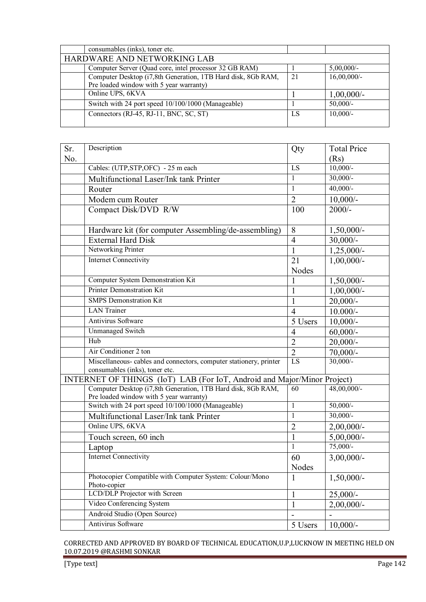| consumables (inks), toner etc.                               |    |                |
|--------------------------------------------------------------|----|----------------|
| HARDWARE AND NETWORKING LAB                                  |    |                |
| Computer Server (Quad core, intel processor 32 GB RAM)       |    | $5,00,000/$ -  |
| Computer Desktop (i7,8th Generation, 1TB Hard disk, 8Gb RAM, | 21 | $16,00,000/$ - |
| Pre loaded window with 5 year warranty)                      |    |                |
| Online UPS, 6KVA                                             |    | $1,00,000/$ -  |
| Switch with 24 port speed 10/100/1000 (Manageable)           |    | $50,000/-$     |
| Connectors (RJ-45, RJ-11, BNC, SC, ST)                       | LS | $10,000/-$     |
|                                                              |    |                |

| Sr. | Description                                                                                   | Qty               | <b>Total Price</b>          |
|-----|-----------------------------------------------------------------------------------------------|-------------------|-----------------------------|
| No. |                                                                                               |                   | (Rs)                        |
|     | Cables: (UTP,STP,OFC) - 25 m each                                                             | $\overline{LS}$   | $10,000/-$                  |
|     | Multifunctional Laser/Ink tank Printer                                                        | $\mathbf{1}$      | $30,000/-$                  |
|     | Router                                                                                        | $\mathbf{1}$      | $40,000/$ -                 |
|     | Modem cum Router                                                                              | $\overline{2}$    | $10,000/-$                  |
|     | Compact Disk/DVD R/W                                                                          | 100               | $2000/-$                    |
|     |                                                                                               |                   |                             |
|     | Hardware kit (for computer Assembling/de-assembling)                                          | 8                 | $1,50,000/-$                |
|     | <b>External Hard Disk</b>                                                                     | $\overline{4}$    | $30,000/$ -                 |
|     | Networking Printer                                                                            | $\mathbf{1}$      | $1,25,000/-$                |
|     | <b>Internet Connectivity</b>                                                                  | 21                | $1,00,000/-$                |
|     |                                                                                               | <b>Nodes</b>      |                             |
|     | <b>Computer System Demonstration Kit</b>                                                      | 1                 | 1,50,000/-                  |
|     | Printer Demonstration Kit                                                                     | $\mathbf{1}$      | $1,00,000/-$                |
|     | <b>SMPS</b> Demonstration Kit                                                                 | $\mathbf{1}$      | $20,000/$ -                 |
|     | <b>LAN</b> Trainer                                                                            | $\overline{4}$    | $10.000/-$                  |
|     | Antivirus Software                                                                            | 5 Users           | $10,000/-$                  |
|     | <b>Unmanaged Switch</b>                                                                       | $\overline{4}$    | $60,000/$ -                 |
|     | Hub                                                                                           | $\overline{2}$    | $20,000/$ -                 |
|     | Air Conditioner 2 ton                                                                         | $\overline{2}$    | $70,000/$ -                 |
|     | Miscellaneous- cables and connectors, computer stationery, printer                            | $\overline{LS}$   | $30,000/-$                  |
|     | consumables (inks), toner etc.                                                                |                   |                             |
|     | INTERNET OF THINGS (IoT) LAB (For IoT, Android and Major/Minor Project)                       |                   |                             |
|     | Computer Desktop (i7,8th Generation, 1TB Hard disk, 8Gb RAM,                                  | 60                | $48,00,000/$ -              |
|     | Pre loaded window with 5 year warranty)<br>Switch with 24 port speed 10/100/1000 (Manageable) | $\mathbf{1}$      | $50,000/$ -                 |
|     |                                                                                               | $\mathbf{1}$      | $30,000/-$                  |
|     | Multifunctional Laser/Ink tank Printer<br>Online UPS, 6KVA                                    |                   |                             |
|     |                                                                                               | $\overline{2}$    | $2,00,000/$ -               |
|     | Touch screen, 60 inch                                                                         | $\mathbf{1}$<br>1 | $5,00,000/$ -<br>$75,000/-$ |
|     | Laptop                                                                                        |                   |                             |
|     | <b>Internet Connectivity</b>                                                                  | 60                | $3,00,000/$ -               |
|     |                                                                                               | Nodes             |                             |
|     | Photocopier Compatible with Computer System: Colour/Mono<br>Photo-copier                      | 1                 | $1,50,000/$ -               |
|     | <b>LCD/DLP</b> Projector with Screen                                                          | 1                 | $25,000/-$                  |
|     | Video Conferencing System                                                                     | $\mathbf{1}$      | $2,00,000/$ -               |
|     | Android Studio (Open Source)                                                                  |                   |                             |
|     | Antivirus Software                                                                            | 5 Users           | $10,000/-$                  |
|     |                                                                                               |                   |                             |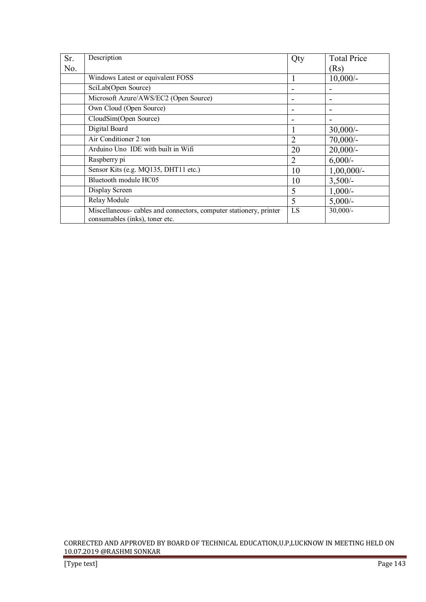| Sr. | Description                                                                                         | Qty            | <b>Total Price</b>       |
|-----|-----------------------------------------------------------------------------------------------------|----------------|--------------------------|
| No. |                                                                                                     |                | (Rs)                     |
|     | Windows Latest or equivalent FOSS                                                                   |                | $10,000/$ -              |
|     | SciLab(Open Source)                                                                                 |                |                          |
|     | Microsoft Azure/AWS/EC2 (Open Source)                                                               |                | $\overline{\phantom{0}}$ |
|     | Own Cloud (Open Source)                                                                             |                |                          |
|     | CloudSim(Open Source)                                                                               |                |                          |
|     | Digital Board                                                                                       | 1              | $30,000/-$               |
|     | Air Conditioner 2 ton                                                                               | $\overline{2}$ | $70,000/-$               |
|     | Arduino Uno IDE with built in Wifi                                                                  | 20             | $20,000/$ -              |
|     | Raspberry pi                                                                                        | $\overline{2}$ | $6,000/-$                |
|     | Sensor Kits (e.g. MQ135, DHT11 etc.)                                                                | 10             | $1,00,000/-$             |
|     | Bluetooth module HC05                                                                               | 10             | $3,500/-$                |
|     | Display Screen                                                                                      | 5              | $1,000/-$                |
|     | Relay Module                                                                                        | 5              | $5,000/-$                |
|     | Miscellaneous-cables and connectors, computer stationery, printer<br>consumables (inks), toner etc. | LS             | $30,000/$ -              |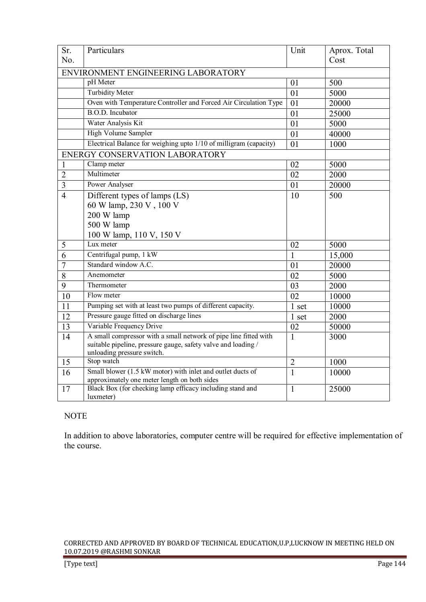| Sr.                                | Particulars                                                                                 | Unit           | Aprox. Total |
|------------------------------------|---------------------------------------------------------------------------------------------|----------------|--------------|
| No.                                |                                                                                             |                | Cost         |
| ENVIRONMENT ENGINEERING LABORATORY |                                                                                             |                |              |
|                                    | pH Meter                                                                                    | 01             | 500          |
|                                    | <b>Turbidity Meter</b>                                                                      | 01             | 5000         |
|                                    | Oven with Temperature Controller and Forced Air Circulation Type                            | 01             | 20000        |
|                                    | B.O.D. Incubator                                                                            | 01             | 25000        |
|                                    | Water Analysis Kit                                                                          | 01             | 5000         |
|                                    | <b>High Volume Sampler</b>                                                                  | 01             | 40000        |
|                                    | Electrical Balance for weighing upto 1/10 of milligram (capacity)                           | 01             | 1000         |
|                                    | ENERGY CONSERVATION LABORATORY                                                              |                |              |
| 1                                  | Clamp meter                                                                                 | 02             | 5000         |
| $\overline{2}$                     | Multimeter                                                                                  | 02             | 2000         |
| $\overline{3}$                     | Power Analyser                                                                              | 01             | 20000        |
| $\overline{4}$                     | Different types of lamps (LS)                                                               | 10             | 500          |
|                                    | 60 W lamp, 230 V, 100 V                                                                     |                |              |
|                                    | 200 W lamp                                                                                  |                |              |
|                                    | 500 W lamp                                                                                  |                |              |
|                                    | 100 W lamp, 110 V, 150 V                                                                    |                |              |
| 5                                  | Lux meter                                                                                   | 02             | 5000         |
| $\overline{6}$                     | Centrifugal pump, 1 kW                                                                      | 1              | 15,000       |
| $\overline{7}$                     | Standard window A.C.                                                                        | 01             | 20000        |
| 8                                  | Anemometer                                                                                  | 02             | 5000         |
| 9                                  | Thermometer                                                                                 | 03             | 2000         |
| 10                                 | Flow meter                                                                                  | 02             | 10000        |
| 11                                 | Pumping set with at least two pumps of different capacity.                                  | 1 set          | 10000        |
| 12                                 | Pressure gauge fitted on discharge lines                                                    | 1 set          | 2000         |
| 13                                 | Variable Frequency Drive                                                                    | 02             | 50000        |
| 14                                 | A small compressor with a small network of pipe line fitted with                            | $\mathbf{1}$   | 3000         |
|                                    | suitable pipeline, pressure gauge, safety valve and loading /<br>unloading pressure switch. |                |              |
| 15                                 | Stop watch                                                                                  | $\overline{2}$ | 1000         |
| 16                                 | Small blower (1.5 kW motor) with inlet and outlet ducts of                                  | $\mathbf{1}$   | 10000        |
|                                    | approximately one meter length on both sides                                                |                |              |
| 17                                 | Black Box (for checking lamp efficacy including stand and<br>luxmeter)                      | $\mathbf{1}$   | 25000        |

# NOTE

In addition to above laboratories, computer centre will be required for effective implementation of the course.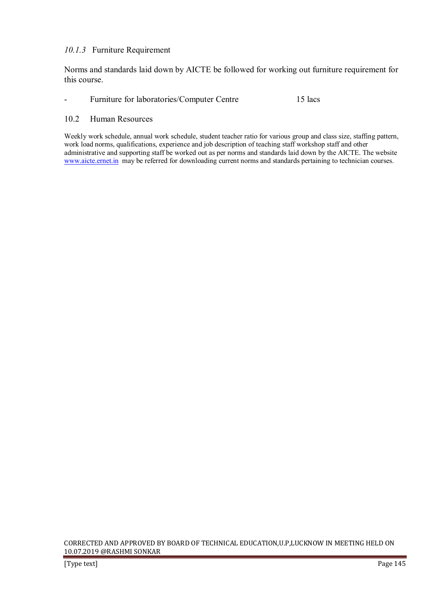## *10.1.3* Furniture Requirement

Norms and standards laid down by AICTE be followed for working out furniture requirement for this course.

#### - Furniture for laboratories/Computer Centre 15 lacs

#### 10.2 Human Resources

Weekly work schedule, annual work schedule, student teacher ratio for various group and class size, staffing pattern, work load norms, qualifications, experience and job description of teaching staff workshop staff and other administrative and supporting staff be worked out as per norms and standards laid down by the AICTE. The website www.aicte.ernet.in may be referred for downloading current norms and standards pertaining to technician courses.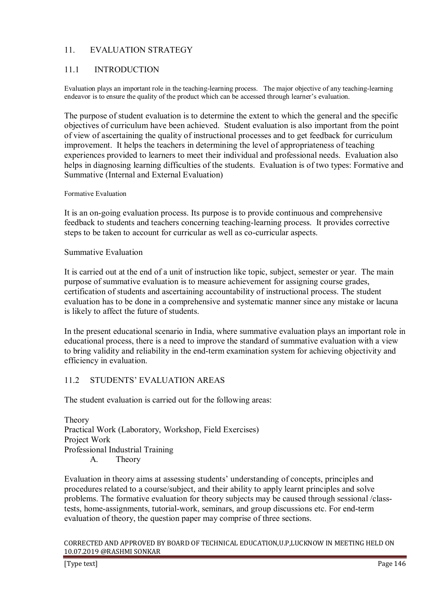# 11. EVALUATION STRATEGY

# 11.1 INTRODUCTION

Evaluation plays an important role in the teaching-learning process. The major objective of any teaching-learning endeavor is to ensure the quality of the product which can be accessed through learner's evaluation.

The purpose of student evaluation is to determine the extent to which the general and the specific objectives of curriculum have been achieved. Student evaluation is also important from the point of view of ascertaining the quality of instructional processes and to get feedback for curriculum improvement. It helps the teachers in determining the level of appropriateness of teaching experiences provided to learners to meet their individual and professional needs. Evaluation also helps in diagnosing learning difficulties of the students. Evaluation is of two types: Formative and Summative (Internal and External Evaluation)

#### Formative Evaluation

It is an on-going evaluation process. Its purpose is to provide continuous and comprehensive feedback to students and teachers concerning teaching-learning process. It provides corrective steps to be taken to account for curricular as well as co-curricular aspects.

#### Summative Evaluation

It is carried out at the end of a unit of instruction like topic, subject, semester or year. The main purpose of summative evaluation is to measure achievement for assigning course grades, certification of students and ascertaining accountability of instructional process. The student evaluation has to be done in a comprehensive and systematic manner since any mistake or lacuna is likely to affect the future of students.

In the present educational scenario in India, where summative evaluation plays an important role in educational process, there is a need to improve the standard of summative evaluation with a view to bring validity and reliability in the end-term examination system for achieving objectivity and efficiency in evaluation.

# 11.2 STUDENTS' EVALUATION AREAS

The student evaluation is carried out for the following areas:

Theory Practical Work (Laboratory, Workshop, Field Exercises) Project Work Professional Industrial Training A. Theory

Evaluation in theory aims at assessing students' understanding of concepts, principles and procedures related to a course/subject, and their ability to apply learnt principles and solve problems. The formative evaluation for theory subjects may be caused through sessional /classtests, home-assignments, tutorial-work, seminars, and group discussions etc. For end-term evaluation of theory, the question paper may comprise of three sections.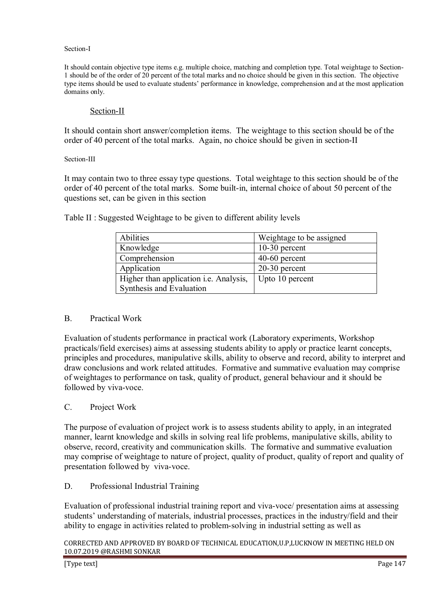#### Section-I

It should contain objective type items e.g. multiple choice, matching and completion type. Total weightage to Section-1 should be of the order of 20 percent of the total marks and no choice should be given in this section. The objective type items should be used to evaluate students' performance in knowledge, comprehension and at the most application domains only.

# Section-II

It should contain short answer/completion items. The weightage to this section should be of the order of 40 percent of the total marks. Again, no choice should be given in section-II

#### Section-III

It may contain two to three essay type questions. Total weightage to this section should be of the order of 40 percent of the total marks. Some built-in, internal choice of about 50 percent of the questions set, can be given in this section

> Abilities Number 2016 Number 2016 Knowledge 10-30 percent Comprehension 40-60 percent Application 20-30 percent Higher than application i.e. Analysis, Upto 10 percent

Table II : Suggested Weightage to be given to different ability levels

Synthesis and Evaluation

#### B. Practical Work

Evaluation of students performance in practical work (Laboratory experiments, Workshop practicals/field exercises) aims at assessing students ability to apply or practice learnt concepts, principles and procedures, manipulative skills, ability to observe and record, ability to interpret and draw conclusions and work related attitudes. Formative and summative evaluation may comprise of weightages to performance on task, quality of product, general behaviour and it should be followed by viva-voce.

#### C. Project Work

The purpose of evaluation of project work is to assess students ability to apply, in an integrated manner, learnt knowledge and skills in solving real life problems, manipulative skills, ability to observe, record, creativity and communication skills. The formative and summative evaluation may comprise of weightage to nature of project, quality of product, quality of report and quality of presentation followed by viva-voce.

#### D. Professional Industrial Training

Evaluation of professional industrial training report and viva-voce/ presentation aims at assessing students' understanding of materials, industrial processes, practices in the industry/field and their ability to engage in activities related to problem-solving in industrial setting as well as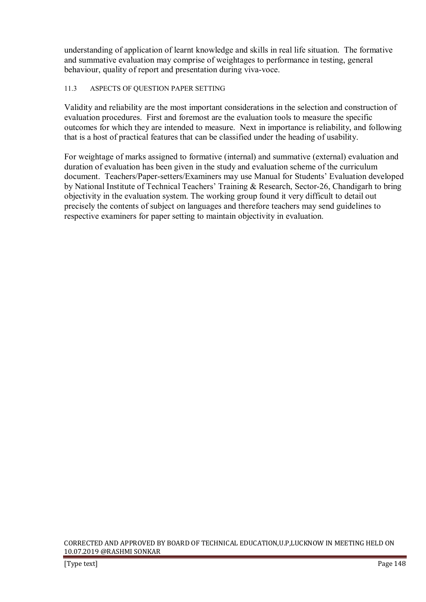understanding of application of learnt knowledge and skills in real life situation. The formative and summative evaluation may comprise of weightages to performance in testing, general behaviour, quality of report and presentation during viva-voce.

# 11.3 ASPECTS OF QUESTION PAPER SETTING

Validity and reliability are the most important considerations in the selection and construction of evaluation procedures. First and foremost are the evaluation tools to measure the specific outcomes for which they are intended to measure. Next in importance is reliability, and following that is a host of practical features that can be classified under the heading of usability.

For weightage of marks assigned to formative (internal) and summative (external) evaluation and duration of evaluation has been given in the study and evaluation scheme of the curriculum document. Teachers/Paper-setters/Examiners may use Manual for Students' Evaluation developed by National Institute of Technical Teachers' Training & Research, Sector-26, Chandigarh to bring objectivity in the evaluation system. The working group found it very difficult to detail out precisely the contents of subject on languages and therefore teachers may send guidelines to respective examiners for paper setting to maintain objectivity in evaluation.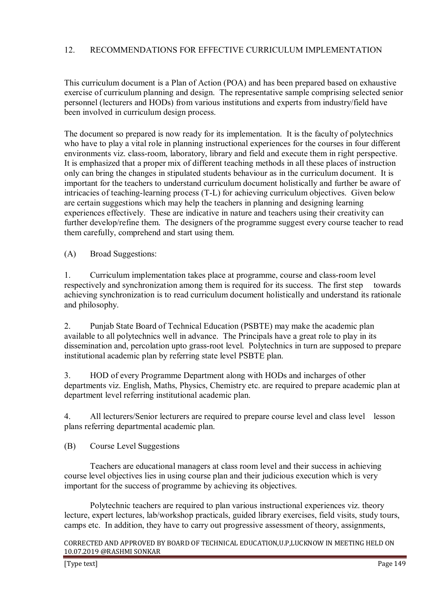# 12. RECOMMENDATIONS FOR EFFECTIVE CURRICULUM IMPLEMENTATION

This curriculum document is a Plan of Action (POA) and has been prepared based on exhaustive exercise of curriculum planning and design. The representative sample comprising selected senior personnel (lecturers and HODs) from various institutions and experts from industry/field have been involved in curriculum design process.

The document so prepared is now ready for its implementation. It is the faculty of polytechnics who have to play a vital role in planning instructional experiences for the courses in four different environments viz. class-room, laboratory, library and field and execute them in right perspective. It is emphasized that a proper mix of different teaching methods in all these places of instruction only can bring the changes in stipulated students behaviour as in the curriculum document. It is important for the teachers to understand curriculum document holistically and further be aware of intricacies of teaching-learning process (T-L) for achieving curriculum objectives. Given below are certain suggestions which may help the teachers in planning and designing learning experiences effectively. These are indicative in nature and teachers using their creativity can further develop/refine them. The designers of the programme suggest every course teacher to read them carefully, comprehend and start using them.

(A) Broad Suggestions:

1. Curriculum implementation takes place at programme, course and class-room level respectively and synchronization among them is required for its success. The first step towards achieving synchronization is to read curriculum document holistically and understand its rationale and philosophy.

2. Punjab State Board of Technical Education (PSBTE) may make the academic plan available to all polytechnics well in advance. The Principals have a great role to play in its dissemination and, percolation upto grass-root level. Polytechnics in turn are supposed to prepare institutional academic plan by referring state level PSBTE plan.

3. HOD of every Programme Department along with HODs and incharges of other departments viz. English, Maths, Physics, Chemistry etc. are required to prepare academic plan at department level referring institutional academic plan.

4. All lecturers/Senior lecturers are required to prepare course level and class level lesson plans referring departmental academic plan.

(B) Course Level Suggestions

 Teachers are educational managers at class room level and their success in achieving course level objectives lies in using course plan and their judicious execution which is very important for the success of programme by achieving its objectives.

 Polytechnic teachers are required to plan various instructional experiences viz. theory lecture, expert lectures, lab/workshop practicals, guided library exercises, field visits, study tours, camps etc. In addition, they have to carry out progressive assessment of theory, assignments,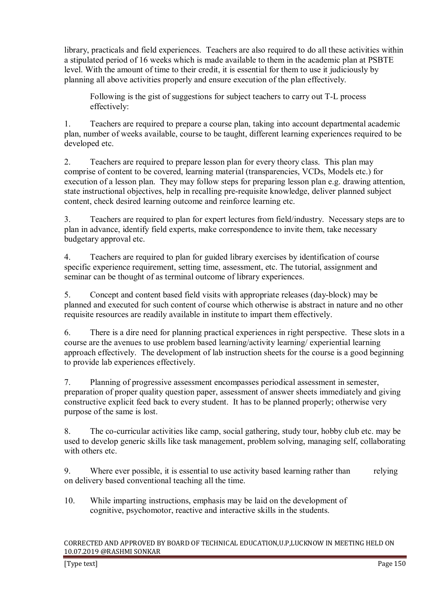library, practicals and field experiences. Teachers are also required to do all these activities within a stipulated period of 16 weeks which is made available to them in the academic plan at PSBTE level. With the amount of time to their credit, it is essential for them to use it judiciously by planning all above activities properly and ensure execution of the plan effectively.

 Following is the gist of suggestions for subject teachers to carry out T-L process effectively:

1. Teachers are required to prepare a course plan, taking into account departmental academic plan, number of weeks available, course to be taught, different learning experiences required to be developed etc.

2. Teachers are required to prepare lesson plan for every theory class. This plan may comprise of content to be covered, learning material (transparencies, VCDs, Models etc.) for execution of a lesson plan. They may follow steps for preparing lesson plan e.g. drawing attention, state instructional objectives, help in recalling pre-requisite knowledge, deliver planned subject content, check desired learning outcome and reinforce learning etc.

3. Teachers are required to plan for expert lectures from field/industry. Necessary steps are to plan in advance, identify field experts, make correspondence to invite them, take necessary budgetary approval etc.

4. Teachers are required to plan for guided library exercises by identification of course specific experience requirement, setting time, assessment, etc. The tutorial, assignment and seminar can be thought of as terminal outcome of library experiences.

5. Concept and content based field visits with appropriate releases (day-block) may be planned and executed for such content of course which otherwise is abstract in nature and no other requisite resources are readily available in institute to impart them effectively.

6. There is a dire need for planning practical experiences in right perspective. These slots in a course are the avenues to use problem based learning/activity learning/ experiential learning approach effectively. The development of lab instruction sheets for the course is a good beginning to provide lab experiences effectively.

7. Planning of progressive assessment encompasses periodical assessment in semester, preparation of proper quality question paper, assessment of answer sheets immediately and giving constructive explicit feed back to every student. It has to be planned properly; otherwise very purpose of the same is lost.

8. The co-curricular activities like camp, social gathering, study tour, hobby club etc. may be used to develop generic skills like task management, problem solving, managing self, collaborating with others etc.

9. Where ever possible, it is essential to use activity based learning rather than relying on delivery based conventional teaching all the time.

10. While imparting instructions, emphasis may be laid on the development of cognitive, psychomotor, reactive and interactive skills in the students.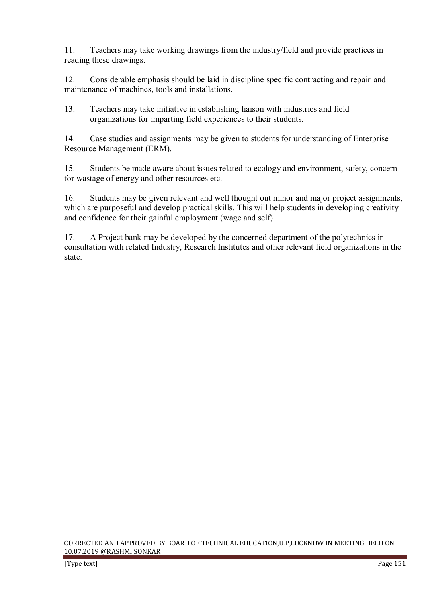11. Teachers may take working drawings from the industry/field and provide practices in reading these drawings.

12. Considerable emphasis should be laid in discipline specific contracting and repair and maintenance of machines, tools and installations.

13. Teachers may take initiative in establishing liaison with industries and field organizations for imparting field experiences to their students.

14. Case studies and assignments may be given to students for understanding of Enterprise Resource Management (ERM).

15. Students be made aware about issues related to ecology and environment, safety, concern for wastage of energy and other resources etc.

16. Students may be given relevant and well thought out minor and major project assignments, which are purposeful and develop practical skills. This will help students in developing creativity and confidence for their gainful employment (wage and self).

17. A Project bank may be developed by the concerned department of the polytechnics in consultation with related Industry, Research Institutes and other relevant field organizations in the state.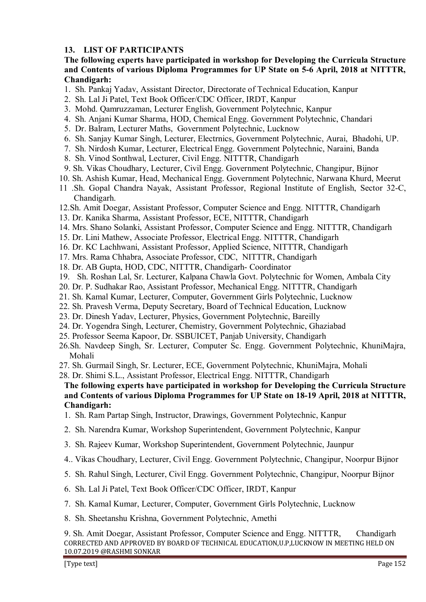# **13. LIST OF PARTICIPANTS**

## **The following experts have participated in workshop for Developing the Curricula Structure and Contents of various Diploma Programmes for UP State on 5-6 April, 2018 at NITTTR, Chandigarh:**

- 1. Sh. Pankaj Yadav, Assistant Director, Directorate of Technical Education, Kanpur
- 2. Sh. Lal Ji Patel, Text Book Officer/CDC Officer, IRDT, Kanpur
- 3. Mohd. Qamruzzaman, Lecturer English, Government Polytechnic, Kanpur
- 4. Sh. Anjani Kumar Sharma, HOD, Chemical Engg. Government Polytechnic, Chandari
- 5. Dr. Balram, Lecturer Maths, Government Polytechnic, Lucknow
- 6. Sh. Sanjay Kumar Singh, Lecturer, Electrnics, Government Polytechnic, Aurai, Bhadohi, UP.
- 7. Sh. Nirdosh Kumar, Lecturer, Electrical Engg. Government Polytechnic, Naraini, Banda
- 8. Sh. Vinod Sonthwal, Lecturer, Civil Engg. NITTTR, Chandigarh
- 9. Sh. Vikas Choudhary, Lecturer, Civil Engg. Government Polytechnic, Changipur, Bijnor
- 10. Sh. Ashish Kumar, Head, Mechanical Engg. Government Polytechnic, Narwana Khurd, Meerut
- 11 .Sh. Gopal Chandra Nayak, Assistant Professor, Regional Institute of English, Sector 32-C, Chandigarh.
- 12.Sh. Amit Doegar, Assistant Professor, Computer Science and Engg. NITTTR, Chandigarh
- 13. Dr. Kanika Sharma, Assistant Professor, ECE, NITTTR, Chandigarh
- 14. Mrs. Shano Solanki, Assistant Professor, Computer Science and Engg. NITTTR, Chandigarh
- 15. Dr. Lini Mathew, Associate Professor, Electrical Engg. NITTTR, Chandigarh
- 16. Dr. KC Lachhwani, Assistant Professor, Applied Science, NITTTR, Chandigarh
- 17. Mrs. Rama Chhabra, Associate Professor, CDC, NITTTR, Chandigarh
- 18. Dr. AB Gupta, HOD, CDC, NITTTR, Chandigarh- Coordinator
- 19. Sh. Roshan Lal, Sr. Lecturer, Kalpana Chawla Govt. Polytechnic for Women, Ambala City
- 20. Dr. P. Sudhakar Rao, Assistant Professor, Mechanical Engg. NITTTR, Chandigarh
- 21. Sh. Kamal Kumar, Lecturer, Computer, Government Girls Polytechnic, Lucknow
- 22. Sh. Pravesh Verma, Deputy Secretary, Board of Technical Education, Lucknow
- 23. Dr. Dinesh Yadav, Lecturer, Physics, Government Polytechnic, Bareilly
- 24. Dr. Yogendra Singh, Lecturer, Chemistry, Government Polytechnic, Ghaziabad
- 25. Professor Seema Kapoor, Dr. SSBUICET, Panjab University, Chandigarh
- 26.Sh. Navdeep Singh, Sr. Lecturer, Computer Sc. Engg. Government Polytechnic, KhuniMajra, Mohali
- 27. Sh. Gurmail Singh, Sr. Lecturer, ECE, Government Polytechnic, KhuniMajra, Mohali
- 28. Dr. Shimi S.L., Assistant Professor, Electrical Engg. NITTTR, Chandigarh

# **The following experts have participated in workshop for Developing the Curricula Structure and Contents of various Diploma Programmes for UP State on 18-19 April, 2018 at NITTTR, Chandigarh:**

- 1. Sh. Ram Partap Singh, Instructor, Drawings, Government Polytechnic, Kanpur
- 2. Sh. Narendra Kumar, Workshop Superintendent, Government Polytechnic, Kanpur
- 3. Sh. Rajeev Kumar, Workshop Superintendent, Government Polytechnic, Jaunpur
- 4.. Vikas Choudhary, Lecturer, Civil Engg. Government Polytechnic, Changipur, Noorpur Bijnor
- 5. Sh. Rahul Singh, Lecturer, Civil Engg. Government Polytechnic, Changipur, Noorpur Bijnor
- 6. Sh. Lal Ji Patel, Text Book Officer/CDC Officer, IRDT, Kanpur
- 7. Sh. Kamal Kumar, Lecturer, Computer, Government Girls Polytechnic, Lucknow
- 8. Sh. Sheetanshu Krishna, Government Polytechnic, Amethi

CORRECTED AND APPROVED BY BOARD OF TECHNICAL EDUCATION,U.P,LUCKNOW IN MEETING HELD ON 10.07.2019 @RASHMI SONKAR 9. Sh. Amit Doegar, Assistant Professor, Computer Science and Engg. NITTTR, Chandigarh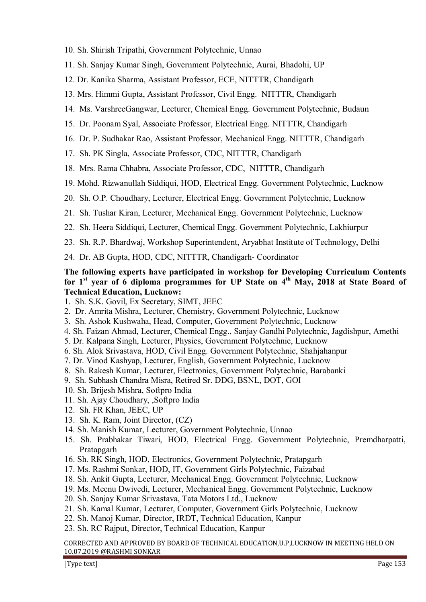- 10. Sh. Shirish Tripathi, Government Polytechnic, Unnao
- 11. Sh. Sanjay Kumar Singh, Government Polytechnic, Aurai, Bhadohi, UP
- 12. Dr. Kanika Sharma, Assistant Professor, ECE, NITTTR, Chandigarh
- 13. Mrs. Himmi Gupta, Assistant Professor, Civil Engg. NITTTR, Chandigarh
- 14. Ms. VarshreeGangwar, Lecturer, Chemical Engg. Government Polytechnic, Budaun
- 15. Dr. Poonam Syal, Associate Professor, Electrical Engg. NITTTR, Chandigarh
- 16. Dr. P. Sudhakar Rao, Assistant Professor, Mechanical Engg. NITTTR, Chandigarh
- 17. Sh. PK Singla, Associate Professor, CDC, NITTTR, Chandigarh
- 18. Mrs. Rama Chhabra, Associate Professor, CDC, NITTTR, Chandigarh
- 19. Mohd. Rizwanullah Siddiqui, HOD, Electrical Engg. Government Polytechnic, Lucknow
- 20. Sh. O.P. Choudhary, Lecturer, Electrical Engg. Government Polytechnic, Lucknow
- 21. Sh. Tushar Kiran, Lecturer, Mechanical Engg. Government Polytechnic, Lucknow
- 22. Sh. Heera Siddiqui, Lecturer, Chemical Engg. Government Polytechnic, Lakhiurpur
- 23. Sh. R.P. Bhardwaj, Workshop Superintendent, Aryabhat Institute of Technology, Delhi
- 24. Dr. AB Gupta, HOD, CDC, NITTTR, Chandigarh- Coordinator

## **The following experts have participated in workshop for Developing Curriculum Contents for 1st year of 6 diploma programmes for UP State on 4th May, 2018 at State Board of Technical Education, Lucknow:**

- 1. Sh. S.K. Govil, Ex Secretary, SIMT, JEEC
- 2. Dr. Amrita Mishra, Lecturer, Chemistry, Government Polytechnic, Lucknow
- 3. Sh. Ashok Kushwaha, Head, Computer, Government Polytechnic, Lucknow
- 4. Sh. Faizan Ahmad, Lecturer, Chemical Engg., Sanjay Gandhi Polytechnic, Jagdishpur, Amethi
- 5. Dr. Kalpana Singh, Lecturer, Physics, Government Polytechnic, Lucknow
- 6. Sh. Alok Srivastava, HOD, Civil Engg. Government Polytechnic, Shahjahanpur
- 7. Dr. Vinod Kashyap, Lecturer, English, Government Polytechnic, Lucknow
- 8. Sh. Rakesh Kumar, Lecturer, Electronics, Government Polytechnic, Barabanki
- 9. Sh. Subhash Chandra Misra, Retired Sr. DDG, BSNL, DOT, GOI
- 10. Sh. Brijesh Mishra, Softpro India
- 11. Sh. Ajay Choudhary, ,Softpro India
- 12. Sh. FR Khan, JEEC, UP
- 13. Sh. K. Ram, Joint Director, (CZ)
- 14. Sh. Manish Kumar, Lecturer, Government Polytechnic, Unnao
- 15. Sh. Prabhakar Tiwari, HOD, Electrical Engg. Government Polytechnic, Premdharpatti, Pratapgarh
- 16. Sh. RK Singh, HOD, Electronics, Government Polytechnic, Pratapgarh
- 17. Ms. Rashmi Sonkar, HOD, IT, Government Girls Polytechnic, Faizabad
- 18. Sh. Ankit Gupta, Lecturer, Mechanical Engg. Government Polytechnic, Lucknow
- 19. Ms. Meenu Dwivedi, Lecturer, Mechanical Engg. Government Polytechnic, Lucknow
- 20. Sh. Sanjay Kumar Srivastava, Tata Motors Ltd., Lucknow
- 21. Sh. Kamal Kumar, Lecturer, Computer, Government Girls Polytechnic, Lucknow
- 22. Sh. Manoj Kumar, Director, IRDT, Technical Education, Kanpur
- 23. Sh. RC Rajput, Director, Technical Education, Kanpur